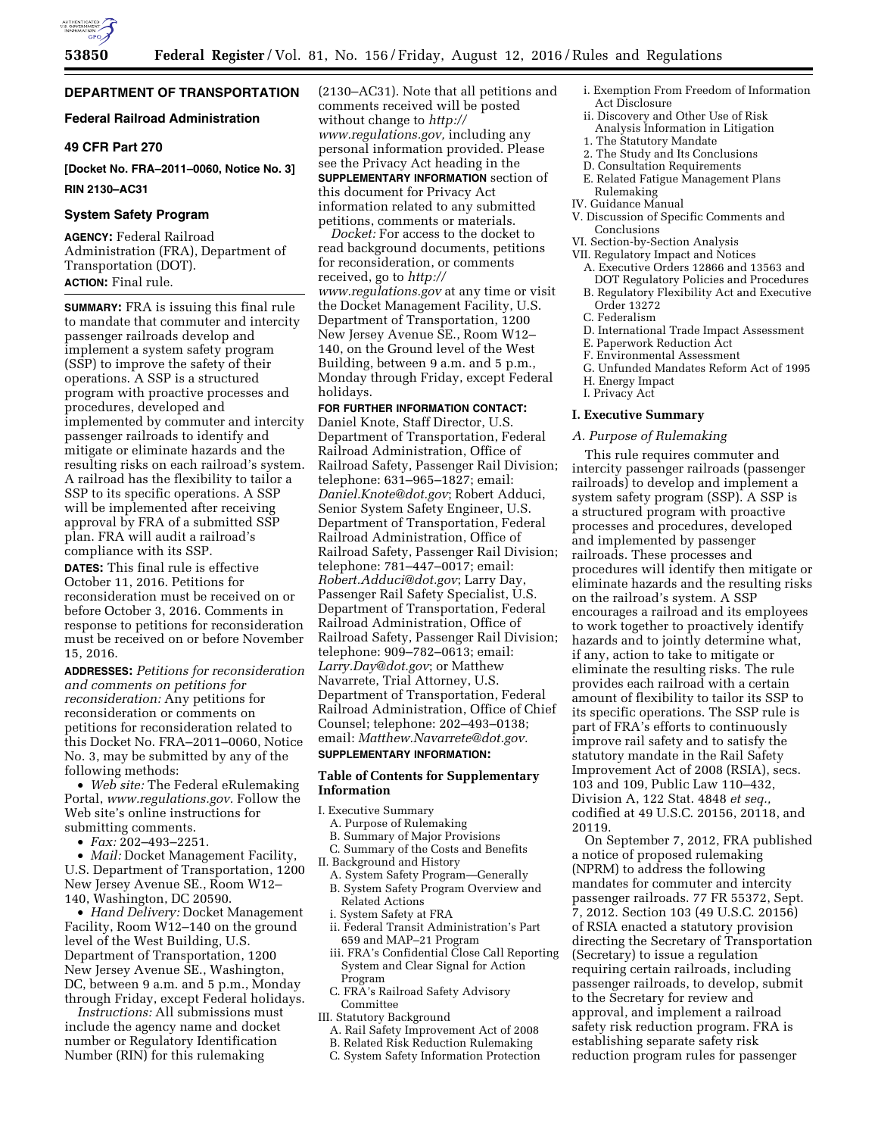

# **DEPARTMENT OF TRANSPORTATION**

# **Federal Railroad Administration**

# **49 CFR Part 270**

**[Docket No. FRA–2011–0060, Notice No. 3] RIN 2130–AC31** 

#### **System Safety Program**

**AGENCY:** Federal Railroad Administration (FRA), Department of Transportation (DOT). **ACTION:** Final rule.

**SUMMARY:** FRA is issuing this final rule to mandate that commuter and intercity passenger railroads develop and implement a system safety program (SSP) to improve the safety of their operations. A SSP is a structured program with proactive processes and procedures, developed and implemented by commuter and intercity passenger railroads to identify and mitigate or eliminate hazards and the resulting risks on each railroad's system. A railroad has the flexibility to tailor a SSP to its specific operations. A SSP will be implemented after receiving approval by FRA of a submitted SSP plan. FRA will audit a railroad's compliance with its SSP.

**DATES:** This final rule is effective October 11, 2016. Petitions for reconsideration must be received on or before October 3, 2016. Comments in response to petitions for reconsideration must be received on or before November 15, 2016.

**ADDRESSES:** *Petitions for reconsideration and comments on petitions for reconsideration:* Any petitions for reconsideration or comments on petitions for reconsideration related to this Docket No. FRA–2011–0060, Notice No. 3, may be submitted by any of the following methods:

• *Web site:* The Federal eRulemaking Portal, *[www.regulations.gov.](http://www.regulations.gov)* Follow the Web site's online instructions for submitting comments.

• *Fax:* 202–493–2251.

• *Mail:* Docket Management Facility, U.S. Department of Transportation, 1200 New Jersey Avenue SE., Room W12– 140, Washington, DC 20590.

• *Hand Delivery:* Docket Management Facility, Room W12–140 on the ground level of the West Building, U.S. Department of Transportation, 1200 New Jersey Avenue SE., Washington, DC, between 9 a.m. and 5 p.m., Monday through Friday, except Federal holidays.

*Instructions:* All submissions must include the agency name and docket number or Regulatory Identification Number (RIN) for this rulemaking

(2130–AC31). Note that all petitions and comments received will be posted without change to *[http://](http://www.regulations.gov) [www.regulations.gov,](http://www.regulations.gov)* including any personal information provided. Please see the Privacy Act heading in the **SUPPLEMENTARY INFORMATION** section of this document for Privacy Act information related to any submitted petitions, comments or materials.

*Docket:* For access to the docket to read background documents, petitions for reconsideration, or comments received, go to *[http://](http://www.regulations.gov) [www.regulations.gov](http://www.regulations.gov)* at any time or visit the Docket Management Facility, U.S. Department of Transportation, 1200 New Jersey Avenue SE., Room W12– 140, on the Ground level of the West Building, between 9 a.m. and 5 p.m., Monday through Friday, except Federal holidays.

# **FOR FURTHER INFORMATION CONTACT:**

Daniel Knote, Staff Director, U.S. Department of Transportation, Federal Railroad Administration, Office of Railroad Safety, Passenger Rail Division; telephone: 631–965–1827; email: *[Daniel.Knote@dot.gov](mailto:Daniel.Knote@dot.gov)*; Robert Adduci, Senior System Safety Engineer, U.S. Department of Transportation, Federal Railroad Administration, Office of Railroad Safety, Passenger Rail Division; telephone: 781–447–0017; email: *[Robert.Adduci@dot.gov](mailto:Robert.Adduci@dot.gov)*; Larry Day, Passenger Rail Safety Specialist, U.S. Department of Transportation, Federal Railroad Administration, Office of Railroad Safety, Passenger Rail Division; telephone: 909–782–0613; email: *[Larry.Day@dot.gov](mailto:Larry.Day@dot.gov)*; or Matthew Navarrete, Trial Attorney, U.S. Department of Transportation, Federal Railroad Administration, Office of Chief Counsel; telephone: 202–493–0138; email: *[Matthew.Navarrete@dot.gov.](mailto:Matthew.Navarrete@dot.gov)* 

#### **SUPPLEMENTARY INFORMATION:**

# **Table of Contents for Supplementary Information**

I. Executive Summary

- A. Purpose of Rulemaking
- B. Summary of Major Provisions
- C. Summary of the Costs and Benefits
- II. Background and History
- A. System Safety Program—Generally B. System Safety Program Overview and Related Actions
- i. System Safety at FRA
- ii. Federal Transit Administration's Part 659 and MAP–21 Program
- iii. FRA's Confidential Close Call Reporting System and Clear Signal for Action Program
- C. FRA's Railroad Safety Advisory Committee
- III. Statutory Background
	- A. Rail Safety Improvement Act of 2008
	- B. Related Risk Reduction Rulemaking
	- C. System Safety Information Protection
- i. Exemption From Freedom of Information Act Disclosure
- ii. Discovery and Other Use of Risk Analysis Information in Litigation
- 1. The Statutory Mandate
- 2. The Study and Its Conclusions
- D. Consultation Requirements
- E. Related Fatigue Management Plans Rulemaking
- IV. Guidance Manual
- V. Discussion of Specific Comments and Conclusions
- VI. Section-by-Section Analysis
- VII. Regulatory Impact and Notices
- A. Executive Orders 12866 and 13563 and DOT Regulatory Policies and Procedures
- B. Regulatory Flexibility Act and Executive Order 13272
- C. Federalism
- D. International Trade Impact Assessment
- E. Paperwork Reduction Act
- F. Environmental Assessment
- G. Unfunded Mandates Reform Act of 1995
- H. Energy Impact
- I. Privacy Act

# **I. Executive Summary**

### *A. Purpose of Rulemaking*

This rule requires commuter and intercity passenger railroads (passenger railroads) to develop and implement a system safety program (SSP). A SSP is a structured program with proactive processes and procedures, developed and implemented by passenger railroads. These processes and procedures will identify then mitigate or eliminate hazards and the resulting risks on the railroad's system. A SSP encourages a railroad and its employees to work together to proactively identify hazards and to jointly determine what, if any, action to take to mitigate or eliminate the resulting risks. The rule provides each railroad with a certain amount of flexibility to tailor its SSP to its specific operations. The SSP rule is part of FRA's efforts to continuously improve rail safety and to satisfy the statutory mandate in the Rail Safety Improvement Act of 2008 (RSIA), secs. 103 and 109, Public Law 110–432, Division A, 122 Stat. 4848 *et seq.,*  codified at 49 U.S.C. 20156, 20118, and 20119.

On September 7, 2012, FRA published a notice of proposed rulemaking (NPRM) to address the following mandates for commuter and intercity passenger railroads. 77 FR 55372, Sept. 7, 2012. Section 103 (49 U.S.C. 20156) of RSIA enacted a statutory provision directing the Secretary of Transportation (Secretary) to issue a regulation requiring certain railroads, including passenger railroads, to develop, submit to the Secretary for review and approval, and implement a railroad safety risk reduction program. FRA is establishing separate safety risk reduction program rules for passenger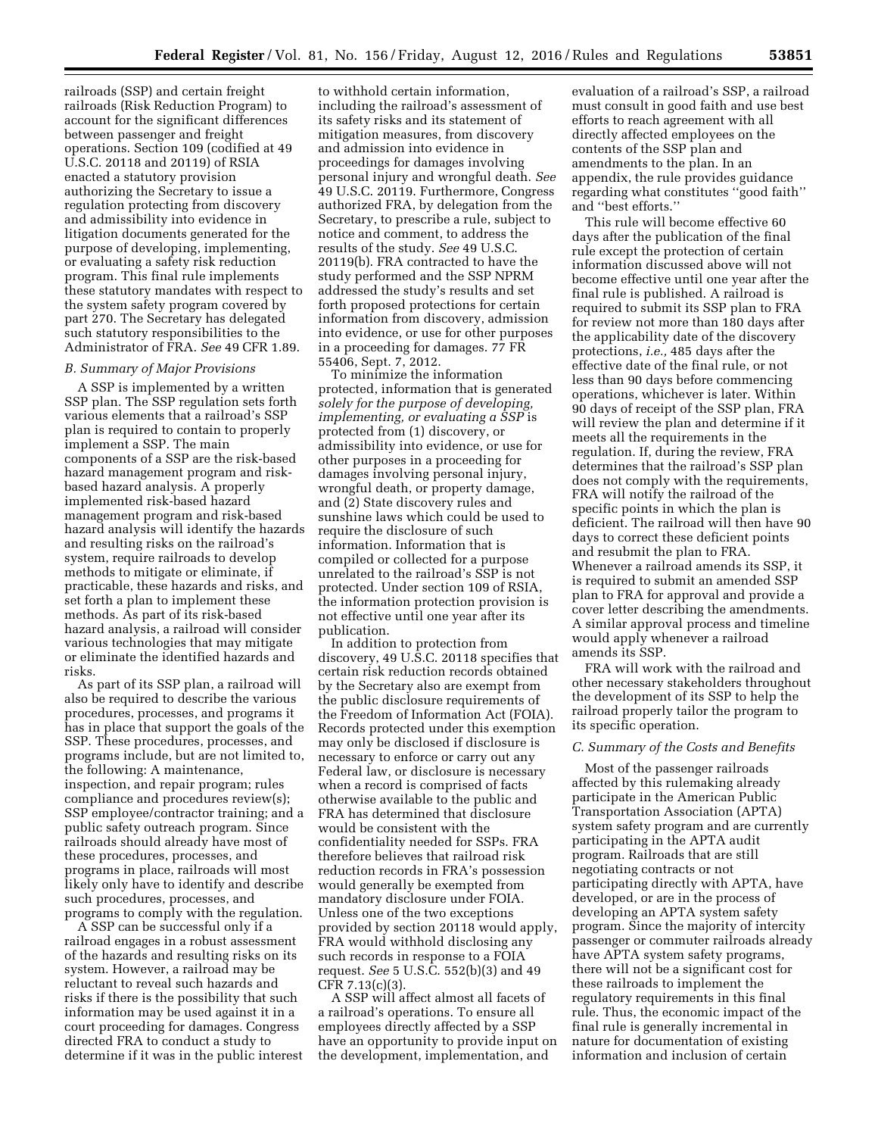railroads (SSP) and certain freight railroads (Risk Reduction Program) to account for the significant differences between passenger and freight operations. Section 109 (codified at 49 U.S.C. 20118 and 20119) of RSIA enacted a statutory provision authorizing the Secretary to issue a regulation protecting from discovery and admissibility into evidence in litigation documents generated for the purpose of developing, implementing, or evaluating a safety risk reduction program. This final rule implements these statutory mandates with respect to the system safety program covered by part 270. The Secretary has delegated such statutory responsibilities to the Administrator of FRA. *See* 49 CFR 1.89.

# *B. Summary of Major Provisions*

A SSP is implemented by a written SSP plan. The SSP regulation sets forth various elements that a railroad's SSP plan is required to contain to properly implement a SSP. The main components of a SSP are the risk-based hazard management program and riskbased hazard analysis. A properly implemented risk-based hazard management program and risk-based hazard analysis will identify the hazards and resulting risks on the railroad's system, require railroads to develop methods to mitigate or eliminate, if practicable, these hazards and risks, and set forth a plan to implement these methods. As part of its risk-based hazard analysis, a railroad will consider various technologies that may mitigate or eliminate the identified hazards and risks.

As part of its SSP plan, a railroad will also be required to describe the various procedures, processes, and programs it has in place that support the goals of the SSP. These procedures, processes, and programs include, but are not limited to, the following: A maintenance, inspection, and repair program; rules compliance and procedures review(s); SSP employee/contractor training; and a public safety outreach program. Since railroads should already have most of these procedures, processes, and programs in place, railroads will most likely only have to identify and describe such procedures, processes, and programs to comply with the regulation.

A SSP can be successful only if a railroad engages in a robust assessment of the hazards and resulting risks on its system. However, a railroad may be reluctant to reveal such hazards and risks if there is the possibility that such information may be used against it in a court proceeding for damages. Congress directed FRA to conduct a study to determine if it was in the public interest

to withhold certain information, including the railroad's assessment of its safety risks and its statement of mitigation measures, from discovery and admission into evidence in proceedings for damages involving personal injury and wrongful death. *See*  49 U.S.C. 20119. Furthermore, Congress authorized FRA, by delegation from the Secretary, to prescribe a rule, subject to notice and comment, to address the results of the study. *See* 49 U.S.C. 20119(b). FRA contracted to have the study performed and the SSP NPRM addressed the study's results and set forth proposed protections for certain information from discovery, admission into evidence, or use for other purposes in a proceeding for damages. 77 FR 55406, Sept. 7, 2012.

To minimize the information protected, information that is generated *solely for the purpose of developing, implementing, or evaluating a SSP* is protected from (1) discovery, or admissibility into evidence, or use for other purposes in a proceeding for damages involving personal injury, wrongful death, or property damage, and (2) State discovery rules and sunshine laws which could be used to require the disclosure of such information. Information that is compiled or collected for a purpose unrelated to the railroad's SSP is not protected. Under section 109 of RSIA, the information protection provision is not effective until one year after its publication.

In addition to protection from discovery, 49 U.S.C. 20118 specifies that certain risk reduction records obtained by the Secretary also are exempt from the public disclosure requirements of the Freedom of Information Act (FOIA). Records protected under this exemption may only be disclosed if disclosure is necessary to enforce or carry out any Federal law, or disclosure is necessary when a record is comprised of facts otherwise available to the public and FRA has determined that disclosure would be consistent with the confidentiality needed for SSPs. FRA therefore believes that railroad risk reduction records in FRA's possession would generally be exempted from mandatory disclosure under FOIA. Unless one of the two exceptions provided by section 20118 would apply, FRA would withhold disclosing any such records in response to a FOIA request. *See* 5 U.S.C. 552(b)(3) and 49 CFR 7.13(c)(3).

A SSP will affect almost all facets of a railroad's operations. To ensure all employees directly affected by a SSP have an opportunity to provide input on the development, implementation, and

evaluation of a railroad's SSP, a railroad must consult in good faith and use best efforts to reach agreement with all directly affected employees on the contents of the SSP plan and amendments to the plan. In an appendix, the rule provides guidance regarding what constitutes ''good faith'' and ''best efforts.''

This rule will become effective 60 days after the publication of the final rule except the protection of certain information discussed above will not become effective until one year after the final rule is published. A railroad is required to submit its SSP plan to FRA for review not more than 180 days after the applicability date of the discovery protections, *i.e.,* 485 days after the effective date of the final rule, or not less than 90 days before commencing operations, whichever is later. Within 90 days of receipt of the SSP plan, FRA will review the plan and determine if it meets all the requirements in the regulation. If, during the review, FRA determines that the railroad's SSP plan does not comply with the requirements, FRA will notify the railroad of the specific points in which the plan is deficient. The railroad will then have 90 days to correct these deficient points and resubmit the plan to FRA. Whenever a railroad amends its SSP, it is required to submit an amended SSP plan to FRA for approval and provide a cover letter describing the amendments. A similar approval process and timeline would apply whenever a railroad amends its SSP.

FRA will work with the railroad and other necessary stakeholders throughout the development of its SSP to help the railroad properly tailor the program to its specific operation.

## *C. Summary of the Costs and Benefits*

Most of the passenger railroads affected by this rulemaking already participate in the American Public Transportation Association (APTA) system safety program and are currently participating in the APTA audit program. Railroads that are still negotiating contracts or not participating directly with APTA, have developed, or are in the process of developing an APTA system safety program. Since the majority of intercity passenger or commuter railroads already have APTA system safety programs, there will not be a significant cost for these railroads to implement the regulatory requirements in this final rule. Thus, the economic impact of the final rule is generally incremental in nature for documentation of existing information and inclusion of certain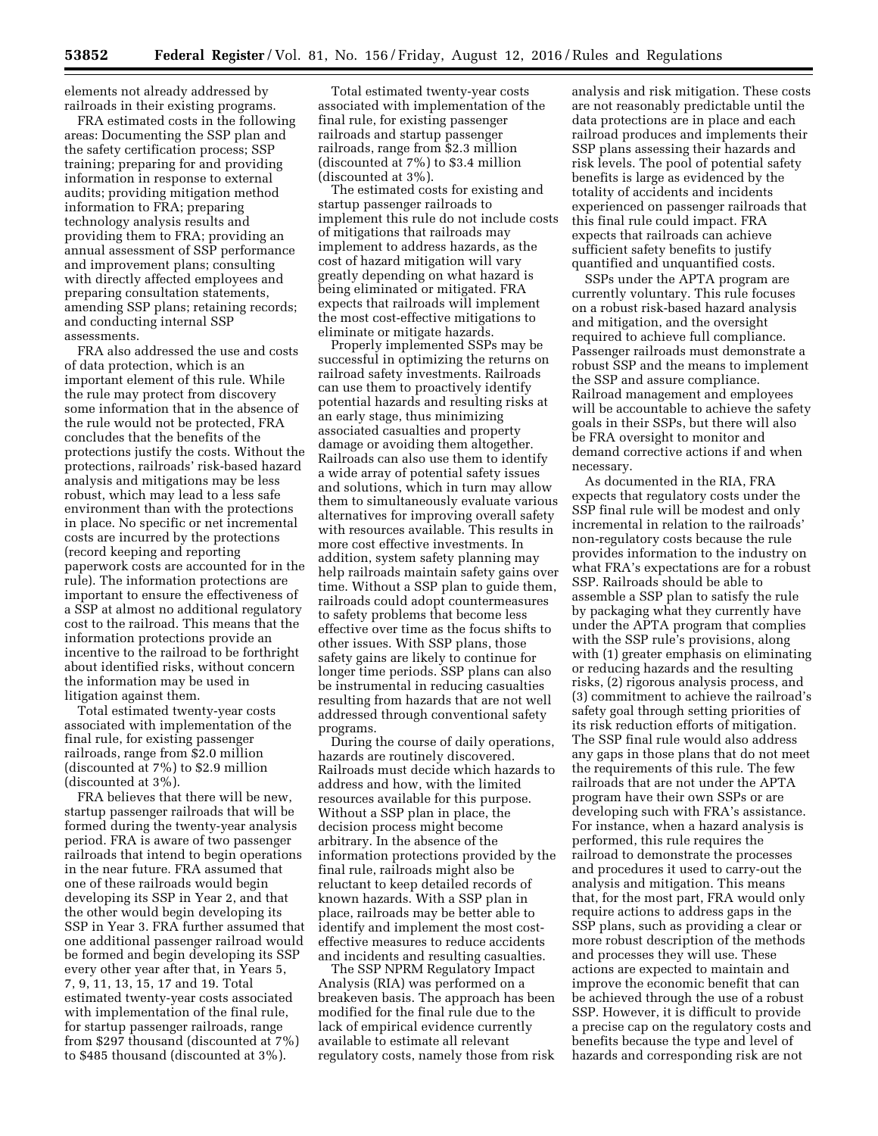elements not already addressed by railroads in their existing programs.

FRA estimated costs in the following areas: Documenting the SSP plan and the safety certification process; SSP training; preparing for and providing information in response to external audits; providing mitigation method information to FRA; preparing technology analysis results and providing them to FRA; providing an annual assessment of SSP performance and improvement plans; consulting with directly affected employees and preparing consultation statements, amending SSP plans; retaining records; and conducting internal SSP assessments.

FRA also addressed the use and costs of data protection, which is an important element of this rule. While the rule may protect from discovery some information that in the absence of the rule would not be protected, FRA concludes that the benefits of the protections justify the costs. Without the protections, railroads' risk-based hazard analysis and mitigations may be less robust, which may lead to a less safe environment than with the protections in place. No specific or net incremental costs are incurred by the protections (record keeping and reporting paperwork costs are accounted for in the rule). The information protections are important to ensure the effectiveness of a SSP at almost no additional regulatory cost to the railroad. This means that the information protections provide an incentive to the railroad to be forthright about identified risks, without concern the information may be used in litigation against them.

Total estimated twenty-year costs associated with implementation of the final rule, for existing passenger railroads, range from \$2.0 million (discounted at 7%) to \$2.9 million (discounted at 3%).

FRA believes that there will be new, startup passenger railroads that will be formed during the twenty-year analysis period. FRA is aware of two passenger railroads that intend to begin operations in the near future. FRA assumed that one of these railroads would begin developing its SSP in Year 2, and that the other would begin developing its SSP in Year 3. FRA further assumed that one additional passenger railroad would be formed and begin developing its SSP every other year after that, in Years 5, 7, 9, 11, 13, 15, 17 and 19. Total estimated twenty-year costs associated with implementation of the final rule, for startup passenger railroads, range from \$297 thousand (discounted at 7%) to \$485 thousand (discounted at 3%).

Total estimated twenty-year costs associated with implementation of the final rule, for existing passenger railroads and startup passenger railroads, range from \$2.3 million (discounted at 7%) to \$3.4 million (discounted at 3%).

The estimated costs for existing and startup passenger railroads to implement this rule do not include costs of mitigations that railroads may implement to address hazards, as the cost of hazard mitigation will vary greatly depending on what hazard is being eliminated or mitigated. FRA expects that railroads will implement the most cost-effective mitigations to eliminate or mitigate hazards.

Properly implemented SSPs may be successful in optimizing the returns on railroad safety investments. Railroads can use them to proactively identify potential hazards and resulting risks at an early stage, thus minimizing associated casualties and property damage or avoiding them altogether. Railroads can also use them to identify a wide array of potential safety issues and solutions, which in turn may allow them to simultaneously evaluate various alternatives for improving overall safety with resources available. This results in more cost effective investments. In addition, system safety planning may help railroads maintain safety gains over time. Without a SSP plan to guide them, railroads could adopt countermeasures to safety problems that become less effective over time as the focus shifts to other issues. With SSP plans, those safety gains are likely to continue for longer time periods. SSP plans can also be instrumental in reducing casualties resulting from hazards that are not well addressed through conventional safety programs.

During the course of daily operations, hazards are routinely discovered. Railroads must decide which hazards to address and how, with the limited resources available for this purpose. Without a SSP plan in place, the decision process might become arbitrary. In the absence of the information protections provided by the final rule, railroads might also be reluctant to keep detailed records of known hazards. With a SSP plan in place, railroads may be better able to identify and implement the most costeffective measures to reduce accidents and incidents and resulting casualties.

The SSP NPRM Regulatory Impact Analysis (RIA) was performed on a breakeven basis. The approach has been modified for the final rule due to the lack of empirical evidence currently available to estimate all relevant regulatory costs, namely those from risk

analysis and risk mitigation. These costs are not reasonably predictable until the data protections are in place and each railroad produces and implements their SSP plans assessing their hazards and risk levels. The pool of potential safety benefits is large as evidenced by the totality of accidents and incidents experienced on passenger railroads that this final rule could impact. FRA expects that railroads can achieve sufficient safety benefits to justify quantified and unquantified costs.

SSPs under the APTA program are currently voluntary. This rule focuses on a robust risk-based hazard analysis and mitigation, and the oversight required to achieve full compliance. Passenger railroads must demonstrate a robust SSP and the means to implement the SSP and assure compliance. Railroad management and employees will be accountable to achieve the safety goals in their SSPs, but there will also be FRA oversight to monitor and demand corrective actions if and when necessary.

As documented in the RIA, FRA expects that regulatory costs under the SSP final rule will be modest and only incremental in relation to the railroads' non-regulatory costs because the rule provides information to the industry on what FRA's expectations are for a robust SSP. Railroads should be able to assemble a SSP plan to satisfy the rule by packaging what they currently have under the APTA program that complies with the SSP rule's provisions, along with (1) greater emphasis on eliminating or reducing hazards and the resulting risks, (2) rigorous analysis process, and (3) commitment to achieve the railroad's safety goal through setting priorities of its risk reduction efforts of mitigation. The SSP final rule would also address any gaps in those plans that do not meet the requirements of this rule. The few railroads that are not under the APTA program have their own SSPs or are developing such with FRA's assistance. For instance, when a hazard analysis is performed, this rule requires the railroad to demonstrate the processes and procedures it used to carry-out the analysis and mitigation. This means that, for the most part, FRA would only require actions to address gaps in the SSP plans, such as providing a clear or more robust description of the methods and processes they will use. These actions are expected to maintain and improve the economic benefit that can be achieved through the use of a robust SSP. However, it is difficult to provide a precise cap on the regulatory costs and benefits because the type and level of hazards and corresponding risk are not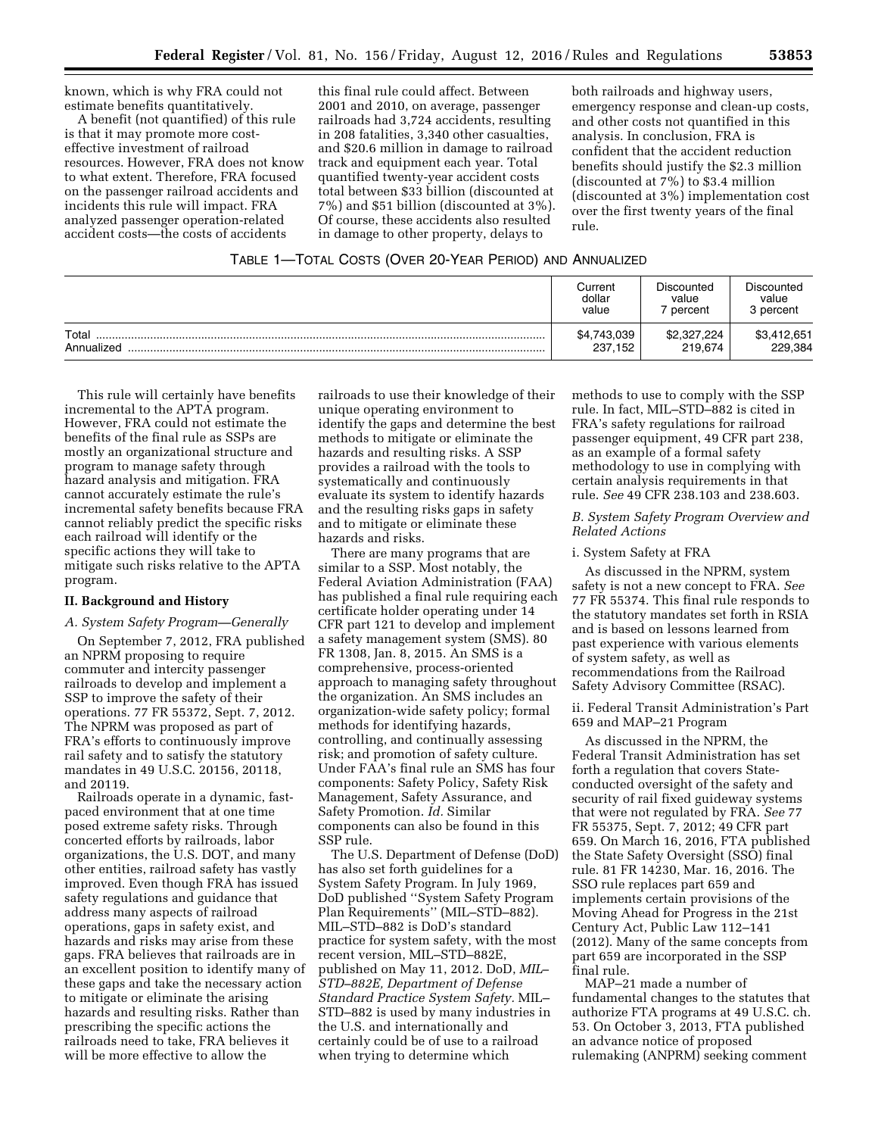known, which is why FRA could not estimate benefits quantitatively.

A benefit (not quantified) of this rule is that it may promote more costeffective investment of railroad resources. However, FRA does not know to what extent. Therefore, FRA focused on the passenger railroad accidents and incidents this rule will impact. FRA analyzed passenger operation-related accident costs—the costs of accidents

this final rule could affect. Between 2001 and 2010, on average, passenger railroads had 3,724 accidents, resulting in 208 fatalities, 3,340 other casualties, and \$20.6 million in damage to railroad track and equipment each year. Total quantified twenty-year accident costs total between \$33 billion (discounted at 7%) and \$51 billion (discounted at 3%). Of course, these accidents also resulted in damage to other property, delays to

both railroads and highway users, emergency response and clean-up costs, and other costs not quantified in this analysis. In conclusion, FRA is confident that the accident reduction benefits should justify the \$2.3 million (discounted at 7%) to \$3.4 million (discounted at 3%) implementation cost over the first twenty years of the final rule.

|                     | Current                | Discounted             | Discounted             |
|---------------------|------------------------|------------------------|------------------------|
|                     | dollar                 | value                  | value                  |
|                     | value                  | percent                | 3 percent              |
| Total<br>Annualized | \$4,743,039<br>237,152 | \$2,327,224<br>219,674 | \$3,412,651<br>229,384 |

This rule will certainly have benefits incremental to the APTA program. However, FRA could not estimate the benefits of the final rule as SSPs are mostly an organizational structure and program to manage safety through hazard analysis and mitigation. FRA cannot accurately estimate the rule's incremental safety benefits because FRA cannot reliably predict the specific risks each railroad will identify or the specific actions they will take to mitigate such risks relative to the APTA program.

#### **II. Background and History**

#### *A. System Safety Program—Generally*

On September 7, 2012, FRA published an NPRM proposing to require commuter and intercity passenger railroads to develop and implement a SSP to improve the safety of their operations. 77 FR 55372, Sept. 7, 2012. The NPRM was proposed as part of FRA's efforts to continuously improve rail safety and to satisfy the statutory mandates in 49 U.S.C. 20156, 20118, and 20119.

Railroads operate in a dynamic, fastpaced environment that at one time posed extreme safety risks. Through concerted efforts by railroads, labor organizations, the U.S. DOT, and many other entities, railroad safety has vastly improved. Even though FRA has issued safety regulations and guidance that address many aspects of railroad operations, gaps in safety exist, and hazards and risks may arise from these gaps. FRA believes that railroads are in an excellent position to identify many of these gaps and take the necessary action to mitigate or eliminate the arising hazards and resulting risks. Rather than prescribing the specific actions the railroads need to take, FRA believes it will be more effective to allow the

railroads to use their knowledge of their unique operating environment to identify the gaps and determine the best methods to mitigate or eliminate the hazards and resulting risks. A SSP provides a railroad with the tools to systematically and continuously evaluate its system to identify hazards and the resulting risks gaps in safety and to mitigate or eliminate these hazards and risks.

There are many programs that are similar to a SSP. Most notably, the Federal Aviation Administration (FAA) has published a final rule requiring each certificate holder operating under 14 CFR part 121 to develop and implement a safety management system (SMS). 80 FR 1308, Jan. 8, 2015. An SMS is a comprehensive, process-oriented approach to managing safety throughout the organization. An SMS includes an organization-wide safety policy; formal methods for identifying hazards, controlling, and continually assessing risk; and promotion of safety culture. Under FAA's final rule an SMS has four components: Safety Policy, Safety Risk Management, Safety Assurance, and Safety Promotion. *Id.* Similar components can also be found in this SSP rule.

The U.S. Department of Defense (DoD) has also set forth guidelines for a System Safety Program. In July 1969, DoD published ''System Safety Program Plan Requirements'' (MIL–STD–882). MIL–STD–882 is DoD's standard practice for system safety, with the most recent version, MIL–STD–882E, published on May 11, 2012. DoD, *MIL– STD–882E, Department of Defense Standard Practice System Safety.* MIL– STD–882 is used by many industries in the U.S. and internationally and certainly could be of use to a railroad when trying to determine which

methods to use to comply with the SSP rule. In fact, MIL–STD–882 is cited in FRA's safety regulations for railroad passenger equipment, 49 CFR part 238, as an example of a formal safety methodology to use in complying with certain analysis requirements in that rule. *See* 49 CFR 238.103 and 238.603.

## *B. System Safety Program Overview and Related Actions*

## i. System Safety at FRA

As discussed in the NPRM, system safety is not a new concept to FRA. *See*  77 FR 55374. This final rule responds to the statutory mandates set forth in RSIA and is based on lessons learned from past experience with various elements of system safety, as well as recommendations from the Railroad Safety Advisory Committee (RSAC).

ii. Federal Transit Administration's Part 659 and MAP–21 Program

As discussed in the NPRM, the Federal Transit Administration has set forth a regulation that covers Stateconducted oversight of the safety and security of rail fixed guideway systems that were not regulated by FRA. *See* 77 FR 55375, Sept. 7, 2012; 49 CFR part 659. On March 16, 2016, FTA published the State Safety Oversight (SSO) final rule. 81 FR 14230, Mar. 16, 2016. The SSO rule replaces part 659 and implements certain provisions of the Moving Ahead for Progress in the 21st Century Act, Public Law 112–141 (2012). Many of the same concepts from part 659 are incorporated in the SSP final rule.

MAP–21 made a number of fundamental changes to the statutes that authorize FTA programs at 49 U.S.C. ch. 53. On October 3, 2013, FTA published an advance notice of proposed rulemaking (ANPRM) seeking comment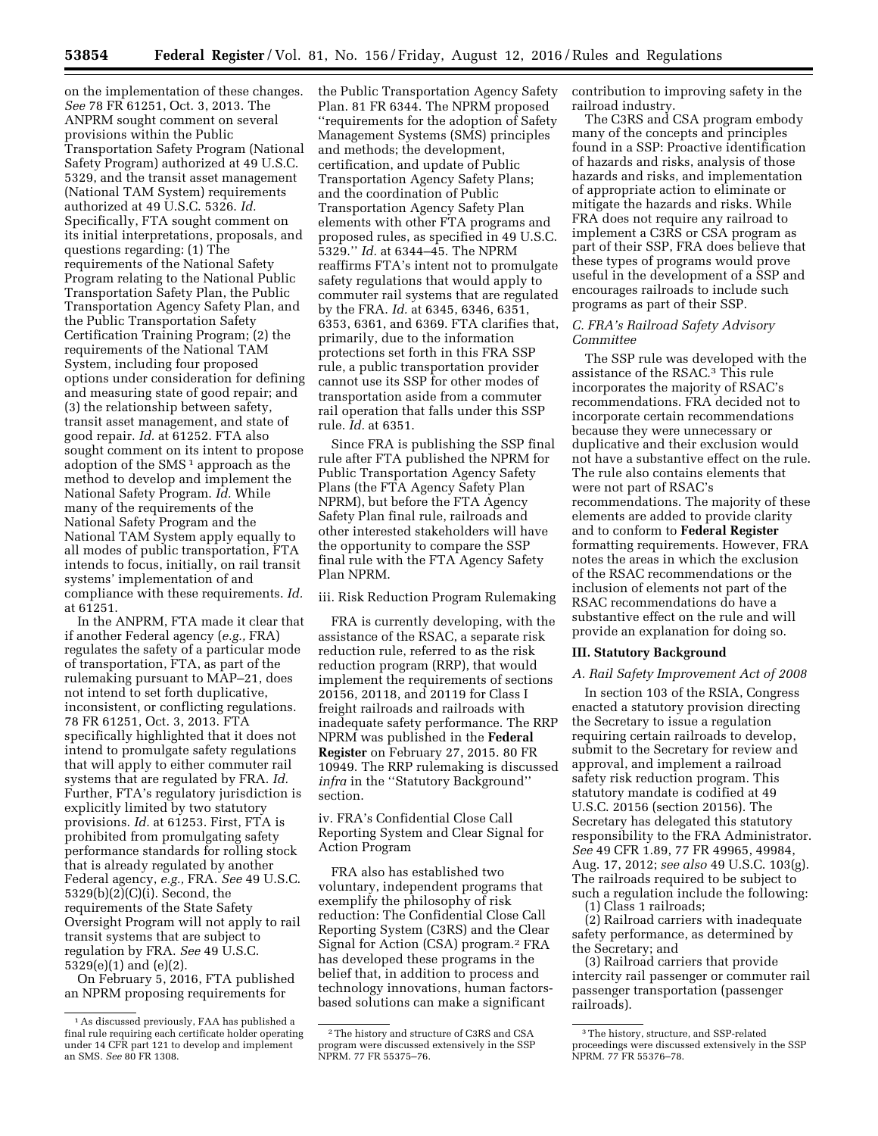on the implementation of these changes. *See* 78 FR 61251, Oct. 3, 2013. The ANPRM sought comment on several provisions within the Public Transportation Safety Program (National Safety Program) authorized at 49 U.S.C. 5329, and the transit asset management (National TAM System) requirements authorized at 49 U.S.C. 5326. *Id.*  Specifically, FTA sought comment on its initial interpretations, proposals, and questions regarding: (1) The requirements of the National Safety Program relating to the National Public Transportation Safety Plan, the Public Transportation Agency Safety Plan, and the Public Transportation Safety Certification Training Program; (2) the requirements of the National TAM System, including four proposed options under consideration for defining and measuring state of good repair; and (3) the relationship between safety, transit asset management, and state of good repair. *Id.* at 61252. FTA also sought comment on its intent to propose adoption of the SMS<sup>1</sup> approach as the method to develop and implement the National Safety Program. *Id.* While many of the requirements of the National Safety Program and the National TAM System apply equally to all modes of public transportation, FTA intends to focus, initially, on rail transit systems' implementation of and compliance with these requirements. *Id.*  at 61251.

In the ANPRM, FTA made it clear that if another Federal agency (*e.g.,* FRA) regulates the safety of a particular mode of transportation, FTA, as part of the rulemaking pursuant to MAP–21, does not intend to set forth duplicative, inconsistent, or conflicting regulations. 78 FR 61251, Oct. 3, 2013. FTA specifically highlighted that it does not intend to promulgate safety regulations that will apply to either commuter rail systems that are regulated by FRA. *Id.*  Further, FTA's regulatory jurisdiction is explicitly limited by two statutory provisions. *Id.* at 61253. First, FTA is prohibited from promulgating safety performance standards for rolling stock that is already regulated by another Federal agency, *e.g.,* FRA. *See* 49 U.S.C. 5329(b)(2)(C)(i). Second, the requirements of the State Safety Oversight Program will not apply to rail transit systems that are subject to regulation by FRA. *See* 49 U.S.C. 5329(e)(1) and (e)(2).

On February 5, 2016, FTA published an NPRM proposing requirements for

the Public Transportation Agency Safety Plan. 81 FR 6344. The NPRM proposed ''requirements for the adoption of Safety Management Systems (SMS) principles and methods; the development, certification, and update of Public Transportation Agency Safety Plans; and the coordination of Public Transportation Agency Safety Plan elements with other FTA programs and proposed rules, as specified in 49 U.S.C. 5329.'' *Id.* at 6344–45. The NPRM reaffirms FTA's intent not to promulgate safety regulations that would apply to commuter rail systems that are regulated by the FRA. *Id.* at 6345, 6346, 6351, 6353, 6361, and 6369. FTA clarifies that, primarily, due to the information protections set forth in this FRA SSP rule, a public transportation provider cannot use its SSP for other modes of transportation aside from a commuter rail operation that falls under this SSP rule. *Id.* at 6351.

Since FRA is publishing the SSP final rule after FTA published the NPRM for Public Transportation Agency Safety Plans (the FTA Agency Safety Plan NPRM), but before the FTA Agency Safety Plan final rule, railroads and other interested stakeholders will have the opportunity to compare the SSP final rule with the FTA Agency Safety Plan NPRM.

iii. Risk Reduction Program Rulemaking

FRA is currently developing, with the assistance of the RSAC, a separate risk reduction rule, referred to as the risk reduction program (RRP), that would implement the requirements of sections 20156, 20118, and 20119 for Class I freight railroads and railroads with inadequate safety performance. The RRP NPRM was published in the **Federal Register** on February 27, 2015. 80 FR 10949. The RRP rulemaking is discussed *infra* in the ''Statutory Background'' section.

iv. FRA's Confidential Close Call Reporting System and Clear Signal for Action Program

FRA also has established two voluntary, independent programs that exemplify the philosophy of risk reduction: The Confidential Close Call Reporting System (C3RS) and the Clear Signal for Action (CSA) program.2 FRA has developed these programs in the belief that, in addition to process and technology innovations, human factorsbased solutions can make a significant

contribution to improving safety in the railroad industry.

The C3RS and CSA program embody many of the concepts and principles found in a SSP: Proactive identification of hazards and risks, analysis of those hazards and risks, and implementation of appropriate action to eliminate or mitigate the hazards and risks. While FRA does not require any railroad to implement a C3RS or CSA program as part of their SSP, FRA does believe that these types of programs would prove useful in the development of a SSP and encourages railroads to include such programs as part of their SSP.

# *C. FRA's Railroad Safety Advisory Committee*

The SSP rule was developed with the assistance of the RSAC.3 This rule incorporates the majority of RSAC's recommendations. FRA decided not to incorporate certain recommendations because they were unnecessary or duplicative and their exclusion would not have a substantive effect on the rule. The rule also contains elements that were not part of RSAC's recommendations. The majority of these elements are added to provide clarity and to conform to **Federal Register**  formatting requirements. However, FRA notes the areas in which the exclusion of the RSAC recommendations or the inclusion of elements not part of the RSAC recommendations do have a substantive effect on the rule and will provide an explanation for doing so.

#### **III. Statutory Background**

#### *A. Rail Safety Improvement Act of 2008*

In section 103 of the RSIA, Congress enacted a statutory provision directing the Secretary to issue a regulation requiring certain railroads to develop, submit to the Secretary for review and approval, and implement a railroad safety risk reduction program. This statutory mandate is codified at 49 U.S.C. 20156 (section 20156). The Secretary has delegated this statutory responsibility to the FRA Administrator. *See* 49 CFR 1.89, 77 FR 49965, 49984, Aug. 17, 2012; *see also* 49 U.S.C. 103(g). The railroads required to be subject to such a regulation include the following:

(1) Class 1 railroads;

(2) Railroad carriers with inadequate safety performance, as determined by the Secretary; and

(3) Railroad carriers that provide intercity rail passenger or commuter rail passenger transportation (passenger railroads).

<sup>1</sup>As discussed previously, FAA has published a final rule requiring each certificate holder operating under 14 CFR part 121 to develop and implement an SMS. *See* 80 FR 1308.

<sup>2</sup>The history and structure of C3RS and CSA program were discussed extensively in the SSP NPRM. 77 FR 55375–76.

<sup>3</sup>The history, structure, and SSP-related proceedings were discussed extensively in the SSP NPRM. 77 FR 55376–78.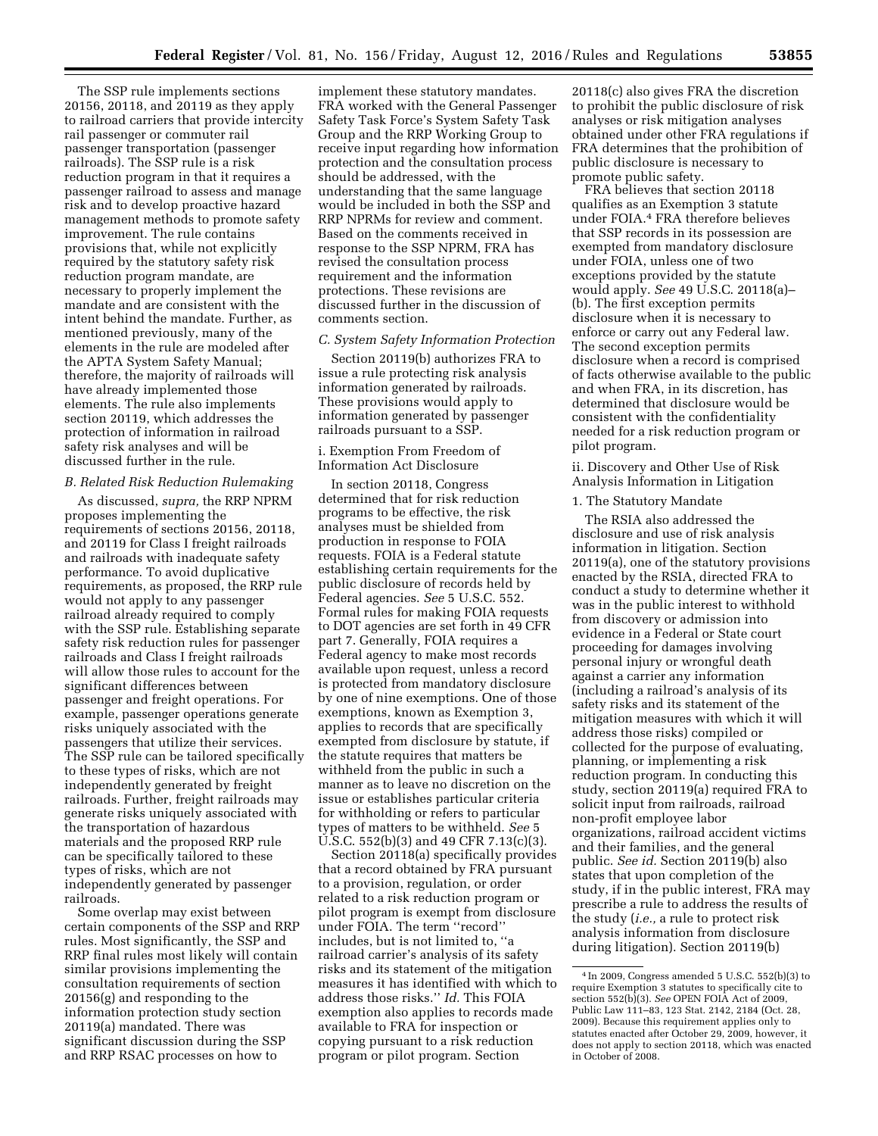The SSP rule implements sections 20156, 20118, and 20119 as they apply to railroad carriers that provide intercity rail passenger or commuter rail passenger transportation (passenger railroads). The SSP rule is a risk reduction program in that it requires a passenger railroad to assess and manage risk and to develop proactive hazard management methods to promote safety improvement. The rule contains provisions that, while not explicitly required by the statutory safety risk reduction program mandate, are necessary to properly implement the mandate and are consistent with the intent behind the mandate. Further, as mentioned previously, many of the elements in the rule are modeled after the APTA System Safety Manual; therefore, the majority of railroads will have already implemented those elements. The rule also implements section 20119, which addresses the protection of information in railroad safety risk analyses and will be discussed further in the rule.

# *B. Related Risk Reduction Rulemaking*

As discussed, *supra,* the RRP NPRM proposes implementing the requirements of sections 20156, 20118, and 20119 for Class I freight railroads and railroads with inadequate safety performance. To avoid duplicative requirements, as proposed, the RRP rule would not apply to any passenger railroad already required to comply with the SSP rule. Establishing separate safety risk reduction rules for passenger railroads and Class I freight railroads will allow those rules to account for the significant differences between passenger and freight operations. For example, passenger operations generate risks uniquely associated with the passengers that utilize their services. The SSP rule can be tailored specifically to these types of risks, which are not independently generated by freight railroads. Further, freight railroads may generate risks uniquely associated with the transportation of hazardous materials and the proposed RRP rule can be specifically tailored to these types of risks, which are not independently generated by passenger railroads.

Some overlap may exist between certain components of the SSP and RRP rules. Most significantly, the SSP and RRP final rules most likely will contain similar provisions implementing the consultation requirements of section 20156(g) and responding to the information protection study section 20119(a) mandated. There was significant discussion during the SSP and RRP RSAC processes on how to

implement these statutory mandates. FRA worked with the General Passenger Safety Task Force's System Safety Task Group and the RRP Working Group to receive input regarding how information protection and the consultation process should be addressed, with the understanding that the same language would be included in both the SSP and RRP NPRMs for review and comment. Based on the comments received in response to the SSP NPRM, FRA has revised the consultation process requirement and the information protections. These revisions are discussed further in the discussion of comments section.

# *C. System Safety Information Protection*

Section 20119(b) authorizes FRA to issue a rule protecting risk analysis information generated by railroads. These provisions would apply to information generated by passenger railroads pursuant to a SSP.

# i. Exemption From Freedom of Information Act Disclosure

In section 20118, Congress determined that for risk reduction programs to be effective, the risk analyses must be shielded from production in response to FOIA requests. FOIA is a Federal statute establishing certain requirements for the public disclosure of records held by Federal agencies. *See* 5 U.S.C. 552. Formal rules for making FOIA requests to DOT agencies are set forth in 49 CFR part 7. Generally, FOIA requires a Federal agency to make most records available upon request, unless a record is protected from mandatory disclosure by one of nine exemptions. One of those exemptions, known as Exemption 3, applies to records that are specifically exempted from disclosure by statute, if the statute requires that matters be withheld from the public in such a manner as to leave no discretion on the issue or establishes particular criteria for withholding or refers to particular types of matters to be withheld. *See* 5 U.S.C. 552(b)(3) and 49 CFR 7.13(c)(3).

Section 20118(a) specifically provides that a record obtained by FRA pursuant to a provision, regulation, or order related to a risk reduction program or pilot program is exempt from disclosure under FOIA. The term ''record'' includes, but is not limited to, ''a railroad carrier's analysis of its safety risks and its statement of the mitigation measures it has identified with which to address those risks.'' *Id.* This FOIA exemption also applies to records made available to FRA for inspection or copying pursuant to a risk reduction program or pilot program. Section

20118(c) also gives FRA the discretion to prohibit the public disclosure of risk analyses or risk mitigation analyses obtained under other FRA regulations if FRA determines that the prohibition of public disclosure is necessary to promote public safety.

FRA believes that section 20118 qualifies as an Exemption 3 statute under FOIA.4 FRA therefore believes that SSP records in its possession are exempted from mandatory disclosure under FOIA, unless one of two exceptions provided by the statute would apply. *See* 49 U.S.C. 20118(a)– (b). The first exception permits disclosure when it is necessary to enforce or carry out any Federal law. The second exception permits disclosure when a record is comprised of facts otherwise available to the public and when FRA, in its discretion, has determined that disclosure would be consistent with the confidentiality needed for a risk reduction program or pilot program.

ii. Discovery and Other Use of Risk Analysis Information in Litigation

#### 1. The Statutory Mandate

The RSIA also addressed the disclosure and use of risk analysis information in litigation. Section 20119(a), one of the statutory provisions enacted by the RSIA, directed FRA to conduct a study to determine whether it was in the public interest to withhold from discovery or admission into evidence in a Federal or State court proceeding for damages involving personal injury or wrongful death against a carrier any information (including a railroad's analysis of its safety risks and its statement of the mitigation measures with which it will address those risks) compiled or collected for the purpose of evaluating, planning, or implementing a risk reduction program. In conducting this study, section 20119(a) required FRA to solicit input from railroads, railroad non-profit employee labor organizations, railroad accident victims and their families, and the general public. *See id.* Section 20119(b) also states that upon completion of the study, if in the public interest, FRA may prescribe a rule to address the results of the study (*i.e.,* a rule to protect risk analysis information from disclosure during litigation). Section 20119(b)

<sup>4</sup> In 2009, Congress amended 5 U.S.C. 552(b)(3) to require Exemption 3 statutes to specifically cite to section 552(b)(3). *See* OPEN FOIA Act of 2009, Public Law 111–83, 123 Stat. 2142, 2184 (Oct. 28, 2009). Because this requirement applies only to statutes enacted after October 29, 2009, however, it does not apply to section 20118, which was enacted in October of 2008.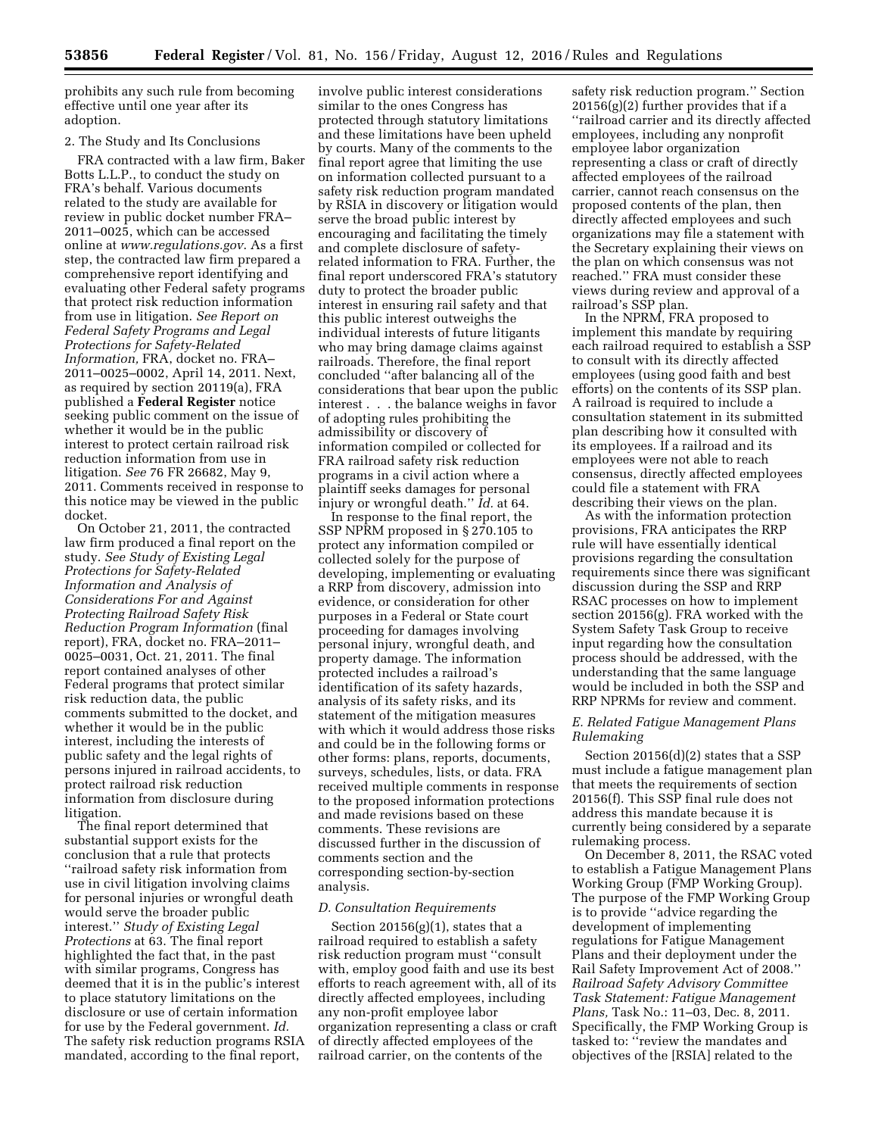prohibits any such rule from becoming effective until one year after its adoption.

#### 2. The Study and Its Conclusions

FRA contracted with a law firm, Baker Botts L.L.P., to conduct the study on FRA's behalf. Various documents related to the study are available for review in public docket number FRA– 2011–0025, which can be accessed online at *[www.regulations.gov](http://www.regulations.gov)*. As a first step, the contracted law firm prepared a comprehensive report identifying and evaluating other Federal safety programs that protect risk reduction information from use in litigation. *See Report on Federal Safety Programs and Legal Protections for Safety-Related Information,* FRA, docket no. FRA– 2011–0025–0002, April 14, 2011. Next, as required by section 20119(a), FRA published a **Federal Register** notice seeking public comment on the issue of whether it would be in the public interest to protect certain railroad risk reduction information from use in litigation. *See* 76 FR 26682, May 9, 2011. Comments received in response to this notice may be viewed in the public docket.

On October 21, 2011, the contracted law firm produced a final report on the study. *See Study of Existing Legal Protections for Safety-Related Information and Analysis of Considerations For and Against Protecting Railroad Safety Risk Reduction Program Information* (final report), FRA, docket no. FRA–2011– 0025–0031, Oct. 21, 2011. The final report contained analyses of other Federal programs that protect similar risk reduction data, the public comments submitted to the docket, and whether it would be in the public interest, including the interests of public safety and the legal rights of persons injured in railroad accidents, to protect railroad risk reduction information from disclosure during litigation.

The final report determined that substantial support exists for the conclusion that a rule that protects ''railroad safety risk information from use in civil litigation involving claims for personal injuries or wrongful death would serve the broader public interest.'' *Study of Existing Legal Protections* at 63. The final report highlighted the fact that, in the past with similar programs, Congress has deemed that it is in the public's interest to place statutory limitations on the disclosure or use of certain information for use by the Federal government. *Id.*  The safety risk reduction programs RSIA mandated, according to the final report,

involve public interest considerations similar to the ones Congress has protected through statutory limitations and these limitations have been upheld by courts. Many of the comments to the final report agree that limiting the use on information collected pursuant to a safety risk reduction program mandated by RSIA in discovery or litigation would serve the broad public interest by encouraging and facilitating the timely and complete disclosure of safetyrelated information to FRA. Further, the final report underscored FRA's statutory duty to protect the broader public interest in ensuring rail safety and that this public interest outweighs the individual interests of future litigants who may bring damage claims against railroads. Therefore, the final report concluded ''after balancing all of the considerations that bear upon the public interest . . . the balance weighs in favor of adopting rules prohibiting the admissibility or discovery of information compiled or collected for FRA railroad safety risk reduction programs in a civil action where a plaintiff seeks damages for personal injury or wrongful death.'' *Id.* at 64.

In response to the final report, the SSP NPRM proposed in § 270.105 to protect any information compiled or collected solely for the purpose of developing, implementing or evaluating a RRP from discovery, admission into evidence, or consideration for other purposes in a Federal or State court proceeding for damages involving personal injury, wrongful death, and property damage. The information protected includes a railroad's identification of its safety hazards, analysis of its safety risks, and its statement of the mitigation measures with which it would address those risks and could be in the following forms or other forms: plans, reports, documents, surveys, schedules, lists, or data. FRA received multiple comments in response to the proposed information protections and made revisions based on these comments. These revisions are discussed further in the discussion of comments section and the corresponding section-by-section analysis.

## *D. Consultation Requirements*

Section  $20156(g)(1)$ , states that a railroad required to establish a safety risk reduction program must ''consult with, employ good faith and use its best efforts to reach agreement with, all of its directly affected employees, including any non-profit employee labor organization representing a class or craft of directly affected employees of the railroad carrier, on the contents of the

safety risk reduction program.'' Section 20156(g)(2) further provides that if a ''railroad carrier and its directly affected employees, including any nonprofit employee labor organization representing a class or craft of directly affected employees of the railroad carrier, cannot reach consensus on the proposed contents of the plan, then directly affected employees and such organizations may file a statement with the Secretary explaining their views on the plan on which consensus was not reached.'' FRA must consider these views during review and approval of a railroad's SSP plan.

In the NPRM, FRA proposed to implement this mandate by requiring each railroad required to establish a SSP to consult with its directly affected employees (using good faith and best efforts) on the contents of its SSP plan. A railroad is required to include a consultation statement in its submitted plan describing how it consulted with its employees. If a railroad and its employees were not able to reach consensus, directly affected employees could file a statement with FRA describing their views on the plan.

As with the information protection provisions, FRA anticipates the RRP rule will have essentially identical provisions regarding the consultation requirements since there was significant discussion during the SSP and RRP RSAC processes on how to implement section 20156(g). FRA worked with the System Safety Task Group to receive input regarding how the consultation process should be addressed, with the understanding that the same language would be included in both the SSP and RRP NPRMs for review and comment.

## *E. Related Fatigue Management Plans Rulemaking*

Section 20156(d)(2) states that a SSP must include a fatigue management plan that meets the requirements of section 20156(f). This SSP final rule does not address this mandate because it is currently being considered by a separate rulemaking process.

On December 8, 2011, the RSAC voted to establish a Fatigue Management Plans Working Group (FMP Working Group). The purpose of the FMP Working Group is to provide ''advice regarding the development of implementing regulations for Fatigue Management Plans and their deployment under the Rail Safety Improvement Act of 2008.'' *Railroad Safety Advisory Committee Task Statement: Fatigue Management Plans,* Task No.: 11–03, Dec. 8, 2011. Specifically, the FMP Working Group is tasked to: ''review the mandates and objectives of the [RSIA] related to the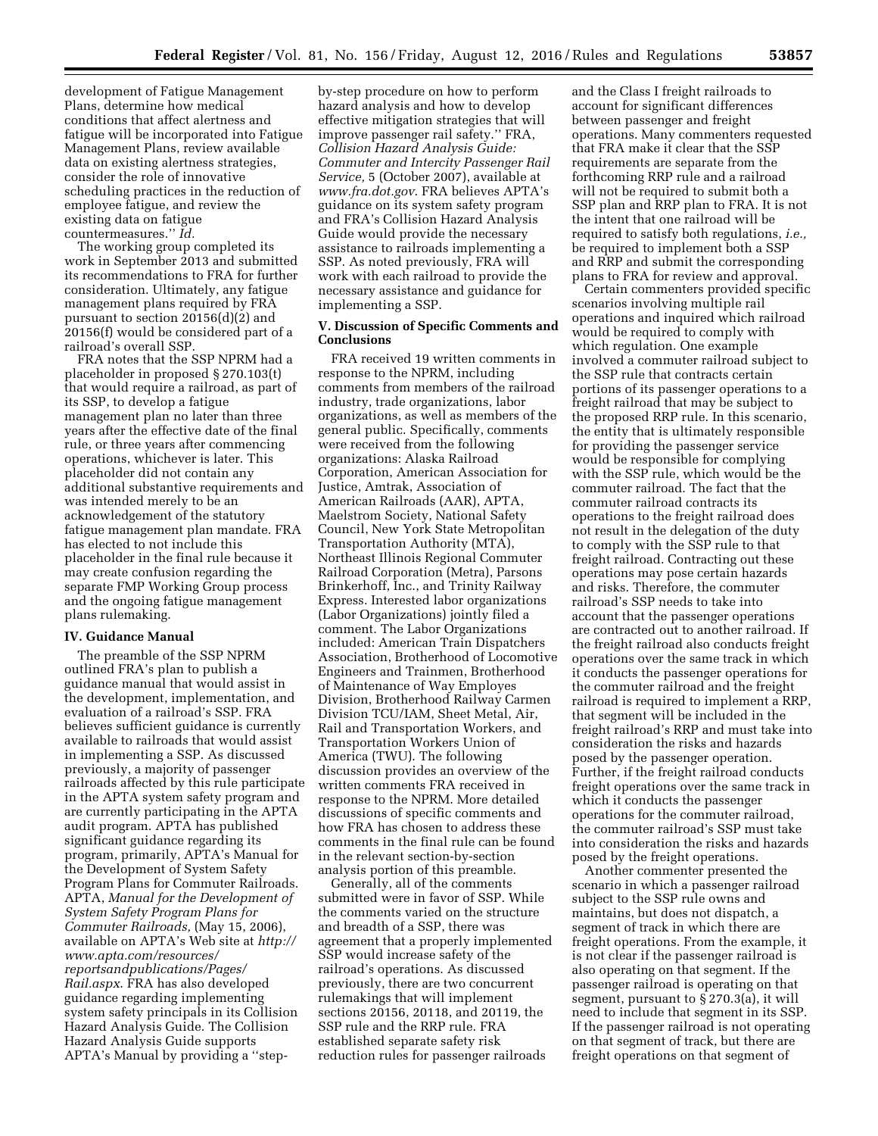development of Fatigue Management Plans, determine how medical conditions that affect alertness and fatigue will be incorporated into Fatigue Management Plans, review available data on existing alertness strategies, consider the role of innovative scheduling practices in the reduction of employee fatigue, and review the existing data on fatigue countermeasures.'' *Id.* 

The working group completed its work in September 2013 and submitted its recommendations to FRA for further consideration. Ultimately, any fatigue management plans required by FRA pursuant to section 20156(d)(2) and 20156(f) would be considered part of a railroad's overall SSP.

FRA notes that the SSP NPRM had a placeholder in proposed § 270.103(t) that would require a railroad, as part of its SSP, to develop a fatigue management plan no later than three years after the effective date of the final rule, or three years after commencing operations, whichever is later. This placeholder did not contain any additional substantive requirements and was intended merely to be an acknowledgement of the statutory fatigue management plan mandate. FRA has elected to not include this placeholder in the final rule because it may create confusion regarding the separate FMP Working Group process and the ongoing fatigue management plans rulemaking.

#### **IV. Guidance Manual**

The preamble of the SSP NPRM outlined FRA's plan to publish a guidance manual that would assist in the development, implementation, and evaluation of a railroad's SSP. FRA believes sufficient guidance is currently available to railroads that would assist in implementing a SSP. As discussed previously, a majority of passenger railroads affected by this rule participate in the APTA system safety program and are currently participating in the APTA audit program. APTA has published significant guidance regarding its program, primarily, APTA's Manual for the Development of System Safety Program Plans for Commuter Railroads. APTA, *Manual for the Development of System Safety Program Plans for Commuter Railroads,* (May 15, 2006), available on APTA's Web site at *[http://](http://www.apta.com/resources/reportsandpublications/Pages/Rail.aspx) [www.apta.com/resources/](http://www.apta.com/resources/reportsandpublications/Pages/Rail.aspx) [reportsandpublications/Pages/](http://www.apta.com/resources/reportsandpublications/Pages/Rail.aspx) [Rail.aspx](http://www.apta.com/resources/reportsandpublications/Pages/Rail.aspx)*. FRA has also developed guidance regarding implementing system safety principals in its Collision Hazard Analysis Guide. The Collision Hazard Analysis Guide supports APTA's Manual by providing a ''step-

by-step procedure on how to perform hazard analysis and how to develop effective mitigation strategies that will improve passenger rail safety.'' FRA, *Collision Hazard Analysis Guide: Commuter and Intercity Passenger Rail Service,* 5 (October 2007), available at *[www.fra.dot.gov](http://www.fra.dot.gov)*. FRA believes APTA's guidance on its system safety program and FRA's Collision Hazard Analysis Guide would provide the necessary assistance to railroads implementing a SSP. As noted previously, FRA will work with each railroad to provide the necessary assistance and guidance for implementing a SSP.

# **V. Discussion of Specific Comments and Conclusions**

FRA received 19 written comments in response to the NPRM, including comments from members of the railroad industry, trade organizations, labor organizations, as well as members of the general public. Specifically, comments were received from the following organizations: Alaska Railroad Corporation, American Association for Justice, Amtrak, Association of American Railroads (AAR), APTA, Maelstrom Society, National Safety Council, New York State Metropolitan Transportation Authority (MTA), Northeast Illinois Regional Commuter Railroad Corporation (Metra), Parsons Brinkerhoff, Inc., and Trinity Railway Express. Interested labor organizations (Labor Organizations) jointly filed a comment. The Labor Organizations included: American Train Dispatchers Association, Brotherhood of Locomotive Engineers and Trainmen, Brotherhood of Maintenance of Way Employes Division, Brotherhood Railway Carmen Division TCU/IAM, Sheet Metal, Air, Rail and Transportation Workers, and Transportation Workers Union of America (TWU). The following discussion provides an overview of the written comments FRA received in response to the NPRM. More detailed discussions of specific comments and how FRA has chosen to address these comments in the final rule can be found in the relevant section-by-section analysis portion of this preamble.

Generally, all of the comments submitted were in favor of SSP. While the comments varied on the structure and breadth of a SSP, there was agreement that a properly implemented SSP would increase safety of the railroad's operations. As discussed previously, there are two concurrent rulemakings that will implement sections 20156, 20118, and 20119, the SSP rule and the RRP rule. FRA established separate safety risk reduction rules for passenger railroads

and the Class I freight railroads to account for significant differences between passenger and freight operations. Many commenters requested that FRA make it clear that the SSP requirements are separate from the forthcoming RRP rule and a railroad will not be required to submit both a SSP plan and RRP plan to FRA. It is not the intent that one railroad will be required to satisfy both regulations, *i.e.,*  be required to implement both a SSP and RRP and submit the corresponding plans to FRA for review and approval.

Certain commenters provided specific scenarios involving multiple rail operations and inquired which railroad would be required to comply with which regulation. One example involved a commuter railroad subject to the SSP rule that contracts certain portions of its passenger operations to a freight railroad that may be subject to the proposed RRP rule. In this scenario, the entity that is ultimately responsible for providing the passenger service would be responsible for complying with the SSP rule, which would be the commuter railroad. The fact that the commuter railroad contracts its operations to the freight railroad does not result in the delegation of the duty to comply with the SSP rule to that freight railroad. Contracting out these operations may pose certain hazards and risks. Therefore, the commuter railroad's SSP needs to take into account that the passenger operations are contracted out to another railroad. If the freight railroad also conducts freight operations over the same track in which it conducts the passenger operations for the commuter railroad and the freight railroad is required to implement a RRP, that segment will be included in the freight railroad's RRP and must take into consideration the risks and hazards posed by the passenger operation. Further, if the freight railroad conducts freight operations over the same track in which it conducts the passenger operations for the commuter railroad, the commuter railroad's SSP must take into consideration the risks and hazards posed by the freight operations.

Another commenter presented the scenario in which a passenger railroad subject to the SSP rule owns and maintains, but does not dispatch, a segment of track in which there are freight operations. From the example, it is not clear if the passenger railroad is also operating on that segment. If the passenger railroad is operating on that segment, pursuant to § 270.3(a), it will need to include that segment in its SSP. If the passenger railroad is not operating on that segment of track, but there are freight operations on that segment of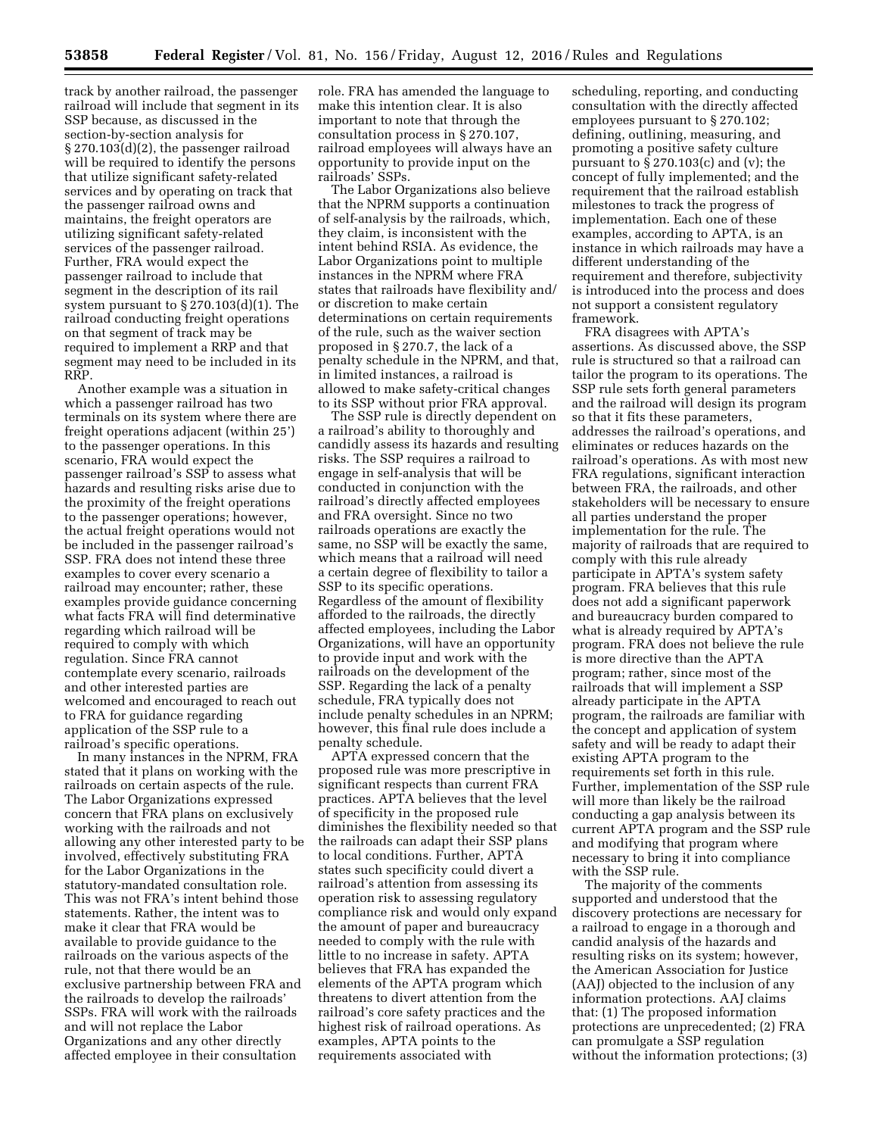track by another railroad, the passenger railroad will include that segment in its SSP because, as discussed in the section-by-section analysis for § 270.103(d)(2), the passenger railroad will be required to identify the persons that utilize significant safety-related services and by operating on track that the passenger railroad owns and maintains, the freight operators are utilizing significant safety-related services of the passenger railroad. Further, FRA would expect the passenger railroad to include that segment in the description of its rail system pursuant to § 270.103(d)(1). The railroad conducting freight operations on that segment of track may be required to implement a RRP and that segment may need to be included in its RRP.

Another example was a situation in which a passenger railroad has two terminals on its system where there are freight operations adjacent (within 25') to the passenger operations. In this scenario, FRA would expect the passenger railroad's SSP to assess what hazards and resulting risks arise due to the proximity of the freight operations to the passenger operations; however, the actual freight operations would not be included in the passenger railroad's SSP. FRA does not intend these three examples to cover every scenario a railroad may encounter; rather, these examples provide guidance concerning what facts FRA will find determinative regarding which railroad will be required to comply with which regulation. Since FRA cannot contemplate every scenario, railroads and other interested parties are welcomed and encouraged to reach out to FRA for guidance regarding application of the SSP rule to a railroad's specific operations.

In many instances in the NPRM, FRA stated that it plans on working with the railroads on certain aspects of the rule. The Labor Organizations expressed concern that FRA plans on exclusively working with the railroads and not allowing any other interested party to be involved, effectively substituting FRA for the Labor Organizations in the statutory-mandated consultation role. This was not FRA's intent behind those statements. Rather, the intent was to make it clear that FRA would be available to provide guidance to the railroads on the various aspects of the rule, not that there would be an exclusive partnership between FRA and the railroads to develop the railroads' SSPs. FRA will work with the railroads and will not replace the Labor Organizations and any other directly affected employee in their consultation

role. FRA has amended the language to make this intention clear. It is also important to note that through the consultation process in § 270.107, railroad employees will always have an opportunity to provide input on the railroads' SSPs.

The Labor Organizations also believe that the NPRM supports a continuation of self-analysis by the railroads, which, they claim, is inconsistent with the intent behind RSIA. As evidence, the Labor Organizations point to multiple instances in the NPRM where FRA states that railroads have flexibility and/ or discretion to make certain determinations on certain requirements of the rule, such as the waiver section proposed in § 270.7, the lack of a penalty schedule in the NPRM, and that, in limited instances, a railroad is allowed to make safety-critical changes to its SSP without prior FRA approval.

The SSP rule is directly dependent on a railroad's ability to thoroughly and candidly assess its hazards and resulting risks. The SSP requires a railroad to engage in self-analysis that will be conducted in conjunction with the railroad's directly affected employees and FRA oversight. Since no two railroads operations are exactly the same, no SSP will be exactly the same, which means that a railroad will need a certain degree of flexibility to tailor a SSP to its specific operations. Regardless of the amount of flexibility afforded to the railroads, the directly affected employees, including the Labor Organizations, will have an opportunity to provide input and work with the railroads on the development of the SSP. Regarding the lack of a penalty schedule, FRA typically does not include penalty schedules in an NPRM; however, this final rule does include a penalty schedule.

APTA expressed concern that the proposed rule was more prescriptive in significant respects than current FRA practices. APTA believes that the level of specificity in the proposed rule diminishes the flexibility needed so that the railroads can adapt their SSP plans to local conditions. Further, APTA states such specificity could divert a railroad's attention from assessing its operation risk to assessing regulatory compliance risk and would only expand the amount of paper and bureaucracy needed to comply with the rule with little to no increase in safety. APTA believes that FRA has expanded the elements of the APTA program which threatens to divert attention from the railroad's core safety practices and the highest risk of railroad operations. As examples, APTA points to the requirements associated with

scheduling, reporting, and conducting consultation with the directly affected employees pursuant to § 270.102; defining, outlining, measuring, and promoting a positive safety culture pursuant to  $\S 270.103(c)$  and (v); the concept of fully implemented; and the requirement that the railroad establish milestones to track the progress of implementation. Each one of these examples, according to APTA, is an instance in which railroads may have a different understanding of the requirement and therefore, subjectivity is introduced into the process and does not support a consistent regulatory framework.

FRA disagrees with APTA's assertions. As discussed above, the SSP rule is structured so that a railroad can tailor the program to its operations. The SSP rule sets forth general parameters and the railroad will design its program so that it fits these parameters, addresses the railroad's operations, and eliminates or reduces hazards on the railroad's operations. As with most new FRA regulations, significant interaction between FRA, the railroads, and other stakeholders will be necessary to ensure all parties understand the proper implementation for the rule. The majority of railroads that are required to comply with this rule already participate in APTA's system safety program. FRA believes that this rule does not add a significant paperwork and bureaucracy burden compared to what is already required by APTA's program. FRA does not believe the rule is more directive than the APTA program; rather, since most of the railroads that will implement a SSP already participate in the APTA program, the railroads are familiar with the concept and application of system safety and will be ready to adapt their existing APTA program to the requirements set forth in this rule. Further, implementation of the SSP rule will more than likely be the railroad conducting a gap analysis between its current APTA program and the SSP rule and modifying that program where necessary to bring it into compliance with the SSP rule.

The majority of the comments supported and understood that the discovery protections are necessary for a railroad to engage in a thorough and candid analysis of the hazards and resulting risks on its system; however, the American Association for Justice (AAJ) objected to the inclusion of any information protections. AAJ claims that: (1) The proposed information protections are unprecedented; (2) FRA can promulgate a SSP regulation without the information protections; (3)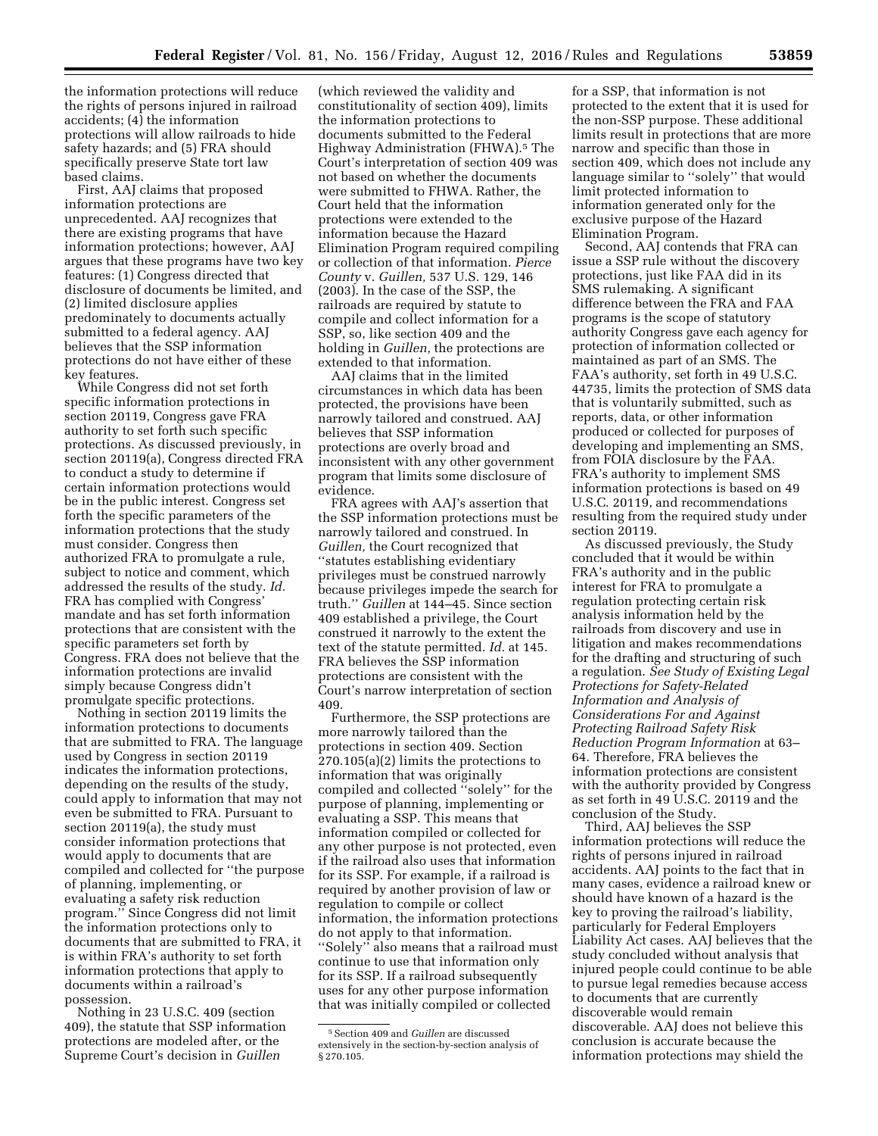the information protections will reduce the rights of persons injured in railroad accidents; (4) the information protections will allow railroads to hide safety hazards; and (5) FRA should specifically preserve State tort law based claims.

First, AAJ claims that proposed information protections are unprecedented. AAJ recognizes that there are existing programs that have information protections; however, AAJ argues that these programs have two key features: (1) Congress directed that disclosure of documents be limited, and (2) limited disclosure applies predominately to documents actually submitted to a federal agency. AAJ believes that the SSP information protections do not have either of these key features.

While Congress did not set forth specific information protections in section 20119, Congress gave FRA authority to set forth such specific protections. As discussed previously, in section 20119(a), Congress directed FRA to conduct a study to determine if certain information protections would be in the public interest. Congress set forth the specific parameters of the information protections that the study must consider. Congress then authorized FRA to promulgate a rule, subject to notice and comment, which addressed the results of the study. *Id.*  FRA has complied with Congress' mandate and has set forth information protections that are consistent with the specific parameters set forth by Congress. FRA does not believe that the information protections are invalid simply because Congress didn't promulgate specific protections.

Nothing in section 20119 limits the information protections to documents that are submitted to FRA. The language used by Congress in section 20119 indicates the information protections, depending on the results of the study, could apply to information that may not even be submitted to FRA. Pursuant to section 20119(a), the study must consider information protections that would apply to documents that are compiled and collected for ''the purpose of planning, implementing, or evaluating a safety risk reduction program.'' Since Congress did not limit the information protections only to documents that are submitted to FRA, it is within FRA's authority to set forth information protections that apply to documents within a railroad's possession.

Nothing in 23 U.S.C. 409 (section 409), the statute that SSP information protections are modeled after, or the Supreme Court's decision in *Guillen* 

(which reviewed the validity and constitutionality of section 409), limits the information protections to documents submitted to the Federal Highway Administration (FHWA).5 The Court's interpretation of section 409 was not based on whether the documents were submitted to FHWA. Rather, the Court held that the information protections were extended to the information because the Hazard Elimination Program required compiling or collection of that information. *Pierce County* v. *Guillen,* 537 U.S. 129, 146 (2003). In the case of the SSP, the railroads are required by statute to compile and collect information for a SSP, so, like section 409 and the holding in *Guillen,* the protections are extended to that information.

AAJ claims that in the limited circumstances in which data has been protected, the provisions have been narrowly tailored and construed. AAJ believes that SSP information protections are overly broad and inconsistent with any other government program that limits some disclosure of evidence.

FRA agrees with AAJ's assertion that the SSP information protections must be narrowly tailored and construed. In *Guillen,* the Court recognized that ''statutes establishing evidentiary privileges must be construed narrowly because privileges impede the search for truth.'' *Guillen* at 144–45. Since section 409 established a privilege, the Court construed it narrowly to the extent the text of the statute permitted. *Id.* at 145. FRA believes the SSP information protections are consistent with the Court's narrow interpretation of section 409.

Furthermore, the SSP protections are more narrowly tailored than the protections in section 409. Section 270.105(a)(2) limits the protections to information that was originally compiled and collected ''solely'' for the purpose of planning, implementing or evaluating a SSP. This means that information compiled or collected for any other purpose is not protected, even if the railroad also uses that information for its SSP. For example, if a railroad is required by another provision of law or regulation to compile or collect information, the information protections do not apply to that information. ''Solely'' also means that a railroad must continue to use that information only for its SSP. If a railroad subsequently uses for any other purpose information that was initially compiled or collected

for a SSP, that information is not protected to the extent that it is used for the non-SSP purpose. These additional limits result in protections that are more narrow and specific than those in section 409, which does not include any language similar to ''solely'' that would limit protected information to information generated only for the exclusive purpose of the Hazard Elimination Program.

Second, AAJ contends that FRA can issue a SSP rule without the discovery protections, just like FAA did in its SMS rulemaking. A significant difference between the FRA and FAA programs is the scope of statutory authority Congress gave each agency for protection of information collected or maintained as part of an SMS. The FAA's authority, set forth in 49 U.S.C. 44735, limits the protection of SMS data that is voluntarily submitted, such as reports, data, or other information produced or collected for purposes of developing and implementing an SMS, from FOIA disclosure by the FAA. FRA's authority to implement SMS information protections is based on 49 U.S.C. 20119, and recommendations resulting from the required study under section 20119.

As discussed previously, the Study concluded that it would be within FRA's authority and in the public interest for FRA to promulgate a regulation protecting certain risk analysis information held by the railroads from discovery and use in litigation and makes recommendations for the drafting and structuring of such a regulation. *See Study of Existing Legal Protections for Safety-Related Information and Analysis of Considerations For and Against Protecting Railroad Safety Risk Reduction Program Information* at 63– 64. Therefore, FRA believes the information protections are consistent with the authority provided by Congress as set forth in 49 U.S.C. 20119 and the conclusion of the Study.

Third, AAJ believes the SSP information protections will reduce the rights of persons injured in railroad accidents. AAJ points to the fact that in many cases, evidence a railroad knew or should have known of a hazard is the key to proving the railroad's liability, particularly for Federal Employers Liability Act cases. AAJ believes that the study concluded without analysis that injured people could continue to be able to pursue legal remedies because access to documents that are currently discoverable would remain discoverable. AAJ does not believe this conclusion is accurate because the information protections may shield the

<sup>5</sup>Section 409 and *Guillen* are discussed extensively in the section-by-section analysis of § 270.105.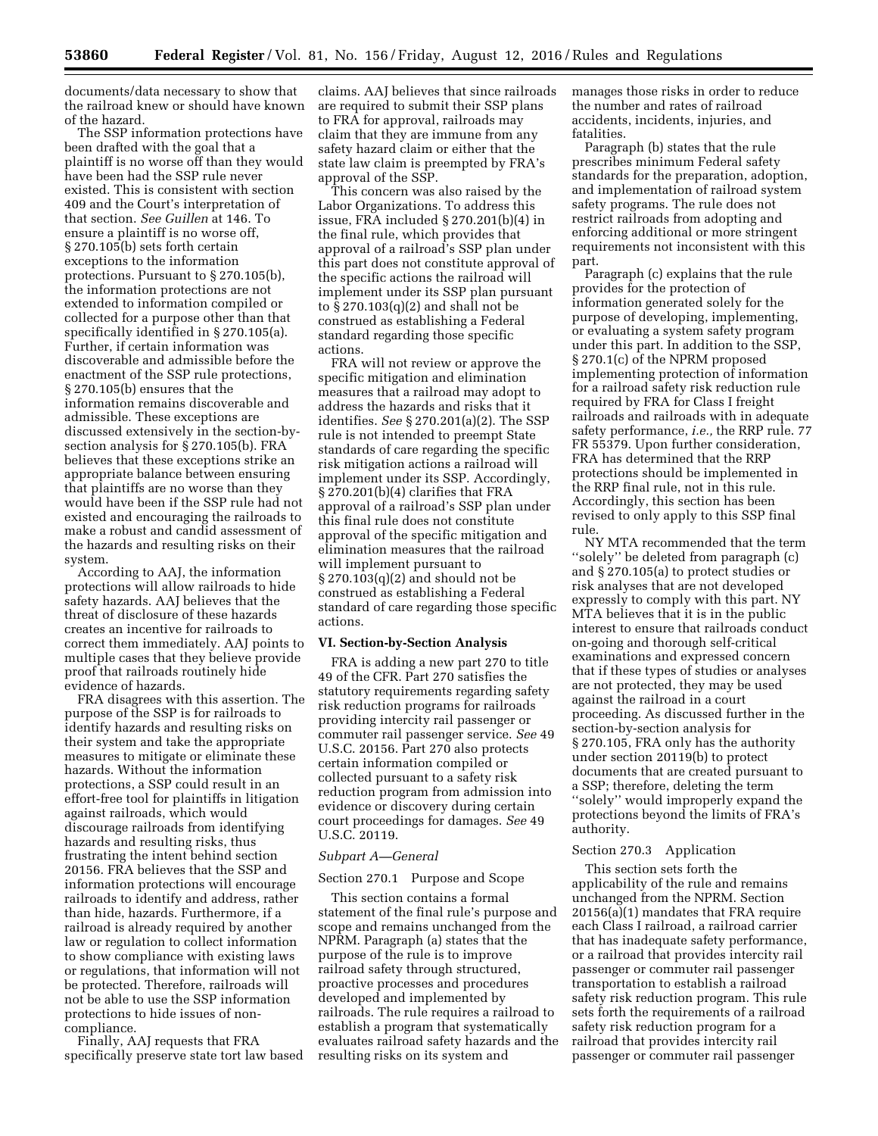documents/data necessary to show that the railroad knew or should have known of the hazard.

The SSP information protections have been drafted with the goal that a plaintiff is no worse off than they would have been had the SSP rule never existed. This is consistent with section 409 and the Court's interpretation of that section. *See Guillen* at 146. To ensure a plaintiff is no worse off, § 270.105(b) sets forth certain exceptions to the information protections. Pursuant to § 270.105(b), the information protections are not extended to information compiled or collected for a purpose other than that specifically identified in § 270.105(a). Further, if certain information was discoverable and admissible before the enactment of the SSP rule protections, § 270.105(b) ensures that the information remains discoverable and admissible. These exceptions are discussed extensively in the section-bysection analysis for § 270.105(b). FRA believes that these exceptions strike an appropriate balance between ensuring that plaintiffs are no worse than they would have been if the SSP rule had not existed and encouraging the railroads to make a robust and candid assessment of the hazards and resulting risks on their system.

According to AAJ, the information protections will allow railroads to hide safety hazards. AAJ believes that the threat of disclosure of these hazards creates an incentive for railroads to correct them immediately. AAJ points to multiple cases that they believe provide proof that railroads routinely hide evidence of hazards.

FRA disagrees with this assertion. The purpose of the SSP is for railroads to identify hazards and resulting risks on their system and take the appropriate measures to mitigate or eliminate these hazards. Without the information protections, a SSP could result in an effort-free tool for plaintiffs in litigation against railroads, which would discourage railroads from identifying hazards and resulting risks, thus frustrating the intent behind section 20156. FRA believes that the SSP and information protections will encourage railroads to identify and address, rather than hide, hazards. Furthermore, if a railroad is already required by another law or regulation to collect information to show compliance with existing laws or regulations, that information will not be protected. Therefore, railroads will not be able to use the SSP information protections to hide issues of noncompliance.

Finally, AAJ requests that FRA specifically preserve state tort law based

claims. AAJ believes that since railroads are required to submit their SSP plans to FRA for approval, railroads may claim that they are immune from any safety hazard claim or either that the state law claim is preempted by FRA's approval of the SSP.

This concern was also raised by the Labor Organizations. To address this issue, FRA included § 270.201(b)(4) in the final rule, which provides that approval of a railroad's SSP plan under this part does not constitute approval of the specific actions the railroad will implement under its SSP plan pursuant to § 270.103(q)(2) and shall not be construed as establishing a Federal standard regarding those specific actions.

FRA will not review or approve the specific mitigation and elimination measures that a railroad may adopt to address the hazards and risks that it identifies. *See* § 270.201(a)(2). The SSP rule is not intended to preempt State standards of care regarding the specific risk mitigation actions a railroad will implement under its SSP. Accordingly, § 270.201(b)(4) clarifies that FRA approval of a railroad's SSP plan under this final rule does not constitute approval of the specific mitigation and elimination measures that the railroad will implement pursuant to § 270.103(q)(2) and should not be construed as establishing a Federal standard of care regarding those specific actions.

## **VI. Section-by-Section Analysis**

FRA is adding a new part 270 to title 49 of the CFR. Part 270 satisfies the statutory requirements regarding safety risk reduction programs for railroads providing intercity rail passenger or commuter rail passenger service. *See* 49 U.S.C. 20156. Part 270 also protects certain information compiled or collected pursuant to a safety risk reduction program from admission into evidence or discovery during certain court proceedings for damages. *See* 49 U.S.C. 20119.

#### *Subpart A—General*

## Section 270.1 Purpose and Scope

This section contains a formal statement of the final rule's purpose and scope and remains unchanged from the NPRM. Paragraph (a) states that the purpose of the rule is to improve railroad safety through structured, proactive processes and procedures developed and implemented by railroads. The rule requires a railroad to establish a program that systematically evaluates railroad safety hazards and the resulting risks on its system and

manages those risks in order to reduce the number and rates of railroad accidents, incidents, injuries, and fatalities.

Paragraph (b) states that the rule prescribes minimum Federal safety standards for the preparation, adoption, and implementation of railroad system safety programs. The rule does not restrict railroads from adopting and enforcing additional or more stringent requirements not inconsistent with this part.

Paragraph (c) explains that the rule provides for the protection of information generated solely for the purpose of developing, implementing, or evaluating a system safety program under this part. In addition to the SSP, § 270.1(c) of the NPRM proposed implementing protection of information for a railroad safety risk reduction rule required by FRA for Class I freight railroads and railroads with in adequate safety performance, *i.e.,* the RRP rule. 77 FR 55379. Upon further consideration, FRA has determined that the RRP protections should be implemented in the RRP final rule, not in this rule. Accordingly, this section has been revised to only apply to this SSP final rule.

NY MTA recommended that the term ''solely'' be deleted from paragraph (c) and § 270.105(a) to protect studies or risk analyses that are not developed expressly to comply with this part. NY MTA believes that it is in the public interest to ensure that railroads conduct on-going and thorough self-critical examinations and expressed concern that if these types of studies or analyses are not protected, they may be used against the railroad in a court proceeding. As discussed further in the section-by-section analysis for § 270.105, FRA only has the authority under section 20119(b) to protect documents that are created pursuant to a SSP; therefore, deleting the term ''solely'' would improperly expand the protections beyond the limits of FRA's authority.

# Section 270.3 Application

This section sets forth the applicability of the rule and remains unchanged from the NPRM. Section 20156(a)(1) mandates that FRA require each Class I railroad, a railroad carrier that has inadequate safety performance, or a railroad that provides intercity rail passenger or commuter rail passenger transportation to establish a railroad safety risk reduction program. This rule sets forth the requirements of a railroad safety risk reduction program for a railroad that provides intercity rail passenger or commuter rail passenger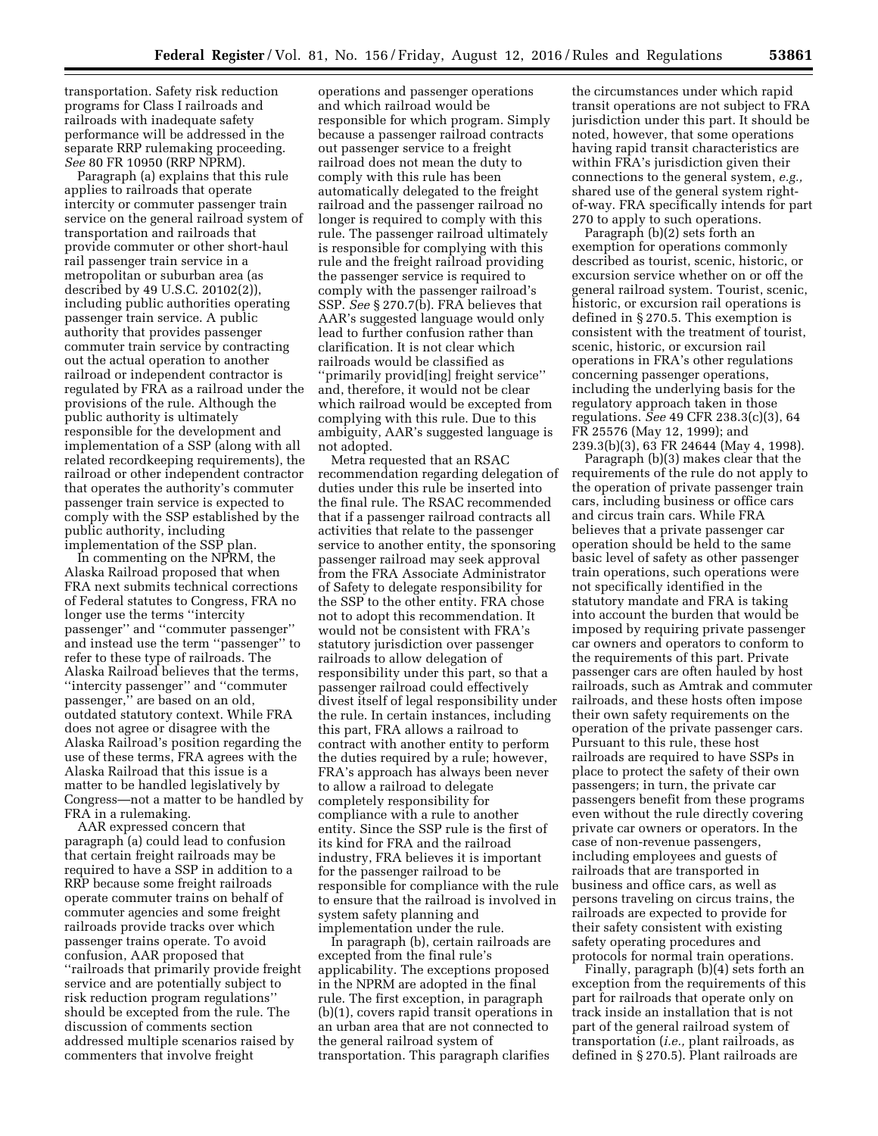transportation. Safety risk reduction programs for Class I railroads and railroads with inadequate safety performance will be addressed in the separate RRP rulemaking proceeding. *See* 80 FR 10950 (RRP NPRM).

Paragraph (a) explains that this rule applies to railroads that operate intercity or commuter passenger train service on the general railroad system of transportation and railroads that provide commuter or other short-haul rail passenger train service in a metropolitan or suburban area (as described by 49 U.S.C. 20102(2)), including public authorities operating passenger train service. A public authority that provides passenger commuter train service by contracting out the actual operation to another railroad or independent contractor is regulated by FRA as a railroad under the provisions of the rule. Although the public authority is ultimately responsible for the development and implementation of a SSP (along with all related recordkeeping requirements), the railroad or other independent contractor that operates the authority's commuter passenger train service is expected to comply with the SSP established by the public authority, including implementation of the SSP plan.

In commenting on the NPRM, the Alaska Railroad proposed that when FRA next submits technical corrections of Federal statutes to Congress, FRA no longer use the terms ''intercity passenger'' and ''commuter passenger'' and instead use the term ''passenger'' to refer to these type of railroads. The Alaska Railroad believes that the terms, ''intercity passenger'' and ''commuter passenger,'' are based on an old, outdated statutory context. While FRA does not agree or disagree with the Alaska Railroad's position regarding the use of these terms, FRA agrees with the Alaska Railroad that this issue is a matter to be handled legislatively by Congress—not a matter to be handled by FRA in a rulemaking.

AAR expressed concern that paragraph (a) could lead to confusion that certain freight railroads may be required to have a SSP in addition to a RRP because some freight railroads operate commuter trains on behalf of commuter agencies and some freight railroads provide tracks over which passenger trains operate. To avoid confusion, AAR proposed that ''railroads that primarily provide freight service and are potentially subject to risk reduction program regulations'' should be excepted from the rule. The discussion of comments section addressed multiple scenarios raised by commenters that involve freight

operations and passenger operations and which railroad would be responsible for which program. Simply because a passenger railroad contracts out passenger service to a freight railroad does not mean the duty to comply with this rule has been automatically delegated to the freight railroad and the passenger railroad no longer is required to comply with this rule. The passenger railroad ultimately is responsible for complying with this rule and the freight railroad providing the passenger service is required to comply with the passenger railroad's SSP. *See* § 270.7(b). FRA believes that AAR's suggested language would only lead to further confusion rather than clarification. It is not clear which railroads would be classified as ''primarily provid[ing] freight service'' and, therefore, it would not be clear which railroad would be excepted from complying with this rule. Due to this ambiguity, AAR's suggested language is not adopted.

Metra requested that an RSAC recommendation regarding delegation of duties under this rule be inserted into the final rule. The RSAC recommended that if a passenger railroad contracts all activities that relate to the passenger service to another entity, the sponsoring passenger railroad may seek approval from the FRA Associate Administrator of Safety to delegate responsibility for the SSP to the other entity. FRA chose not to adopt this recommendation. It would not be consistent with FRA's statutory jurisdiction over passenger railroads to allow delegation of responsibility under this part, so that a passenger railroad could effectively divest itself of legal responsibility under the rule. In certain instances, including this part, FRA allows a railroad to contract with another entity to perform the duties required by a rule; however, FRA's approach has always been never to allow a railroad to delegate completely responsibility for compliance with a rule to another entity. Since the SSP rule is the first of its kind for FRA and the railroad industry, FRA believes it is important for the passenger railroad to be responsible for compliance with the rule to ensure that the railroad is involved in system safety planning and implementation under the rule.

In paragraph (b), certain railroads are excepted from the final rule's applicability. The exceptions proposed in the NPRM are adopted in the final rule. The first exception, in paragraph (b)(1), covers rapid transit operations in an urban area that are not connected to the general railroad system of transportation. This paragraph clarifies

the circumstances under which rapid transit operations are not subject to FRA jurisdiction under this part. It should be noted, however, that some operations having rapid transit characteristics are within FRA's jurisdiction given their connections to the general system, *e.g.,*  shared use of the general system rightof-way. FRA specifically intends for part 270 to apply to such operations.

Paragraph (b)(2) sets forth an exemption for operations commonly described as tourist, scenic, historic, or excursion service whether on or off the general railroad system. Tourist, scenic, historic, or excursion rail operations is defined in § 270.5. This exemption is consistent with the treatment of tourist, scenic, historic, or excursion rail operations in FRA's other regulations concerning passenger operations, including the underlying basis for the regulatory approach taken in those regulations. *See* 49 CFR 238.3(c)(3), 64 FR 25576 (May 12, 1999); and 239.3(b)(3), 63 FR 24644 (May 4, 1998).

Paragraph (b)(3) makes clear that the requirements of the rule do not apply to the operation of private passenger train cars, including business or office cars and circus train cars. While FRA believes that a private passenger car operation should be held to the same basic level of safety as other passenger train operations, such operations were not specifically identified in the statutory mandate and FRA is taking into account the burden that would be imposed by requiring private passenger car owners and operators to conform to the requirements of this part. Private passenger cars are often hauled by host railroads, such as Amtrak and commuter railroads, and these hosts often impose their own safety requirements on the operation of the private passenger cars. Pursuant to this rule, these host railroads are required to have SSPs in place to protect the safety of their own passengers; in turn, the private car passengers benefit from these programs even without the rule directly covering private car owners or operators. In the case of non-revenue passengers, including employees and guests of railroads that are transported in business and office cars, as well as persons traveling on circus trains, the railroads are expected to provide for their safety consistent with existing safety operating procedures and protocols for normal train operations.

Finally, paragraph (b)(4) sets forth an exception from the requirements of this part for railroads that operate only on track inside an installation that is not part of the general railroad system of transportation (*i.e.,* plant railroads, as defined in § 270.5). Plant railroads are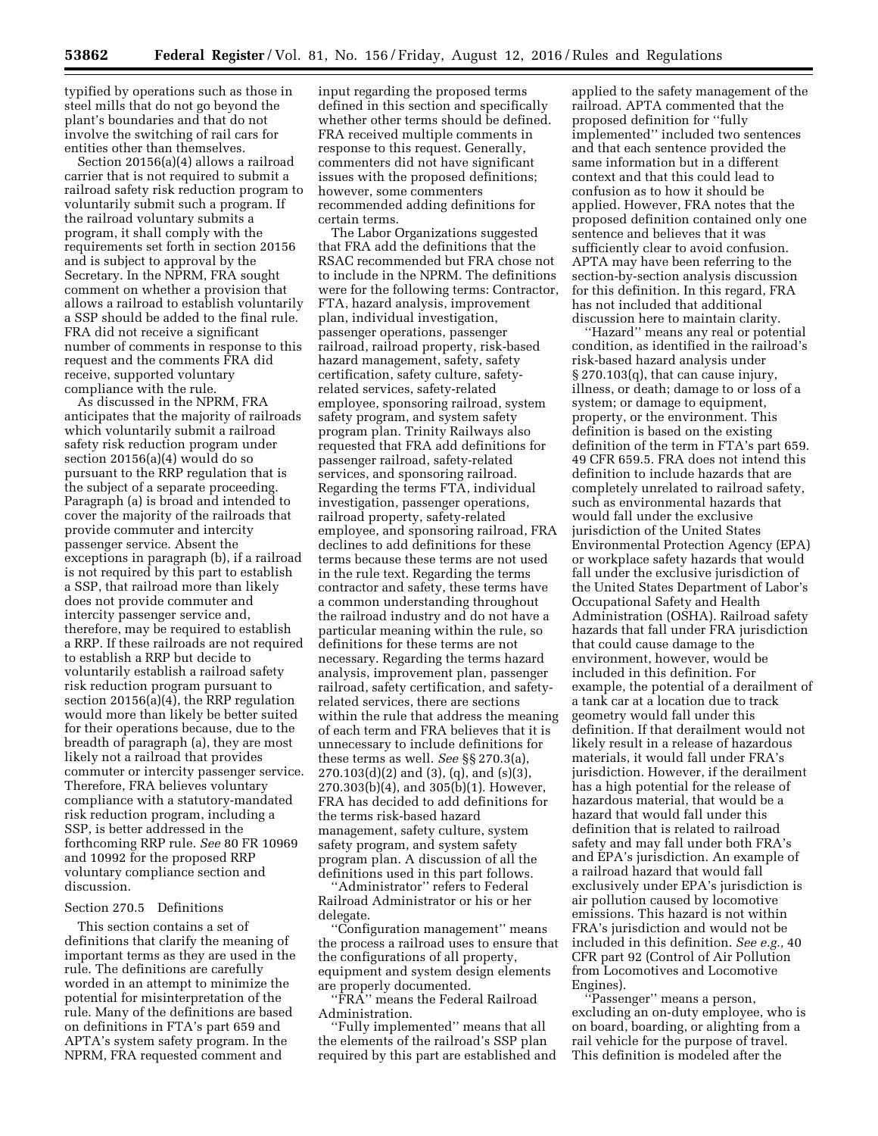typified by operations such as those in steel mills that do not go beyond the plant's boundaries and that do not involve the switching of rail cars for entities other than themselves.

Section 20156(a)(4) allows a railroad carrier that is not required to submit a railroad safety risk reduction program to voluntarily submit such a program. If the railroad voluntary submits a program, it shall comply with the requirements set forth in section 20156 and is subject to approval by the Secretary. In the NPRM, FRA sought comment on whether a provision that allows a railroad to establish voluntarily a SSP should be added to the final rule. FRA did not receive a significant number of comments in response to this request and the comments FRA did receive, supported voluntary compliance with the rule.

As discussed in the NPRM, FRA anticipates that the majority of railroads which voluntarily submit a railroad safety risk reduction program under section 20156(a)(4) would do so pursuant to the RRP regulation that is the subject of a separate proceeding. Paragraph (a) is broad and intended to cover the majority of the railroads that provide commuter and intercity passenger service. Absent the exceptions in paragraph (b), if a railroad is not required by this part to establish a SSP, that railroad more than likely does not provide commuter and intercity passenger service and, therefore, may be required to establish a RRP. If these railroads are not required to establish a RRP but decide to voluntarily establish a railroad safety risk reduction program pursuant to section 20156(a)(4), the RRP regulation would more than likely be better suited for their operations because, due to the breadth of paragraph (a), they are most likely not a railroad that provides commuter or intercity passenger service. Therefore, FRA believes voluntary compliance with a statutory-mandated risk reduction program, including a SSP, is better addressed in the forthcoming RRP rule. *See* 80 FR 10969 and 10992 for the proposed RRP voluntary compliance section and discussion.

#### Section 270.5 Definitions

This section contains a set of definitions that clarify the meaning of important terms as they are used in the rule. The definitions are carefully worded in an attempt to minimize the potential for misinterpretation of the rule. Many of the definitions are based on definitions in FTA's part 659 and APTA's system safety program. In the NPRM, FRA requested comment and

input regarding the proposed terms defined in this section and specifically whether other terms should be defined. FRA received multiple comments in response to this request. Generally, commenters did not have significant issues with the proposed definitions; however, some commenters recommended adding definitions for certain terms.

The Labor Organizations suggested that FRA add the definitions that the RSAC recommended but FRA chose not to include in the NPRM. The definitions were for the following terms: Contractor, FTA, hazard analysis, improvement plan, individual investigation, passenger operations, passenger railroad, railroad property, risk-based hazard management, safety, safety certification, safety culture, safetyrelated services, safety-related employee, sponsoring railroad, system safety program, and system safety program plan. Trinity Railways also requested that FRA add definitions for passenger railroad, safety-related services, and sponsoring railroad. Regarding the terms FTA, individual investigation, passenger operations, railroad property, safety-related employee, and sponsoring railroad, FRA declines to add definitions for these terms because these terms are not used in the rule text. Regarding the terms contractor and safety, these terms have a common understanding throughout the railroad industry and do not have a particular meaning within the rule, so definitions for these terms are not necessary. Regarding the terms hazard analysis, improvement plan, passenger railroad, safety certification, and safetyrelated services, there are sections within the rule that address the meaning of each term and FRA believes that it is unnecessary to include definitions for these terms as well. *See* §§ 270.3(a), 270.103(d)(2) and (3), (q), and (s)(3), 270.303(b)(4), and 305(b)(1). However, FRA has decided to add definitions for the terms risk-based hazard management, safety culture, system safety program, and system safety program plan. A discussion of all the definitions used in this part follows.

'Administrator'' refers to Federal Railroad Administrator or his or her delegate.

''Configuration management'' means the process a railroad uses to ensure that the configurations of all property, equipment and system design elements are properly documented.

''FRA'' means the Federal Railroad Administration.

''Fully implemented'' means that all the elements of the railroad's SSP plan required by this part are established and applied to the safety management of the railroad. APTA commented that the proposed definition for ''fully implemented'' included two sentences and that each sentence provided the same information but in a different context and that this could lead to confusion as to how it should be applied. However, FRA notes that the proposed definition contained only one sentence and believes that it was sufficiently clear to avoid confusion. APTA may have been referring to the section-by-section analysis discussion for this definition. In this regard, FRA has not included that additional discussion here to maintain clarity.

''Hazard'' means any real or potential condition, as identified in the railroad's risk-based hazard analysis under § 270.103(q), that can cause injury, illness, or death; damage to or loss of a system; or damage to equipment, property, or the environment. This definition is based on the existing definition of the term in FTA's part 659. 49 CFR 659.5. FRA does not intend this definition to include hazards that are completely unrelated to railroad safety, such as environmental hazards that would fall under the exclusive jurisdiction of the United States Environmental Protection Agency (EPA) or workplace safety hazards that would fall under the exclusive jurisdiction of the United States Department of Labor's Occupational Safety and Health Administration (OSHA). Railroad safety hazards that fall under FRA jurisdiction that could cause damage to the environment, however, would be included in this definition. For example, the potential of a derailment of a tank car at a location due to track geometry would fall under this definition. If that derailment would not likely result in a release of hazardous materials, it would fall under FRA's jurisdiction. However, if the derailment has a high potential for the release of hazardous material, that would be a hazard that would fall under this definition that is related to railroad safety and may fall under both FRA's and EPA's jurisdiction. An example of a railroad hazard that would fall exclusively under EPA's jurisdiction is air pollution caused by locomotive emissions. This hazard is not within FRA's jurisdiction and would not be included in this definition. *See e.g.,* 40 CFR part 92 (Control of Air Pollution from Locomotives and Locomotive Engines).

''Passenger'' means a person, excluding an on-duty employee, who is on board, boarding, or alighting from a rail vehicle for the purpose of travel. This definition is modeled after the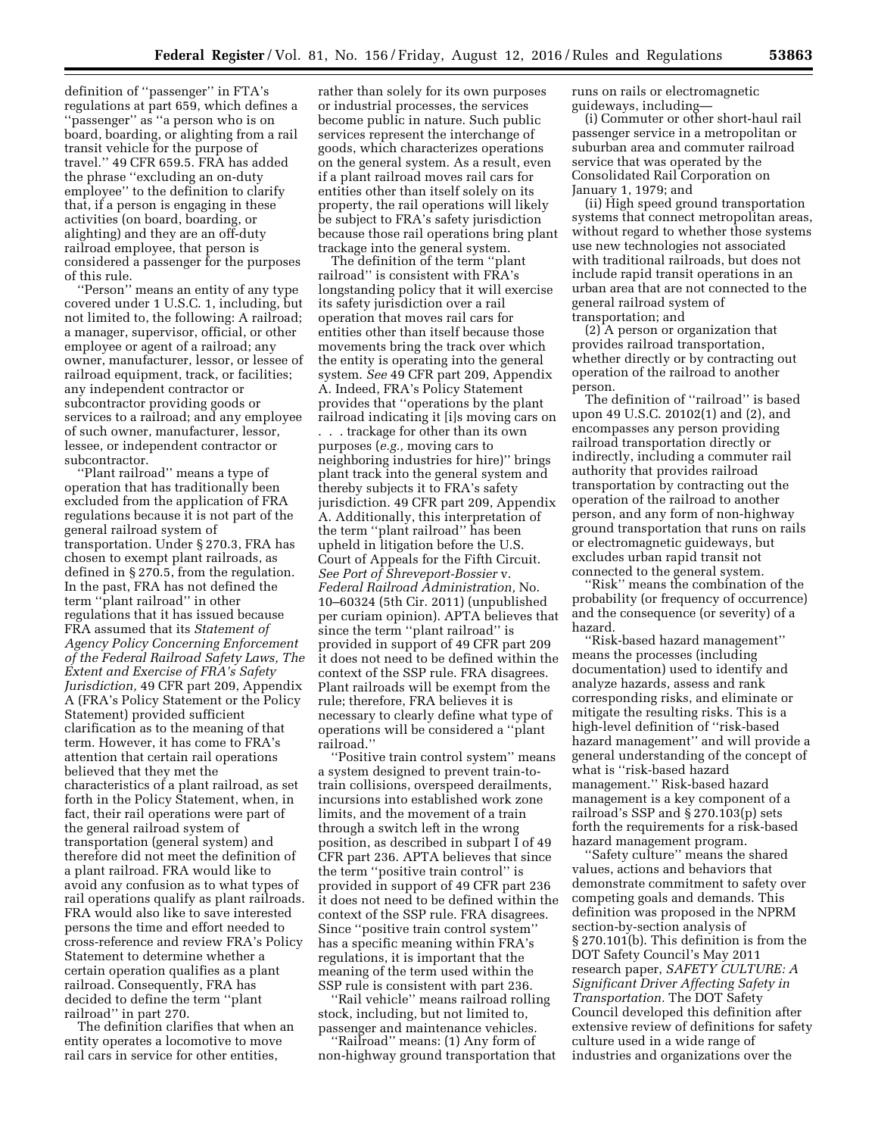definition of ''passenger'' in FTA's regulations at part 659, which defines a ''passenger'' as ''a person who is on board, boarding, or alighting from a rail transit vehicle for the purpose of travel.'' 49 CFR 659.5. FRA has added the phrase ''excluding an on-duty employee'' to the definition to clarify that, if a person is engaging in these activities (on board, boarding, or alighting) and they are an off-duty railroad employee, that person is considered a passenger for the purposes of this rule.

''Person'' means an entity of any type covered under 1 U.S.C. 1, including, but not limited to, the following: A railroad; a manager, supervisor, official, or other employee or agent of a railroad; any owner, manufacturer, lessor, or lessee of railroad equipment, track, or facilities; any independent contractor or subcontractor providing goods or services to a railroad; and any employee of such owner, manufacturer, lessor, lessee, or independent contractor or subcontractor.

''Plant railroad'' means a type of operation that has traditionally been excluded from the application of FRA regulations because it is not part of the general railroad system of transportation. Under § 270.3, FRA has chosen to exempt plant railroads, as defined in § 270.5, from the regulation. In the past, FRA has not defined the term ''plant railroad'' in other regulations that it has issued because FRA assumed that its *Statement of Agency Policy Concerning Enforcement of the Federal Railroad Safety Laws, The Extent and Exercise of FRA's Safety Jurisdiction,* 49 CFR part 209, Appendix A (FRA's Policy Statement or the Policy Statement) provided sufficient clarification as to the meaning of that term. However, it has come to FRA's attention that certain rail operations believed that they met the characteristics of a plant railroad, as set forth in the Policy Statement, when, in fact, their rail operations were part of the general railroad system of transportation (general system) and therefore did not meet the definition of a plant railroad. FRA would like to avoid any confusion as to what types of rail operations qualify as plant railroads. FRA would also like to save interested persons the time and effort needed to cross-reference and review FRA's Policy Statement to determine whether a certain operation qualifies as a plant railroad. Consequently, FRA has decided to define the term ''plant railroad'' in part 270.

The definition clarifies that when an entity operates a locomotive to move rail cars in service for other entities,

rather than solely for its own purposes or industrial processes, the services become public in nature. Such public services represent the interchange of goods, which characterizes operations on the general system. As a result, even if a plant railroad moves rail cars for entities other than itself solely on its property, the rail operations will likely be subject to FRA's safety jurisdiction because those rail operations bring plant trackage into the general system.

The definition of the term ''plant railroad'' is consistent with FRA's longstanding policy that it will exercise its safety jurisdiction over a rail operation that moves rail cars for entities other than itself because those movements bring the track over which the entity is operating into the general system. *See* 49 CFR part 209, Appendix A. Indeed, FRA's Policy Statement provides that ''operations by the plant railroad indicating it [i]s moving cars on . . . trackage for other than its own purposes (*e.g.,* moving cars to neighboring industries for hire)'' brings plant track into the general system and thereby subjects it to FRA's safety jurisdiction. 49 CFR part 209, Appendix A. Additionally, this interpretation of the term ''plant railroad'' has been upheld in litigation before the U.S. Court of Appeals for the Fifth Circuit. *See Port of Shreveport-Bossier* v. *Federal Railroad Administration,* No. 10–60324 (5th Cir. 2011) (unpublished per curiam opinion). APTA believes that since the term ''plant railroad'' is provided in support of 49 CFR part 209 it does not need to be defined within the context of the SSP rule. FRA disagrees. Plant railroads will be exempt from the rule; therefore, FRA believes it is necessary to clearly define what type of operations will be considered a ''plant railroad.''

''Positive train control system'' means a system designed to prevent train-totrain collisions, overspeed derailments, incursions into established work zone limits, and the movement of a train through a switch left in the wrong position, as described in subpart I of 49 CFR part 236. APTA believes that since the term ''positive train control'' is provided in support of 49 CFR part 236 it does not need to be defined within the context of the SSP rule. FRA disagrees. Since ''positive train control system'' has a specific meaning within FRA's regulations, it is important that the meaning of the term used within the SSP rule is consistent with part 236.

'Rail vehicle'' means railroad rolling stock, including, but not limited to, passenger and maintenance vehicles. 'Rail̄road'' means: (1) Any form of

non-highway ground transportation that

runs on rails or electromagnetic guideways, including—

(i) Commuter or other short-haul rail passenger service in a metropolitan or suburban area and commuter railroad service that was operated by the Consolidated Rail Corporation on January 1, 1979; and

(ii) High speed ground transportation systems that connect metropolitan areas, without regard to whether those systems use new technologies not associated with traditional railroads, but does not include rapid transit operations in an urban area that are not connected to the general railroad system of transportation; and

(2) A person or organization that provides railroad transportation, whether directly or by contracting out operation of the railroad to another person.

The definition of ''railroad'' is based upon 49 U.S.C. 20102(1) and (2), and encompasses any person providing railroad transportation directly or indirectly, including a commuter rail authority that provides railroad transportation by contracting out the operation of the railroad to another person, and any form of non-highway ground transportation that runs on rails or electromagnetic guideways, but excludes urban rapid transit not connected to the general system.

''Risk'' means the combination of the probability (or frequency of occurrence) and the consequence (or severity) of a hazard.

''Risk-based hazard management'' means the processes (including documentation) used to identify and analyze hazards, assess and rank corresponding risks, and eliminate or mitigate the resulting risks. This is a high-level definition of ''risk-based hazard management'' and will provide a general understanding of the concept of what is ''risk-based hazard management.'' Risk-based hazard management is a key component of a railroad's SSP and § 270.103(p) sets forth the requirements for a risk-based hazard management program.

''Safety culture'' means the shared values, actions and behaviors that demonstrate commitment to safety over competing goals and demands. This definition was proposed in the NPRM section-by-section analysis of § 270.101(b). This definition is from the DOT Safety Council's May 2011 research paper, *SAFETY CULTURE: A Significant Driver Affecting Safety in Transportation.* The DOT Safety Council developed this definition after extensive review of definitions for safety culture used in a wide range of industries and organizations over the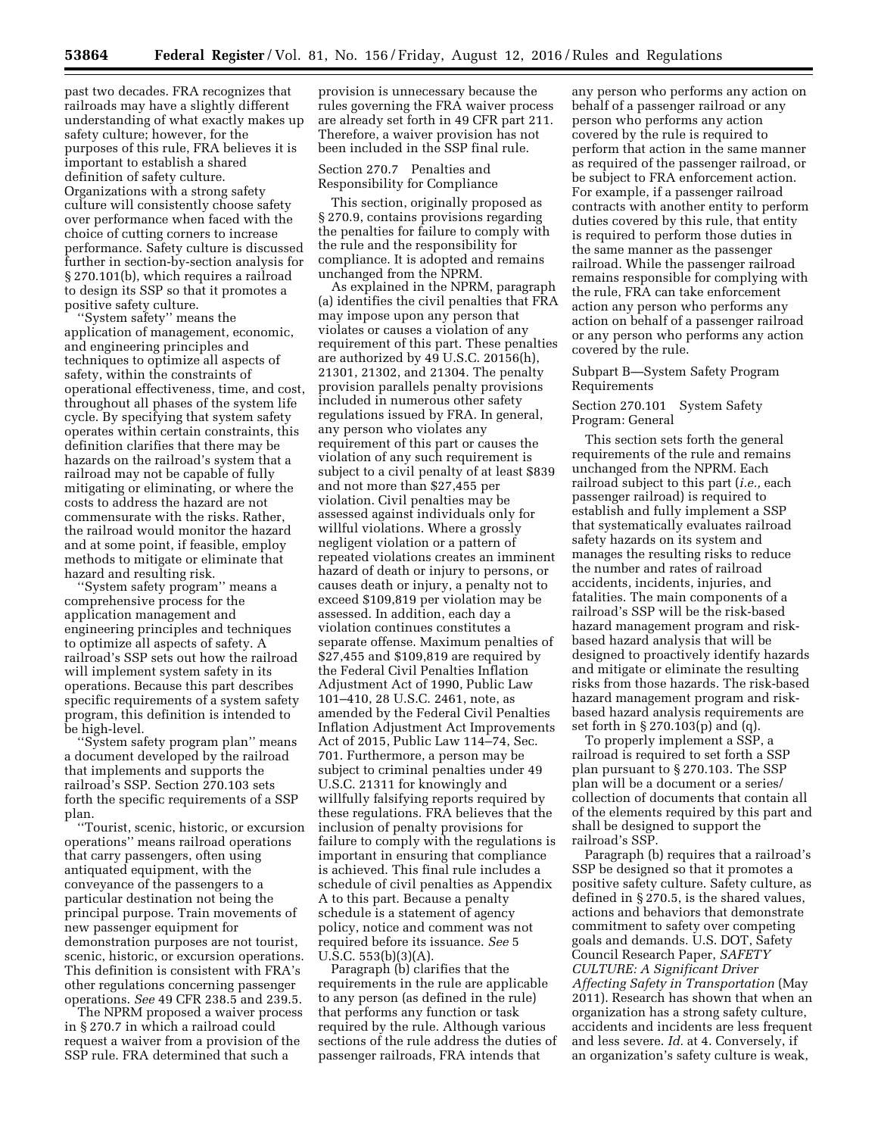past two decades. FRA recognizes that railroads may have a slightly different understanding of what exactly makes up safety culture; however, for the purposes of this rule, FRA believes it is important to establish a shared definition of safety culture. Organizations with a strong safety culture will consistently choose safety over performance when faced with the choice of cutting corners to increase performance. Safety culture is discussed further in section-by-section analysis for § 270.101(b), which requires a railroad to design its SSP so that it promotes a positive safety culture.

''System safety'' means the application of management, economic, and engineering principles and techniques to optimize all aspects of safety, within the constraints of operational effectiveness, time, and cost, throughout all phases of the system life cycle. By specifying that system safety operates within certain constraints, this definition clarifies that there may be hazards on the railroad's system that a railroad may not be capable of fully mitigating or eliminating, or where the costs to address the hazard are not commensurate with the risks. Rather, the railroad would monitor the hazard and at some point, if feasible, employ methods to mitigate or eliminate that hazard and resulting risk.

''System safety program'' means a comprehensive process for the application management and engineering principles and techniques to optimize all aspects of safety. A railroad's SSP sets out how the railroad will implement system safety in its operations. Because this part describes specific requirements of a system safety program, this definition is intended to be high-level.

''System safety program plan'' means a document developed by the railroad that implements and supports the railroad's SSP. Section 270.103 sets forth the specific requirements of a SSP plan.

''Tourist, scenic, historic, or excursion operations'' means railroad operations that carry passengers, often using antiquated equipment, with the conveyance of the passengers to a particular destination not being the principal purpose. Train movements of new passenger equipment for demonstration purposes are not tourist, scenic, historic, or excursion operations. This definition is consistent with FRA's other regulations concerning passenger operations. *See* 49 CFR 238.5 and 239.5.

The NPRM proposed a waiver process in § 270.7 in which a railroad could request a waiver from a provision of the SSP rule. FRA determined that such a

provision is unnecessary because the rules governing the FRA waiver process are already set forth in 49 CFR part 211. Therefore, a waiver provision has not been included in the SSP final rule.

Section 270.7 Penalties and Responsibility for Compliance

This section, originally proposed as § 270.9, contains provisions regarding the penalties for failure to comply with the rule and the responsibility for compliance. It is adopted and remains unchanged from the NPRM.

As explained in the NPRM, paragraph (a) identifies the civil penalties that FRA may impose upon any person that violates or causes a violation of any requirement of this part. These penalties are authorized by 49 U.S.C. 20156(h), 21301, 21302, and 21304. The penalty provision parallels penalty provisions included in numerous other safety regulations issued by FRA. In general, any person who violates any requirement of this part or causes the violation of any such requirement is subject to a civil penalty of at least \$839 and not more than \$27,455 per violation. Civil penalties may be assessed against individuals only for willful violations. Where a grossly negligent violation or a pattern of repeated violations creates an imminent hazard of death or injury to persons, or causes death or injury, a penalty not to exceed \$109,819 per violation may be assessed. In addition, each day a violation continues constitutes a separate offense. Maximum penalties of \$27,455 and \$109,819 are required by the Federal Civil Penalties Inflation Adjustment Act of 1990, Public Law 101–410, 28 U.S.C. 2461, note, as amended by the Federal Civil Penalties Inflation Adjustment Act Improvements Act of 2015, Public Law 114–74, Sec. 701. Furthermore, a person may be subject to criminal penalties under 49 U.S.C. 21311 for knowingly and willfully falsifying reports required by these regulations. FRA believes that the inclusion of penalty provisions for failure to comply with the regulations is important in ensuring that compliance is achieved. This final rule includes a schedule of civil penalties as Appendix A to this part. Because a penalty schedule is a statement of agency policy, notice and comment was not required before its issuance. *See* 5 U.S.C. 553(b)(3)(A).

Paragraph (b) clarifies that the requirements in the rule are applicable to any person (as defined in the rule) that performs any function or task required by the rule. Although various sections of the rule address the duties of passenger railroads, FRA intends that

any person who performs any action on behalf of a passenger railroad or any person who performs any action covered by the rule is required to perform that action in the same manner as required of the passenger railroad, or be subject to FRA enforcement action. For example, if a passenger railroad contracts with another entity to perform duties covered by this rule, that entity is required to perform those duties in the same manner as the passenger railroad. While the passenger railroad remains responsible for complying with the rule, FRA can take enforcement action any person who performs any action on behalf of a passenger railroad or any person who performs any action covered by the rule.

## Subpart B—System Safety Program Requirements

# Section 270.101 System Safety Program: General

This section sets forth the general requirements of the rule and remains unchanged from the NPRM. Each railroad subject to this part (*i.e.,* each passenger railroad) is required to establish and fully implement a SSP that systematically evaluates railroad safety hazards on its system and manages the resulting risks to reduce the number and rates of railroad accidents, incidents, injuries, and fatalities. The main components of a railroad's SSP will be the risk-based hazard management program and riskbased hazard analysis that will be designed to proactively identify hazards and mitigate or eliminate the resulting risks from those hazards. The risk-based hazard management program and riskbased hazard analysis requirements are set forth in § 270.103(p) and (q).

To properly implement a SSP, a railroad is required to set forth a SSP plan pursuant to § 270.103. The SSP plan will be a document or a series/ collection of documents that contain all of the elements required by this part and shall be designed to support the railroad's SSP.

Paragraph (b) requires that a railroad's SSP be designed so that it promotes a positive safety culture. Safety culture, as defined in § 270.5, is the shared values, actions and behaviors that demonstrate commitment to safety over competing goals and demands. U.S. DOT, Safety Council Research Paper, *SAFETY CULTURE: A Significant Driver Affecting Safety in Transportation* (May 2011). Research has shown that when an organization has a strong safety culture, accidents and incidents are less frequent and less severe. *Id.* at 4. Conversely, if an organization's safety culture is weak,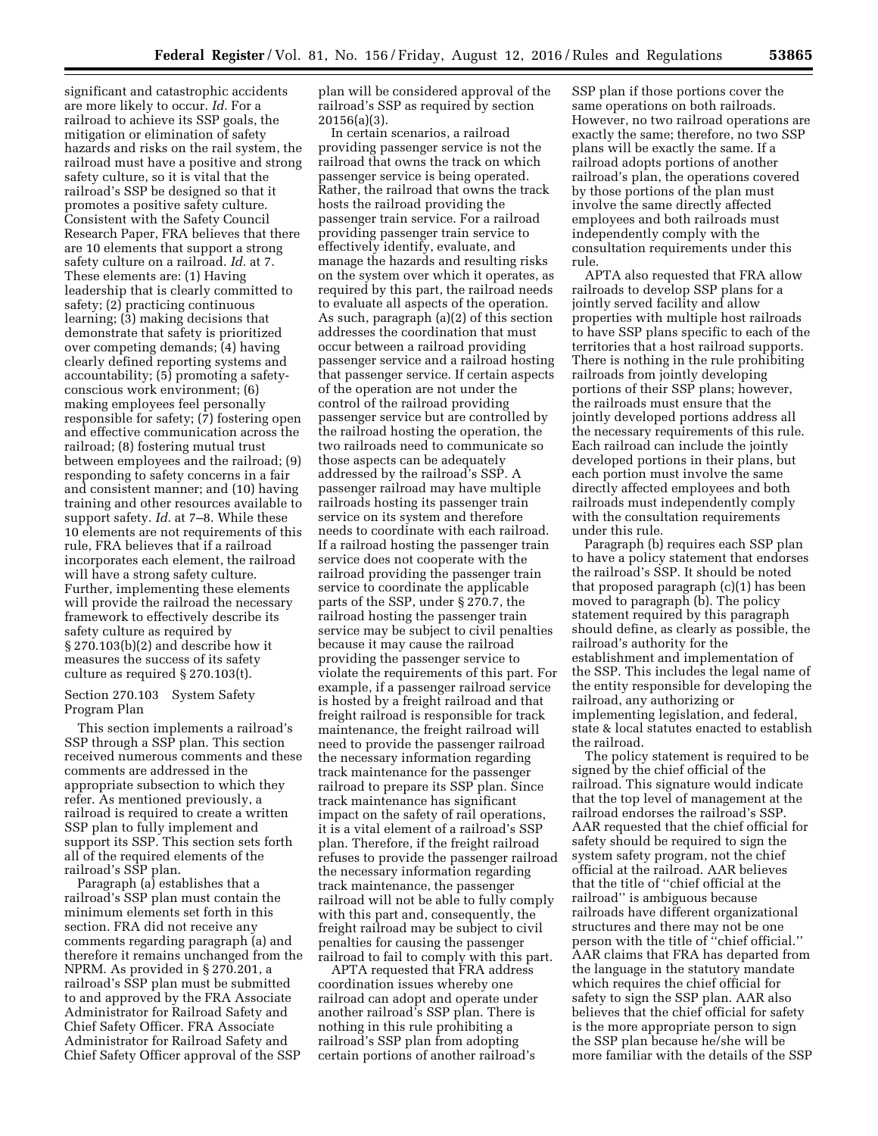significant and catastrophic accidents are more likely to occur. *Id.* For a railroad to achieve its SSP goals, the mitigation or elimination of safety hazards and risks on the rail system, the railroad must have a positive and strong safety culture, so it is vital that the railroad's SSP be designed so that it promotes a positive safety culture. Consistent with the Safety Council Research Paper, FRA believes that there are 10 elements that support a strong safety culture on a railroad. *Id.* at 7. These elements are: (1) Having leadership that is clearly committed to safety; (2) practicing continuous learning; (3) making decisions that demonstrate that safety is prioritized over competing demands; (4) having clearly defined reporting systems and accountability; (5) promoting a safetyconscious work environment; (6) making employees feel personally responsible for safety; (7) fostering open and effective communication across the railroad; (8) fostering mutual trust between employees and the railroad; (9) responding to safety concerns in a fair and consistent manner; and (10) having training and other resources available to support safety. *Id.* at 7–8. While these 10 elements are not requirements of this rule, FRA believes that if a railroad incorporates each element, the railroad will have a strong safety culture. Further, implementing these elements will provide the railroad the necessary framework to effectively describe its safety culture as required by § 270.103(b)(2) and describe how it measures the success of its safety culture as required § 270.103(t).

Section 270.103 System Safety Program Plan

This section implements a railroad's SSP through a SSP plan. This section received numerous comments and these comments are addressed in the appropriate subsection to which they refer. As mentioned previously, a railroad is required to create a written SSP plan to fully implement and support its SSP. This section sets forth all of the required elements of the railroad's SSP plan.

Paragraph (a) establishes that a railroad's SSP plan must contain the minimum elements set forth in this section. FRA did not receive any comments regarding paragraph (a) and therefore it remains unchanged from the NPRM. As provided in § 270.201, a railroad's SSP plan must be submitted to and approved by the FRA Associate Administrator for Railroad Safety and Chief Safety Officer. FRA Associate Administrator for Railroad Safety and Chief Safety Officer approval of the SSP

plan will be considered approval of the railroad's SSP as required by section 20156(a)(3).

In certain scenarios, a railroad providing passenger service is not the railroad that owns the track on which passenger service is being operated. Rather, the railroad that owns the track hosts the railroad providing the passenger train service. For a railroad providing passenger train service to effectively identify, evaluate, and manage the hazards and resulting risks on the system over which it operates, as required by this part, the railroad needs to evaluate all aspects of the operation. As such, paragraph (a)(2) of this section addresses the coordination that must occur between a railroad providing passenger service and a railroad hosting that passenger service. If certain aspects of the operation are not under the control of the railroad providing passenger service but are controlled by the railroad hosting the operation, the two railroads need to communicate so those aspects can be adequately addressed by the railroad's SSP. A passenger railroad may have multiple railroads hosting its passenger train service on its system and therefore needs to coordinate with each railroad. If a railroad hosting the passenger train service does not cooperate with the railroad providing the passenger train service to coordinate the applicable parts of the SSP, under § 270.7, the railroad hosting the passenger train service may be subject to civil penalties because it may cause the railroad providing the passenger service to violate the requirements of this part. For example, if a passenger railroad service is hosted by a freight railroad and that freight railroad is responsible for track maintenance, the freight railroad will need to provide the passenger railroad the necessary information regarding track maintenance for the passenger railroad to prepare its SSP plan. Since track maintenance has significant impact on the safety of rail operations, it is a vital element of a railroad's SSP plan. Therefore, if the freight railroad refuses to provide the passenger railroad the necessary information regarding track maintenance, the passenger railroad will not be able to fully comply with this part and, consequently, the freight railroad may be subject to civil penalties for causing the passenger railroad to fail to comply with this part.

APTA requested that FRA address coordination issues whereby one railroad can adopt and operate under another railroad's SSP plan. There is nothing in this rule prohibiting a railroad's SSP plan from adopting certain portions of another railroad's

SSP plan if those portions cover the same operations on both railroads. However, no two railroad operations are exactly the same; therefore, no two SSP plans will be exactly the same. If a railroad adopts portions of another railroad's plan, the operations covered by those portions of the plan must involve the same directly affected employees and both railroads must independently comply with the consultation requirements under this rule.

APTA also requested that FRA allow railroads to develop SSP plans for a jointly served facility and allow properties with multiple host railroads to have SSP plans specific to each of the territories that a host railroad supports. There is nothing in the rule prohibiting railroads from jointly developing portions of their SSP plans; however, the railroads must ensure that the jointly developed portions address all the necessary requirements of this rule. Each railroad can include the jointly developed portions in their plans, but each portion must involve the same directly affected employees and both railroads must independently comply with the consultation requirements under this rule.

Paragraph (b) requires each SSP plan to have a policy statement that endorses the railroad's SSP. It should be noted that proposed paragraph (c)(1) has been moved to paragraph (b). The policy statement required by this paragraph should define, as clearly as possible, the railroad's authority for the establishment and implementation of the SSP. This includes the legal name of the entity responsible for developing the railroad, any authorizing or implementing legislation, and federal, state & local statutes enacted to establish the railroad.

The policy statement is required to be signed by the chief official of the railroad. This signature would indicate that the top level of management at the railroad endorses the railroad's SSP. AAR requested that the chief official for safety should be required to sign the system safety program, not the chief official at the railroad. AAR believes that the title of ''chief official at the railroad'' is ambiguous because railroads have different organizational structures and there may not be one person with the title of ''chief official.'' AAR claims that FRA has departed from the language in the statutory mandate which requires the chief official for safety to sign the SSP plan. AAR also believes that the chief official for safety is the more appropriate person to sign the SSP plan because he/she will be more familiar with the details of the SSP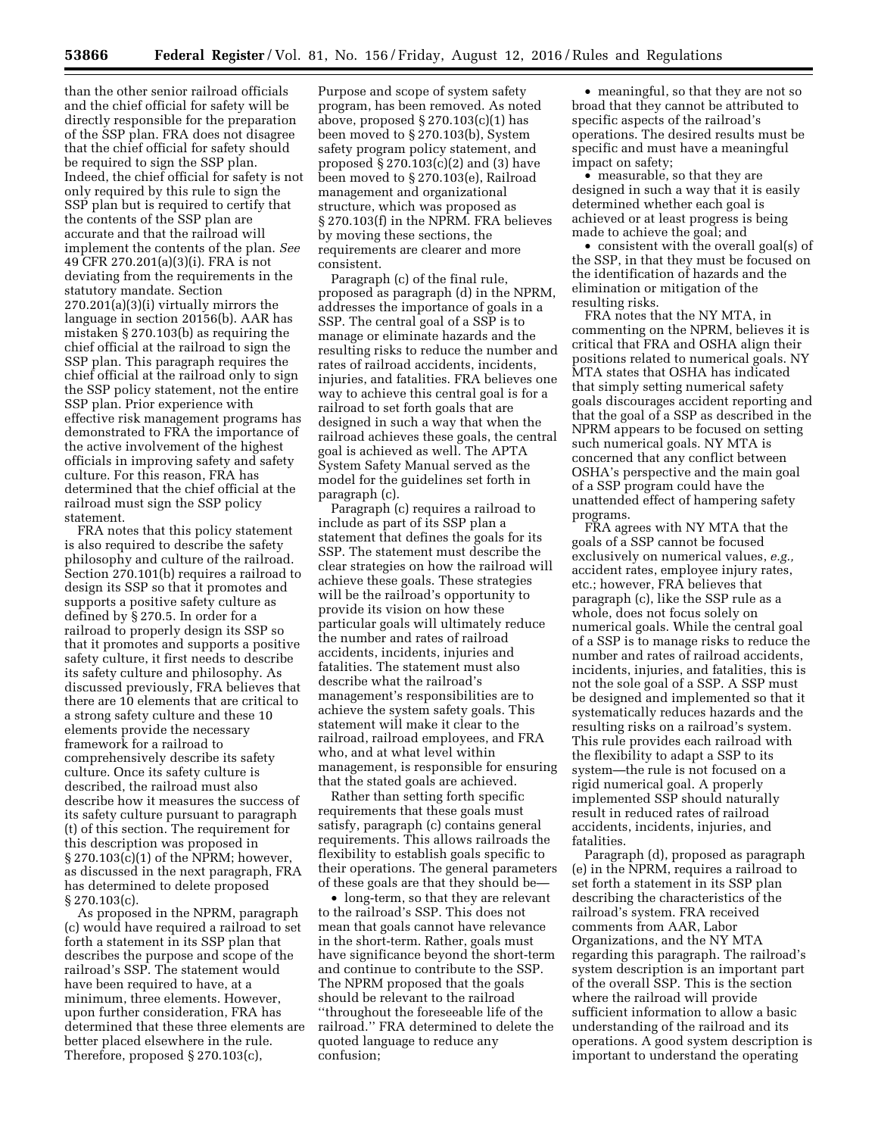than the other senior railroad officials and the chief official for safety will be directly responsible for the preparation of the SSP plan. FRA does not disagree that the chief official for safety should be required to sign the SSP plan. Indeed, the chief official for safety is not only required by this rule to sign the SSP plan but is required to certify that the contents of the SSP plan are accurate and that the railroad will implement the contents of the plan. *See*  49 CFR 270.201(a)(3)(i). FRA is not deviating from the requirements in the statutory mandate. Section 270.201(a)(3)(i) virtually mirrors the language in section 20156(b). AAR has mistaken § 270.103(b) as requiring the chief official at the railroad to sign the SSP plan. This paragraph requires the chief official at the railroad only to sign the SSP policy statement, not the entire SSP plan. Prior experience with effective risk management programs has demonstrated to FRA the importance of the active involvement of the highest officials in improving safety and safety culture. For this reason, FRA has determined that the chief official at the railroad must sign the SSP policy statement.

FRA notes that this policy statement is also required to describe the safety philosophy and culture of the railroad. Section 270.101(b) requires a railroad to design its SSP so that it promotes and supports a positive safety culture as defined by § 270.5. In order for a railroad to properly design its SSP so that it promotes and supports a positive safety culture, it first needs to describe its safety culture and philosophy. As discussed previously, FRA believes that there are 10 elements that are critical to a strong safety culture and these 10 elements provide the necessary framework for a railroad to comprehensively describe its safety culture. Once its safety culture is described, the railroad must also describe how it measures the success of its safety culture pursuant to paragraph (t) of this section. The requirement for this description was proposed in § 270.103(c)(1) of the NPRM; however, as discussed in the next paragraph, FRA has determined to delete proposed § 270.103(c).

As proposed in the NPRM, paragraph (c) would have required a railroad to set forth a statement in its SSP plan that describes the purpose and scope of the railroad's SSP. The statement would have been required to have, at a minimum, three elements. However, upon further consideration, FRA has determined that these three elements are better placed elsewhere in the rule. Therefore, proposed § 270.103(c),

Purpose and scope of system safety program, has been removed. As noted above, proposed  $\S 270.103(c)(1)$  has been moved to § 270.103(b), System safety program policy statement, and proposed § 270.103(c)(2) and (3) have been moved to § 270.103(e), Railroad management and organizational structure, which was proposed as § 270.103(f) in the NPRM. FRA believes by moving these sections, the requirements are clearer and more consistent.

Paragraph (c) of the final rule, proposed as paragraph (d) in the NPRM, addresses the importance of goals in a SSP. The central goal of a SSP is to manage or eliminate hazards and the resulting risks to reduce the number and rates of railroad accidents, incidents, injuries, and fatalities. FRA believes one way to achieve this central goal is for a railroad to set forth goals that are designed in such a way that when the railroad achieves these goals, the central goal is achieved as well. The APTA System Safety Manual served as the model for the guidelines set forth in paragraph (c).

Paragraph (c) requires a railroad to include as part of its SSP plan a statement that defines the goals for its SSP. The statement must describe the clear strategies on how the railroad will achieve these goals. These strategies will be the railroad's opportunity to provide its vision on how these particular goals will ultimately reduce the number and rates of railroad accidents, incidents, injuries and fatalities. The statement must also describe what the railroad's management's responsibilities are to achieve the system safety goals. This statement will make it clear to the railroad, railroad employees, and FRA who, and at what level within management, is responsible for ensuring that the stated goals are achieved.

Rather than setting forth specific requirements that these goals must satisfy, paragraph (c) contains general requirements. This allows railroads the flexibility to establish goals specific to their operations. The general parameters of these goals are that they should be—

• long-term, so that they are relevant to the railroad's SSP. This does not mean that goals cannot have relevance in the short-term. Rather, goals must have significance beyond the short-term and continue to contribute to the SSP. The NPRM proposed that the goals should be relevant to the railroad ''throughout the foreseeable life of the railroad.'' FRA determined to delete the quoted language to reduce any confusion;

• meaningful, so that they are not so broad that they cannot be attributed to specific aspects of the railroad's operations. The desired results must be specific and must have a meaningful impact on safety;

• measurable, so that they are designed in such a way that it is easily determined whether each goal is achieved or at least progress is being made to achieve the goal; and

• consistent with the overall goal(s) of the SSP, in that they must be focused on the identification of hazards and the elimination or mitigation of the resulting risks.

FRA notes that the NY MTA, in commenting on the NPRM, believes it is critical that FRA and OSHA align their positions related to numerical goals. NY MTA states that OSHA has indicated that simply setting numerical safety goals discourages accident reporting and that the goal of a SSP as described in the NPRM appears to be focused on setting such numerical goals. NY MTA is concerned that any conflict between OSHA's perspective and the main goal of a SSP program could have the unattended effect of hampering safety programs.

FRA agrees with NY MTA that the goals of a SSP cannot be focused exclusively on numerical values, *e.g.,*  accident rates, employee injury rates, etc.; however, FRA believes that paragraph (c), like the SSP rule as a whole, does not focus solely on numerical goals. While the central goal of a SSP is to manage risks to reduce the number and rates of railroad accidents, incidents, injuries, and fatalities, this is not the sole goal of a SSP. A SSP must be designed and implemented so that it systematically reduces hazards and the resulting risks on a railroad's system. This rule provides each railroad with the flexibility to adapt a SSP to its system—the rule is not focused on a rigid numerical goal. A properly implemented SSP should naturally result in reduced rates of railroad accidents, incidents, injuries, and fatalities.

Paragraph (d), proposed as paragraph (e) in the NPRM, requires a railroad to set forth a statement in its SSP plan describing the characteristics of the railroad's system. FRA received comments from AAR, Labor Organizations, and the NY MTA regarding this paragraph. The railroad's system description is an important part of the overall SSP. This is the section where the railroad will provide sufficient information to allow a basic understanding of the railroad and its operations. A good system description is important to understand the operating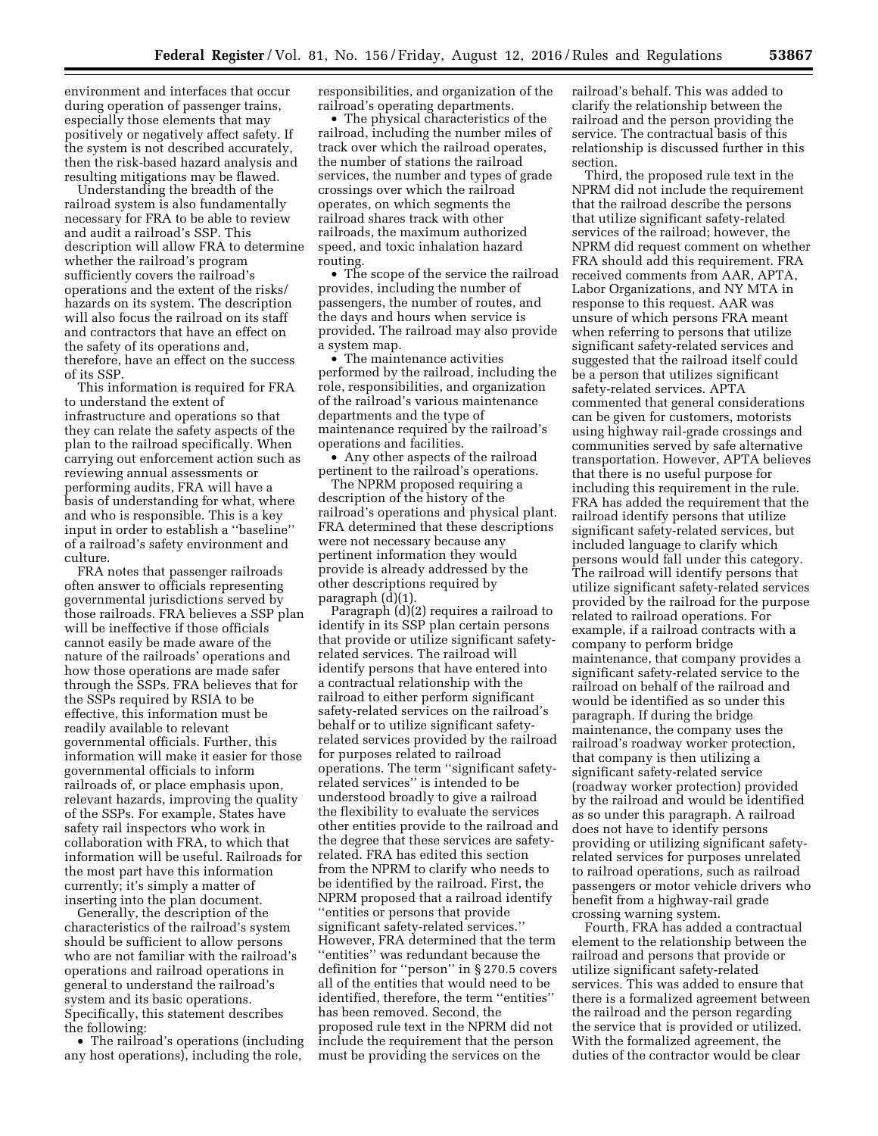environment and interfaces that occur during operation of passenger trains, especially those elements that may positively or negatively affect safety. If the system is not described accurately, then the risk-based hazard analysis and resulting mitigations may be flawed.

Understanding the breadth of the railroad system is also fundamentally necessary for FRA to be able to review and audit a railroad's SSP. This description will allow FRA to determine whether the railroad's program sufficiently covers the railroad's operations and the extent of the risks/ hazards on its system. The description will also focus the railroad on its staff and contractors that have an effect on the safety of its operations and, therefore, have an effect on the success of its SSP.

This information is required for FRA to understand the extent of infrastructure and operations so that they can relate the safety aspects of the plan to the railroad specifically. When carrying out enforcement action such as reviewing annual assessments or performing audits, FRA will have a basis of understanding for what, where and who is responsible. This is a key input in order to establish a ''baseline'' of a railroad's safety environment and culture.

FRA notes that passenger railroads often answer to officials representing governmental jurisdictions served by those railroads. FRA believes a SSP plan will be ineffective if those officials cannot easily be made aware of the nature of the railroads' operations and how those operations are made safer through the SSPs. FRA believes that for the SSPs required by RSIA to be effective, this information must be readily available to relevant governmental officials. Further, this information will make it easier for those governmental officials to inform railroads of, or place emphasis upon, relevant hazards, improving the quality of the SSPs. For example, States have safety rail inspectors who work in collaboration with FRA, to which that information will be useful. Railroads for the most part have this information currently; it's simply a matter of inserting into the plan document.

Generally, the description of the characteristics of the railroad's system should be sufficient to allow persons who are not familiar with the railroad's operations and railroad operations in general to understand the railroad's system and its basic operations. Specifically, this statement describes the following:

• The railroad's operations (including any host operations), including the role,

responsibilities, and organization of the railroad's operating departments.

• The physical characteristics of the railroad, including the number miles of track over which the railroad operates, the number of stations the railroad services, the number and types of grade crossings over which the railroad operates, on which segments the railroad shares track with other railroads, the maximum authorized speed, and toxic inhalation hazard routing.

• The scope of the service the railroad provides, including the number of passengers, the number of routes, and the days and hours when service is provided. The railroad may also provide a system map.

• The maintenance activities performed by the railroad, including the role, responsibilities, and organization of the railroad's various maintenance departments and the type of maintenance required by the railroad's operations and facilities.

• Any other aspects of the railroad pertinent to the railroad's operations.

The NPRM proposed requiring a description of the history of the railroad's operations and physical plant. FRA determined that these descriptions were not necessary because any pertinent information they would provide is already addressed by the other descriptions required by paragraph (d)(1).

Paragraph  $\ddot{d}$  $(2)$  requires a railroad to identify in its SSP plan certain persons that provide or utilize significant safetyrelated services. The railroad will identify persons that have entered into a contractual relationship with the railroad to either perform significant safety-related services on the railroad's behalf or to utilize significant safetyrelated services provided by the railroad for purposes related to railroad operations. The term ''significant safetyrelated services'' is intended to be understood broadly to give a railroad the flexibility to evaluate the services other entities provide to the railroad and the degree that these services are safetyrelated. FRA has edited this section from the NPRM to clarify who needs to be identified by the railroad. First, the NPRM proposed that a railroad identify ''entities or persons that provide significant safety-related services.'' However, FRA determined that the term ''entities'' was redundant because the definition for ''person'' in § 270.5 covers all of the entities that would need to be identified, therefore, the term ''entities'' has been removed. Second, the proposed rule text in the NPRM did not include the requirement that the person must be providing the services on the

railroad's behalf. This was added to clarify the relationship between the railroad and the person providing the service. The contractual basis of this relationship is discussed further in this section.

Third, the proposed rule text in the NPRM did not include the requirement that the railroad describe the persons that utilize significant safety-related services of the railroad; however, the NPRM did request comment on whether FRA should add this requirement. FRA received comments from AAR, APTA, Labor Organizations, and NY MTA in response to this request. AAR was unsure of which persons FRA meant when referring to persons that utilize significant safety-related services and suggested that the railroad itself could be a person that utilizes significant safety-related services. APTA commented that general considerations can be given for customers, motorists using highway rail-grade crossings and communities served by safe alternative transportation. However, APTA believes that there is no useful purpose for including this requirement in the rule. FRA has added the requirement that the railroad identify persons that utilize significant safety-related services, but included language to clarify which persons would fall under this category. The railroad will identify persons that utilize significant safety-related services provided by the railroad for the purpose related to railroad operations. For example, if a railroad contracts with a company to perform bridge maintenance, that company provides a significant safety-related service to the railroad on behalf of the railroad and would be identified as so under this paragraph. If during the bridge maintenance, the company uses the railroad's roadway worker protection, that company is then utilizing a significant safety-related service (roadway worker protection) provided by the railroad and would be identified as so under this paragraph. A railroad does not have to identify persons providing or utilizing significant safetyrelated services for purposes unrelated to railroad operations, such as railroad passengers or motor vehicle drivers who benefit from a highway-rail grade crossing warning system.

Fourth, FRA has added a contractual element to the relationship between the railroad and persons that provide or utilize significant safety-related services. This was added to ensure that there is a formalized agreement between the railroad and the person regarding the service that is provided or utilized. With the formalized agreement, the duties of the contractor would be clear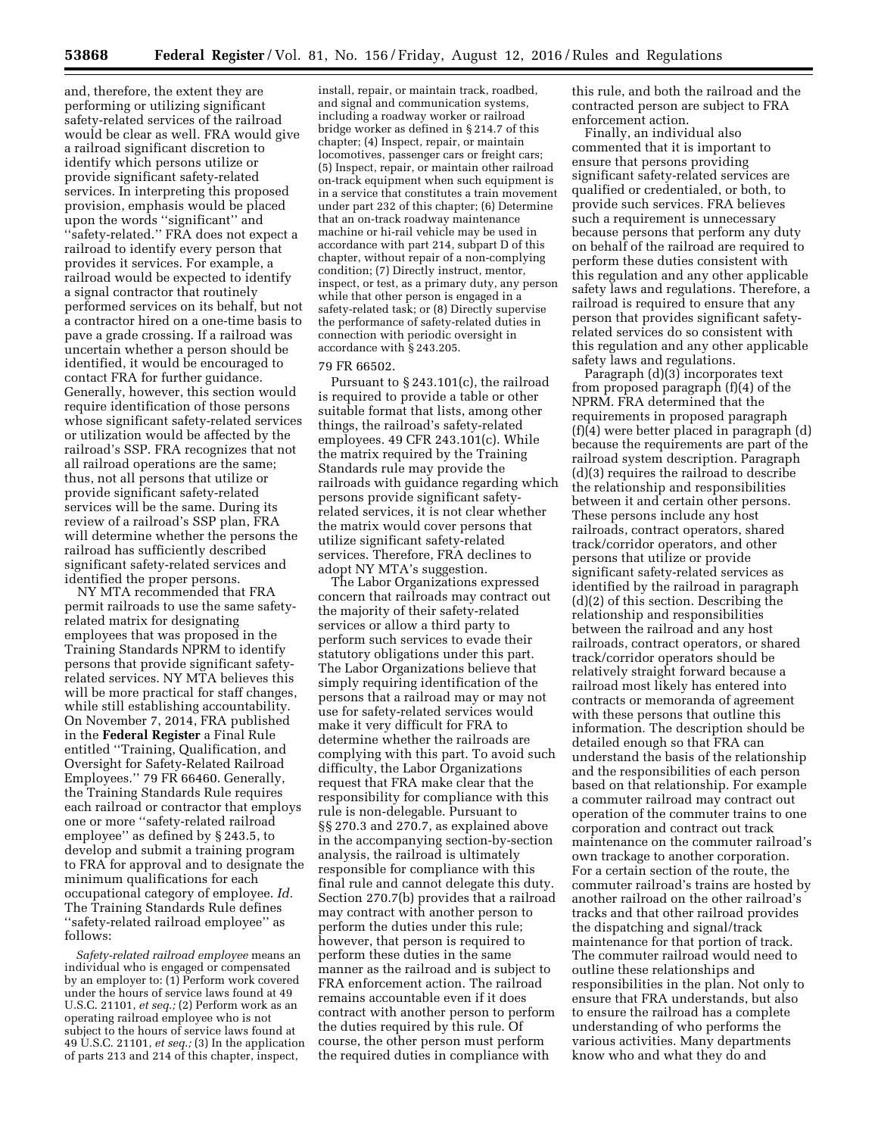and, therefore, the extent they are performing or utilizing significant safety-related services of the railroad would be clear as well. FRA would give a railroad significant discretion to identify which persons utilize or provide significant safety-related services. In interpreting this proposed provision, emphasis would be placed upon the words ''significant'' and ''safety-related.'' FRA does not expect a railroad to identify every person that provides it services. For example, a railroad would be expected to identify a signal contractor that routinely performed services on its behalf, but not a contractor hired on a one-time basis to pave a grade crossing. If a railroad was uncertain whether a person should be identified, it would be encouraged to contact FRA for further guidance. Generally, however, this section would require identification of those persons whose significant safety-related services or utilization would be affected by the railroad's SSP. FRA recognizes that not all railroad operations are the same; thus, not all persons that utilize or provide significant safety-related services will be the same. During its review of a railroad's SSP plan, FRA will determine whether the persons the railroad has sufficiently described significant safety-related services and identified the proper persons.

NY MTA recommended that FRA permit railroads to use the same safetyrelated matrix for designating employees that was proposed in the Training Standards NPRM to identify persons that provide significant safetyrelated services. NY MTA believes this will be more practical for staff changes, while still establishing accountability. On November 7, 2014, FRA published in the **Federal Register** a Final Rule entitled ''Training, Qualification, and Oversight for Safety-Related Railroad Employees.'' 79 FR 66460. Generally, the Training Standards Rule requires each railroad or contractor that employs one or more ''safety-related railroad employee'' as defined by § 243.5, to develop and submit a training program to FRA for approval and to designate the minimum qualifications for each occupational category of employee. *Id.*  The Training Standards Rule defines ''safety-related railroad employee'' as follows:

*Safety-related railroad employee* means an individual who is engaged or compensated by an employer to: (1) Perform work covered under the hours of service laws found at 49 U.S.C. 21101, *et seq.;* (2) Perform work as an operating railroad employee who is not subject to the hours of service laws found at 49 U.S.C. 21101, *et seq.;* (3) In the application of parts 213 and 214 of this chapter, inspect,

install, repair, or maintain track, roadbed, and signal and communication systems, including a roadway worker or railroad bridge worker as defined in § 214.7 of this chapter; (4) Inspect, repair, or maintain locomotives, passenger cars or freight cars; (5) Inspect, repair, or maintain other railroad on-track equipment when such equipment is in a service that constitutes a train movement under part 232 of this chapter; (6) Determine that an on-track roadway maintenance machine or hi-rail vehicle may be used in accordance with part 214, subpart D of this chapter, without repair of a non-complying condition; (7) Directly instruct, mentor, inspect, or test, as a primary duty, any person while that other person is engaged in a safety-related task; or (8) Directly supervise the performance of safety-related duties in connection with periodic oversight in accordance with § 243.205.

#### 79 FR 66502.

Pursuant to § 243.101(c), the railroad is required to provide a table or other suitable format that lists, among other things, the railroad's safety-related employees. 49 CFR 243.101(c). While the matrix required by the Training Standards rule may provide the railroads with guidance regarding which persons provide significant safetyrelated services, it is not clear whether the matrix would cover persons that utilize significant safety-related services. Therefore, FRA declines to adopt NY MTA's suggestion.

The Labor Organizations expressed concern that railroads may contract out the majority of their safety-related services or allow a third party to perform such services to evade their statutory obligations under this part. The Labor Organizations believe that simply requiring identification of the persons that a railroad may or may not use for safety-related services would make it very difficult for FRA to determine whether the railroads are complying with this part. To avoid such difficulty, the Labor Organizations request that FRA make clear that the responsibility for compliance with this rule is non-delegable. Pursuant to §§ 270.3 and 270.7, as explained above in the accompanying section-by-section analysis, the railroad is ultimately responsible for compliance with this final rule and cannot delegate this duty. Section 270.7(b) provides that a railroad may contract with another person to perform the duties under this rule; however, that person is required to perform these duties in the same manner as the railroad and is subject to FRA enforcement action. The railroad remains accountable even if it does contract with another person to perform the duties required by this rule. Of course, the other person must perform the required duties in compliance with

this rule, and both the railroad and the contracted person are subject to FRA enforcement action.

Finally, an individual also commented that it is important to ensure that persons providing significant safety-related services are qualified or credentialed, or both, to provide such services. FRA believes such a requirement is unnecessary because persons that perform any duty on behalf of the railroad are required to perform these duties consistent with this regulation and any other applicable safety laws and regulations. Therefore, a railroad is required to ensure that any person that provides significant safetyrelated services do so consistent with this regulation and any other applicable safety laws and regulations.

Paragraph (d)(3) incorporates text from proposed paragraph (f)(4) of the NPRM. FRA determined that the requirements in proposed paragraph (f)(4) were better placed in paragraph (d) because the requirements are part of the railroad system description. Paragraph (d)(3) requires the railroad to describe the relationship and responsibilities between it and certain other persons. These persons include any host railroads, contract operators, shared track/corridor operators, and other persons that utilize or provide significant safety-related services as identified by the railroad in paragraph (d)(2) of this section. Describing the relationship and responsibilities between the railroad and any host railroads, contract operators, or shared track/corridor operators should be relatively straight forward because a railroad most likely has entered into contracts or memoranda of agreement with these persons that outline this information. The description should be detailed enough so that FRA can understand the basis of the relationship and the responsibilities of each person based on that relationship. For example a commuter railroad may contract out operation of the commuter trains to one corporation and contract out track maintenance on the commuter railroad's own trackage to another corporation. For a certain section of the route, the commuter railroad's trains are hosted by another railroad on the other railroad's tracks and that other railroad provides the dispatching and signal/track maintenance for that portion of track. The commuter railroad would need to outline these relationships and responsibilities in the plan. Not only to ensure that FRA understands, but also to ensure the railroad has a complete understanding of who performs the various activities. Many departments know who and what they do and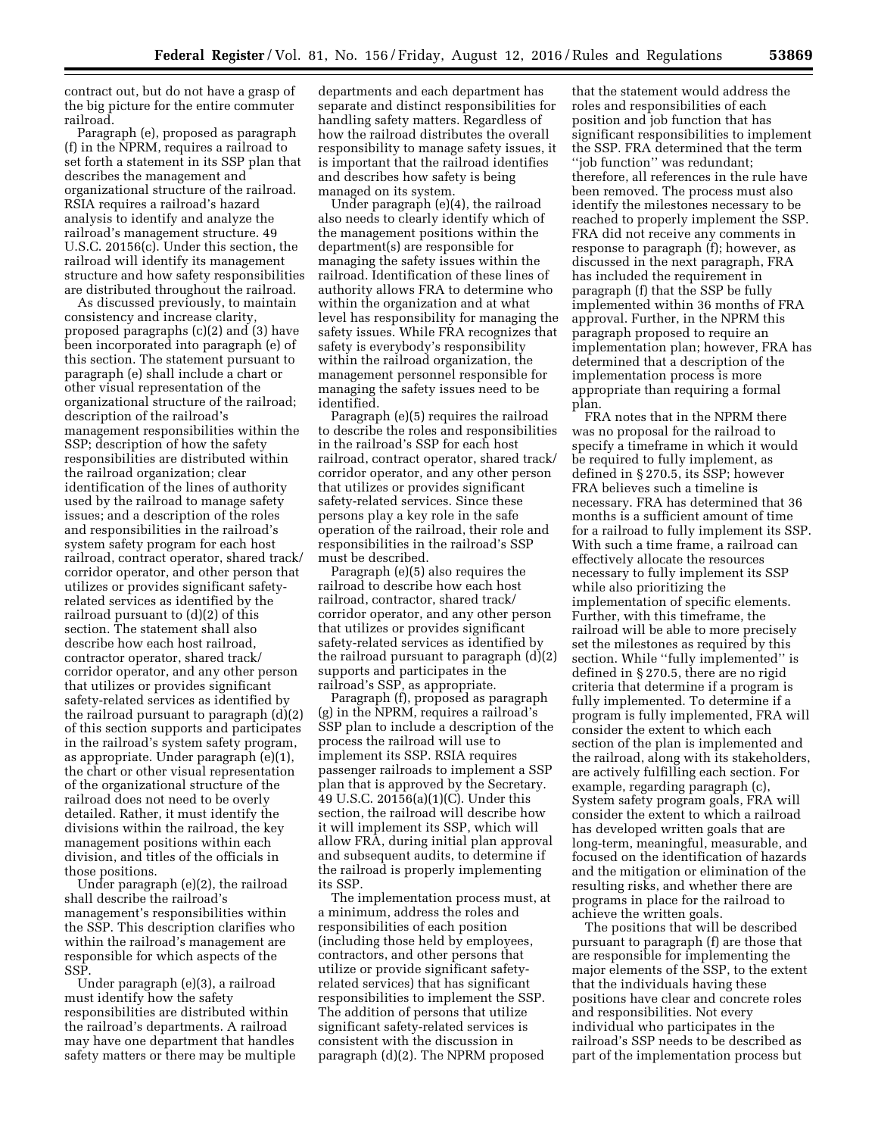contract out, but do not have a grasp of the big picture for the entire commuter railroad.

Paragraph (e), proposed as paragraph (f) in the NPRM, requires a railroad to set forth a statement in its SSP plan that describes the management and organizational structure of the railroad. RSIA requires a railroad's hazard analysis to identify and analyze the railroad's management structure. 49 U.S.C. 20156(c). Under this section, the railroad will identify its management structure and how safety responsibilities are distributed throughout the railroad.

As discussed previously, to maintain consistency and increase clarity, proposed paragraphs (c)(2) and (3) have been incorporated into paragraph (e) of this section. The statement pursuant to paragraph (e) shall include a chart or other visual representation of the organizational structure of the railroad; description of the railroad's management responsibilities within the SSP; description of how the safety responsibilities are distributed within the railroad organization; clear identification of the lines of authority used by the railroad to manage safety issues; and a description of the roles and responsibilities in the railroad's system safety program for each host railroad, contract operator, shared track/ corridor operator, and other person that utilizes or provides significant safetyrelated services as identified by the railroad pursuant to (d)(2) of this section. The statement shall also describe how each host railroad, contractor operator, shared track/ corridor operator, and any other person that utilizes or provides significant safety-related services as identified by the railroad pursuant to paragraph (d)(2) of this section supports and participates in the railroad's system safety program, as appropriate. Under paragraph (e)(1), the chart or other visual representation of the organizational structure of the railroad does not need to be overly detailed. Rather, it must identify the divisions within the railroad, the key management positions within each division, and titles of the officials in those positions.

Under paragraph (e)(2), the railroad shall describe the railroad's management's responsibilities within the SSP. This description clarifies who within the railroad's management are responsible for which aspects of the SSP.

Under paragraph (e)(3), a railroad must identify how the safety responsibilities are distributed within the railroad's departments. A railroad may have one department that handles safety matters or there may be multiple

departments and each department has separate and distinct responsibilities for handling safety matters. Regardless of how the railroad distributes the overall responsibility to manage safety issues, it is important that the railroad identifies and describes how safety is being managed on its system.

Under paragraph (e)(4), the railroad also needs to clearly identify which of the management positions within the department(s) are responsible for managing the safety issues within the railroad. Identification of these lines of authority allows FRA to determine who within the organization and at what level has responsibility for managing the safety issues. While FRA recognizes that safety is everybody's responsibility within the railroad organization, the management personnel responsible for managing the safety issues need to be identified.

Paragraph (e)(5) requires the railroad to describe the roles and responsibilities in the railroad's SSP for each host railroad, contract operator, shared track/ corridor operator, and any other person that utilizes or provides significant safety-related services. Since these persons play a key role in the safe operation of the railroad, their role and responsibilities in the railroad's SSP must be described.

Paragraph (e)(5) also requires the railroad to describe how each host railroad, contractor, shared track/ corridor operator, and any other person that utilizes or provides significant safety-related services as identified by the railroad pursuant to paragraph (d)(2) supports and participates in the railroad's SSP, as appropriate.

Paragraph (f), proposed as paragraph (g) in the NPRM, requires a railroad's SSP plan to include a description of the process the railroad will use to implement its SSP. RSIA requires passenger railroads to implement a SSP plan that is approved by the Secretary. 49 U.S.C. 20156(a)(1)(C). Under this section, the railroad will describe how it will implement its SSP, which will allow FRA, during initial plan approval and subsequent audits, to determine if the railroad is properly implementing its SSP.

The implementation process must, at a minimum, address the roles and responsibilities of each position (including those held by employees, contractors, and other persons that utilize or provide significant safetyrelated services) that has significant responsibilities to implement the SSP. The addition of persons that utilize significant safety-related services is consistent with the discussion in paragraph (d)(2). The NPRM proposed

that the statement would address the roles and responsibilities of each position and job function that has significant responsibilities to implement the SSP. FRA determined that the term ''job function'' was redundant; therefore, all references in the rule have been removed. The process must also identify the milestones necessary to be reached to properly implement the SSP. FRA did not receive any comments in response to paragraph (f); however, as discussed in the next paragraph, FRA has included the requirement in paragraph (f) that the SSP be fully implemented within 36 months of FRA approval. Further, in the NPRM this paragraph proposed to require an implementation plan; however, FRA has determined that a description of the implementation process is more appropriate than requiring a formal plan.

FRA notes that in the NPRM there was no proposal for the railroad to specify a timeframe in which it would be required to fully implement, as defined in § 270.5, its SSP; however FRA believes such a timeline is necessary. FRA has determined that 36 months is a sufficient amount of time for a railroad to fully implement its SSP. With such a time frame, a railroad can effectively allocate the resources necessary to fully implement its SSP while also prioritizing the implementation of specific elements. Further, with this timeframe, the railroad will be able to more precisely set the milestones as required by this section. While "fully implemented" is defined in § 270.5, there are no rigid criteria that determine if a program is fully implemented. To determine if a program is fully implemented, FRA will consider the extent to which each section of the plan is implemented and the railroad, along with its stakeholders, are actively fulfilling each section. For example, regarding paragraph (c), System safety program goals, FRA will consider the extent to which a railroad has developed written goals that are long-term, meaningful, measurable, and focused on the identification of hazards and the mitigation or elimination of the resulting risks, and whether there are programs in place for the railroad to achieve the written goals.

The positions that will be described pursuant to paragraph (f) are those that are responsible for implementing the major elements of the SSP, to the extent that the individuals having these positions have clear and concrete roles and responsibilities. Not every individual who participates in the railroad's SSP needs to be described as part of the implementation process but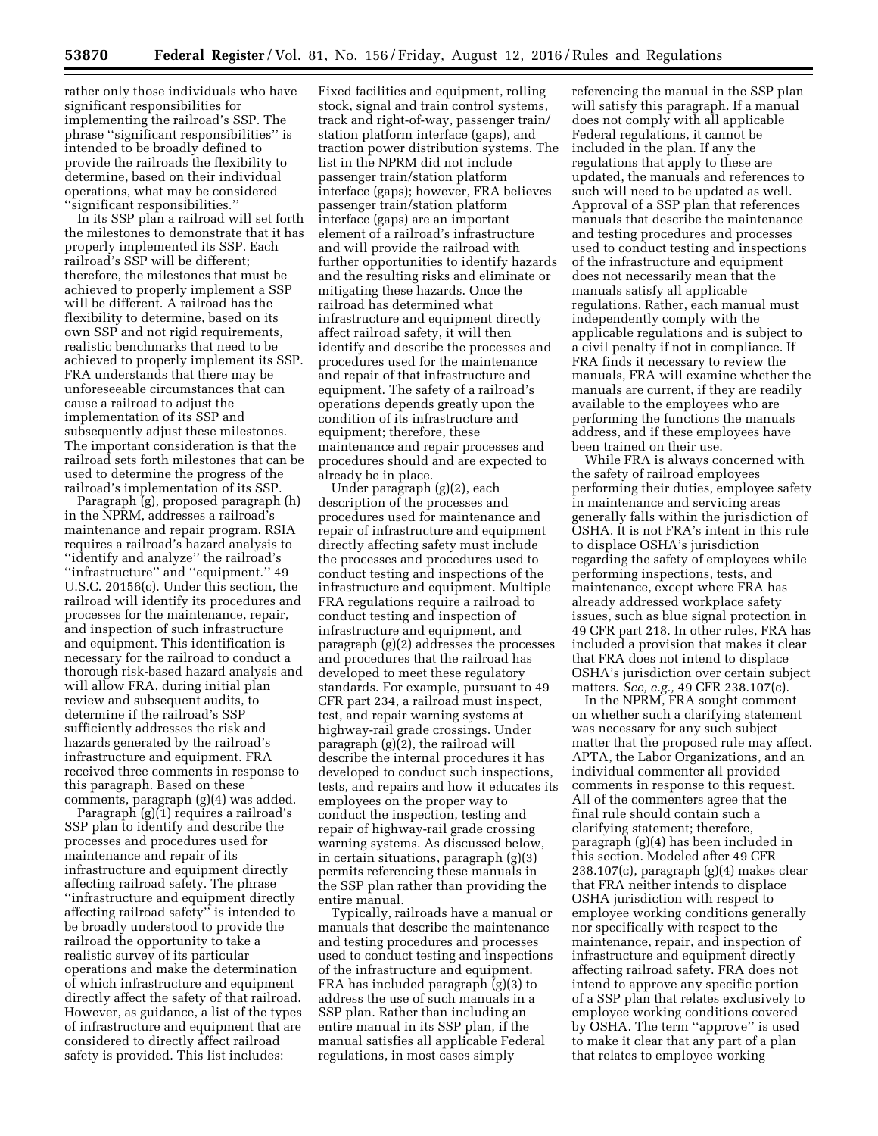rather only those individuals who have significant responsibilities for implementing the railroad's SSP. The phrase ''significant responsibilities'' is intended to be broadly defined to provide the railroads the flexibility to determine, based on their individual operations, what may be considered 'significant responsibilities.'

In its SSP plan a railroad will set forth the milestones to demonstrate that it has properly implemented its SSP. Each railroad's SSP will be different; therefore, the milestones that must be achieved to properly implement a SSP will be different. A railroad has the flexibility to determine, based on its own SSP and not rigid requirements, realistic benchmarks that need to be achieved to properly implement its SSP. FRA understands that there may be unforeseeable circumstances that can cause a railroad to adjust the implementation of its SSP and subsequently adjust these milestones. The important consideration is that the railroad sets forth milestones that can be used to determine the progress of the railroad's implementation of its SSP.

Paragraph (g), proposed paragraph (h) in the NPRM, addresses a railroad's maintenance and repair program. RSIA requires a railroad's hazard analysis to ''identify and analyze'' the railroad's ''infrastructure'' and ''equipment.'' 49 U.S.C. 20156(c). Under this section, the railroad will identify its procedures and processes for the maintenance, repair, and inspection of such infrastructure and equipment. This identification is necessary for the railroad to conduct a thorough risk-based hazard analysis and will allow FRA, during initial plan review and subsequent audits, to determine if the railroad's SSP sufficiently addresses the risk and hazards generated by the railroad's infrastructure and equipment. FRA received three comments in response to this paragraph. Based on these comments, paragraph (g)(4) was added.

Paragraph (g)(1) requires a railroad's SSP plan to identify and describe the processes and procedures used for maintenance and repair of its infrastructure and equipment directly affecting railroad safety. The phrase ''infrastructure and equipment directly affecting railroad safety'' is intended to be broadly understood to provide the railroad the opportunity to take a realistic survey of its particular operations and make the determination of which infrastructure and equipment directly affect the safety of that railroad. However, as guidance, a list of the types of infrastructure and equipment that are considered to directly affect railroad safety is provided. This list includes:

Fixed facilities and equipment, rolling stock, signal and train control systems, track and right-of-way, passenger train/ station platform interface (gaps), and traction power distribution systems. The list in the NPRM did not include passenger train/station platform interface (gaps); however, FRA believes passenger train/station platform interface (gaps) are an important element of a railroad's infrastructure and will provide the railroad with further opportunities to identify hazards and the resulting risks and eliminate or mitigating these hazards. Once the railroad has determined what infrastructure and equipment directly affect railroad safety, it will then identify and describe the processes and procedures used for the maintenance and repair of that infrastructure and equipment. The safety of a railroad's operations depends greatly upon the condition of its infrastructure and equipment; therefore, these maintenance and repair processes and procedures should and are expected to already be in place.

Under paragraph (g)(2), each description of the processes and procedures used for maintenance and repair of infrastructure and equipment directly affecting safety must include the processes and procedures used to conduct testing and inspections of the infrastructure and equipment. Multiple FRA regulations require a railroad to conduct testing and inspection of infrastructure and equipment, and paragraph (g)(2) addresses the processes and procedures that the railroad has developed to meet these regulatory standards. For example, pursuant to 49 CFR part 234, a railroad must inspect, test, and repair warning systems at highway-rail grade crossings. Under paragraph (g)(2), the railroad will describe the internal procedures it has developed to conduct such inspections, tests, and repairs and how it educates its employees on the proper way to conduct the inspection, testing and repair of highway-rail grade crossing warning systems. As discussed below, in certain situations, paragraph (g)(3) permits referencing these manuals in the SSP plan rather than providing the entire manual.

Typically, railroads have a manual or manuals that describe the maintenance and testing procedures and processes used to conduct testing and inspections of the infrastructure and equipment. FRA has included paragraph (g)(3) to address the use of such manuals in a SSP plan. Rather than including an entire manual in its SSP plan, if the manual satisfies all applicable Federal regulations, in most cases simply

referencing the manual in the SSP plan will satisfy this paragraph. If a manual does not comply with all applicable Federal regulations, it cannot be included in the plan. If any the regulations that apply to these are updated, the manuals and references to such will need to be updated as well. Approval of a SSP plan that references manuals that describe the maintenance and testing procedures and processes used to conduct testing and inspections of the infrastructure and equipment does not necessarily mean that the manuals satisfy all applicable regulations. Rather, each manual must independently comply with the applicable regulations and is subject to a civil penalty if not in compliance. If FRA finds it necessary to review the manuals, FRA will examine whether the manuals are current, if they are readily available to the employees who are performing the functions the manuals address, and if these employees have been trained on their use.

While FRA is always concerned with the safety of railroad employees performing their duties, employee safety in maintenance and servicing areas generally falls within the jurisdiction of OSHA. It is not FRA's intent in this rule to displace OSHA's jurisdiction regarding the safety of employees while performing inspections, tests, and maintenance, except where FRA has already addressed workplace safety issues, such as blue signal protection in 49 CFR part 218. In other rules, FRA has included a provision that makes it clear that FRA does not intend to displace OSHA's jurisdiction over certain subject matters. *See, e.g.,* 49 CFR 238.107(c).

In the NPRM, FRA sought comment on whether such a clarifying statement was necessary for any such subject matter that the proposed rule may affect. APTA, the Labor Organizations, and an individual commenter all provided comments in response to this request. All of the commenters agree that the final rule should contain such a clarifying statement; therefore, paragraph (g)(4) has been included in this section. Modeled after 49 CFR 238.107(c), paragraph (g)(4) makes clear that FRA neither intends to displace OSHA jurisdiction with respect to employee working conditions generally nor specifically with respect to the maintenance, repair, and inspection of infrastructure and equipment directly affecting railroad safety. FRA does not intend to approve any specific portion of a SSP plan that relates exclusively to employee working conditions covered by OSHA. The term ''approve'' is used to make it clear that any part of a plan that relates to employee working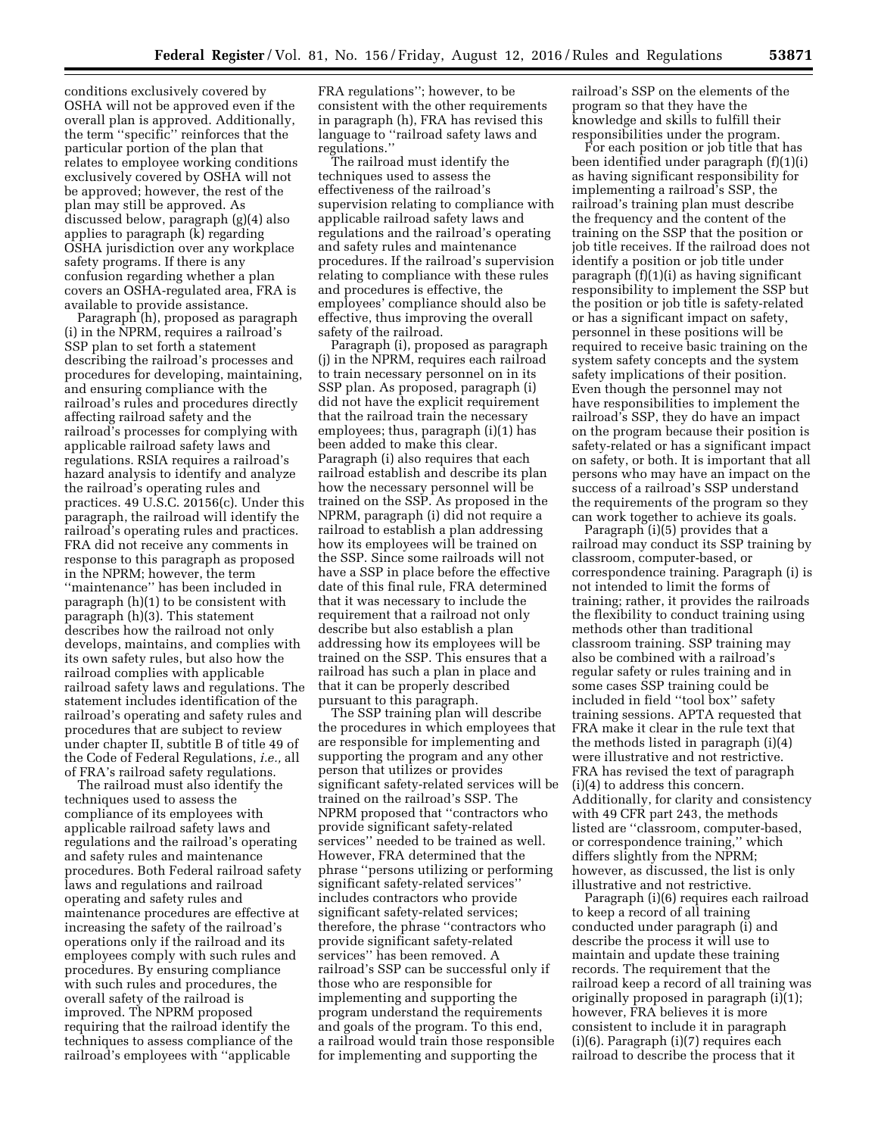conditions exclusively covered by OSHA will not be approved even if the overall plan is approved. Additionally, the term ''specific'' reinforces that the particular portion of the plan that relates to employee working conditions exclusively covered by OSHA will not be approved; however, the rest of the plan may still be approved. As discussed below, paragraph (g)(4) also applies to paragraph (k) regarding OSHA jurisdiction over any workplace safety programs. If there is any confusion regarding whether a plan covers an OSHA-regulated area, FRA is available to provide assistance.

Paragraph (h), proposed as paragraph (i) in the NPRM, requires a railroad's SSP plan to set forth a statement describing the railroad's processes and procedures for developing, maintaining, and ensuring compliance with the railroad's rules and procedures directly affecting railroad safety and the railroad's processes for complying with applicable railroad safety laws and regulations. RSIA requires a railroad's hazard analysis to identify and analyze the railroad's operating rules and practices. 49 U.S.C. 20156(c). Under this paragraph, the railroad will identify the railroad's operating rules and practices. FRA did not receive any comments in response to this paragraph as proposed in the NPRM; however, the term ''maintenance'' has been included in paragraph (h)(1) to be consistent with paragraph (h)(3). This statement describes how the railroad not only develops, maintains, and complies with its own safety rules, but also how the railroad complies with applicable railroad safety laws and regulations. The statement includes identification of the railroad's operating and safety rules and procedures that are subject to review under chapter II, subtitle B of title 49 of the Code of Federal Regulations, *i.e.,* all of FRA's railroad safety regulations.

The railroad must also identify the techniques used to assess the compliance of its employees with applicable railroad safety laws and regulations and the railroad's operating and safety rules and maintenance procedures. Both Federal railroad safety laws and regulations and railroad operating and safety rules and maintenance procedures are effective at increasing the safety of the railroad's operations only if the railroad and its employees comply with such rules and procedures. By ensuring compliance with such rules and procedures, the overall safety of the railroad is improved. The NPRM proposed requiring that the railroad identify the techniques to assess compliance of the railroad's employees with ''applicable

FRA regulations''; however, to be consistent with the other requirements in paragraph (h), FRA has revised this language to ''railroad safety laws and regulations.''

The railroad must identify the techniques used to assess the effectiveness of the railroad's supervision relating to compliance with applicable railroad safety laws and regulations and the railroad's operating and safety rules and maintenance procedures. If the railroad's supervision relating to compliance with these rules and procedures is effective, the employees' compliance should also be effective, thus improving the overall safety of the railroad.

Paragraph (i), proposed as paragraph (j) in the NPRM, requires each railroad to train necessary personnel on in its SSP plan. As proposed, paragraph (i) did not have the explicit requirement that the railroad train the necessary employees; thus, paragraph (i)(1) has been added to make this clear. Paragraph (i) also requires that each railroad establish and describe its plan how the necessary personnel will be trained on the SSP. As proposed in the NPRM, paragraph (i) did not require a railroad to establish a plan addressing how its employees will be trained on the SSP. Since some railroads will not have a SSP in place before the effective date of this final rule, FRA determined that it was necessary to include the requirement that a railroad not only describe but also establish a plan addressing how its employees will be trained on the SSP. This ensures that a railroad has such a plan in place and that it can be properly described pursuant to this paragraph.

The SSP training plan will describe the procedures in which employees that are responsible for implementing and supporting the program and any other person that utilizes or provides significant safety-related services will be trained on the railroad's SSP. The NPRM proposed that ''contractors who provide significant safety-related services'' needed to be trained as well. However, FRA determined that the phrase ''persons utilizing or performing significant safety-related services'' includes contractors who provide significant safety-related services; therefore, the phrase ''contractors who provide significant safety-related services'' has been removed. A railroad's SSP can be successful only if those who are responsible for implementing and supporting the program understand the requirements and goals of the program. To this end, a railroad would train those responsible for implementing and supporting the

railroad's SSP on the elements of the program so that they have the knowledge and skills to fulfill their responsibilities under the program.

For each position or job title that has been identified under paragraph (f)(1)(i) as having significant responsibility for implementing a railroad's SSP, the railroad's training plan must describe the frequency and the content of the training on the SSP that the position or job title receives. If the railroad does not identify a position or job title under paragraph (f)(1)(i) as having significant responsibility to implement the SSP but the position or job title is safety-related or has a significant impact on safety, personnel in these positions will be required to receive basic training on the system safety concepts and the system safety implications of their position. Even though the personnel may not have responsibilities to implement the railroad's SSP, they do have an impact on the program because their position is safety-related or has a significant impact on safety, or both. It is important that all persons who may have an impact on the success of a railroad's SSP understand the requirements of the program so they can work together to achieve its goals.

Paragraph (i)(5) provides that a railroad may conduct its SSP training by classroom, computer-based, or correspondence training. Paragraph (i) is not intended to limit the forms of training; rather, it provides the railroads the flexibility to conduct training using methods other than traditional classroom training. SSP training may also be combined with a railroad's regular safety or rules training and in some cases SSP training could be included in field ''tool box'' safety training sessions. APTA requested that FRA make it clear in the rule text that the methods listed in paragraph (i)(4) were illustrative and not restrictive. FRA has revised the text of paragraph (i)(4) to address this concern. Additionally, for clarity and consistency with 49 CFR part 243, the methods listed are ''classroom, computer-based, or correspondence training,'' which differs slightly from the NPRM; however, as discussed, the list is only illustrative and not restrictive.

Paragraph (i)(6) requires each railroad to keep a record of all training conducted under paragraph (i) and describe the process it will use to maintain and update these training records. The requirement that the railroad keep a record of all training was originally proposed in paragraph (i)(1); however, FRA believes it is more consistent to include it in paragraph (i)(6). Paragraph (i)(7) requires each railroad to describe the process that it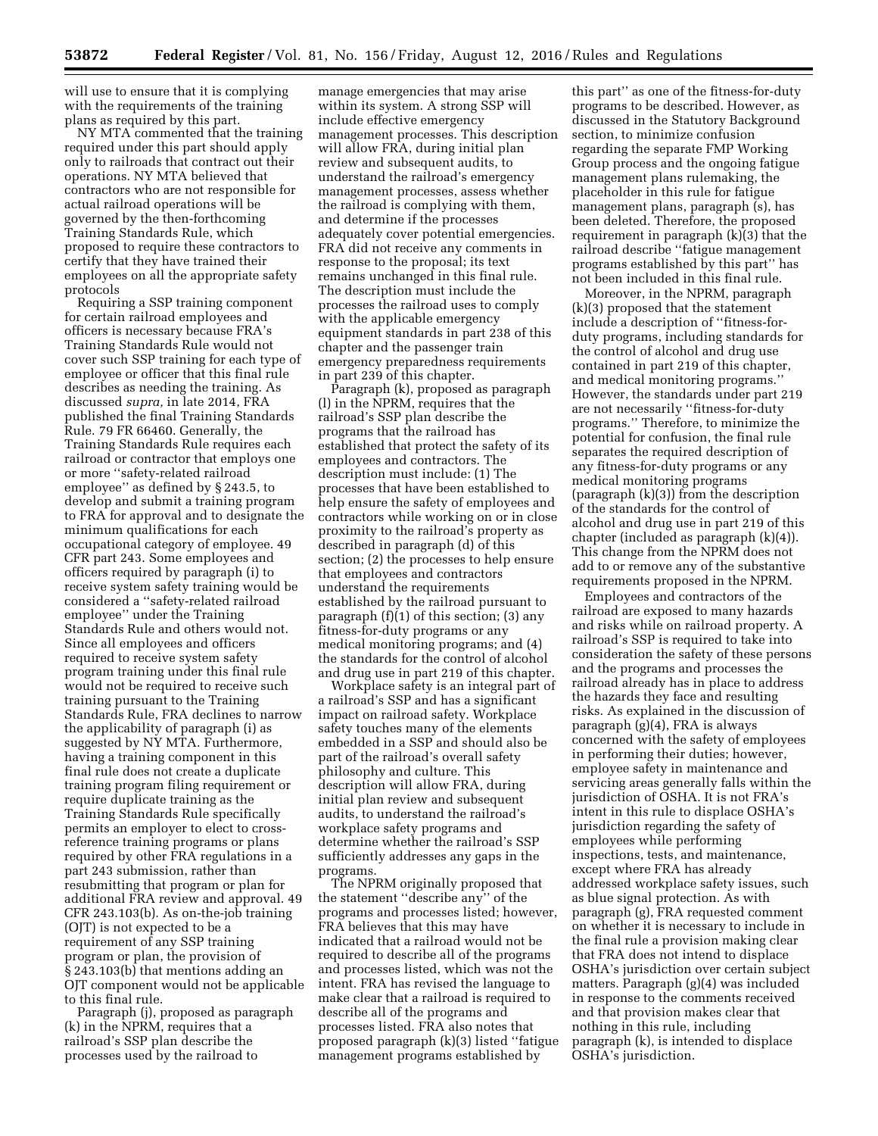will use to ensure that it is complying with the requirements of the training plans as required by this part.

NY MTA commented that the training required under this part should apply only to railroads that contract out their operations. NY MTA believed that contractors who are not responsible for actual railroad operations will be governed by the then-forthcoming Training Standards Rule, which proposed to require these contractors to certify that they have trained their employees on all the appropriate safety protocols

Requiring a SSP training component for certain railroad employees and officers is necessary because FRA's Training Standards Rule would not cover such SSP training for each type of employee or officer that this final rule describes as needing the training. As discussed *supra,* in late 2014, FRA published the final Training Standards Rule. 79 FR 66460. Generally, the Training Standards Rule requires each railroad or contractor that employs one or more ''safety-related railroad employee'' as defined by § 243.5, to develop and submit a training program to FRA for approval and to designate the minimum qualifications for each occupational category of employee. 49 CFR part 243. Some employees and officers required by paragraph (i) to receive system safety training would be considered a ''safety-related railroad employee'' under the Training Standards Rule and others would not. Since all employees and officers required to receive system safety program training under this final rule would not be required to receive such training pursuant to the Training Standards Rule, FRA declines to narrow the applicability of paragraph (i) as suggested by NY MTA. Furthermore, having a training component in this final rule does not create a duplicate training program filing requirement or require duplicate training as the Training Standards Rule specifically permits an employer to elect to crossreference training programs or plans required by other FRA regulations in a part 243 submission, rather than resubmitting that program or plan for additional FRA review and approval. 49 CFR 243.103(b). As on-the-job training (OJT) is not expected to be a requirement of any SSP training program or plan, the provision of § 243.103(b) that mentions adding an OJT component would not be applicable to this final rule.

Paragraph (j), proposed as paragraph (k) in the NPRM, requires that a railroad's SSP plan describe the processes used by the railroad to

manage emergencies that may arise within its system. A strong SSP will include effective emergency management processes. This description will allow FRA, during initial plan review and subsequent audits, to understand the railroad's emergency management processes, assess whether the railroad is complying with them, and determine if the processes adequately cover potential emergencies. FRA did not receive any comments in response to the proposal; its text remains unchanged in this final rule. The description must include the processes the railroad uses to comply with the applicable emergency equipment standards in part 238 of this chapter and the passenger train emergency preparedness requirements in part 239 of this chapter.

Paragraph (k), proposed as paragraph (l) in the NPRM, requires that the railroad's SSP plan describe the programs that the railroad has established that protect the safety of its employees and contractors. The description must include: (1) The processes that have been established to help ensure the safety of employees and contractors while working on or in close proximity to the railroad's property as described in paragraph (d) of this section; (2) the processes to help ensure that employees and contractors understand the requirements established by the railroad pursuant to paragraph (f)(1) of this section; (3) any fitness-for-duty programs or any medical monitoring programs; and (4) the standards for the control of alcohol and drug use in part 219 of this chapter.

Workplace safety is an integral part of a railroad's SSP and has a significant impact on railroad safety. Workplace safety touches many of the elements embedded in a SSP and should also be part of the railroad's overall safety philosophy and culture. This description will allow FRA, during initial plan review and subsequent audits, to understand the railroad's workplace safety programs and determine whether the railroad's SSP sufficiently addresses any gaps in the programs.

The NPRM originally proposed that the statement ''describe any'' of the programs and processes listed; however, FRA believes that this may have indicated that a railroad would not be required to describe all of the programs and processes listed, which was not the intent. FRA has revised the language to make clear that a railroad is required to describe all of the programs and processes listed. FRA also notes that proposed paragraph (k)(3) listed ''fatigue management programs established by

this part'' as one of the fitness-for-duty programs to be described. However, as discussed in the Statutory Background section, to minimize confusion regarding the separate FMP Working Group process and the ongoing fatigue management plans rulemaking, the placeholder in this rule for fatigue management plans, paragraph (s), has been deleted. Therefore, the proposed requirement in paragraph  $(k)(3)$  that the railroad describe ''fatigue management programs established by this part'' has not been included in this final rule.

Moreover, in the NPRM, paragraph (k)(3) proposed that the statement include a description of ''fitness-forduty programs, including standards for the control of alcohol and drug use contained in part 219 of this chapter, and medical monitoring programs.'' However, the standards under part 219 are not necessarily ''fitness-for-duty programs.'' Therefore, to minimize the potential for confusion, the final rule separates the required description of any fitness-for-duty programs or any medical monitoring programs (paragraph (k)(3)) from the description of the standards for the control of alcohol and drug use in part 219 of this chapter (included as paragraph (k)(4)). This change from the NPRM does not add to or remove any of the substantive requirements proposed in the NPRM.

Employees and contractors of the railroad are exposed to many hazards and risks while on railroad property. A railroad's SSP is required to take into consideration the safety of these persons and the programs and processes the railroad already has in place to address the hazards they face and resulting risks. As explained in the discussion of paragraph (g)(4), FRA is always concerned with the safety of employees in performing their duties; however, employee safety in maintenance and servicing areas generally falls within the jurisdiction of OSHA. It is not FRA's intent in this rule to displace OSHA's jurisdiction regarding the safety of employees while performing inspections, tests, and maintenance, except where FRA has already addressed workplace safety issues, such as blue signal protection. As with paragraph (g), FRA requested comment on whether it is necessary to include in the final rule a provision making clear that FRA does not intend to displace OSHA's jurisdiction over certain subject matters. Paragraph (g)(4) was included in response to the comments received and that provision makes clear that nothing in this rule, including paragraph (k), is intended to displace OSHA's jurisdiction.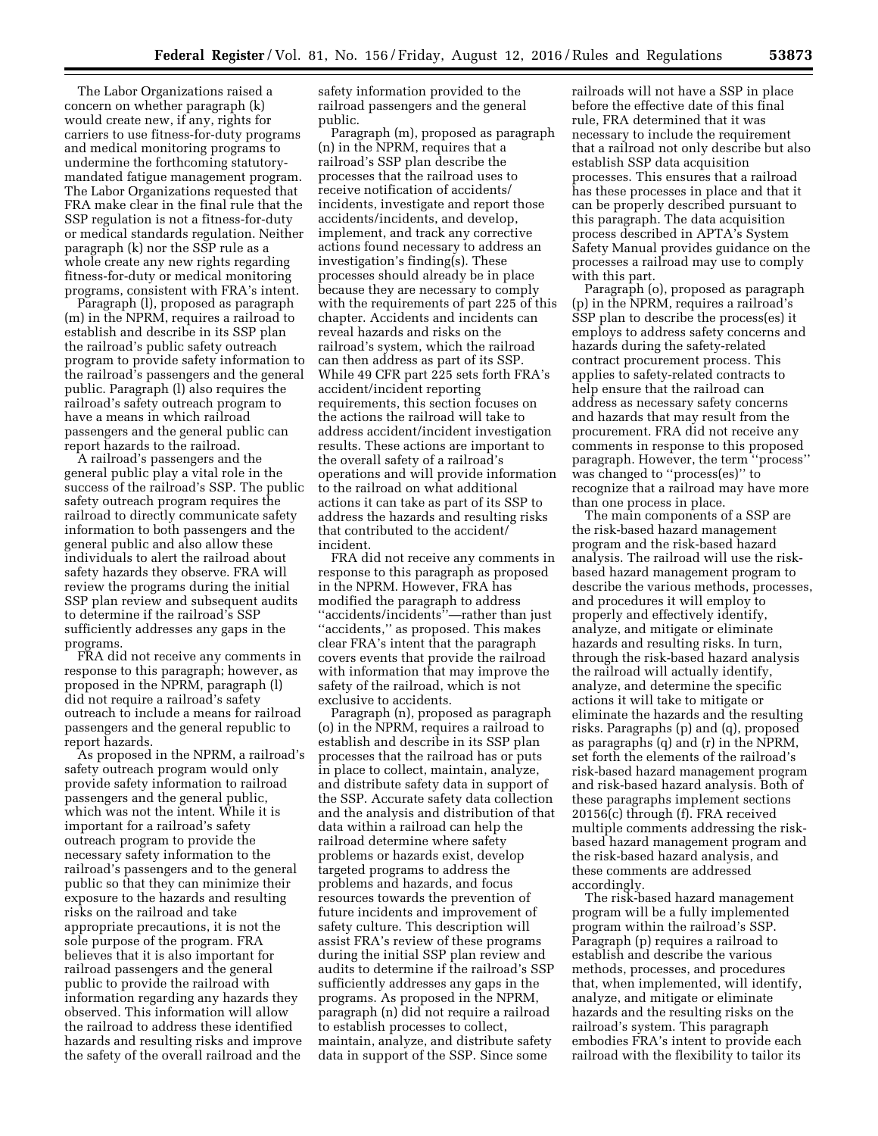The Labor Organizations raised a concern on whether paragraph (k) would create new, if any, rights for carriers to use fitness-for-duty programs and medical monitoring programs to undermine the forthcoming statutorymandated fatigue management program. The Labor Organizations requested that FRA make clear in the final rule that the SSP regulation is not a fitness-for-duty or medical standards regulation. Neither paragraph (k) nor the SSP rule as a whole create any new rights regarding fitness-for-duty or medical monitoring programs, consistent with FRA's intent.

Paragraph (l), proposed as paragraph (m) in the NPRM, requires a railroad to establish and describe in its SSP plan the railroad's public safety outreach program to provide safety information to the railroad's passengers and the general public. Paragraph (l) also requires the railroad's safety outreach program to have a means in which railroad passengers and the general public can report hazards to the railroad.

A railroad's passengers and the general public play a vital role in the success of the railroad's SSP. The public safety outreach program requires the railroad to directly communicate safety information to both passengers and the general public and also allow these individuals to alert the railroad about safety hazards they observe. FRA will review the programs during the initial SSP plan review and subsequent audits to determine if the railroad's SSP sufficiently addresses any gaps in the programs.

FRA did not receive any comments in response to this paragraph; however, as proposed in the NPRM, paragraph (l) did not require a railroad's safety outreach to include a means for railroad passengers and the general republic to report hazards.

As proposed in the NPRM, a railroad's safety outreach program would only provide safety information to railroad passengers and the general public, which was not the intent. While it is important for a railroad's safety outreach program to provide the necessary safety information to the railroad's passengers and to the general public so that they can minimize their exposure to the hazards and resulting risks on the railroad and take appropriate precautions, it is not the sole purpose of the program. FRA believes that it is also important for railroad passengers and the general public to provide the railroad with information regarding any hazards they observed. This information will allow the railroad to address these identified hazards and resulting risks and improve the safety of the overall railroad and the

safety information provided to the railroad passengers and the general public.

Paragraph (m), proposed as paragraph (n) in the NPRM, requires that a railroad's SSP plan describe the processes that the railroad uses to receive notification of accidents/ incidents, investigate and report those accidents/incidents, and develop, implement, and track any corrective actions found necessary to address an investigation's finding(s). These processes should already be in place because they are necessary to comply with the requirements of part 225 of this chapter. Accidents and incidents can reveal hazards and risks on the railroad's system, which the railroad can then address as part of its SSP. While 49 CFR part 225 sets forth FRA's accident/incident reporting requirements, this section focuses on the actions the railroad will take to address accident/incident investigation results. These actions are important to the overall safety of a railroad's operations and will provide information to the railroad on what additional actions it can take as part of its SSP to address the hazards and resulting risks that contributed to the accident/ incident.

FRA did not receive any comments in response to this paragraph as proposed in the NPRM. However, FRA has modified the paragraph to address ''accidents/incidents''—rather than just ''accidents,'' as proposed. This makes clear FRA's intent that the paragraph covers events that provide the railroad with information that may improve the safety of the railroad, which is not exclusive to accidents.

Paragraph (n), proposed as paragraph (o) in the NPRM, requires a railroad to establish and describe in its SSP plan processes that the railroad has or puts in place to collect, maintain, analyze, and distribute safety data in support of the SSP. Accurate safety data collection and the analysis and distribution of that data within a railroad can help the railroad determine where safety problems or hazards exist, develop targeted programs to address the problems and hazards, and focus resources towards the prevention of future incidents and improvement of safety culture. This description will assist FRA's review of these programs during the initial SSP plan review and audits to determine if the railroad's SSP sufficiently addresses any gaps in the programs. As proposed in the NPRM, paragraph (n) did not require a railroad to establish processes to collect, maintain, analyze, and distribute safety data in support of the SSP. Since some

railroads will not have a SSP in place before the effective date of this final rule, FRA determined that it was necessary to include the requirement that a railroad not only describe but also establish SSP data acquisition processes. This ensures that a railroad has these processes in place and that it can be properly described pursuant to this paragraph. The data acquisition process described in APTA's System Safety Manual provides guidance on the processes a railroad may use to comply with this part.

Paragraph (o), proposed as paragraph (p) in the NPRM, requires a railroad's SSP plan to describe the process(es) it employs to address safety concerns and hazards during the safety-related contract procurement process. This applies to safety-related contracts to help ensure that the railroad can address as necessary safety concerns and hazards that may result from the procurement. FRA did not receive any comments in response to this proposed paragraph. However, the term ''process'' was changed to ''process(es)'' to recognize that a railroad may have more than one process in place.

The main components of a SSP are the risk-based hazard management program and the risk-based hazard analysis. The railroad will use the riskbased hazard management program to describe the various methods, processes, and procedures it will employ to properly and effectively identify, analyze, and mitigate or eliminate hazards and resulting risks. In turn, through the risk-based hazard analysis the railroad will actually identify, analyze, and determine the specific actions it will take to mitigate or eliminate the hazards and the resulting risks. Paragraphs (p) and (q), proposed as paragraphs (q) and (r) in the NPRM, set forth the elements of the railroad's risk-based hazard management program and risk-based hazard analysis. Both of these paragraphs implement sections 20156(c) through (f). FRA received multiple comments addressing the riskbased hazard management program and the risk-based hazard analysis, and these comments are addressed accordingly.

The risk-based hazard management program will be a fully implemented program within the railroad's SSP. Paragraph (p) requires a railroad to establish and describe the various methods, processes, and procedures that, when implemented, will identify, analyze, and mitigate or eliminate hazards and the resulting risks on the railroad's system. This paragraph embodies FRA's intent to provide each railroad with the flexibility to tailor its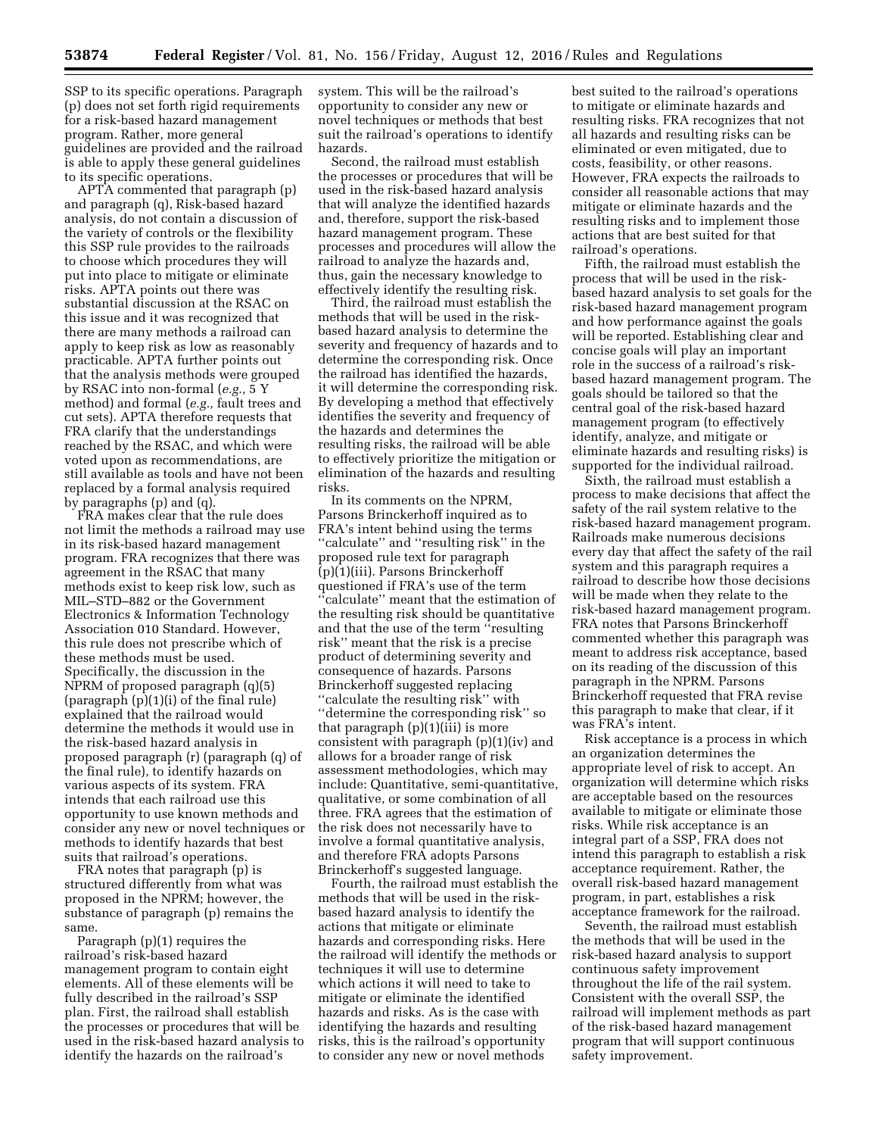SSP to its specific operations. Paragraph (p) does not set forth rigid requirements for a risk-based hazard management program. Rather, more general guidelines are provided and the railroad is able to apply these general guidelines to its specific operations.

APTA commented that paragraph (p) and paragraph (q), Risk-based hazard analysis, do not contain a discussion of the variety of controls or the flexibility this SSP rule provides to the railroads to choose which procedures they will put into place to mitigate or eliminate risks. APTA points out there was substantial discussion at the RSAC on this issue and it was recognized that there are many methods a railroad can apply to keep risk as low as reasonably practicable. APTA further points out that the analysis methods were grouped by RSAC into non-formal (*e.g.,* 5 Y method) and formal (*e.g.,* fault trees and cut sets). APTA therefore requests that FRA clarify that the understandings reached by the RSAC, and which were voted upon as recommendations, are still available as tools and have not been replaced by a formal analysis required by paragraphs (p) and (q).

FRA makes clear that the rule does not limit the methods a railroad may use in its risk-based hazard management program. FRA recognizes that there was agreement in the RSAC that many methods exist to keep risk low, such as MIL–STD–882 or the Government Electronics & Information Technology Association 010 Standard. However, this rule does not prescribe which of these methods must be used. Specifically, the discussion in the NPRM of proposed paragraph (q)(5) (paragraph (p)(1)(i) of the final rule) explained that the railroad would determine the methods it would use in the risk-based hazard analysis in proposed paragraph (r) (paragraph (q) of the final rule), to identify hazards on various aspects of its system. FRA intends that each railroad use this opportunity to use known methods and consider any new or novel techniques or methods to identify hazards that best suits that railroad's operations.

FRA notes that paragraph (p) is structured differently from what was proposed in the NPRM; however, the substance of paragraph (p) remains the same.

Paragraph (p)(1) requires the railroad's risk-based hazard management program to contain eight elements. All of these elements will be fully described in the railroad's SSP plan. First, the railroad shall establish the processes or procedures that will be used in the risk-based hazard analysis to identify the hazards on the railroad's

system. This will be the railroad's opportunity to consider any new or novel techniques or methods that best suit the railroad's operations to identify hazards.

Second, the railroad must establish the processes or procedures that will be used in the risk-based hazard analysis that will analyze the identified hazards and, therefore, support the risk-based hazard management program. These processes and procedures will allow the railroad to analyze the hazards and, thus, gain the necessary knowledge to effectively identify the resulting risk.

Third, the railroad must establish the methods that will be used in the riskbased hazard analysis to determine the severity and frequency of hazards and to determine the corresponding risk. Once the railroad has identified the hazards, it will determine the corresponding risk. By developing a method that effectively identifies the severity and frequency of the hazards and determines the resulting risks, the railroad will be able to effectively prioritize the mitigation or elimination of the hazards and resulting risks.

In its comments on the NPRM, Parsons Brinckerhoff inquired as to FRA's intent behind using the terms "calculate" and "resulting risk" in the proposed rule text for paragraph (p)(1)(iii). Parsons Brinckerhoff questioned if FRA's use of the term ''calculate'' meant that the estimation of the resulting risk should be quantitative and that the use of the term ''resulting risk'' meant that the risk is a precise product of determining severity and consequence of hazards. Parsons Brinckerhoff suggested replacing ''calculate the resulting risk'' with ''determine the corresponding risk'' so that paragraph  $(p)(1)(iii)$  is more consistent with paragraph (p)(1)(iv) and allows for a broader range of risk assessment methodologies, which may include: Quantitative, semi-quantitative, qualitative, or some combination of all three. FRA agrees that the estimation of the risk does not necessarily have to involve a formal quantitative analysis, and therefore FRA adopts Parsons Brinckerhoff's suggested language.

Fourth, the railroad must establish the methods that will be used in the riskbased hazard analysis to identify the actions that mitigate or eliminate hazards and corresponding risks. Here the railroad will identify the methods or techniques it will use to determine which actions it will need to take to mitigate or eliminate the identified hazards and risks. As is the case with identifying the hazards and resulting risks, this is the railroad's opportunity to consider any new or novel methods

best suited to the railroad's operations to mitigate or eliminate hazards and resulting risks. FRA recognizes that not all hazards and resulting risks can be eliminated or even mitigated, due to costs, feasibility, or other reasons. However, FRA expects the railroads to consider all reasonable actions that may mitigate or eliminate hazards and the resulting risks and to implement those actions that are best suited for that railroad's operations.

Fifth, the railroad must establish the process that will be used in the riskbased hazard analysis to set goals for the risk-based hazard management program and how performance against the goals will be reported. Establishing clear and concise goals will play an important role in the success of a railroad's riskbased hazard management program. The goals should be tailored so that the central goal of the risk-based hazard management program (to effectively identify, analyze, and mitigate or eliminate hazards and resulting risks) is supported for the individual railroad.

Sixth, the railroad must establish a process to make decisions that affect the safety of the rail system relative to the risk-based hazard management program. Railroads make numerous decisions every day that affect the safety of the rail system and this paragraph requires a railroad to describe how those decisions will be made when they relate to the risk-based hazard management program. FRA notes that Parsons Brinckerhoff commented whether this paragraph was meant to address risk acceptance, based on its reading of the discussion of this paragraph in the NPRM. Parsons Brinckerhoff requested that FRA revise this paragraph to make that clear, if it was FRA's intent.

Risk acceptance is a process in which an organization determines the appropriate level of risk to accept. An organization will determine which risks are acceptable based on the resources available to mitigate or eliminate those risks. While risk acceptance is an integral part of a SSP, FRA does not intend this paragraph to establish a risk acceptance requirement. Rather, the overall risk-based hazard management program, in part, establishes a risk acceptance framework for the railroad.

Seventh, the railroad must establish the methods that will be used in the risk-based hazard analysis to support continuous safety improvement throughout the life of the rail system. Consistent with the overall SSP, the railroad will implement methods as part of the risk-based hazard management program that will support continuous safety improvement.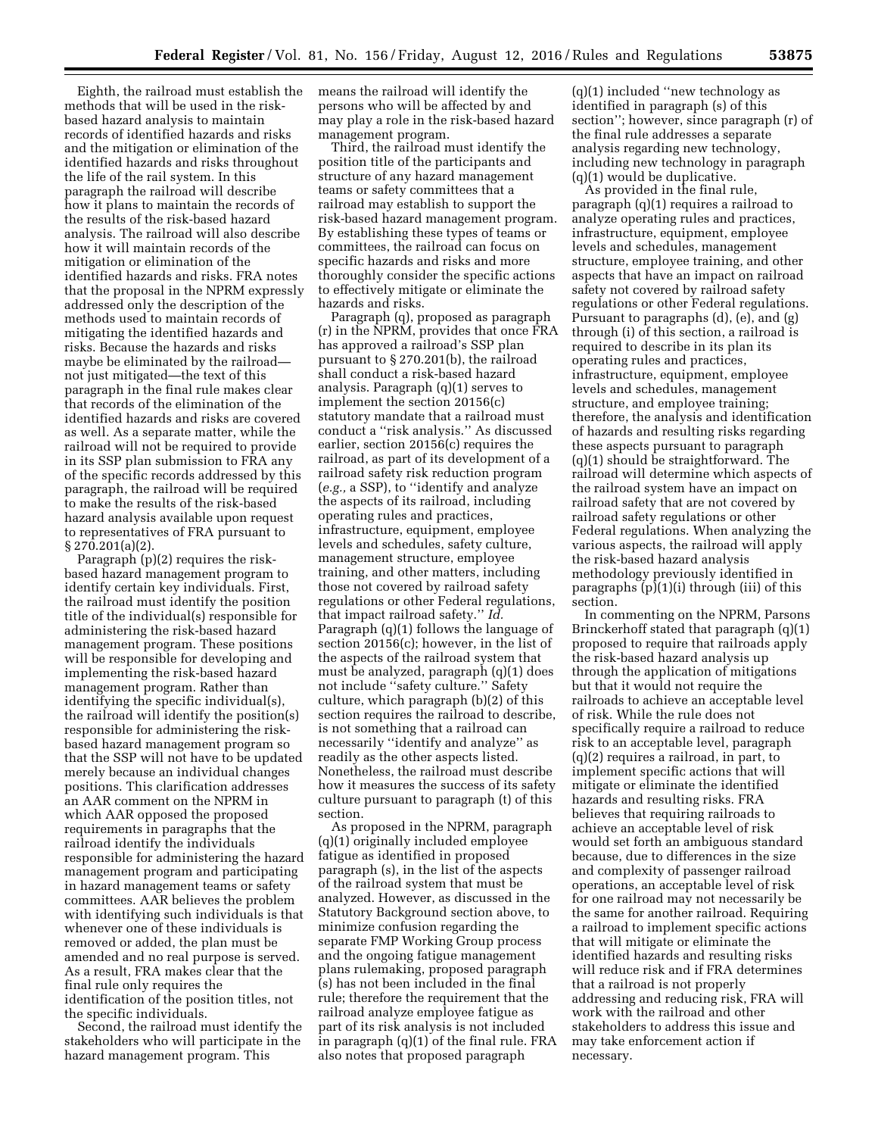Eighth, the railroad must establish the methods that will be used in the riskbased hazard analysis to maintain records of identified hazards and risks and the mitigation or elimination of the identified hazards and risks throughout the life of the rail system. In this paragraph the railroad will describe how it plans to maintain the records of the results of the risk-based hazard analysis. The railroad will also describe how it will maintain records of the mitigation or elimination of the identified hazards and risks. FRA notes that the proposal in the NPRM expressly addressed only the description of the methods used to maintain records of mitigating the identified hazards and risks. Because the hazards and risks maybe be eliminated by the railroad not just mitigated—the text of this paragraph in the final rule makes clear that records of the elimination of the identified hazards and risks are covered as well. As a separate matter, while the railroad will not be required to provide in its SSP plan submission to FRA any of the specific records addressed by this paragraph, the railroad will be required to make the results of the risk-based hazard analysis available upon request to representatives of FRA pursuant to § 270.201(a)(2).

Paragraph (p)(2) requires the riskbased hazard management program to identify certain key individuals. First, the railroad must identify the position title of the individual(s) responsible for administering the risk-based hazard management program. These positions will be responsible for developing and implementing the risk-based hazard management program. Rather than identifying the specific individual(s), the railroad will identify the position(s) responsible for administering the riskbased hazard management program so that the SSP will not have to be updated merely because an individual changes positions. This clarification addresses an AAR comment on the NPRM in which AAR opposed the proposed requirements in paragraphs that the railroad identify the individuals responsible for administering the hazard management program and participating in hazard management teams or safety committees. AAR believes the problem with identifying such individuals is that whenever one of these individuals is removed or added, the plan must be amended and no real purpose is served. As a result, FRA makes clear that the final rule only requires the identification of the position titles, not the specific individuals.

Second, the railroad must identify the stakeholders who will participate in the hazard management program. This

means the railroad will identify the persons who will be affected by and may play a role in the risk-based hazard management program.

Third, the railroad must identify the position title of the participants and structure of any hazard management teams or safety committees that a railroad may establish to support the risk-based hazard management program. By establishing these types of teams or committees, the railroad can focus on specific hazards and risks and more thoroughly consider the specific actions to effectively mitigate or eliminate the hazards and risks.

Paragraph (q), proposed as paragraph (r) in the NPRM, provides that once FRA has approved a railroad's SSP plan pursuant to § 270.201(b), the railroad shall conduct a risk-based hazard analysis. Paragraph (q)(1) serves to implement the section 20156(c) statutory mandate that a railroad must conduct a ''risk analysis.'' As discussed earlier, section 20156(c) requires the railroad, as part of its development of a railroad safety risk reduction program (*e.g.,* a SSP), to ''identify and analyze the aspects of its railroad, including operating rules and practices, infrastructure, equipment, employee levels and schedules, safety culture, management structure, employee training, and other matters, including those not covered by railroad safety regulations or other Federal regulations, that impact railroad safety.'' *Id.*  Paragraph (q)(1) follows the language of section 20156(c); however, in the list of the aspects of the railroad system that must be analyzed, paragraph (q)(1) does not include ''safety culture.'' Safety culture, which paragraph (b)(2) of this section requires the railroad to describe, is not something that a railroad can necessarily ''identify and analyze'' as readily as the other aspects listed. Nonetheless, the railroad must describe how it measures the success of its safety culture pursuant to paragraph (t) of this section.

As proposed in the NPRM, paragraph (q)(1) originally included employee fatigue as identified in proposed paragraph (s), in the list of the aspects of the railroad system that must be analyzed. However, as discussed in the Statutory Background section above, to minimize confusion regarding the separate FMP Working Group process and the ongoing fatigue management plans rulemaking, proposed paragraph (s) has not been included in the final rule; therefore the requirement that the railroad analyze employee fatigue as part of its risk analysis is not included in paragraph (q)(1) of the final rule. FRA also notes that proposed paragraph

(q)(1) included ''new technology as identified in paragraph (s) of this section''; however, since paragraph (r) of the final rule addresses a separate analysis regarding new technology, including new technology in paragraph (q)(1) would be duplicative.

As provided in the final rule, paragraph (q)(1) requires a railroad to analyze operating rules and practices, infrastructure, equipment, employee levels and schedules, management structure, employee training, and other aspects that have an impact on railroad safety not covered by railroad safety regulations or other Federal regulations. Pursuant to paragraphs (d), (e), and (g) through (i) of this section, a railroad is required to describe in its plan its operating rules and practices, infrastructure, equipment, employee levels and schedules, management structure, and employee training; therefore, the analysis and identification of hazards and resulting risks regarding these aspects pursuant to paragraph (q)(1) should be straightforward. The railroad will determine which aspects of the railroad system have an impact on railroad safety that are not covered by railroad safety regulations or other Federal regulations. When analyzing the various aspects, the railroad will apply the risk-based hazard analysis methodology previously identified in paragraphs (p)(1)(i) through (iii) of this section.

In commenting on the NPRM, Parsons Brinckerhoff stated that paragraph (q)(1) proposed to require that railroads apply the risk-based hazard analysis up through the application of mitigations but that it would not require the railroads to achieve an acceptable level of risk. While the rule does not specifically require a railroad to reduce risk to an acceptable level, paragraph (q)(2) requires a railroad, in part, to implement specific actions that will mitigate or eliminate the identified hazards and resulting risks. FRA believes that requiring railroads to achieve an acceptable level of risk would set forth an ambiguous standard because, due to differences in the size and complexity of passenger railroad operations, an acceptable level of risk for one railroad may not necessarily be the same for another railroad. Requiring a railroad to implement specific actions that will mitigate or eliminate the identified hazards and resulting risks will reduce risk and if FRA determines that a railroad is not properly addressing and reducing risk, FRA will work with the railroad and other stakeholders to address this issue and may take enforcement action if necessary.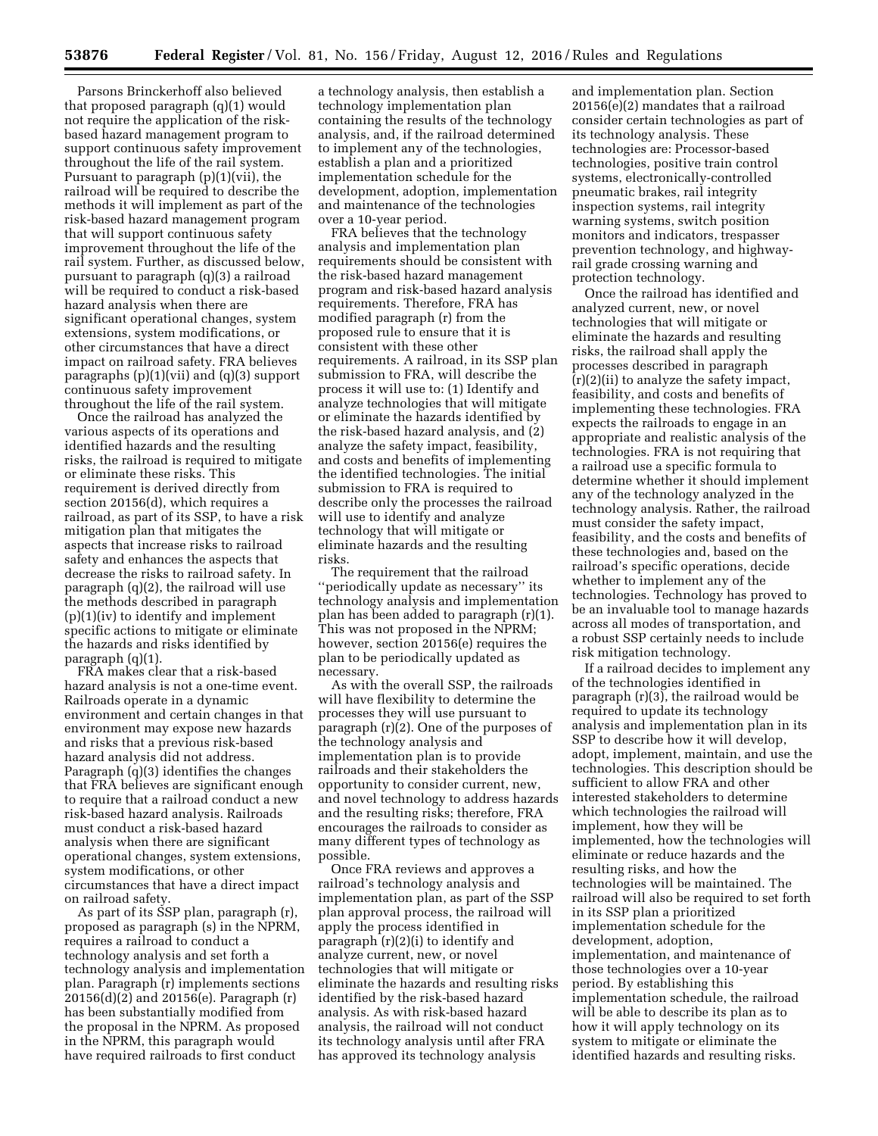Parsons Brinckerhoff also believed that proposed paragraph (q)(1) would not require the application of the riskbased hazard management program to support continuous safety improvement throughout the life of the rail system. Pursuant to paragraph (p)(1)(vii), the railroad will be required to describe the methods it will implement as part of the risk-based hazard management program that will support continuous safety improvement throughout the life of the rail system. Further, as discussed below, pursuant to paragraph (q)(3) a railroad will be required to conduct a risk-based hazard analysis when there are significant operational changes, system extensions, system modifications, or other circumstances that have a direct impact on railroad safety. FRA believes paragraphs (p)(1)(vii) and (q)(3) support continuous safety improvement throughout the life of the rail system.

Once the railroad has analyzed the various aspects of its operations and identified hazards and the resulting risks, the railroad is required to mitigate or eliminate these risks. This requirement is derived directly from section 20156(d), which requires a railroad, as part of its SSP, to have a risk mitigation plan that mitigates the aspects that increase risks to railroad safety and enhances the aspects that decrease the risks to railroad safety. In paragraph (q)(2), the railroad will use the methods described in paragraph (p)(1)(iv) to identify and implement specific actions to mitigate or eliminate the hazards and risks identified by paragraph (q)(1).

FRA makes clear that a risk-based hazard analysis is not a one-time event. Railroads operate in a dynamic environment and certain changes in that environment may expose new hazards and risks that a previous risk-based hazard analysis did not address. Paragraph (q)(3) identifies the changes that FRA believes are significant enough to require that a railroad conduct a new risk-based hazard analysis. Railroads must conduct a risk-based hazard analysis when there are significant operational changes, system extensions, system modifications, or other circumstances that have a direct impact on railroad safety.

As part of its SSP plan, paragraph (r), proposed as paragraph (s) in the NPRM, requires a railroad to conduct a technology analysis and set forth a technology analysis and implementation plan. Paragraph (r) implements sections 20156(d)(2) and 20156(e). Paragraph (r) has been substantially modified from the proposal in the NPRM. As proposed in the NPRM, this paragraph would have required railroads to first conduct

a technology analysis, then establish a technology implementation plan containing the results of the technology analysis, and, if the railroad determined to implement any of the technologies, establish a plan and a prioritized implementation schedule for the development, adoption, implementation and maintenance of the technologies over a 10-year period.

FRA believes that the technology analysis and implementation plan requirements should be consistent with the risk-based hazard management program and risk-based hazard analysis requirements. Therefore, FRA has modified paragraph (r) from the proposed rule to ensure that it is consistent with these other requirements. A railroad, in its SSP plan submission to FRA, will describe the process it will use to: (1) Identify and analyze technologies that will mitigate or eliminate the hazards identified by the risk-based hazard analysis, and (2) analyze the safety impact, feasibility, and costs and benefits of implementing the identified technologies. The initial submission to FRA is required to describe only the processes the railroad will use to identify and analyze technology that will mitigate or eliminate hazards and the resulting risks.

The requirement that the railroad ''periodically update as necessary'' its technology analysis and implementation plan has been added to paragraph (r)(1). This was not proposed in the NPRM; however, section 20156(e) requires the plan to be periodically updated as necessary.

As with the overall SSP, the railroads will have flexibility to determine the processes they will use pursuant to paragraph (r)(2). One of the purposes of the technology analysis and implementation plan is to provide railroads and their stakeholders the opportunity to consider current, new, and novel technology to address hazards and the resulting risks; therefore, FRA encourages the railroads to consider as many different types of technology as possible.

Once FRA reviews and approves a railroad's technology analysis and implementation plan, as part of the SSP plan approval process, the railroad will apply the process identified in paragraph (r)(2)(i) to identify and analyze current, new, or novel technologies that will mitigate or eliminate the hazards and resulting risks identified by the risk-based hazard analysis. As with risk-based hazard analysis, the railroad will not conduct its technology analysis until after FRA has approved its technology analysis

and implementation plan. Section 20156(e)(2) mandates that a railroad consider certain technologies as part of its technology analysis. These technologies are: Processor-based technologies, positive train control systems, electronically-controlled pneumatic brakes, rail integrity inspection systems, rail integrity warning systems, switch position monitors and indicators, trespasser prevention technology, and highwayrail grade crossing warning and protection technology.

Once the railroad has identified and analyzed current, new, or novel technologies that will mitigate or eliminate the hazards and resulting risks, the railroad shall apply the processes described in paragraph (r)(2)(ii) to analyze the safety impact, feasibility, and costs and benefits of implementing these technologies. FRA expects the railroads to engage in an appropriate and realistic analysis of the technologies. FRA is not requiring that a railroad use a specific formula to determine whether it should implement any of the technology analyzed in the technology analysis. Rather, the railroad must consider the safety impact, feasibility, and the costs and benefits of these technologies and, based on the railroad's specific operations, decide whether to implement any of the technologies. Technology has proved to be an invaluable tool to manage hazards across all modes of transportation, and a robust SSP certainly needs to include risk mitigation technology.

If a railroad decides to implement any of the technologies identified in paragraph (r)(3), the railroad would be required to update its technology analysis and implementation plan in its SSP to describe how it will develop, adopt, implement, maintain, and use the technologies. This description should be sufficient to allow FRA and other interested stakeholders to determine which technologies the railroad will implement, how they will be implemented, how the technologies will eliminate or reduce hazards and the resulting risks, and how the technologies will be maintained. The railroad will also be required to set forth in its SSP plan a prioritized implementation schedule for the development, adoption, implementation, and maintenance of those technologies over a 10-year period. By establishing this implementation schedule, the railroad will be able to describe its plan as to how it will apply technology on its system to mitigate or eliminate the identified hazards and resulting risks.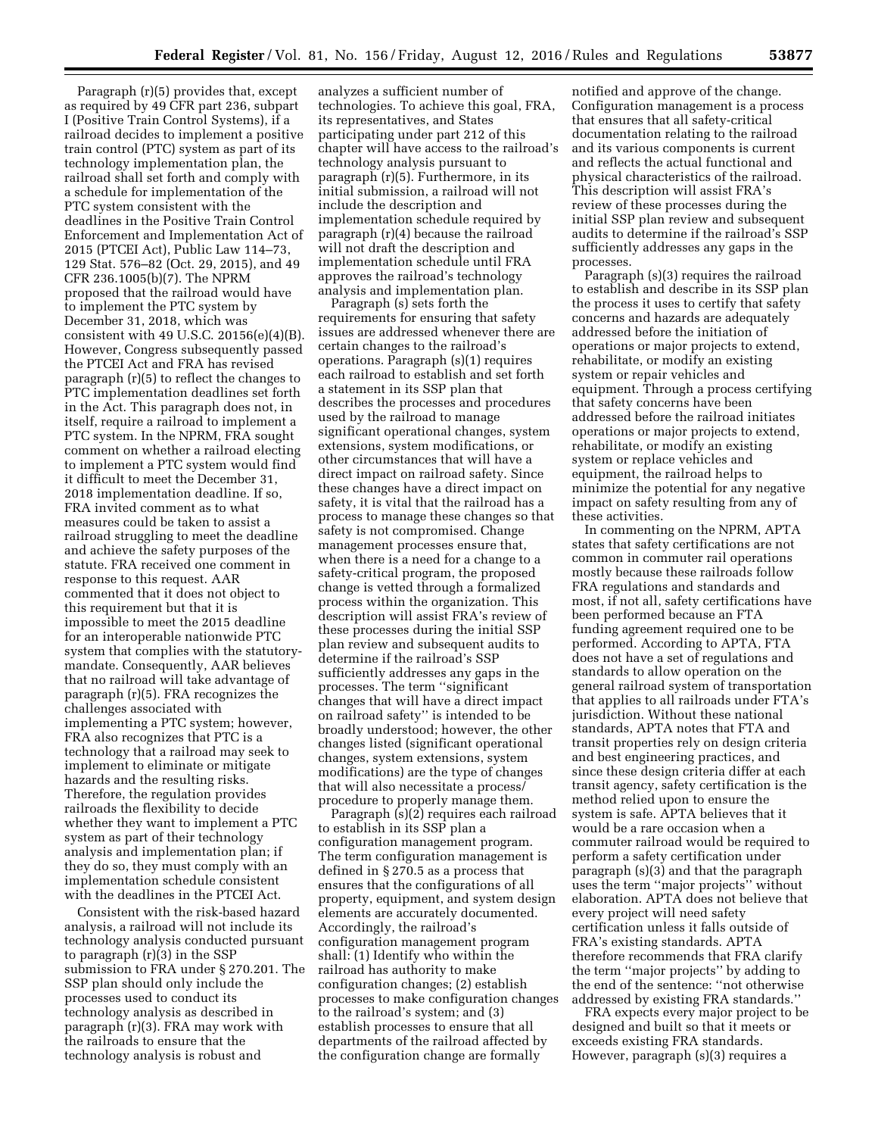Paragraph (r)(5) provides that, except as required by 49 CFR part 236, subpart I (Positive Train Control Systems), if a railroad decides to implement a positive train control (PTC) system as part of its technology implementation plan, the railroad shall set forth and comply with a schedule for implementation of the PTC system consistent with the deadlines in the Positive Train Control Enforcement and Implementation Act of 2015 (PTCEI Act), Public Law 114–73, 129 Stat. 576–82 (Oct. 29, 2015), and 49 CFR 236.1005(b)(7). The NPRM proposed that the railroad would have to implement the PTC system by December 31, 2018, which was consistent with 49 U.S.C. 20156(e)(4)(B). However, Congress subsequently passed the PTCEI Act and FRA has revised paragraph (r)(5) to reflect the changes to PTC implementation deadlines set forth in the Act. This paragraph does not, in itself, require a railroad to implement a PTC system. In the NPRM, FRA sought comment on whether a railroad electing to implement a PTC system would find it difficult to meet the December 31, 2018 implementation deadline. If so, FRA invited comment as to what measures could be taken to assist a railroad struggling to meet the deadline and achieve the safety purposes of the statute. FRA received one comment in response to this request. AAR commented that it does not object to this requirement but that it is impossible to meet the 2015 deadline for an interoperable nationwide PTC system that complies with the statutorymandate. Consequently, AAR believes that no railroad will take advantage of paragraph (r)(5). FRA recognizes the challenges associated with implementing a PTC system; however, FRA also recognizes that PTC is a technology that a railroad may seek to implement to eliminate or mitigate hazards and the resulting risks. Therefore, the regulation provides railroads the flexibility to decide whether they want to implement a PTC system as part of their technology analysis and implementation plan; if they do so, they must comply with an implementation schedule consistent with the deadlines in the PTCEI Act.

Consistent with the risk-based hazard analysis, a railroad will not include its technology analysis conducted pursuant to paragraph (r)(3) in the SSP submission to FRA under § 270.201. The SSP plan should only include the processes used to conduct its technology analysis as described in paragraph (r)(3). FRA may work with the railroads to ensure that the technology analysis is robust and

analyzes a sufficient number of technologies. To achieve this goal, FRA, its representatives, and States participating under part 212 of this chapter will have access to the railroad's technology analysis pursuant to paragraph (r)(5). Furthermore, in its initial submission, a railroad will not include the description and implementation schedule required by paragraph (r)(4) because the railroad will not draft the description and implementation schedule until FRA approves the railroad's technology analysis and implementation plan.

Paragraph (s) sets forth the requirements for ensuring that safety issues are addressed whenever there are certain changes to the railroad's operations. Paragraph (s)(1) requires each railroad to establish and set forth a statement in its SSP plan that describes the processes and procedures used by the railroad to manage significant operational changes, system extensions, system modifications, or other circumstances that will have a direct impact on railroad safety. Since these changes have a direct impact on safety, it is vital that the railroad has a process to manage these changes so that safety is not compromised. Change management processes ensure that, when there is a need for a change to a safety-critical program, the proposed change is vetted through a formalized process within the organization. This description will assist FRA's review of these processes during the initial SSP plan review and subsequent audits to determine if the railroad's SSP sufficiently addresses any gaps in the processes. The term ''significant changes that will have a direct impact on railroad safety'' is intended to be broadly understood; however, the other changes listed (significant operational changes, system extensions, system modifications) are the type of changes that will also necessitate a process/ procedure to properly manage them.

Paragraph (s)(2) requires each railroad to establish in its SSP plan a configuration management program. The term configuration management is defined in § 270.5 as a process that ensures that the configurations of all property, equipment, and system design elements are accurately documented. Accordingly, the railroad's configuration management program shall: (1) Identify who within the railroad has authority to make configuration changes; (2) establish processes to make configuration changes to the railroad's system; and (3) establish processes to ensure that all departments of the railroad affected by the configuration change are formally

notified and approve of the change. Configuration management is a process that ensures that all safety-critical documentation relating to the railroad and its various components is current and reflects the actual functional and physical characteristics of the railroad. This description will assist FRA's review of these processes during the initial SSP plan review and subsequent audits to determine if the railroad's SSP sufficiently addresses any gaps in the processes.

Paragraph (s)(3) requires the railroad to establish and describe in its SSP plan the process it uses to certify that safety concerns and hazards are adequately addressed before the initiation of operations or major projects to extend, rehabilitate, or modify an existing system or repair vehicles and equipment. Through a process certifying that safety concerns have been addressed before the railroad initiates operations or major projects to extend, rehabilitate, or modify an existing system or replace vehicles and equipment, the railroad helps to minimize the potential for any negative impact on safety resulting from any of these activities.

In commenting on the NPRM, APTA states that safety certifications are not common in commuter rail operations mostly because these railroads follow FRA regulations and standards and most, if not all, safety certifications have been performed because an FTA funding agreement required one to be performed. According to APTA, FTA does not have a set of regulations and standards to allow operation on the general railroad system of transportation that applies to all railroads under FTA's jurisdiction. Without these national standards, APTA notes that FTA and transit properties rely on design criteria and best engineering practices, and since these design criteria differ at each transit agency, safety certification is the method relied upon to ensure the system is safe. APTA believes that it would be a rare occasion when a commuter railroad would be required to perform a safety certification under paragraph (s)(3) and that the paragraph uses the term ''major projects'' without elaboration. APTA does not believe that every project will need safety certification unless it falls outside of FRA's existing standards. APTA therefore recommends that FRA clarify the term ''major projects'' by adding to the end of the sentence: ''not otherwise addressed by existing FRA standards.''

FRA expects every major project to be designed and built so that it meets or exceeds existing FRA standards. However, paragraph (s)(3) requires a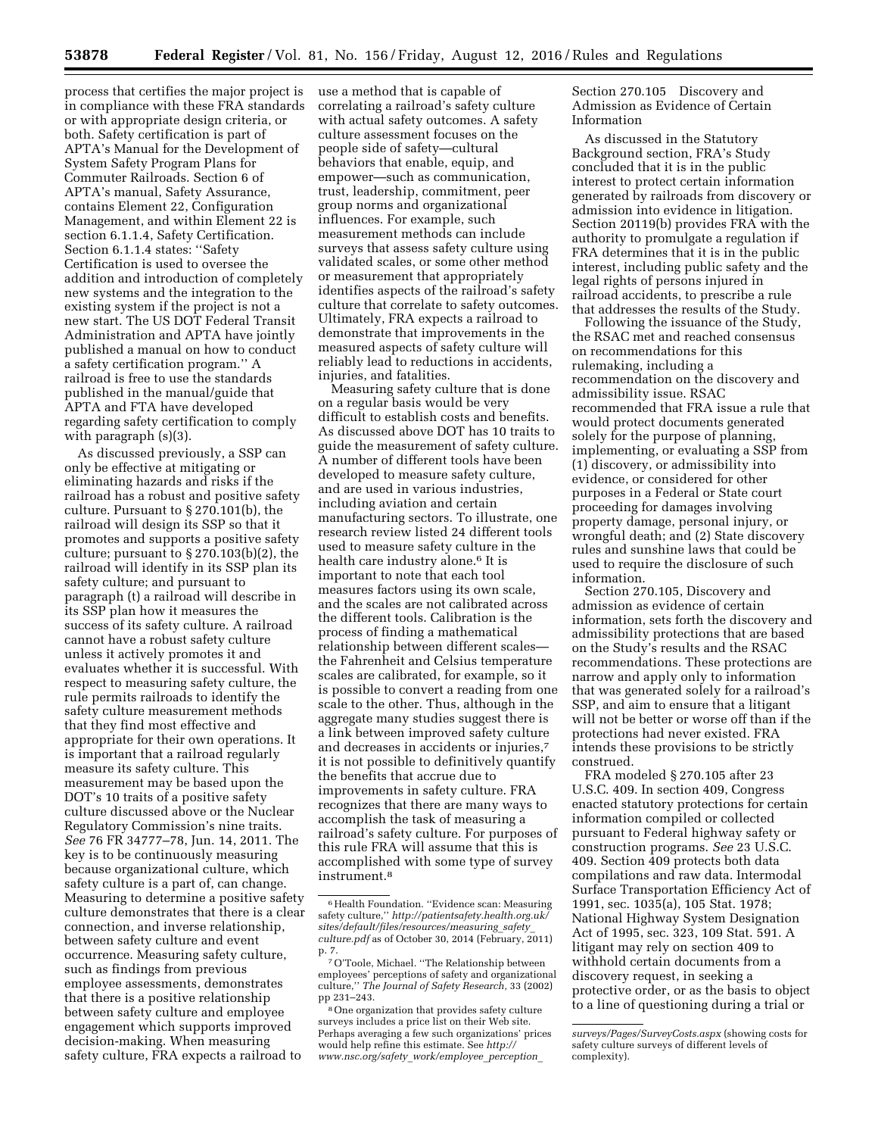process that certifies the major project is in compliance with these FRA standards or with appropriate design criteria, or both. Safety certification is part of APTA's Manual for the Development of System Safety Program Plans for Commuter Railroads. Section 6 of APTA's manual, Safety Assurance, contains Element 22, Configuration Management, and within Element 22 is section 6.1.1.4, Safety Certification. Section 6.1.1.4 states: ''Safety Certification is used to oversee the addition and introduction of completely new systems and the integration to the existing system if the project is not a new start. The US DOT Federal Transit Administration and APTA have jointly published a manual on how to conduct a safety certification program.'' A railroad is free to use the standards published in the manual/guide that APTA and FTA have developed regarding safety certification to comply with paragraph  $(s)(3)$ .

As discussed previously, a SSP can only be effective at mitigating or eliminating hazards and risks if the railroad has a robust and positive safety culture. Pursuant to § 270.101(b), the railroad will design its SSP so that it promotes and supports a positive safety culture; pursuant to § 270.103(b)(2), the railroad will identify in its SSP plan its safety culture; and pursuant to paragraph (t) a railroad will describe in its SSP plan how it measures the success of its safety culture. A railroad cannot have a robust safety culture unless it actively promotes it and evaluates whether it is successful. With respect to measuring safety culture, the rule permits railroads to identify the safety culture measurement methods that they find most effective and appropriate for their own operations. It is important that a railroad regularly measure its safety culture. This measurement may be based upon the DOT's 10 traits of a positive safety culture discussed above or the Nuclear Regulatory Commission's nine traits. *See* 76 FR 34777–78, Jun. 14, 2011. The key is to be continuously measuring because organizational culture, which safety culture is a part of, can change. Measuring to determine a positive safety culture demonstrates that there is a clear connection, and inverse relationship, between safety culture and event occurrence. Measuring safety culture, such as findings from previous employee assessments, demonstrates that there is a positive relationship between safety culture and employee engagement which supports improved decision-making. When measuring safety culture, FRA expects a railroad to

use a method that is capable of correlating a railroad's safety culture with actual safety outcomes. A safety culture assessment focuses on the people side of safety—cultural behaviors that enable, equip, and empower—such as communication, trust, leadership, commitment, peer group norms and organizational influences. For example, such measurement methods can include surveys that assess safety culture using validated scales, or some other method or measurement that appropriately identifies aspects of the railroad's safety culture that correlate to safety outcomes. Ultimately, FRA expects a railroad to demonstrate that improvements in the measured aspects of safety culture will reliably lead to reductions in accidents, injuries, and fatalities.

Measuring safety culture that is done on a regular basis would be very difficult to establish costs and benefits. As discussed above DOT has 10 traits to guide the measurement of safety culture. A number of different tools have been developed to measure safety culture, and are used in various industries, including aviation and certain manufacturing sectors. To illustrate, one research review listed 24 different tools used to measure safety culture in the health care industry alone.6 It is important to note that each tool measures factors using its own scale, and the scales are not calibrated across the different tools. Calibration is the process of finding a mathematical relationship between different scales the Fahrenheit and Celsius temperature scales are calibrated, for example, so it is possible to convert a reading from one scale to the other. Thus, although in the aggregate many studies suggest there is a link between improved safety culture and decreases in accidents or injuries,7 it is not possible to definitively quantify the benefits that accrue due to improvements in safety culture. FRA recognizes that there are many ways to accomplish the task of measuring a railroad's safety culture. For purposes of this rule FRA will assume that this is accomplished with some type of survey instrument.8

Section 270.105 Discovery and Admission as Evidence of Certain Information

As discussed in the Statutory Background section, FRA's Study concluded that it is in the public interest to protect certain information generated by railroads from discovery or admission into evidence in litigation. Section 20119(b) provides FRA with the authority to promulgate a regulation if FRA determines that it is in the public interest, including public safety and the legal rights of persons injured in railroad accidents, to prescribe a rule that addresses the results of the Study.

Following the issuance of the Study, the RSAC met and reached consensus on recommendations for this rulemaking, including a recommendation on the discovery and admissibility issue. RSAC recommended that FRA issue a rule that would protect documents generated solely for the purpose of planning, implementing, or evaluating a SSP from (1) discovery, or admissibility into evidence, or considered for other purposes in a Federal or State court proceeding for damages involving property damage, personal injury, or wrongful death; and (2) State discovery rules and sunshine laws that could be used to require the disclosure of such information.

Section 270.105, Discovery and admission as evidence of certain information, sets forth the discovery and admissibility protections that are based on the Study's results and the RSAC recommendations. These protections are narrow and apply only to information that was generated solely for a railroad's SSP, and aim to ensure that a litigant will not be better or worse off than if the protections had never existed. FRA intends these provisions to be strictly construed.

FRA modeled § 270.105 after 23 U.S.C. 409. In section 409, Congress enacted statutory protections for certain information compiled or collected pursuant to Federal highway safety or construction programs. *See* 23 U.S.C. 409. Section 409 protects both data compilations and raw data. Intermodal Surface Transportation Efficiency Act of 1991, sec. 1035(a), 105 Stat. 1978; National Highway System Designation Act of 1995, sec. 323, 109 Stat. 591. A litigant may rely on section 409 to withhold certain documents from a discovery request, in seeking a protective order, or as the basis to object to a line of questioning during a trial or

<sup>6</sup>Health Foundation. ''Evidence scan: Measuring safety culture,'' *[http://patientsafety.health.org.uk/](http://patientsafety.health.org.uk/sites/default/files/resources/measuring_safety_culture.pdf) [sites/default/files/resources/measuring](http://patientsafety.health.org.uk/sites/default/files/resources/measuring_safety_culture.pdf)*\_*safety*\_ *[culture.pdf](http://patientsafety.health.org.uk/sites/default/files/resources/measuring_safety_culture.pdf)* as of October 30, 2014 (February, 2011) p. 7.

<sup>7</sup>O'Toole, Michael. ''The Relationship between employees' perceptions of safety and organizational culture,'' *The Journal of Safety Research,* 33 (2002) pp 231–243.

<sup>8</sup>One organization that provides safety culture surveys includes a price list on their Web site. Perhaps averaging a few such organizations' prices would help refine this estimate. See *[http://](http://www.nsc.org/safety_work/employee_perception_surveys/Pages/SurveyCosts.aspx) [www.nsc.org/safety](http://www.nsc.org/safety_work/employee_perception_surveys/Pages/SurveyCosts.aspx)*\_*work/employee*\_*perception*\_

*[surveys/Pages/SurveyCosts.aspx](http://www.nsc.org/safety_work/employee_perception_surveys/Pages/SurveyCosts.aspx)* (showing costs for safety culture surveys of different levels of complexity).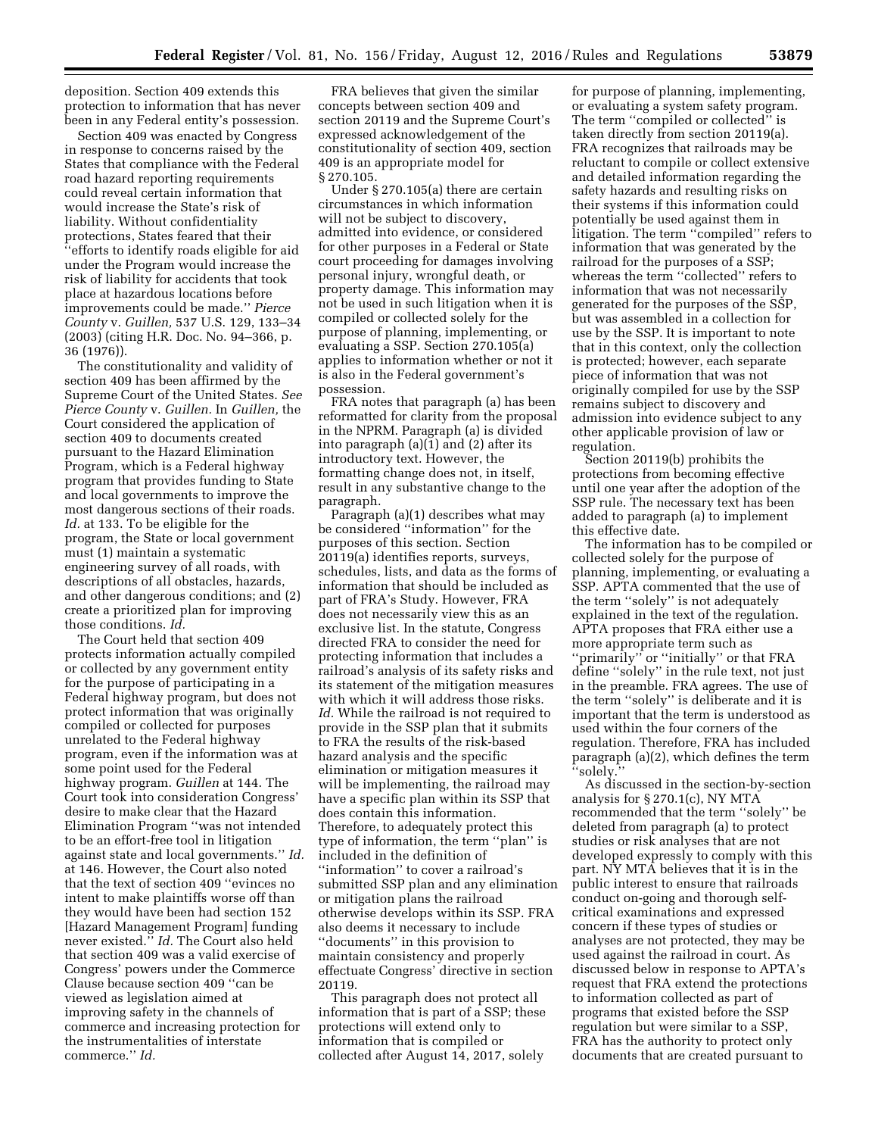deposition. Section 409 extends this protection to information that has never been in any Federal entity's possession.

Section 409 was enacted by Congress in response to concerns raised by the States that compliance with the Federal road hazard reporting requirements could reveal certain information that would increase the State's risk of liability. Without confidentiality protections, States feared that their ''efforts to identify roads eligible for aid under the Program would increase the risk of liability for accidents that took place at hazardous locations before improvements could be made.'' *Pierce County* v. *Guillen,* 537 U.S. 129, 133–34 (2003) (citing H.R. Doc. No. 94–366, p. 36 (1976)).

The constitutionality and validity of section 409 has been affirmed by the Supreme Court of the United States. *See Pierce County* v. *Guillen.* In *Guillen,* the Court considered the application of section 409 to documents created pursuant to the Hazard Elimination Program, which is a Federal highway program that provides funding to State and local governments to improve the most dangerous sections of their roads. *Id.* at 133. To be eligible for the program, the State or local government must (1) maintain a systematic engineering survey of all roads, with descriptions of all obstacles, hazards, and other dangerous conditions; and (2) create a prioritized plan for improving those conditions. *Id.* 

The Court held that section 409 protects information actually compiled or collected by any government entity for the purpose of participating in a Federal highway program, but does not protect information that was originally compiled or collected for purposes unrelated to the Federal highway program, even if the information was at some point used for the Federal highway program. *Guillen* at 144. The Court took into consideration Congress' desire to make clear that the Hazard Elimination Program ''was not intended to be an effort-free tool in litigation against state and local governments.'' *Id.*  at 146. However, the Court also noted that the text of section 409 ''evinces no intent to make plaintiffs worse off than they would have been had section 152 [Hazard Management Program] funding never existed.'' *Id.* The Court also held that section 409 was a valid exercise of Congress' powers under the Commerce Clause because section 409 ''can be viewed as legislation aimed at improving safety in the channels of commerce and increasing protection for the instrumentalities of interstate commerce.'' *Id.* 

FRA believes that given the similar concepts between section 409 and section 20119 and the Supreme Court's expressed acknowledgement of the constitutionality of section 409, section 409 is an appropriate model for § 270.105.

Under § 270.105(a) there are certain circumstances in which information will not be subject to discovery, admitted into evidence, or considered for other purposes in a Federal or State court proceeding for damages involving personal injury, wrongful death, or property damage. This information may not be used in such litigation when it is compiled or collected solely for the purpose of planning, implementing, or evaluating a SSP. Section 270.105(a) applies to information whether or not it is also in the Federal government's possession.

FRA notes that paragraph (a) has been reformatted for clarity from the proposal in the NPRM. Paragraph (a) is divided into paragraph (a)(1) and (2) after its introductory text. However, the formatting change does not, in itself, result in any substantive change to the paragraph.

Paragraph (a)(1) describes what may be considered ''information'' for the purposes of this section. Section 20119(a) identifies reports, surveys, schedules, lists, and data as the forms of information that should be included as part of FRA's Study. However, FRA does not necessarily view this as an exclusive list. In the statute, Congress directed FRA to consider the need for protecting information that includes a railroad's analysis of its safety risks and its statement of the mitigation measures with which it will address those risks. *Id.* While the railroad is not required to provide in the SSP plan that it submits to FRA the results of the risk-based hazard analysis and the specific elimination or mitigation measures it will be implementing, the railroad may have a specific plan within its SSP that does contain this information. Therefore, to adequately protect this type of information, the term ''plan'' is included in the definition of ''information'' to cover a railroad's submitted SSP plan and any elimination or mitigation plans the railroad otherwise develops within its SSP. FRA also deems it necessary to include ''documents'' in this provision to maintain consistency and properly effectuate Congress' directive in section 20119.

This paragraph does not protect all information that is part of a SSP; these protections will extend only to information that is compiled or collected after August 14, 2017, solely

for purpose of planning, implementing, or evaluating a system safety program. The term ''compiled or collected'' is taken directly from section 20119(a). FRA recognizes that railroads may be reluctant to compile or collect extensive and detailed information regarding the safety hazards and resulting risks on their systems if this information could potentially be used against them in litigation. The term ''compiled'' refers to information that was generated by the railroad for the purposes of a SSP; whereas the term ''collected'' refers to information that was not necessarily generated for the purposes of the SSP, but was assembled in a collection for use by the SSP. It is important to note that in this context, only the collection is protected; however, each separate piece of information that was not originally compiled for use by the SSP remains subject to discovery and admission into evidence subject to any other applicable provision of law or regulation.

Section 20119(b) prohibits the protections from becoming effective until one year after the adoption of the SSP rule. The necessary text has been added to paragraph (a) to implement this effective date.

The information has to be compiled or collected solely for the purpose of planning, implementing, or evaluating a SSP. APTA commented that the use of the term ''solely'' is not adequately explained in the text of the regulation. APTA proposes that FRA either use a more appropriate term such as ''primarily'' or ''initially'' or that FRA define ''solely'' in the rule text, not just in the preamble. FRA agrees. The use of the term ''solely'' is deliberate and it is important that the term is understood as used within the four corners of the regulation. Therefore, FRA has included paragraph (a)(2), which defines the term ''solely.''

As discussed in the section-by-section analysis for § 270.1(c), NY MTA recommended that the term ''solely'' be deleted from paragraph (a) to protect studies or risk analyses that are not developed expressly to comply with this part. NY MTA believes that it is in the public interest to ensure that railroads conduct on-going and thorough selfcritical examinations and expressed concern if these types of studies or analyses are not protected, they may be used against the railroad in court. As discussed below in response to APTA's request that FRA extend the protections to information collected as part of programs that existed before the SSP regulation but were similar to a SSP, FRA has the authority to protect only documents that are created pursuant to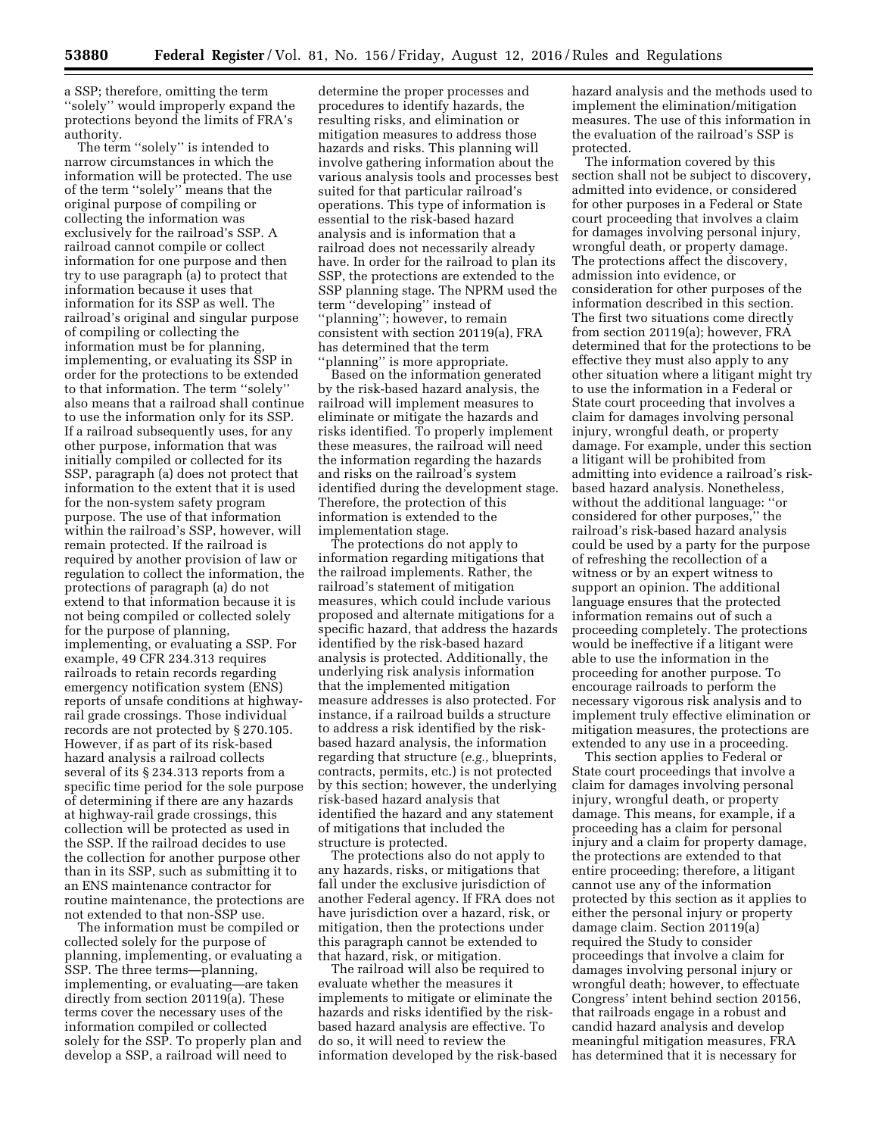a SSP; therefore, omitting the term ''solely'' would improperly expand the protections beyond the limits of FRA's authority.

The term ''solely'' is intended to narrow circumstances in which the information will be protected. The use of the term ''solely'' means that the original purpose of compiling or collecting the information was exclusively for the railroad's SSP. A railroad cannot compile or collect information for one purpose and then try to use paragraph (a) to protect that information because it uses that information for its SSP as well. The railroad's original and singular purpose of compiling or collecting the information must be for planning, implementing, or evaluating its SSP in order for the protections to be extended to that information. The term ''solely'' also means that a railroad shall continue to use the information only for its SSP. If a railroad subsequently uses, for any other purpose, information that was initially compiled or collected for its SSP, paragraph (a) does not protect that information to the extent that it is used for the non-system safety program purpose. The use of that information within the railroad's SSP, however, will remain protected. If the railroad is required by another provision of law or regulation to collect the information, the protections of paragraph (a) do not extend to that information because it is not being compiled or collected solely for the purpose of planning, implementing, or evaluating a SSP. For example, 49 CFR 234.313 requires railroads to retain records regarding emergency notification system (ENS) reports of unsafe conditions at highwayrail grade crossings. Those individual records are not protected by § 270.105. However, if as part of its risk-based hazard analysis a railroad collects several of its § 234.313 reports from a specific time period for the sole purpose of determining if there are any hazards at highway-rail grade crossings, this collection will be protected as used in the SSP. If the railroad decides to use the collection for another purpose other than in its SSP, such as submitting it to an ENS maintenance contractor for routine maintenance, the protections are not extended to that non-SSP use.

The information must be compiled or collected solely for the purpose of planning, implementing, or evaluating a SSP. The three terms—planning, implementing, or evaluating—are taken directly from section 20119(a). These terms cover the necessary uses of the information compiled or collected solely for the SSP. To properly plan and develop a SSP, a railroad will need to

determine the proper processes and procedures to identify hazards, the resulting risks, and elimination or mitigation measures to address those hazards and risks. This planning will involve gathering information about the various analysis tools and processes best suited for that particular railroad's operations. This type of information is essential to the risk-based hazard analysis and is information that a railroad does not necessarily already have. In order for the railroad to plan its SSP, the protections are extended to the SSP planning stage. The NPRM used the term ''developing'' instead of ''planning''; however, to remain consistent with section 20119(a), FRA has determined that the term 'planning" is more appropriate.

Based on the information generated by the risk-based hazard analysis, the railroad will implement measures to eliminate or mitigate the hazards and risks identified. To properly implement these measures, the railroad will need the information regarding the hazards and risks on the railroad's system identified during the development stage. Therefore, the protection of this information is extended to the implementation stage.

The protections do not apply to information regarding mitigations that the railroad implements. Rather, the railroad's statement of mitigation measures, which could include various proposed and alternate mitigations for a specific hazard, that address the hazards identified by the risk-based hazard analysis is protected. Additionally, the underlying risk analysis information that the implemented mitigation measure addresses is also protected. For instance, if a railroad builds a structure to address a risk identified by the riskbased hazard analysis, the information regarding that structure (*e.g.,* blueprints, contracts, permits, etc.) is not protected by this section; however, the underlying risk-based hazard analysis that identified the hazard and any statement of mitigations that included the structure is protected.

The protections also do not apply to any hazards, risks, or mitigations that fall under the exclusive jurisdiction of another Federal agency. If FRA does not have jurisdiction over a hazard, risk, or mitigation, then the protections under this paragraph cannot be extended to that hazard, risk, or mitigation.

The railroad will also be required to evaluate whether the measures it implements to mitigate or eliminate the hazards and risks identified by the riskbased hazard analysis are effective. To do so, it will need to review the information developed by the risk-based hazard analysis and the methods used to implement the elimination/mitigation measures. The use of this information in the evaluation of the railroad's SSP is protected.

The information covered by this section shall not be subject to discovery, admitted into evidence, or considered for other purposes in a Federal or State court proceeding that involves a claim for damages involving personal injury, wrongful death, or property damage. The protections affect the discovery, admission into evidence, or consideration for other purposes of the information described in this section. The first two situations come directly from section 20119(a); however, FRA determined that for the protections to be effective they must also apply to any other situation where a litigant might try to use the information in a Federal or State court proceeding that involves a claim for damages involving personal injury, wrongful death, or property damage. For example, under this section a litigant will be prohibited from admitting into evidence a railroad's riskbased hazard analysis. Nonetheless, without the additional language: ''or considered for other purposes,'' the railroad's risk-based hazard analysis could be used by a party for the purpose of refreshing the recollection of a witness or by an expert witness to support an opinion. The additional language ensures that the protected information remains out of such a proceeding completely. The protections would be ineffective if a litigant were able to use the information in the proceeding for another purpose. To encourage railroads to perform the necessary vigorous risk analysis and to implement truly effective elimination or mitigation measures, the protections are extended to any use in a proceeding.

This section applies to Federal or State court proceedings that involve a claim for damages involving personal injury, wrongful death, or property damage. This means, for example, if a proceeding has a claim for personal injury and a claim for property damage, the protections are extended to that entire proceeding; therefore, a litigant cannot use any of the information protected by this section as it applies to either the personal injury or property damage claim. Section 20119(a) required the Study to consider proceedings that involve a claim for damages involving personal injury or wrongful death; however, to effectuate Congress' intent behind section 20156, that railroads engage in a robust and candid hazard analysis and develop meaningful mitigation measures, FRA has determined that it is necessary for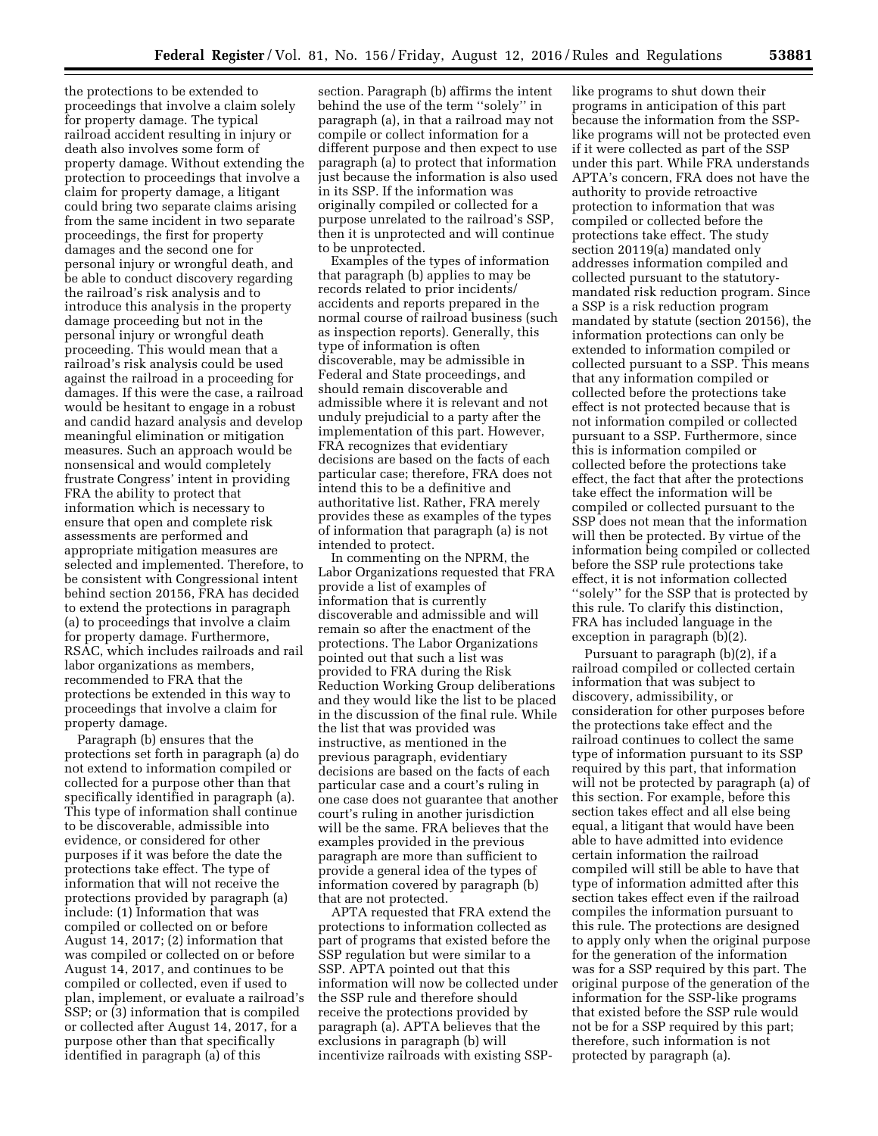the protections to be extended to proceedings that involve a claim solely for property damage. The typical railroad accident resulting in injury or death also involves some form of property damage. Without extending the protection to proceedings that involve a claim for property damage, a litigant could bring two separate claims arising from the same incident in two separate proceedings, the first for property damages and the second one for personal injury or wrongful death, and be able to conduct discovery regarding the railroad's risk analysis and to introduce this analysis in the property damage proceeding but not in the personal injury or wrongful death proceeding. This would mean that a railroad's risk analysis could be used against the railroad in a proceeding for damages. If this were the case, a railroad would be hesitant to engage in a robust and candid hazard analysis and develop meaningful elimination or mitigation measures. Such an approach would be nonsensical and would completely frustrate Congress' intent in providing FRA the ability to protect that information which is necessary to ensure that open and complete risk assessments are performed and appropriate mitigation measures are selected and implemented. Therefore, to be consistent with Congressional intent behind section 20156, FRA has decided to extend the protections in paragraph (a) to proceedings that involve a claim for property damage. Furthermore, RSAC, which includes railroads and rail labor organizations as members, recommended to FRA that the protections be extended in this way to proceedings that involve a claim for property damage.

Paragraph (b) ensures that the protections set forth in paragraph (a) do not extend to information compiled or collected for a purpose other than that specifically identified in paragraph (a). This type of information shall continue to be discoverable, admissible into evidence, or considered for other purposes if it was before the date the protections take effect. The type of information that will not receive the protections provided by paragraph (a) include: (1) Information that was compiled or collected on or before August 14, 2017; (2) information that was compiled or collected on or before August 14, 2017, and continues to be compiled or collected, even if used to plan, implement, or evaluate a railroad's SSP; or (3) information that is compiled or collected after August 14, 2017, for a purpose other than that specifically identified in paragraph (a) of this

section. Paragraph (b) affirms the intent behind the use of the term ''solely'' in paragraph (a), in that a railroad may not compile or collect information for a different purpose and then expect to use paragraph (a) to protect that information just because the information is also used in its SSP. If the information was originally compiled or collected for a purpose unrelated to the railroad's SSP, then it is unprotected and will continue to be unprotected.

Examples of the types of information that paragraph (b) applies to may be records related to prior incidents/ accidents and reports prepared in the normal course of railroad business (such as inspection reports). Generally, this type of information is often discoverable, may be admissible in Federal and State proceedings, and should remain discoverable and admissible where it is relevant and not unduly prejudicial to a party after the implementation of this part. However, FRA recognizes that evidentiary decisions are based on the facts of each particular case; therefore, FRA does not intend this to be a definitive and authoritative list. Rather, FRA merely provides these as examples of the types of information that paragraph (a) is not intended to protect.

In commenting on the NPRM, the Labor Organizations requested that FRA provide a list of examples of information that is currently discoverable and admissible and will remain so after the enactment of the protections. The Labor Organizations pointed out that such a list was provided to FRA during the Risk Reduction Working Group deliberations and they would like the list to be placed in the discussion of the final rule. While the list that was provided was instructive, as mentioned in the previous paragraph, evidentiary decisions are based on the facts of each particular case and a court's ruling in one case does not guarantee that another court's ruling in another jurisdiction will be the same. FRA believes that the examples provided in the previous paragraph are more than sufficient to provide a general idea of the types of information covered by paragraph (b) that are not protected.

APTA requested that FRA extend the protections to information collected as part of programs that existed before the SSP regulation but were similar to a SSP. APTA pointed out that this information will now be collected under the SSP rule and therefore should receive the protections provided by paragraph (a). APTA believes that the exclusions in paragraph (b) will incentivize railroads with existing SSP-

like programs to shut down their programs in anticipation of this part because the information from the SSPlike programs will not be protected even if it were collected as part of the SSP under this part. While FRA understands APTA's concern, FRA does not have the authority to provide retroactive protection to information that was compiled or collected before the protections take effect. The study section 20119(a) mandated only addresses information compiled and collected pursuant to the statutorymandated risk reduction program. Since a SSP is a risk reduction program mandated by statute (section 20156), the information protections can only be extended to information compiled or collected pursuant to a SSP. This means that any information compiled or collected before the protections take effect is not protected because that is not information compiled or collected pursuant to a SSP. Furthermore, since this is information compiled or collected before the protections take effect, the fact that after the protections take effect the information will be compiled or collected pursuant to the SSP does not mean that the information will then be protected. By virtue of the information being compiled or collected before the SSP rule protections take effect, it is not information collected ''solely'' for the SSP that is protected by this rule. To clarify this distinction, FRA has included language in the exception in paragraph (b)(2).

Pursuant to paragraph (b)(2), if a railroad compiled or collected certain information that was subject to discovery, admissibility, or consideration for other purposes before the protections take effect and the railroad continues to collect the same type of information pursuant to its SSP required by this part, that information will not be protected by paragraph (a) of this section. For example, before this section takes effect and all else being equal, a litigant that would have been able to have admitted into evidence certain information the railroad compiled will still be able to have that type of information admitted after this section takes effect even if the railroad compiles the information pursuant to this rule. The protections are designed to apply only when the original purpose for the generation of the information was for a SSP required by this part. The original purpose of the generation of the information for the SSP-like programs that existed before the SSP rule would not be for a SSP required by this part; therefore, such information is not protected by paragraph (a).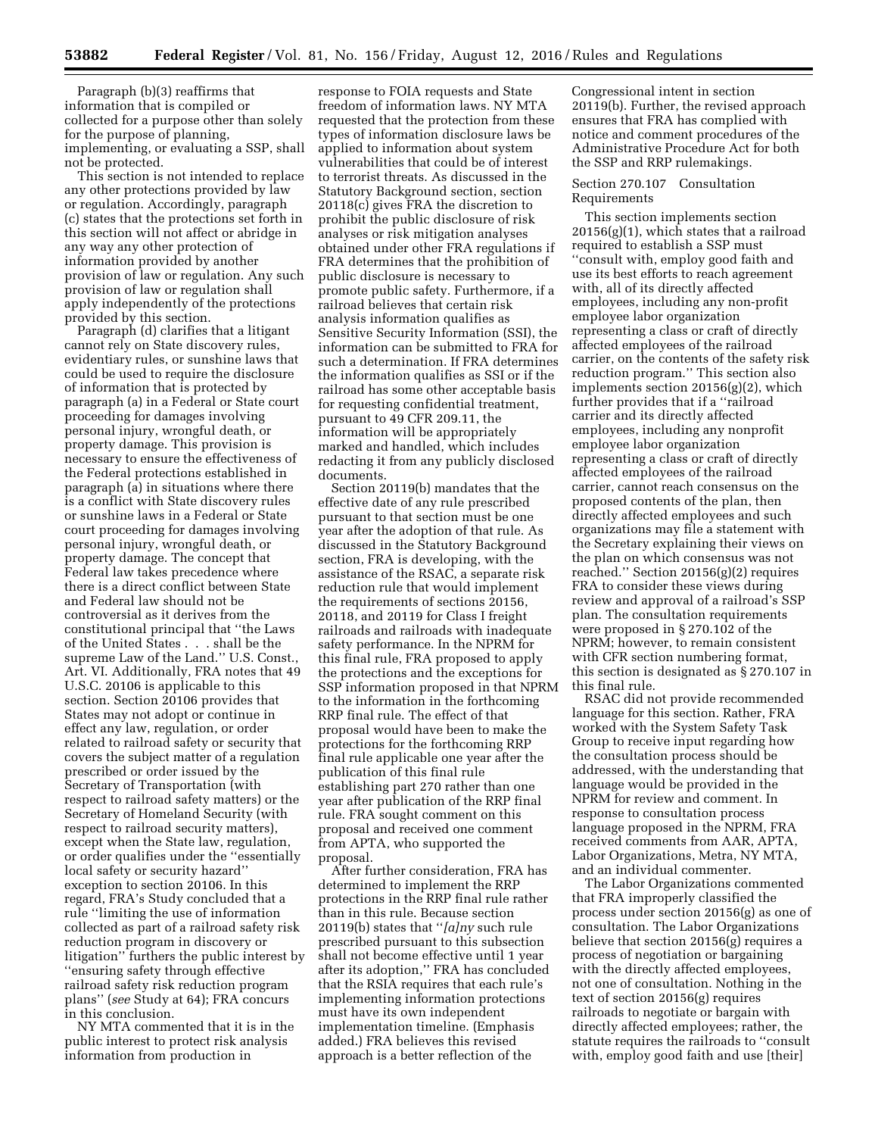Paragraph (b)(3) reaffirms that information that is compiled or collected for a purpose other than solely for the purpose of planning, implementing, or evaluating a SSP, shall not be protected.

This section is not intended to replace any other protections provided by law or regulation. Accordingly, paragraph (c) states that the protections set forth in this section will not affect or abridge in any way any other protection of information provided by another provision of law or regulation. Any such provision of law or regulation shall apply independently of the protections provided by this section.

Paragraph (d) clarifies that a litigant cannot rely on State discovery rules, evidentiary rules, or sunshine laws that could be used to require the disclosure of information that is protected by paragraph (a) in a Federal or State court proceeding for damages involving personal injury, wrongful death, or property damage. This provision is necessary to ensure the effectiveness of the Federal protections established in paragraph (a) in situations where there is a conflict with State discovery rules or sunshine laws in a Federal or State court proceeding for damages involving personal injury, wrongful death, or property damage. The concept that Federal law takes precedence where there is a direct conflict between State and Federal law should not be controversial as it derives from the constitutional principal that ''the Laws of the United States . . . shall be the supreme Law of the Land.'' U.S. Const., Art. VI. Additionally, FRA notes that 49 U.S.C. 20106 is applicable to this section. Section 20106 provides that States may not adopt or continue in effect any law, regulation, or order related to railroad safety or security that covers the subject matter of a regulation prescribed or order issued by the Secretary of Transportation (with respect to railroad safety matters) or the Secretary of Homeland Security (with respect to railroad security matters), except when the State law, regulation, or order qualifies under the ''essentially local safety or security hazard'' exception to section 20106. In this regard, FRA's Study concluded that a rule ''limiting the use of information collected as part of a railroad safety risk reduction program in discovery or litigation'' furthers the public interest by ''ensuring safety through effective railroad safety risk reduction program plans'' (*see* Study at 64); FRA concurs in this conclusion.

NY MTA commented that it is in the public interest to protect risk analysis information from production in

response to FOIA requests and State freedom of information laws. NY MTA requested that the protection from these types of information disclosure laws be applied to information about system vulnerabilities that could be of interest to terrorist threats. As discussed in the Statutory Background section, section 20118(c) gives FRA the discretion to prohibit the public disclosure of risk analyses or risk mitigation analyses obtained under other FRA regulations if FRA determines that the prohibition of public disclosure is necessary to promote public safety. Furthermore, if a railroad believes that certain risk analysis information qualifies as Sensitive Security Information (SSI), the information can be submitted to FRA for such a determination. If FRA determines the information qualifies as SSI or if the railroad has some other acceptable basis for requesting confidential treatment, pursuant to 49 CFR 209.11, the information will be appropriately marked and handled, which includes redacting it from any publicly disclosed documents.

Section 20119(b) mandates that the effective date of any rule prescribed pursuant to that section must be one year after the adoption of that rule. As discussed in the Statutory Background section, FRA is developing, with the assistance of the RSAC, a separate risk reduction rule that would implement the requirements of sections 20156, 20118, and 20119 for Class I freight railroads and railroads with inadequate safety performance. In the NPRM for this final rule, FRA proposed to apply the protections and the exceptions for SSP information proposed in that NPRM to the information in the forthcoming RRP final rule. The effect of that proposal would have been to make the protections for the forthcoming RRP final rule applicable one year after the publication of this final rule establishing part 270 rather than one year after publication of the RRP final rule. FRA sought comment on this proposal and received one comment from APTA, who supported the proposal.

After further consideration, FRA has determined to implement the RRP protections in the RRP final rule rather than in this rule. Because section 20119(b) states that ''*[a]ny* such rule prescribed pursuant to this subsection shall not become effective until 1 year after its adoption,'' FRA has concluded that the RSIA requires that each rule's implementing information protections must have its own independent implementation timeline. (Emphasis added.) FRA believes this revised approach is a better reflection of the

Congressional intent in section 20119(b). Further, the revised approach ensures that FRA has complied with notice and comment procedures of the Administrative Procedure Act for both the SSP and RRP rulemakings.

#### Section 270.107 Consultation Requirements

This section implements section  $20156(g)(1)$ , which states that a railroad required to establish a SSP must ''consult with, employ good faith and use its best efforts to reach agreement with, all of its directly affected employees, including any non-profit employee labor organization representing a class or craft of directly affected employees of the railroad carrier, on the contents of the safety risk reduction program.'' This section also implements section 20156(g)(2), which further provides that if a ''railroad carrier and its directly affected employees, including any nonprofit employee labor organization representing a class or craft of directly affected employees of the railroad carrier, cannot reach consensus on the proposed contents of the plan, then directly affected employees and such organizations may file a statement with the Secretary explaining their views on the plan on which consensus was not reached.'' Section 20156(g)(2) requires FRA to consider these views during review and approval of a railroad's SSP plan. The consultation requirements were proposed in § 270.102 of the NPRM; however, to remain consistent with CFR section numbering format, this section is designated as § 270.107 in this final rule.

RSAC did not provide recommended language for this section. Rather, FRA worked with the System Safety Task Group to receive input regarding how the consultation process should be addressed, with the understanding that language would be provided in the NPRM for review and comment. In response to consultation process language proposed in the NPRM, FRA received comments from AAR, APTA, Labor Organizations, Metra, NY MTA, and an individual commenter.

The Labor Organizations commented that FRA improperly classified the process under section 20156(g) as one of consultation. The Labor Organizations believe that section 20156(g) requires a process of negotiation or bargaining with the directly affected employees, not one of consultation. Nothing in the text of section 20156(g) requires railroads to negotiate or bargain with directly affected employees; rather, the statute requires the railroads to ''consult with, employ good faith and use [their]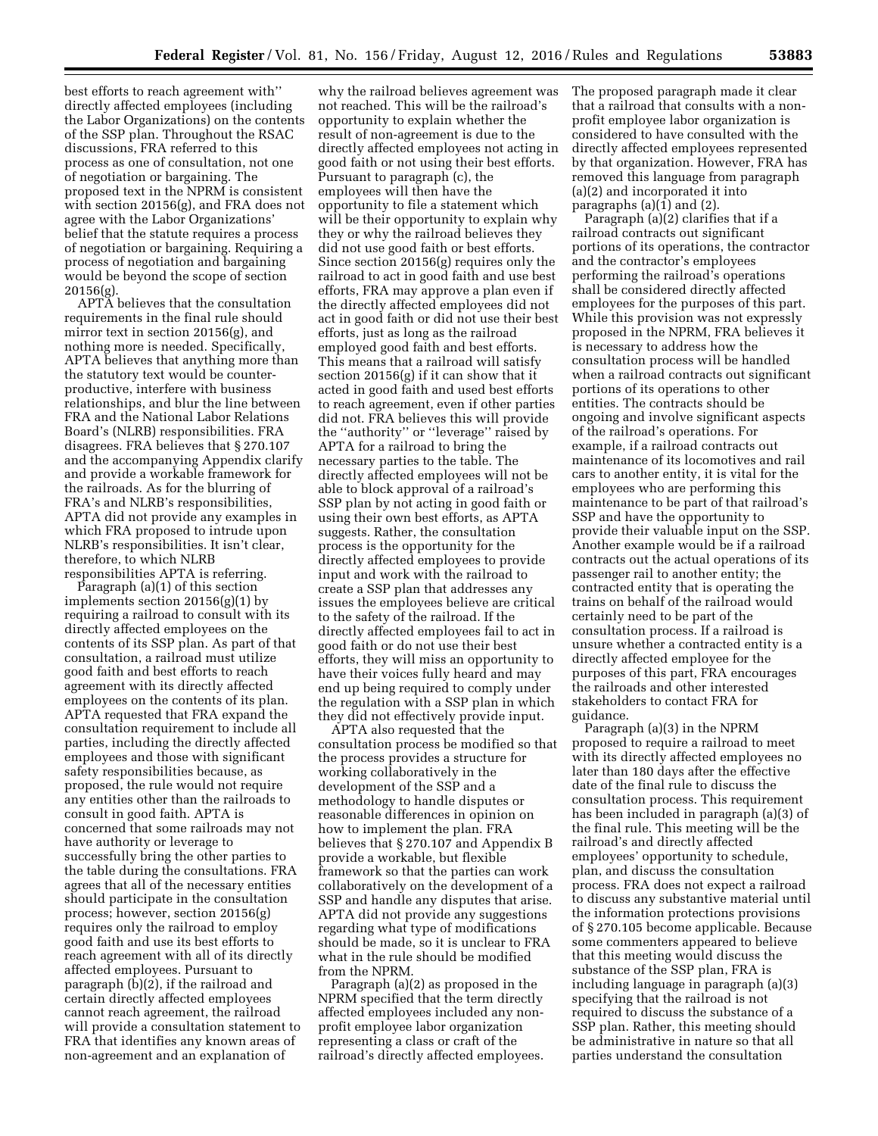best efforts to reach agreement with'' directly affected employees (including the Labor Organizations) on the contents of the SSP plan. Throughout the RSAC discussions, FRA referred to this process as one of consultation, not one of negotiation or bargaining. The proposed text in the NPRM is consistent with section 20156(g), and FRA does not agree with the Labor Organizations' belief that the statute requires a process of negotiation or bargaining. Requiring a process of negotiation and bargaining would be beyond the scope of section 20156(g).

APTA believes that the consultation requirements in the final rule should mirror text in section 20156(g), and nothing more is needed. Specifically, APTA believes that anything more than the statutory text would be counterproductive, interfere with business relationships, and blur the line between FRA and the National Labor Relations Board's (NLRB) responsibilities. FRA disagrees. FRA believes that § 270.107 and the accompanying Appendix clarify and provide a workable framework for the railroads. As for the blurring of FRA's and NLRB's responsibilities, APTA did not provide any examples in which FRA proposed to intrude upon NLRB's responsibilities. It isn't clear, therefore, to which NLRB responsibilities APTA is referring.

Paragraph (a)(1) of this section implements section 20156(g)(1) by requiring a railroad to consult with its directly affected employees on the contents of its SSP plan. As part of that consultation, a railroad must utilize good faith and best efforts to reach agreement with its directly affected employees on the contents of its plan. APTA requested that FRA expand the consultation requirement to include all parties, including the directly affected employees and those with significant safety responsibilities because, as proposed, the rule would not require any entities other than the railroads to consult in good faith. APTA is concerned that some railroads may not have authority or leverage to successfully bring the other parties to the table during the consultations. FRA agrees that all of the necessary entities should participate in the consultation process; however, section 20156(g) requires only the railroad to employ good faith and use its best efforts to reach agreement with all of its directly affected employees. Pursuant to paragraph  $(b)(2)$ , if the railroad and certain directly affected employees cannot reach agreement, the railroad will provide a consultation statement to FRA that identifies any known areas of non-agreement and an explanation of

why the railroad believes agreement was not reached. This will be the railroad's opportunity to explain whether the result of non-agreement is due to the directly affected employees not acting in good faith or not using their best efforts. Pursuant to paragraph (c), the employees will then have the opportunity to file a statement which will be their opportunity to explain why they or why the railroad believes they did not use good faith or best efforts. Since section 20156(g) requires only the railroad to act in good faith and use best efforts, FRA may approve a plan even if the directly affected employees did not act in good faith or did not use their best efforts, just as long as the railroad employed good faith and best efforts. This means that a railroad will satisfy section 20156(g) if it can show that it acted in good faith and used best efforts to reach agreement, even if other parties did not. FRA believes this will provide the ''authority'' or ''leverage'' raised by APTA for a railroad to bring the necessary parties to the table. The directly affected employees will not be able to block approval of a railroad's SSP plan by not acting in good faith or using their own best efforts, as APTA suggests. Rather, the consultation process is the opportunity for the directly affected employees to provide input and work with the railroad to create a SSP plan that addresses any issues the employees believe are critical to the safety of the railroad. If the directly affected employees fail to act in good faith or do not use their best efforts, they will miss an opportunity to have their voices fully heard and may end up being required to comply under the regulation with a SSP plan in which they did not effectively provide input.

APTA also requested that the consultation process be modified so that the process provides a structure for working collaboratively in the development of the SSP and a methodology to handle disputes or reasonable differences in opinion on how to implement the plan. FRA believes that § 270.107 and Appendix B provide a workable, but flexible framework so that the parties can work collaboratively on the development of a SSP and handle any disputes that arise. APTA did not provide any suggestions regarding what type of modifications should be made, so it is unclear to FRA what in the rule should be modified from the NPRM.

Paragraph (a)(2) as proposed in the NPRM specified that the term directly affected employees included any nonprofit employee labor organization representing a class or craft of the railroad's directly affected employees.

The proposed paragraph made it clear that a railroad that consults with a nonprofit employee labor organization is considered to have consulted with the directly affected employees represented by that organization. However, FRA has removed this language from paragraph (a)(2) and incorporated it into paragraphs (a)(1) and (2).

Paragraph (a)(2) clarifies that if a railroad contracts out significant portions of its operations, the contractor and the contractor's employees performing the railroad's operations shall be considered directly affected employees for the purposes of this part. While this provision was not expressly proposed in the NPRM, FRA believes it is necessary to address how the consultation process will be handled when a railroad contracts out significant portions of its operations to other entities. The contracts should be ongoing and involve significant aspects of the railroad's operations. For example, if a railroad contracts out maintenance of its locomotives and rail cars to another entity, it is vital for the employees who are performing this maintenance to be part of that railroad's SSP and have the opportunity to provide their valuable input on the SSP. Another example would be if a railroad contracts out the actual operations of its passenger rail to another entity; the contracted entity that is operating the trains on behalf of the railroad would certainly need to be part of the consultation process. If a railroad is unsure whether a contracted entity is a directly affected employee for the purposes of this part, FRA encourages the railroads and other interested stakeholders to contact FRA for guidance.

Paragraph (a)(3) in the NPRM proposed to require a railroad to meet with its directly affected employees no later than 180 days after the effective date of the final rule to discuss the consultation process. This requirement has been included in paragraph (a)(3) of the final rule. This meeting will be the railroad's and directly affected employees' opportunity to schedule, plan, and discuss the consultation process. FRA does not expect a railroad to discuss any substantive material until the information protections provisions of § 270.105 become applicable. Because some commenters appeared to believe that this meeting would discuss the substance of the SSP plan, FRA is including language in paragraph (a)(3) specifying that the railroad is not required to discuss the substance of a SSP plan. Rather, this meeting should be administrative in nature so that all parties understand the consultation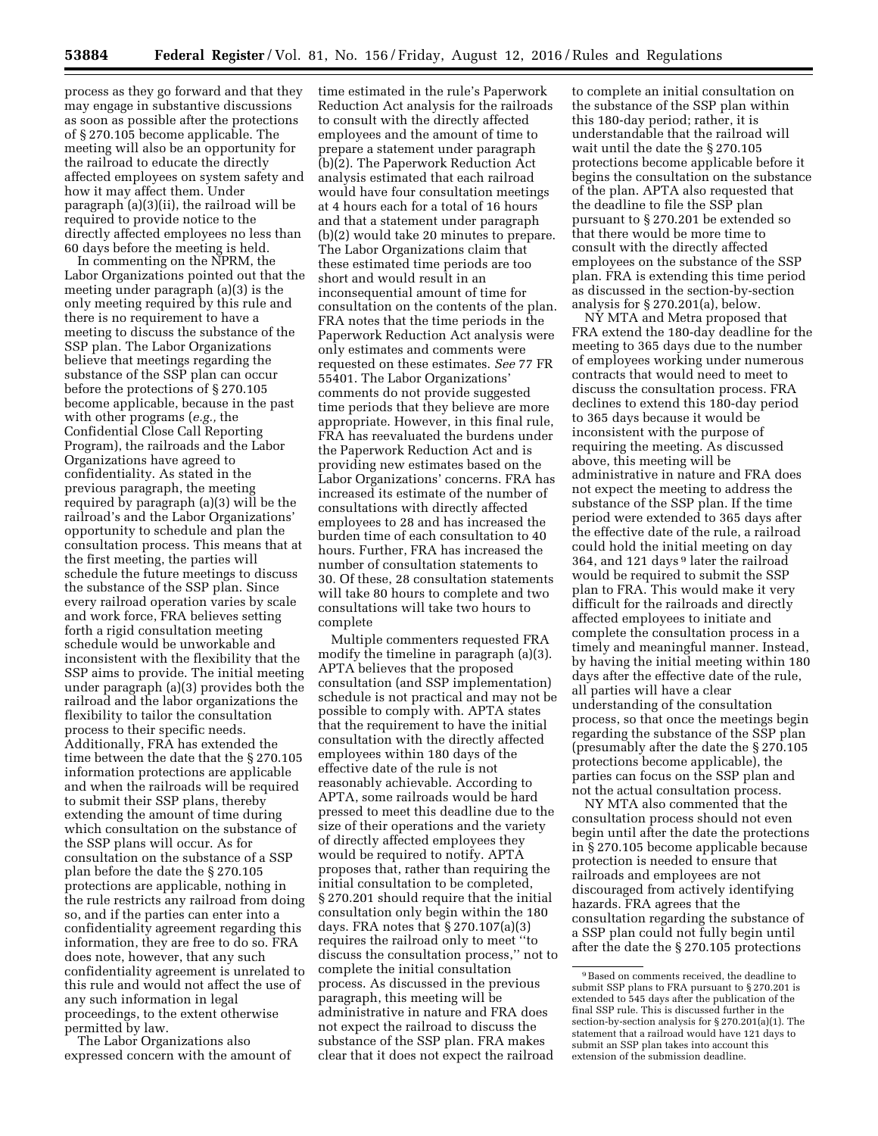process as they go forward and that they may engage in substantive discussions as soon as possible after the protections of § 270.105 become applicable. The meeting will also be an opportunity for the railroad to educate the directly affected employees on system safety and how it may affect them. Under paragraph (a)(3)(ii), the railroad will be required to provide notice to the directly affected employees no less than 60 days before the meeting is held.

In commenting on the NPRM, the Labor Organizations pointed out that the meeting under paragraph (a)(3) is the only meeting required by this rule and there is no requirement to have a meeting to discuss the substance of the SSP plan. The Labor Organizations believe that meetings regarding the substance of the SSP plan can occur before the protections of § 270.105 become applicable, because in the past with other programs (*e.g.,* the Confidential Close Call Reporting Program), the railroads and the Labor Organizations have agreed to confidentiality. As stated in the previous paragraph, the meeting required by paragraph (a)(3) will be the railroad's and the Labor Organizations' opportunity to schedule and plan the consultation process. This means that at the first meeting, the parties will schedule the future meetings to discuss the substance of the SSP plan. Since every railroad operation varies by scale and work force, FRA believes setting forth a rigid consultation meeting schedule would be unworkable and inconsistent with the flexibility that the SSP aims to provide. The initial meeting under paragraph (a)(3) provides both the railroad and the labor organizations the flexibility to tailor the consultation process to their specific needs. Additionally, FRA has extended the time between the date that the § 270.105 information protections are applicable and when the railroads will be required to submit their SSP plans, thereby extending the amount of time during which consultation on the substance of the SSP plans will occur. As for consultation on the substance of a SSP plan before the date the § 270.105 protections are applicable, nothing in the rule restricts any railroad from doing so, and if the parties can enter into a confidentiality agreement regarding this information, they are free to do so. FRA does note, however, that any such confidentiality agreement is unrelated to this rule and would not affect the use of any such information in legal proceedings, to the extent otherwise permitted by law.

The Labor Organizations also expressed concern with the amount of time estimated in the rule's Paperwork Reduction Act analysis for the railroads to consult with the directly affected employees and the amount of time to prepare a statement under paragraph (b)(2). The Paperwork Reduction Act analysis estimated that each railroad would have four consultation meetings at 4 hours each for a total of 16 hours and that a statement under paragraph (b)(2) would take 20 minutes to prepare. The Labor Organizations claim that these estimated time periods are too short and would result in an inconsequential amount of time for consultation on the contents of the plan. FRA notes that the time periods in the Paperwork Reduction Act analysis were only estimates and comments were requested on these estimates. *See* 77 FR 55401. The Labor Organizations' comments do not provide suggested time periods that they believe are more appropriate. However, in this final rule, FRA has reevaluated the burdens under the Paperwork Reduction Act and is providing new estimates based on the Labor Organizations' concerns. FRA has increased its estimate of the number of consultations with directly affected employees to 28 and has increased the burden time of each consultation to 40 hours. Further, FRA has increased the number of consultation statements to 30. Of these, 28 consultation statements will take 80 hours to complete and two consultations will take two hours to complete

Multiple commenters requested FRA modify the timeline in paragraph (a)(3). APTA believes that the proposed consultation (and SSP implementation) schedule is not practical and may not be possible to comply with. APTA states that the requirement to have the initial consultation with the directly affected employees within 180 days of the effective date of the rule is not reasonably achievable. According to APTA, some railroads would be hard pressed to meet this deadline due to the size of their operations and the variety of directly affected employees they would be required to notify. APTA proposes that, rather than requiring the initial consultation to be completed, § 270.201 should require that the initial consultation only begin within the 180 days. FRA notes that § 270.107(a)(3) requires the railroad only to meet ''to discuss the consultation process,'' not to complete the initial consultation process. As discussed in the previous paragraph, this meeting will be administrative in nature and FRA does not expect the railroad to discuss the substance of the SSP plan. FRA makes clear that it does not expect the railroad

to complete an initial consultation on the substance of the SSP plan within this 180-day period; rather, it is understandable that the railroad will wait until the date the § 270.105 protections become applicable before it begins the consultation on the substance of the plan. APTA also requested that the deadline to file the SSP plan pursuant to § 270.201 be extended so that there would be more time to consult with the directly affected employees on the substance of the SSP plan. FRA is extending this time period as discussed in the section-by-section analysis for § 270.201(a), below.

NY MTA and Metra proposed that FRA extend the 180-day deadline for the meeting to 365 days due to the number of employees working under numerous contracts that would need to meet to discuss the consultation process. FRA declines to extend this 180-day period to 365 days because it would be inconsistent with the purpose of requiring the meeting. As discussed above, this meeting will be administrative in nature and FRA does not expect the meeting to address the substance of the SSP plan. If the time period were extended to 365 days after the effective date of the rule, a railroad could hold the initial meeting on day 364, and 121 days 9 later the railroad would be required to submit the SSP plan to FRA. This would make it very difficult for the railroads and directly affected employees to initiate and complete the consultation process in a timely and meaningful manner. Instead, by having the initial meeting within 180 days after the effective date of the rule, all parties will have a clear understanding of the consultation process, so that once the meetings begin regarding the substance of the SSP plan (presumably after the date the § 270.105 protections become applicable), the parties can focus on the SSP plan and not the actual consultation process.

NY MTA also commented that the consultation process should not even begin until after the date the protections in § 270.105 become applicable because protection is needed to ensure that railroads and employees are not discouraged from actively identifying hazards. FRA agrees that the consultation regarding the substance of a SSP plan could not fully begin until after the date the § 270.105 protections

<sup>9</sup>Based on comments received, the deadline to submit SSP plans to FRA pursuant to § 270.201 is extended to 545 days after the publication of the final SSP rule. This is discussed further in the section-by-section analysis for § 270.201(a)(1). The statement that a railroad would have 121 days to submit an SSP plan takes into account this extension of the submission deadline.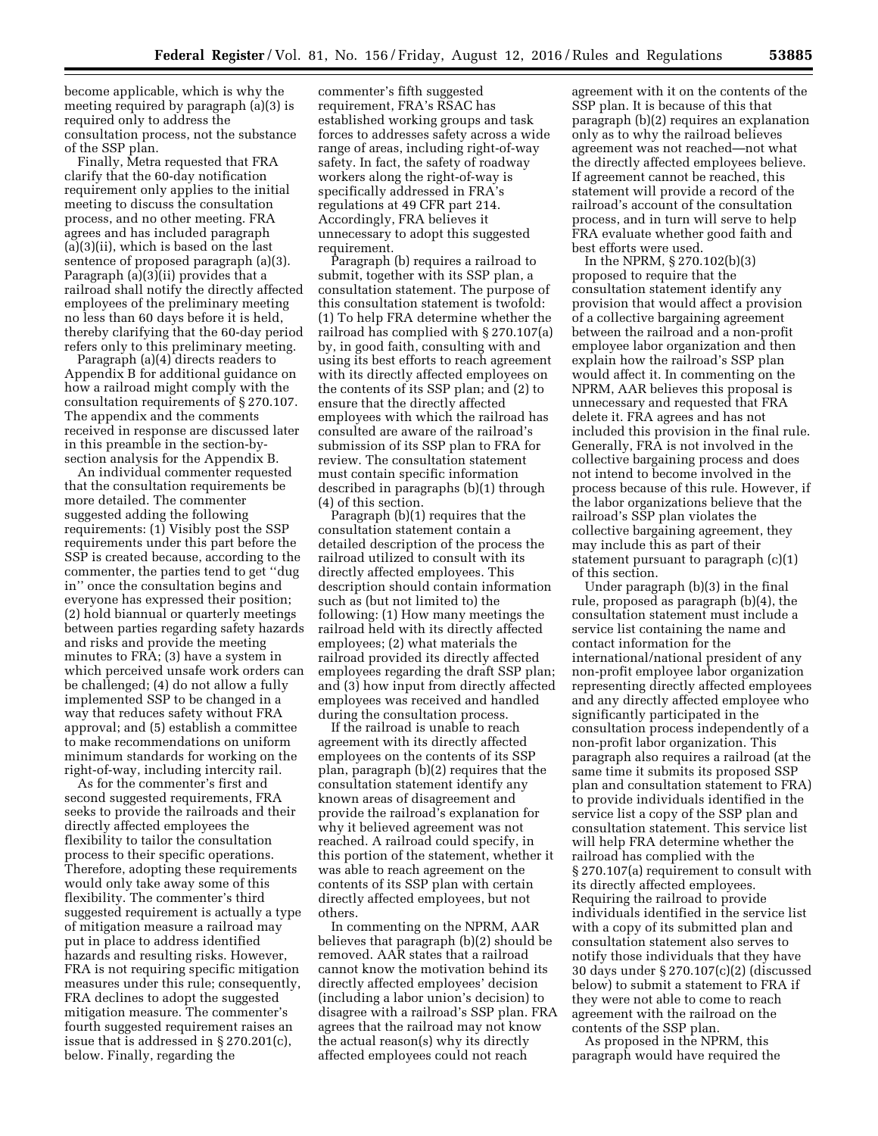become applicable, which is why the meeting required by paragraph (a)(3) is required only to address the consultation process, not the substance of the SSP plan.

Finally, Metra requested that FRA clarify that the 60-day notification requirement only applies to the initial meeting to discuss the consultation process, and no other meeting. FRA agrees and has included paragraph (a)(3)(ii), which is based on the last sentence of proposed paragraph (a)(3). Paragraph (a)(3)(ii) provides that a railroad shall notify the directly affected employees of the preliminary meeting no less than 60 days before it is held, thereby clarifying that the 60-day period refers only to this preliminary meeting.

Paragraph (a)(4) directs readers to Appendix B for additional guidance on how a railroad might comply with the consultation requirements of § 270.107. The appendix and the comments received in response are discussed later in this preamble in the section-bysection analysis for the Appendix B.

An individual commenter requested that the consultation requirements be more detailed. The commenter suggested adding the following requirements: (1) Visibly post the SSP requirements under this part before the SSP is created because, according to the commenter, the parties tend to get ''dug in'' once the consultation begins and everyone has expressed their position; (2) hold biannual or quarterly meetings between parties regarding safety hazards and risks and provide the meeting minutes to FRA; (3) have a system in which perceived unsafe work orders can be challenged; (4) do not allow a fully implemented SSP to be changed in a way that reduces safety without FRA approval; and (5) establish a committee to make recommendations on uniform minimum standards for working on the right-of-way, including intercity rail.

As for the commenter's first and second suggested requirements, FRA seeks to provide the railroads and their directly affected employees the flexibility to tailor the consultation process to their specific operations. Therefore, adopting these requirements would only take away some of this flexibility. The commenter's third suggested requirement is actually a type of mitigation measure a railroad may put in place to address identified hazards and resulting risks. However, FRA is not requiring specific mitigation measures under this rule; consequently, FRA declines to adopt the suggested mitigation measure. The commenter's fourth suggested requirement raises an issue that is addressed in § 270.201(c), below. Finally, regarding the

commenter's fifth suggested requirement, FRA's RSAC has established working groups and task forces to addresses safety across a wide range of areas, including right-of-way safety. In fact, the safety of roadway workers along the right-of-way is specifically addressed in FRA's regulations at 49 CFR part 214. Accordingly, FRA believes it unnecessary to adopt this suggested requirement.

Paragraph (b) requires a railroad to submit, together with its SSP plan, a consultation statement. The purpose of this consultation statement is twofold: (1) To help FRA determine whether the railroad has complied with § 270.107(a) by, in good faith, consulting with and using its best efforts to reach agreement with its directly affected employees on the contents of its SSP plan; and (2) to ensure that the directly affected employees with which the railroad has consulted are aware of the railroad's submission of its SSP plan to FRA for review. The consultation statement must contain specific information described in paragraphs (b)(1) through (4) of this section.

Paragraph (b)(1) requires that the consultation statement contain a detailed description of the process the railroad utilized to consult with its directly affected employees. This description should contain information such as (but not limited to) the following: (1) How many meetings the railroad held with its directly affected employees; (2) what materials the railroad provided its directly affected employees regarding the draft SSP plan; and (3) how input from directly affected employees was received and handled during the consultation process.

If the railroad is unable to reach agreement with its directly affected employees on the contents of its SSP plan, paragraph (b)(2) requires that the consultation statement identify any known areas of disagreement and provide the railroad's explanation for why it believed agreement was not reached. A railroad could specify, in this portion of the statement, whether it was able to reach agreement on the contents of its SSP plan with certain directly affected employees, but not others.

In commenting on the NPRM, AAR believes that paragraph (b)(2) should be removed. AAR states that a railroad cannot know the motivation behind its directly affected employees' decision (including a labor union's decision) to disagree with a railroad's SSP plan. FRA agrees that the railroad may not know the actual reason(s) why its directly affected employees could not reach

agreement with it on the contents of the SSP plan. It is because of this that paragraph (b)(2) requires an explanation only as to why the railroad believes agreement was not reached—not what the directly affected employees believe. If agreement cannot be reached, this statement will provide a record of the railroad's account of the consultation process, and in turn will serve to help FRA evaluate whether good faith and best efforts were used.

In the NPRM, § 270.102(b)(3) proposed to require that the consultation statement identify any provision that would affect a provision of a collective bargaining agreement between the railroad and a non-profit employee labor organization and then explain how the railroad's SSP plan would affect it. In commenting on the NPRM, AAR believes this proposal is unnecessary and requested that FRA delete it. FRA agrees and has not included this provision in the final rule. Generally, FRA is not involved in the collective bargaining process and does not intend to become involved in the process because of this rule. However, if the labor organizations believe that the railroad's SSP plan violates the collective bargaining agreement, they may include this as part of their statement pursuant to paragraph (c)(1) of this section.

Under paragraph (b)(3) in the final rule, proposed as paragraph (b)(4), the consultation statement must include a service list containing the name and contact information for the international/national president of any non-profit employee labor organization representing directly affected employees and any directly affected employee who significantly participated in the consultation process independently of a non-profit labor organization. This paragraph also requires a railroad (at the same time it submits its proposed SSP plan and consultation statement to FRA) to provide individuals identified in the service list a copy of the SSP plan and consultation statement. This service list will help FRA determine whether the railroad has complied with the § 270.107(a) requirement to consult with its directly affected employees. Requiring the railroad to provide individuals identified in the service list with a copy of its submitted plan and consultation statement also serves to notify those individuals that they have 30 days under § 270.107(c)(2) (discussed below) to submit a statement to FRA if they were not able to come to reach agreement with the railroad on the contents of the SSP plan.

As proposed in the NPRM, this paragraph would have required the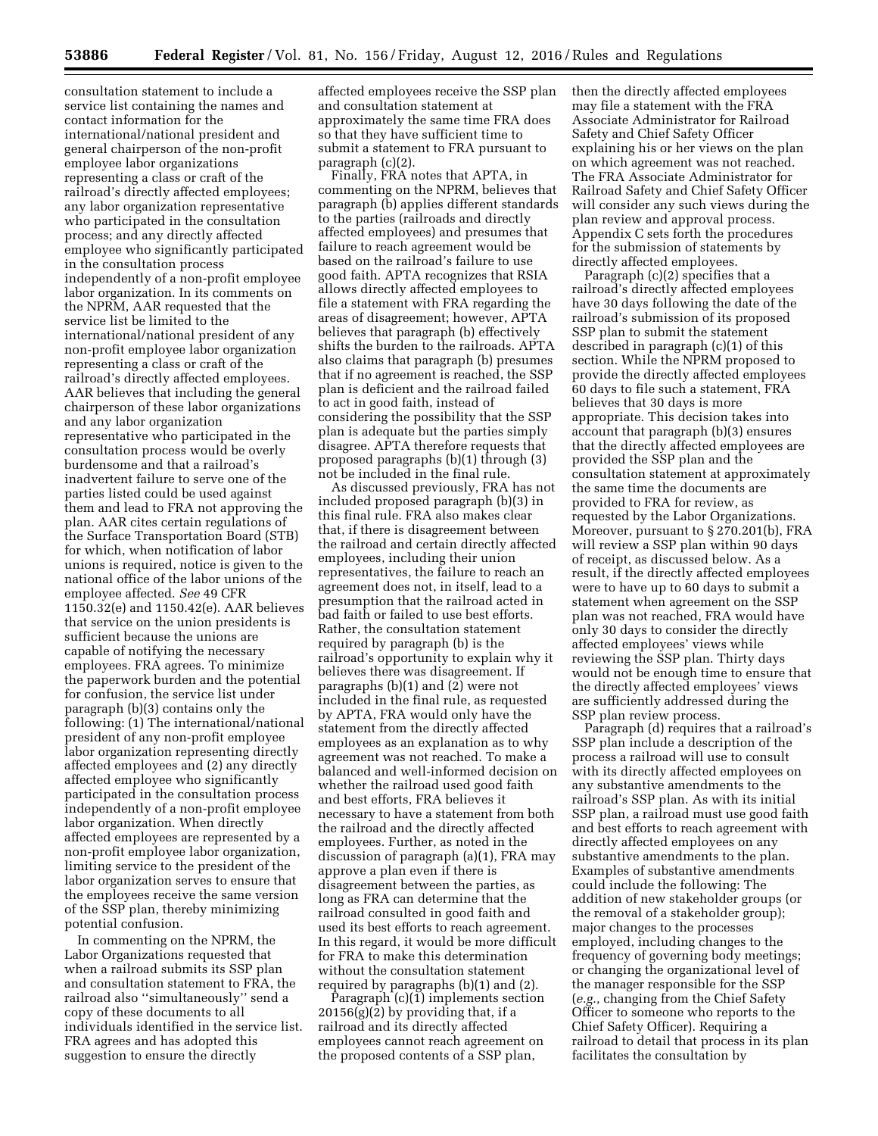consultation statement to include a service list containing the names and contact information for the international/national president and general chairperson of the non-profit employee labor organizations representing a class or craft of the railroad's directly affected employees; any labor organization representative who participated in the consultation process; and any directly affected employee who significantly participated in the consultation process independently of a non-profit employee labor organization. In its comments on the NPRM, AAR requested that the service list be limited to the international/national president of any non-profit employee labor organization representing a class or craft of the railroad's directly affected employees. AAR believes that including the general chairperson of these labor organizations and any labor organization representative who participated in the consultation process would be overly burdensome and that a railroad's inadvertent failure to serve one of the parties listed could be used against them and lead to FRA not approving the plan. AAR cites certain regulations of the Surface Transportation Board (STB) for which, when notification of labor unions is required, notice is given to the national office of the labor unions of the employee affected. *See* 49 CFR 1150.32(e) and 1150.42(e). AAR believes that service on the union presidents is sufficient because the unions are capable of notifying the necessary employees. FRA agrees. To minimize the paperwork burden and the potential for confusion, the service list under paragraph (b)(3) contains only the following: (1) The international/national president of any non-profit employee labor organization representing directly affected employees and (2) any directly affected employee who significantly participated in the consultation process independently of a non-profit employee labor organization. When directly affected employees are represented by a non-profit employee labor organization, limiting service to the president of the labor organization serves to ensure that the employees receive the same version of the SSP plan, thereby minimizing potential confusion.

In commenting on the NPRM, the Labor Organizations requested that when a railroad submits its SSP plan and consultation statement to FRA, the railroad also ''simultaneously'' send a copy of these documents to all individuals identified in the service list. FRA agrees and has adopted this suggestion to ensure the directly

affected employees receive the SSP plan and consultation statement at approximately the same time FRA does so that they have sufficient time to submit a statement to FRA pursuant to paragraph (c)(2).

Finally, FRA notes that APTA, in commenting on the NPRM, believes that paragraph (b) applies different standards to the parties (railroads and directly affected employees) and presumes that failure to reach agreement would be based on the railroad's failure to use good faith. APTA recognizes that RSIA allows directly affected employees to file a statement with FRA regarding the areas of disagreement; however, APTA believes that paragraph (b) effectively shifts the burden to the railroads. APTA also claims that paragraph (b) presumes that if no agreement is reached, the SSP plan is deficient and the railroad failed to act in good faith, instead of considering the possibility that the SSP plan is adequate but the parties simply disagree. APTA therefore requests that proposed paragraphs (b)(1) through (3) not be included in the final rule.

As discussed previously, FRA has not included proposed paragraph (b)(3) in this final rule. FRA also makes clear that, if there is disagreement between the railroad and certain directly affected employees, including their union representatives, the failure to reach an agreement does not, in itself, lead to a presumption that the railroad acted in bad faith or failed to use best efforts. Rather, the consultation statement required by paragraph (b) is the railroad's opportunity to explain why it believes there was disagreement. If paragraphs (b)(1) and (2) were not included in the final rule, as requested by APTA, FRA would only have the statement from the directly affected employees as an explanation as to why agreement was not reached. To make a balanced and well-informed decision on whether the railroad used good faith and best efforts, FRA believes it necessary to have a statement from both the railroad and the directly affected employees. Further, as noted in the discussion of paragraph (a)(1), FRA may approve a plan even if there is disagreement between the parties, as long as FRA can determine that the railroad consulted in good faith and used its best efforts to reach agreement. In this regard, it would be more difficult for FRA to make this determination without the consultation statement required by paragraphs (b)(1) and (2).

Paragraph  $(c)(1)$  implements section  $20156(g)(2)$  by providing that, if a railroad and its directly affected employees cannot reach agreement on the proposed contents of a SSP plan,

then the directly affected employees may file a statement with the FRA Associate Administrator for Railroad Safety and Chief Safety Officer explaining his or her views on the plan on which agreement was not reached. The FRA Associate Administrator for Railroad Safety and Chief Safety Officer will consider any such views during the plan review and approval process. Appendix C sets forth the procedures for the submission of statements by directly affected employees.

Paragraph (c)(2) specifies that a railroad's directly affected employees have 30 days following the date of the railroad's submission of its proposed SSP plan to submit the statement described in paragraph (c)(1) of this section. While the NPRM proposed to provide the directly affected employees 60 days to file such a statement, FRA believes that 30 days is more appropriate. This decision takes into account that paragraph (b)(3) ensures that the directly affected employees are provided the SSP plan and the consultation statement at approximately the same time the documents are provided to FRA for review, as requested by the Labor Organizations. Moreover, pursuant to § 270.201(b), FRA will review a SSP plan within 90 days of receipt, as discussed below. As a result, if the directly affected employees were to have up to 60 days to submit a statement when agreement on the SSP plan was not reached, FRA would have only 30 days to consider the directly affected employees' views while reviewing the SSP plan. Thirty days would not be enough time to ensure that the directly affected employees' views are sufficiently addressed during the SSP plan review process.

Paragraph (d) requires that a railroad's SSP plan include a description of the process a railroad will use to consult with its directly affected employees on any substantive amendments to the railroad's SSP plan. As with its initial SSP plan, a railroad must use good faith and best efforts to reach agreement with directly affected employees on any substantive amendments to the plan. Examples of substantive amendments could include the following: The addition of new stakeholder groups (or the removal of a stakeholder group); major changes to the processes employed, including changes to the frequency of governing body meetings; or changing the organizational level of the manager responsible for the SSP (*e.g.,* changing from the Chief Safety Officer to someone who reports to the Chief Safety Officer). Requiring a railroad to detail that process in its plan facilitates the consultation by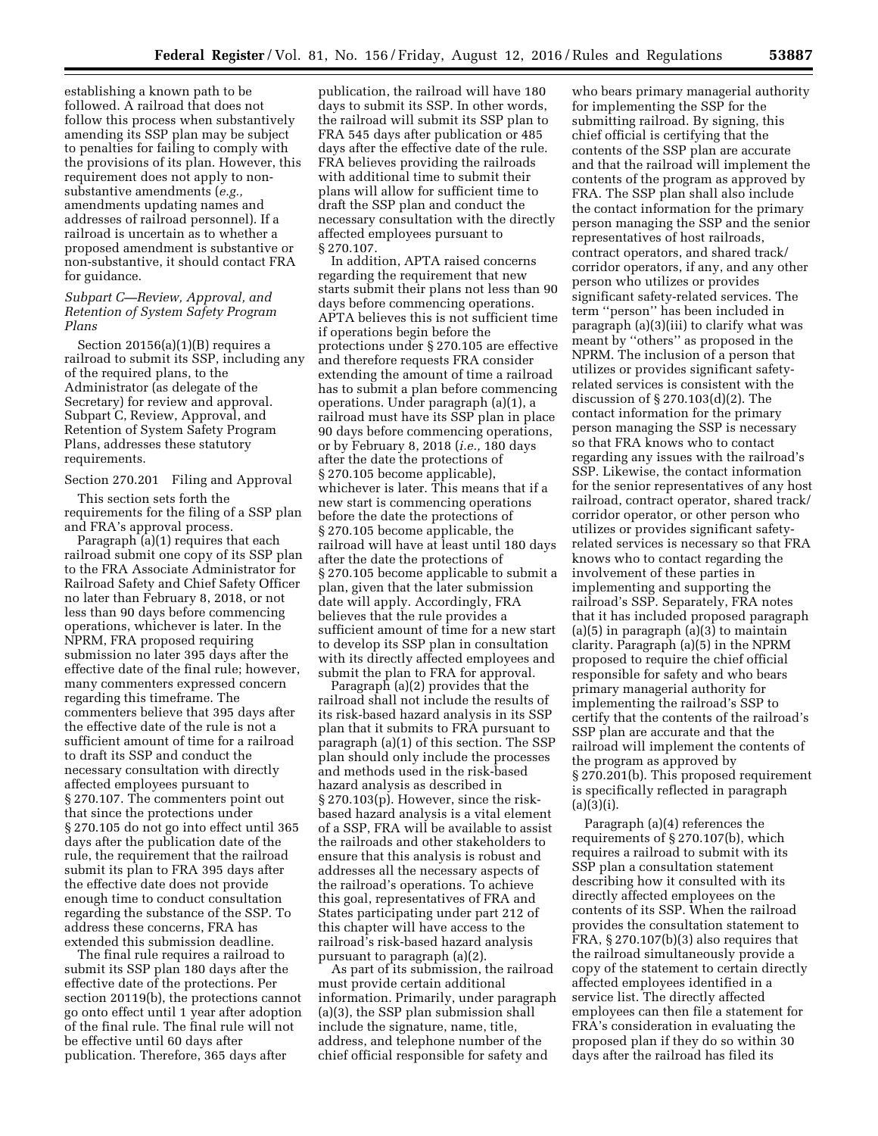establishing a known path to be followed. A railroad that does not follow this process when substantively amending its SSP plan may be subject to penalties for failing to comply with the provisions of its plan. However, this requirement does not apply to nonsubstantive amendments (*e.g.,*  amendments updating names and addresses of railroad personnel). If a railroad is uncertain as to whether a proposed amendment is substantive or non-substantive, it should contact FRA for guidance.

# *Subpart C—Review, Approval, and Retention of System Safety Program Plans*

Section 20156(a)(1)(B) requires a railroad to submit its SSP, including any of the required plans, to the Administrator (as delegate of the Secretary) for review and approval. Subpart C, Review, Approval, and Retention of System Safety Program Plans, addresses these statutory requirements.

#### Section 270.201 Filing and Approval

This section sets forth the requirements for the filing of a SSP plan and FRA's approval process.

Paragraph (a)(1) requires that each railroad submit one copy of its SSP plan to the FRA Associate Administrator for Railroad Safety and Chief Safety Officer no later than February 8, 2018, or not less than 90 days before commencing operations, whichever is later. In the NPRM, FRA proposed requiring submission no later 395 days after the effective date of the final rule; however, many commenters expressed concern regarding this timeframe. The commenters believe that 395 days after the effective date of the rule is not a sufficient amount of time for a railroad to draft its SSP and conduct the necessary consultation with directly affected employees pursuant to § 270.107. The commenters point out that since the protections under § 270.105 do not go into effect until 365 days after the publication date of the rule, the requirement that the railroad submit its plan to FRA 395 days after the effective date does not provide enough time to conduct consultation regarding the substance of the SSP. To address these concerns, FRA has extended this submission deadline.

The final rule requires a railroad to submit its SSP plan 180 days after the effective date of the protections. Per section 20119(b), the protections cannot go onto effect until 1 year after adoption of the final rule. The final rule will not be effective until 60 days after publication. Therefore, 365 days after

publication, the railroad will have 180 days to submit its SSP. In other words, the railroad will submit its SSP plan to FRA 545 days after publication or 485 days after the effective date of the rule. FRA believes providing the railroads with additional time to submit their plans will allow for sufficient time to draft the SSP plan and conduct the necessary consultation with the directly affected employees pursuant to § 270.107.

In addition, APTA raised concerns regarding the requirement that new starts submit their plans not less than 90 days before commencing operations. APTA believes this is not sufficient time if operations begin before the protections under § 270.105 are effective and therefore requests FRA consider extending the amount of time a railroad has to submit a plan before commencing operations. Under paragraph (a)(1), a railroad must have its SSP plan in place 90 days before commencing operations, or by February 8, 2018 (*i.e.,* 180 days after the date the protections of § 270.105 become applicable), whichever is later. This means that if a new start is commencing operations before the date the protections of § 270.105 become applicable, the railroad will have at least until 180 days after the date the protections of § 270.105 become applicable to submit a plan, given that the later submission date will apply. Accordingly, FRA believes that the rule provides a sufficient amount of time for a new start to develop its SSP plan in consultation with its directly affected employees and submit the plan to FRA for approval.

Paragraph (a)(2) provides that the railroad shall not include the results of its risk-based hazard analysis in its SSP plan that it submits to FRA pursuant to paragraph (a)(1) of this section. The SSP plan should only include the processes and methods used in the risk-based hazard analysis as described in § 270.103(p). However, since the riskbased hazard analysis is a vital element of a SSP, FRA will be available to assist the railroads and other stakeholders to ensure that this analysis is robust and addresses all the necessary aspects of the railroad's operations. To achieve this goal, representatives of FRA and States participating under part 212 of this chapter will have access to the railroad's risk-based hazard analysis pursuant to paragraph (a)(2).

As part of its submission, the railroad must provide certain additional information. Primarily, under paragraph (a)(3), the SSP plan submission shall include the signature, name, title, address, and telephone number of the chief official responsible for safety and

who bears primary managerial authority for implementing the SSP for the submitting railroad. By signing, this chief official is certifying that the contents of the SSP plan are accurate and that the railroad will implement the contents of the program as approved by FRA. The SSP plan shall also include the contact information for the primary person managing the SSP and the senior representatives of host railroads, contract operators, and shared track/ corridor operators, if any, and any other person who utilizes or provides significant safety-related services. The term ''person'' has been included in paragraph (a)(3)(iii) to clarify what was meant by ''others'' as proposed in the NPRM. The inclusion of a person that utilizes or provides significant safetyrelated services is consistent with the discussion of § 270.103(d)(2). The contact information for the primary person managing the SSP is necessary so that FRA knows who to contact regarding any issues with the railroad's SSP. Likewise, the contact information for the senior representatives of any host railroad, contract operator, shared track/ corridor operator, or other person who utilizes or provides significant safetyrelated services is necessary so that FRA knows who to contact regarding the involvement of these parties in implementing and supporting the railroad's SSP. Separately, FRA notes that it has included proposed paragraph (a)(5) in paragraph (a)(3) to maintain clarity. Paragraph (a)(5) in the NPRM proposed to require the chief official responsible for safety and who bears primary managerial authority for implementing the railroad's SSP to certify that the contents of the railroad's SSP plan are accurate and that the railroad will implement the contents of the program as approved by § 270.201(b). This proposed requirement is specifically reflected in paragraph  $(a)(3)(i).$ 

Paragraph (a)(4) references the requirements of § 270.107(b), which requires a railroad to submit with its SSP plan a consultation statement describing how it consulted with its directly affected employees on the contents of its SSP. When the railroad provides the consultation statement to FRA, § 270.107(b)(3) also requires that the railroad simultaneously provide a copy of the statement to certain directly affected employees identified in a service list. The directly affected employees can then file a statement for FRA's consideration in evaluating the proposed plan if they do so within 30 days after the railroad has filed its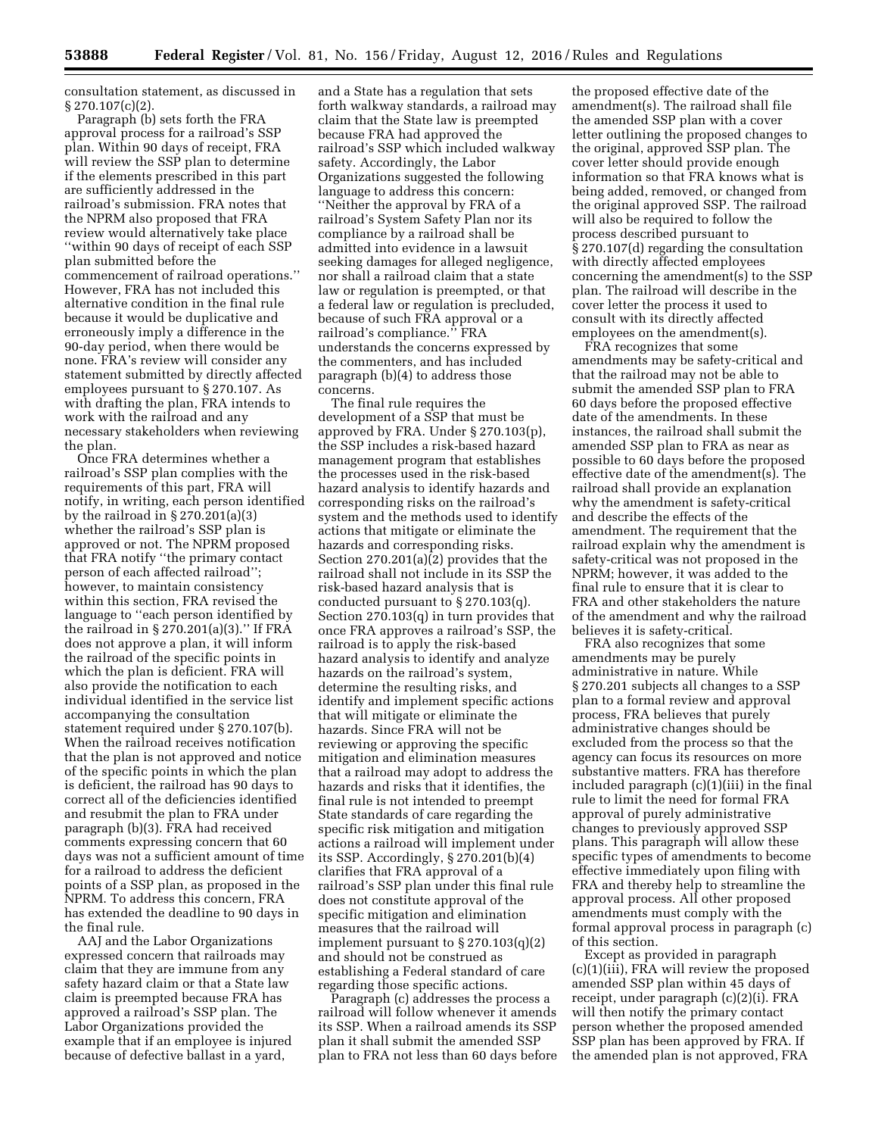consultation statement, as discussed in § 270.107(c)(2).

Paragraph (b) sets forth the FRA approval process for a railroad's SSP plan. Within 90 days of receipt, FRA will review the SSP plan to determine if the elements prescribed in this part are sufficiently addressed in the railroad's submission. FRA notes that the NPRM also proposed that FRA review would alternatively take place ''within 90 days of receipt of each SSP plan submitted before the commencement of railroad operations.'' However, FRA has not included this alternative condition in the final rule because it would be duplicative and erroneously imply a difference in the 90-day period, when there would be none. FRA's review will consider any statement submitted by directly affected employees pursuant to § 270.107. As with drafting the plan, FRA intends to work with the railroad and any necessary stakeholders when reviewing the plan.

Once FRA determines whether a railroad's SSP plan complies with the requirements of this part, FRA will notify, in writing, each person identified by the railroad in  $\S 270.201(a)(3)$ whether the railroad's SSP plan is approved or not. The NPRM proposed that FRA notify ''the primary contact person of each affected railroad''; however, to maintain consistency within this section, FRA revised the language to ''each person identified by the railroad in  $\S 270.201(a)(3)$ ." If FRA does not approve a plan, it will inform the railroad of the specific points in which the plan is deficient. FRA will also provide the notification to each individual identified in the service list accompanying the consultation statement required under § 270.107(b). When the railroad receives notification that the plan is not approved and notice of the specific points in which the plan is deficient, the railroad has 90 days to correct all of the deficiencies identified and resubmit the plan to FRA under paragraph (b)(3). FRA had received comments expressing concern that 60 days was not a sufficient amount of time for a railroad to address the deficient points of a SSP plan, as proposed in the NPRM. To address this concern, FRA has extended the deadline to 90 days in the final rule.

AAJ and the Labor Organizations expressed concern that railroads may claim that they are immune from any safety hazard claim or that a State law claim is preempted because FRA has approved a railroad's SSP plan. The Labor Organizations provided the example that if an employee is injured because of defective ballast in a yard,

and a State has a regulation that sets forth walkway standards, a railroad may claim that the State law is preempted because FRA had approved the railroad's SSP which included walkway safety. Accordingly, the Labor Organizations suggested the following language to address this concern: ''Neither the approval by FRA of a railroad's System Safety Plan nor its compliance by a railroad shall be admitted into evidence in a lawsuit seeking damages for alleged negligence, nor shall a railroad claim that a state law or regulation is preempted, or that a federal law or regulation is precluded, because of such FRA approval or a railroad's compliance.'' FRA understands the concerns expressed by the commenters, and has included paragraph (b)(4) to address those concerns.

The final rule requires the development of a SSP that must be approved by FRA. Under § 270.103(p), the SSP includes a risk-based hazard management program that establishes the processes used in the risk-based hazard analysis to identify hazards and corresponding risks on the railroad's system and the methods used to identify actions that mitigate or eliminate the hazards and corresponding risks. Section 270.201(a)(2) provides that the railroad shall not include in its SSP the risk-based hazard analysis that is conducted pursuant to § 270.103(q). Section 270.103(q) in turn provides that once FRA approves a railroad's SSP, the railroad is to apply the risk-based hazard analysis to identify and analyze hazards on the railroad's system, determine the resulting risks, and identify and implement specific actions that will mitigate or eliminate the hazards. Since FRA will not be reviewing or approving the specific mitigation and elimination measures that a railroad may adopt to address the hazards and risks that it identifies, the final rule is not intended to preempt State standards of care regarding the specific risk mitigation and mitigation actions a railroad will implement under its SSP. Accordingly, § 270.201(b)(4) clarifies that FRA approval of a railroad's SSP plan under this final rule does not constitute approval of the specific mitigation and elimination measures that the railroad will implement pursuant to § 270.103(q)(2) and should not be construed as establishing a Federal standard of care regarding those specific actions.

Paragraph (c) addresses the process a railroad will follow whenever it amends its SSP. When a railroad amends its SSP plan it shall submit the amended SSP plan to FRA not less than 60 days before

the proposed effective date of the amendment(s). The railroad shall file the amended SSP plan with a cover letter outlining the proposed changes to the original, approved SSP plan. The cover letter should provide enough information so that FRA knows what is being added, removed, or changed from the original approved SSP. The railroad will also be required to follow the process described pursuant to § 270.107(d) regarding the consultation with directly affected employees concerning the amendment(s) to the SSP plan. The railroad will describe in the cover letter the process it used to consult with its directly affected employees on the amendment(s).

FRA recognizes that some amendments may be safety-critical and that the railroad may not be able to submit the amended SSP plan to FRA 60 days before the proposed effective date of the amendments. In these instances, the railroad shall submit the amended SSP plan to FRA as near as possible to 60 days before the proposed effective date of the amendment(s). The railroad shall provide an explanation why the amendment is safety-critical and describe the effects of the amendment. The requirement that the railroad explain why the amendment is safety-critical was not proposed in the NPRM; however, it was added to the final rule to ensure that it is clear to FRA and other stakeholders the nature of the amendment and why the railroad believes it is safety-critical.

FRA also recognizes that some amendments may be purely administrative in nature. While § 270.201 subjects all changes to a SSP plan to a formal review and approval process, FRA believes that purely administrative changes should be excluded from the process so that the agency can focus its resources on more substantive matters. FRA has therefore included paragraph (c)(1)(iii) in the final rule to limit the need for formal FRA approval of purely administrative changes to previously approved SSP plans. This paragraph will allow these specific types of amendments to become effective immediately upon filing with FRA and thereby help to streamline the approval process. All other proposed amendments must comply with the formal approval process in paragraph (c) of this section.

Except as provided in paragraph (c)(1)(iii), FRA will review the proposed amended SSP plan within 45 days of receipt, under paragraph (c)(2)(i). FRA will then notify the primary contact person whether the proposed amended SSP plan has been approved by FRA. If the amended plan is not approved, FRA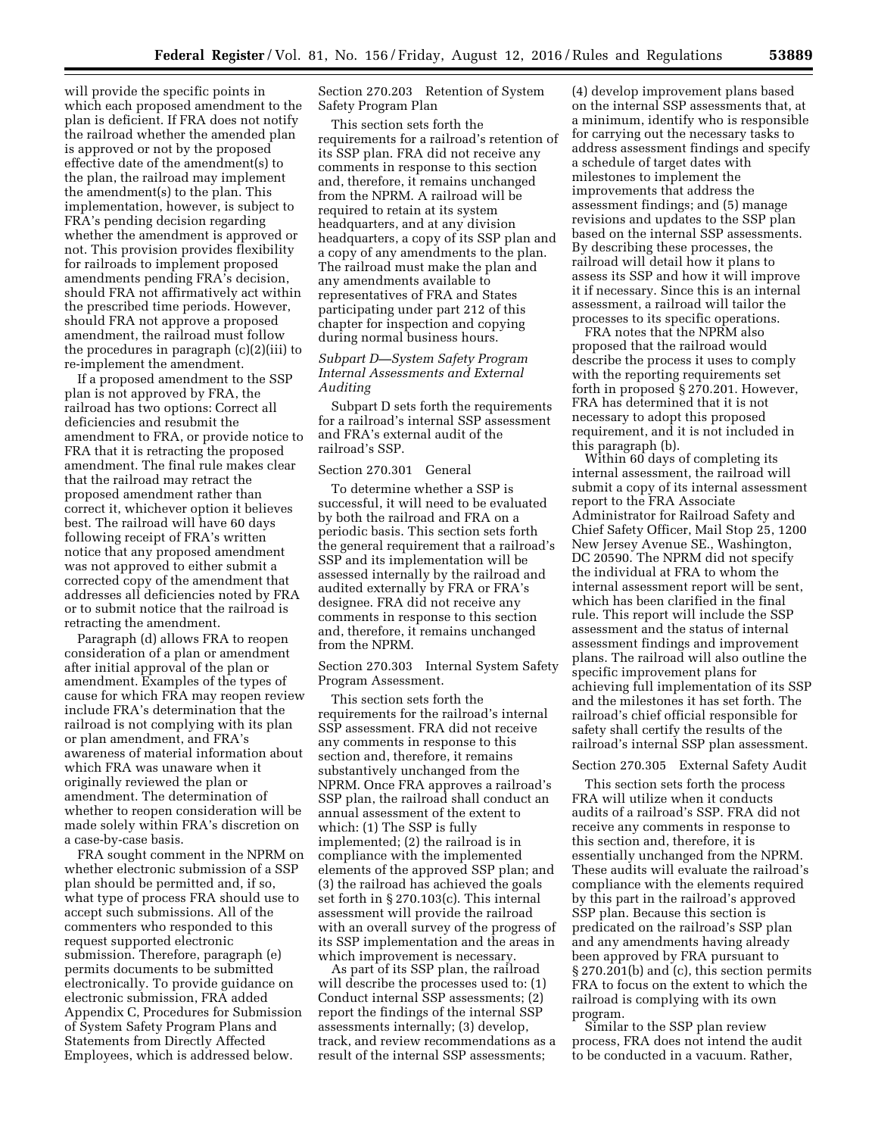will provide the specific points in which each proposed amendment to the plan is deficient. If FRA does not notify the railroad whether the amended plan is approved or not by the proposed effective date of the amendment(s) to the plan, the railroad may implement the amendment(s) to the plan. This implementation, however, is subject to FRA's pending decision regarding whether the amendment is approved or not. This provision provides flexibility for railroads to implement proposed amendments pending FRA's decision, should FRA not affirmatively act within the prescribed time periods. However, should FRA not approve a proposed amendment, the railroad must follow the procedures in paragraph (c)(2)(iii) to re-implement the amendment.

If a proposed amendment to the SSP plan is not approved by FRA, the railroad has two options: Correct all deficiencies and resubmit the amendment to FRA, or provide notice to FRA that it is retracting the proposed amendment. The final rule makes clear that the railroad may retract the proposed amendment rather than correct it, whichever option it believes best. The railroad will have 60 days following receipt of FRA's written notice that any proposed amendment was not approved to either submit a corrected copy of the amendment that addresses all deficiencies noted by FRA or to submit notice that the railroad is retracting the amendment.

Paragraph (d) allows FRA to reopen consideration of a plan or amendment after initial approval of the plan or amendment. Examples of the types of cause for which FRA may reopen review include FRA's determination that the railroad is not complying with its plan or plan amendment, and FRA's awareness of material information about which FRA was unaware when it originally reviewed the plan or amendment. The determination of whether to reopen consideration will be made solely within FRA's discretion on a case-by-case basis.

FRA sought comment in the NPRM on whether electronic submission of a SSP plan should be permitted and, if so, what type of process FRA should use to accept such submissions. All of the commenters who responded to this request supported electronic submission. Therefore, paragraph (e) permits documents to be submitted electronically. To provide guidance on electronic submission, FRA added Appendix C, Procedures for Submission of System Safety Program Plans and Statements from Directly Affected Employees, which is addressed below.

Section 270.203 Retention of System Safety Program Plan

This section sets forth the requirements for a railroad's retention of its SSP plan. FRA did not receive any comments in response to this section and, therefore, it remains unchanged from the NPRM. A railroad will be required to retain at its system headquarters, and at any division headquarters, a copy of its SSP plan and a copy of any amendments to the plan. The railroad must make the plan and any amendments available to representatives of FRA and States participating under part 212 of this chapter for inspection and copying during normal business hours.

# *Subpart D—System Safety Program Internal Assessments and External Auditing*

Subpart D sets forth the requirements for a railroad's internal SSP assessment and FRA's external audit of the railroad's SSP.

# Section 270.301 General

To determine whether a SSP is successful, it will need to be evaluated by both the railroad and FRA on a periodic basis. This section sets forth the general requirement that a railroad's SSP and its implementation will be assessed internally by the railroad and audited externally by FRA or FRA's designee. FRA did not receive any comments in response to this section and, therefore, it remains unchanged from the NPRM.

Section 270.303 Internal System Safety Program Assessment.

This section sets forth the requirements for the railroad's internal SSP assessment. FRA did not receive any comments in response to this section and, therefore, it remains substantively unchanged from the NPRM. Once FRA approves a railroad's SSP plan, the railroad shall conduct an annual assessment of the extent to which: (1) The SSP is fully implemented; (2) the railroad is in compliance with the implemented elements of the approved SSP plan; and (3) the railroad has achieved the goals set forth in § 270.103(c). This internal assessment will provide the railroad with an overall survey of the progress of its SSP implementation and the areas in which improvement is necessary.

As part of its SSP plan, the railroad will describe the processes used to: (1) Conduct internal SSP assessments; (2) report the findings of the internal SSP assessments internally; (3) develop, track, and review recommendations as a result of the internal SSP assessments;

(4) develop improvement plans based on the internal SSP assessments that, at a minimum, identify who is responsible for carrying out the necessary tasks to address assessment findings and specify a schedule of target dates with milestones to implement the improvements that address the assessment findings; and (5) manage revisions and updates to the SSP plan based on the internal SSP assessments. By describing these processes, the railroad will detail how it plans to assess its SSP and how it will improve it if necessary. Since this is an internal assessment, a railroad will tailor the processes to its specific operations.

FRA notes that the NPRM also proposed that the railroad would describe the process it uses to comply with the reporting requirements set forth in proposed § 270.201. However, FRA has determined that it is not necessary to adopt this proposed requirement, and it is not included in this paragraph (b).

Within 60 days of completing its internal assessment, the railroad will submit a copy of its internal assessment report to the FRA Associate Administrator for Railroad Safety and Chief Safety Officer, Mail Stop 25, 1200 New Jersey Avenue SE., Washington, DC 20590. The NPRM did not specify the individual at FRA to whom the internal assessment report will be sent, which has been clarified in the final rule. This report will include the SSP assessment and the status of internal assessment findings and improvement plans. The railroad will also outline the specific improvement plans for achieving full implementation of its SSP and the milestones it has set forth. The railroad's chief official responsible for safety shall certify the results of the railroad's internal SSP plan assessment.

### Section 270.305 External Safety Audit

This section sets forth the process FRA will utilize when it conducts audits of a railroad's SSP. FRA did not receive any comments in response to this section and, therefore, it is essentially unchanged from the NPRM. These audits will evaluate the railroad's compliance with the elements required by this part in the railroad's approved SSP plan. Because this section is predicated on the railroad's SSP plan and any amendments having already been approved by FRA pursuant to § 270.201(b) and (c), this section permits FRA to focus on the extent to which the railroad is complying with its own program.

Similar to the SSP plan review process, FRA does not intend the audit to be conducted in a vacuum. Rather,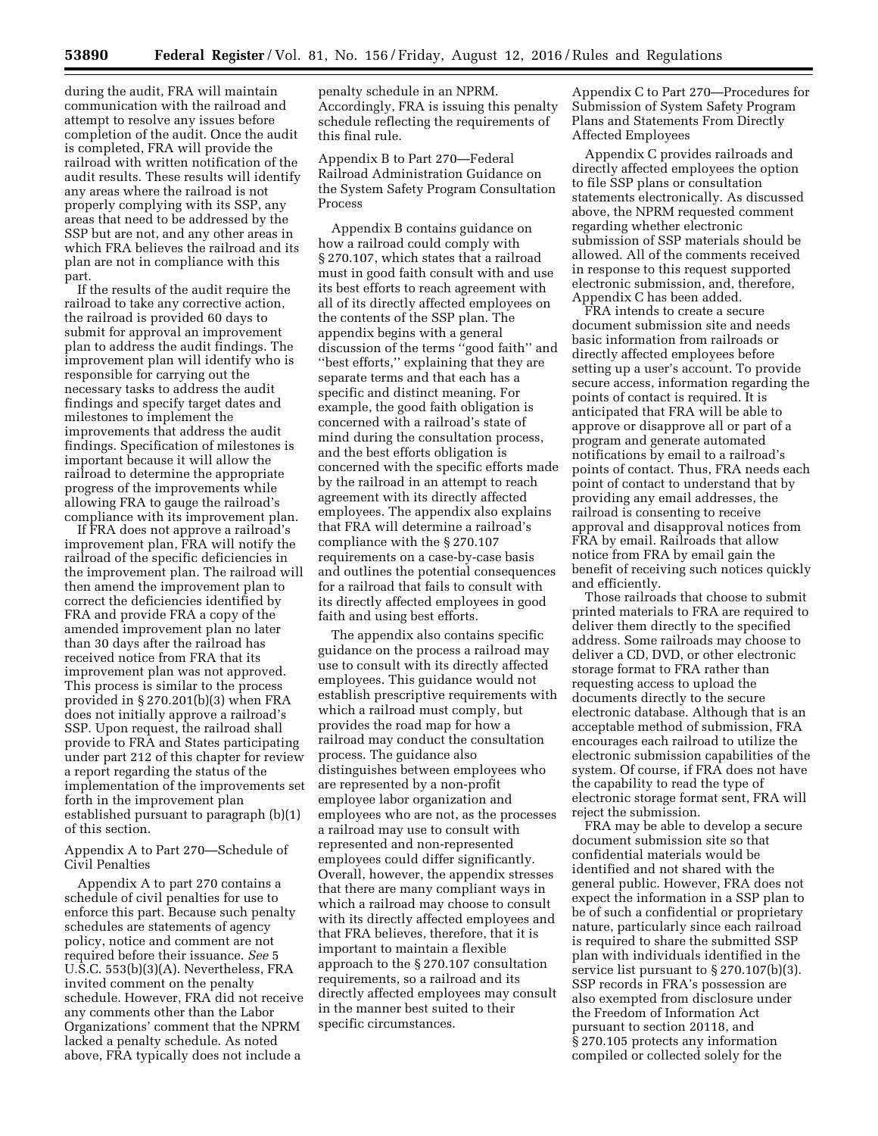during the audit, FRA will maintain communication with the railroad and attempt to resolve any issues before completion of the audit. Once the audit is completed, FRA will provide the railroad with written notification of the audit results. These results will identify any areas where the railroad is not properly complying with its SSP, any areas that need to be addressed by the SSP but are not, and any other areas in which FRA believes the railroad and its plan are not in compliance with this part.

If the results of the audit require the railroad to take any corrective action, the railroad is provided 60 days to submit for approval an improvement plan to address the audit findings. The improvement plan will identify who is responsible for carrying out the necessary tasks to address the audit findings and specify target dates and milestones to implement the improvements that address the audit findings. Specification of milestones is important because it will allow the railroad to determine the appropriate progress of the improvements while allowing FRA to gauge the railroad's compliance with its improvement plan.

If FRA does not approve a railroad's improvement plan, FRA will notify the railroad of the specific deficiencies in the improvement plan. The railroad will then amend the improvement plan to correct the deficiencies identified by FRA and provide FRA a copy of the amended improvement plan no later than 30 days after the railroad has received notice from FRA that its improvement plan was not approved. This process is similar to the process provided in § 270.201(b)(3) when FRA does not initially approve a railroad's SSP. Upon request, the railroad shall provide to FRA and States participating under part 212 of this chapter for review a report regarding the status of the implementation of the improvements set forth in the improvement plan established pursuant to paragraph (b)(1) of this section.

# Appendix A to Part 270—Schedule of Civil Penalties

Appendix A to part 270 contains a schedule of civil penalties for use to enforce this part. Because such penalty schedules are statements of agency policy, notice and comment are not required before their issuance. *See* 5 U.S.C. 553(b)(3)(A). Nevertheless, FRA invited comment on the penalty schedule. However, FRA did not receive any comments other than the Labor Organizations' comment that the NPRM lacked a penalty schedule. As noted above, FRA typically does not include a

penalty schedule in an NPRM. Accordingly, FRA is issuing this penalty schedule reflecting the requirements of this final rule.

Appendix B to Part 270—Federal Railroad Administration Guidance on the System Safety Program Consultation Process

Appendix B contains guidance on how a railroad could comply with § 270.107, which states that a railroad must in good faith consult with and use its best efforts to reach agreement with all of its directly affected employees on the contents of the SSP plan. The appendix begins with a general discussion of the terms ''good faith'' and ''best efforts,'' explaining that they are separate terms and that each has a specific and distinct meaning. For example, the good faith obligation is concerned with a railroad's state of mind during the consultation process, and the best efforts obligation is concerned with the specific efforts made by the railroad in an attempt to reach agreement with its directly affected employees. The appendix also explains that FRA will determine a railroad's compliance with the § 270.107 requirements on a case-by-case basis and outlines the potential consequences for a railroad that fails to consult with its directly affected employees in good faith and using best efforts.

The appendix also contains specific guidance on the process a railroad may use to consult with its directly affected employees. This guidance would not establish prescriptive requirements with which a railroad must comply, but provides the road map for how a railroad may conduct the consultation process. The guidance also distinguishes between employees who are represented by a non-profit employee labor organization and employees who are not, as the processes a railroad may use to consult with represented and non-represented employees could differ significantly. Overall, however, the appendix stresses that there are many compliant ways in which a railroad may choose to consult with its directly affected employees and that FRA believes, therefore, that it is important to maintain a flexible approach to the § 270.107 consultation requirements, so a railroad and its directly affected employees may consult in the manner best suited to their specific circumstances.

Appendix C to Part 270—Procedures for Submission of System Safety Program Plans and Statements From Directly Affected Employees

Appendix C provides railroads and directly affected employees the option to file SSP plans or consultation statements electronically. As discussed above, the NPRM requested comment regarding whether electronic submission of SSP materials should be allowed. All of the comments received in response to this request supported electronic submission, and, therefore, Appendix C has been added.

FRA intends to create a secure document submission site and needs basic information from railroads or directly affected employees before setting up a user's account. To provide secure access, information regarding the points of contact is required. It is anticipated that FRA will be able to approve or disapprove all or part of a program and generate automated notifications by email to a railroad's points of contact. Thus, FRA needs each point of contact to understand that by providing any email addresses, the railroad is consenting to receive approval and disapproval notices from FRA by email. Railroads that allow notice from FRA by email gain the benefit of receiving such notices quickly and efficiently.

Those railroads that choose to submit printed materials to FRA are required to deliver them directly to the specified address. Some railroads may choose to deliver a CD, DVD, or other electronic storage format to FRA rather than requesting access to upload the documents directly to the secure electronic database. Although that is an acceptable method of submission, FRA encourages each railroad to utilize the electronic submission capabilities of the system. Of course, if FRA does not have the capability to read the type of electronic storage format sent, FRA will reject the submission.

FRA may be able to develop a secure document submission site so that confidential materials would be identified and not shared with the general public. However, FRA does not expect the information in a SSP plan to be of such a confidential or proprietary nature, particularly since each railroad is required to share the submitted SSP plan with individuals identified in the service list pursuant to § 270.107(b)(3). SSP records in FRA's possession are also exempted from disclosure under the Freedom of Information Act pursuant to section 20118, and § 270.105 protects any information compiled or collected solely for the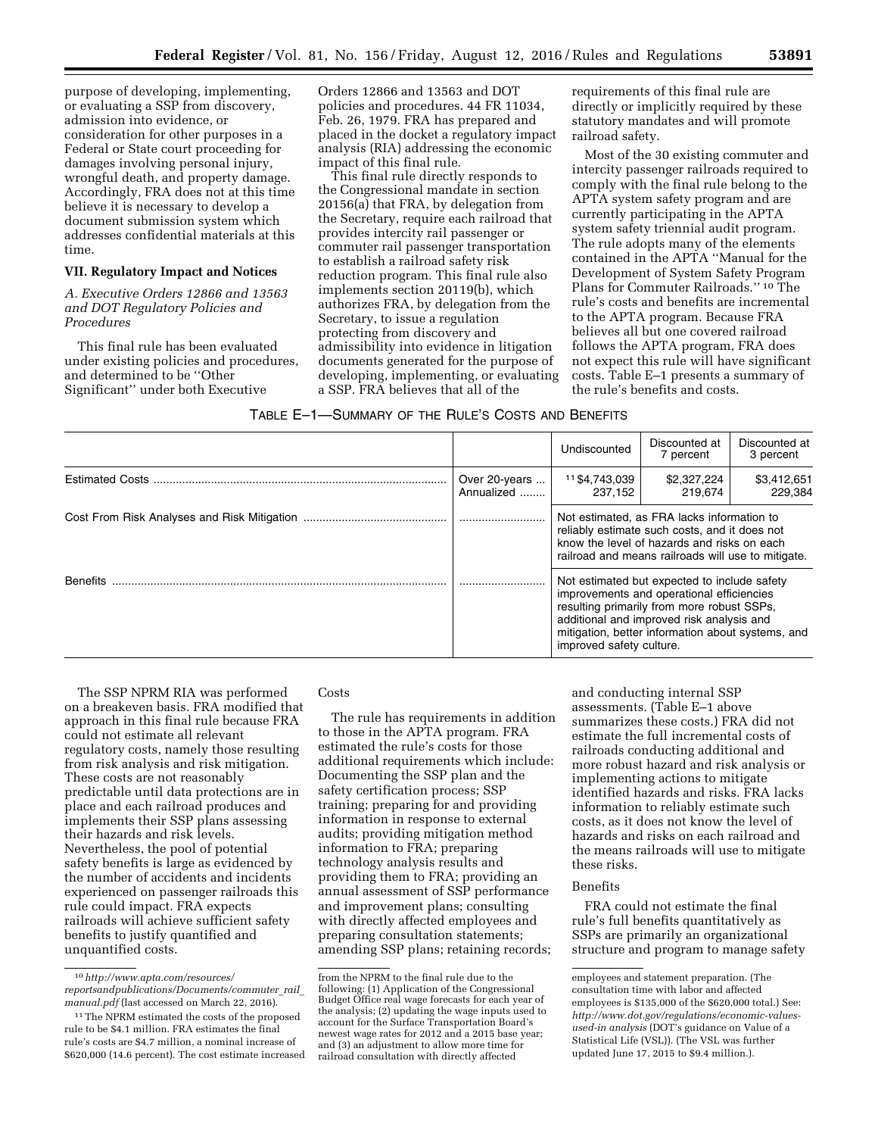purpose of developing, implementing, or evaluating a SSP from discovery, admission into evidence, or consideration for other purposes in a Federal or State court proceeding for damages involving personal injury, wrongful death, and property damage. Accordingly, FRA does not at this time believe it is necessary to develop a document submission system which addresses confidential materials at this time.

# **VII. Regulatory Impact and Notices**

*A. Executive Orders 12866 and 13563 and DOT Regulatory Policies and Procedures* 

This final rule has been evaluated under existing policies and procedures, and determined to be ''Other Significant'' under both Executive

Orders 12866 and 13563 and DOT policies and procedures. 44 FR 11034, Feb. 26, 1979. FRA has prepared and placed in the docket a regulatory impact analysis (RIA) addressing the economic impact of this final rule.

This final rule directly responds to the Congressional mandate in section 20156(a) that FRA, by delegation from the Secretary, require each railroad that provides intercity rail passenger or commuter rail passenger transportation to establish a railroad safety risk reduction program. This final rule also implements section 20119(b), which authorizes FRA, by delegation from the Secretary, to issue a regulation protecting from discovery and admissibility into evidence in litigation documents generated for the purpose of developing, implementing, or evaluating a SSP. FRA believes that all of the

requirements of this final rule are directly or implicitly required by these statutory mandates and will promote railroad safety.

Most of the 30 existing commuter and intercity passenger railroads required to comply with the final rule belong to the APTA system safety program and are currently participating in the APTA system safety triennial audit program. The rule adopts many of the elements contained in the APTA ''Manual for the Development of System Safety Program Plans for Commuter Railroads.'' 10 The rule's costs and benefits are incremental to the APTA program. Because FRA believes all but one covered railroad follows the APTA program, FRA does not expect this rule will have significant costs. Table E–1 presents a summary of the rule's benefits and costs.

|                        |                             | Undiscounted                                                                                                                                                                                                                                                          | Discounted at<br>7 percent | Discounted at<br>3 percent |
|------------------------|-----------------------------|-----------------------------------------------------------------------------------------------------------------------------------------------------------------------------------------------------------------------------------------------------------------------|----------------------------|----------------------------|
| <b>Estimated Costs</b> | Over 20-years<br>Annualized | 11 \$4,743,039<br>237.152                                                                                                                                                                                                                                             | \$2,327,224<br>219.674     | \$3,412,651<br>229.384     |
|                        |                             | Not estimated, as FRA lacks information to<br>reliably estimate such costs, and it does not<br>know the level of hazards and risks on each<br>railroad and means railroads will use to mitigate.                                                                      |                            |                            |
| <b>Benefits</b>        |                             | Not estimated but expected to include safety<br>improvements and operational efficiencies<br>resulting primarily from more robust SSPs.<br>additional and improved risk analysis and<br>mitigation, better information about systems, and<br>improved safety culture. |                            |                            |

The SSP NPRM RIA was performed on a breakeven basis. FRA modified that approach in this final rule because FRA could not estimate all relevant regulatory costs, namely those resulting from risk analysis and risk mitigation. These costs are not reasonably predictable until data protections are in place and each railroad produces and implements their SSP plans assessing their hazards and risk levels. Nevertheless, the pool of potential safety benefits is large as evidenced by the number of accidents and incidents experienced on passenger railroads this rule could impact. FRA expects railroads will achieve sufficient safety benefits to justify quantified and unquantified costs.

# Costs

The rule has requirements in addition to those in the APTA program. FRA estimated the rule's costs for those additional requirements which include: Documenting the SSP plan and the safety certification process; SSP training; preparing for and providing information in response to external audits; providing mitigation method information to FRA; preparing technology analysis results and providing them to FRA; providing an annual assessment of SSP performance and improvement plans; consulting with directly affected employees and preparing consultation statements; amending SSP plans; retaining records;

and conducting internal SSP assessments. (Table E–1 above summarizes these costs.) FRA did not estimate the full incremental costs of railroads conducting additional and more robust hazard and risk analysis or implementing actions to mitigate identified hazards and risks. FRA lacks information to reliably estimate such costs, as it does not know the level of hazards and risks on each railroad and the means railroads will use to mitigate these risks.

# Benefits

FRA could not estimate the final rule's full benefits quantitatively as SSPs are primarily an organizational structure and program to manage safety

<sup>10</sup>*[http://www.apta.com/resources/](http://www.apta.com/resources/reportsandpublications/Documents/commuter_rail_manual.pdf) [reportsandpublications/Documents/commuter](http://www.apta.com/resources/reportsandpublications/Documents/commuter_rail_manual.pdf)*\_*rail*\_ *[manual.pdf](http://www.apta.com/resources/reportsandpublications/Documents/commuter_rail_manual.pdf)* (last accessed on March 22, 2016).

<sup>&</sup>lt;sup>11</sup> The NPRM estimated the costs of the proposed rule to be \$4.1 million. FRA estimates the final rule's costs are \$4.7 million, a nominal increase of \$620,000 (14.6 percent). The cost estimate increased

from the NPRM to the final rule due to the following: (1) Application of the Congressional Budget Office real wage forecasts for each year of the analysis; (2) updating the wage inputs used to account for the Surface Transportation Board's newest wage rates for 2012 and a 2015 base year; and (3) an adjustment to allow more time for railroad consultation with directly affected

employees and statement preparation. (The consultation time with labor and affected employees is \$135,000 of the \$620,000 total.) See: *[http://www.dot.gov/regulations/economic-values](http://www.dot.gov/regulations/economic-values-used-in%20analysis)[used-in analysis](http://www.dot.gov/regulations/economic-values-used-in%20analysis)* (DOT's guidance on Value of a Statistical Life (VSL)). (The VSL was further updated June 17, 2015 to \$9.4 million.).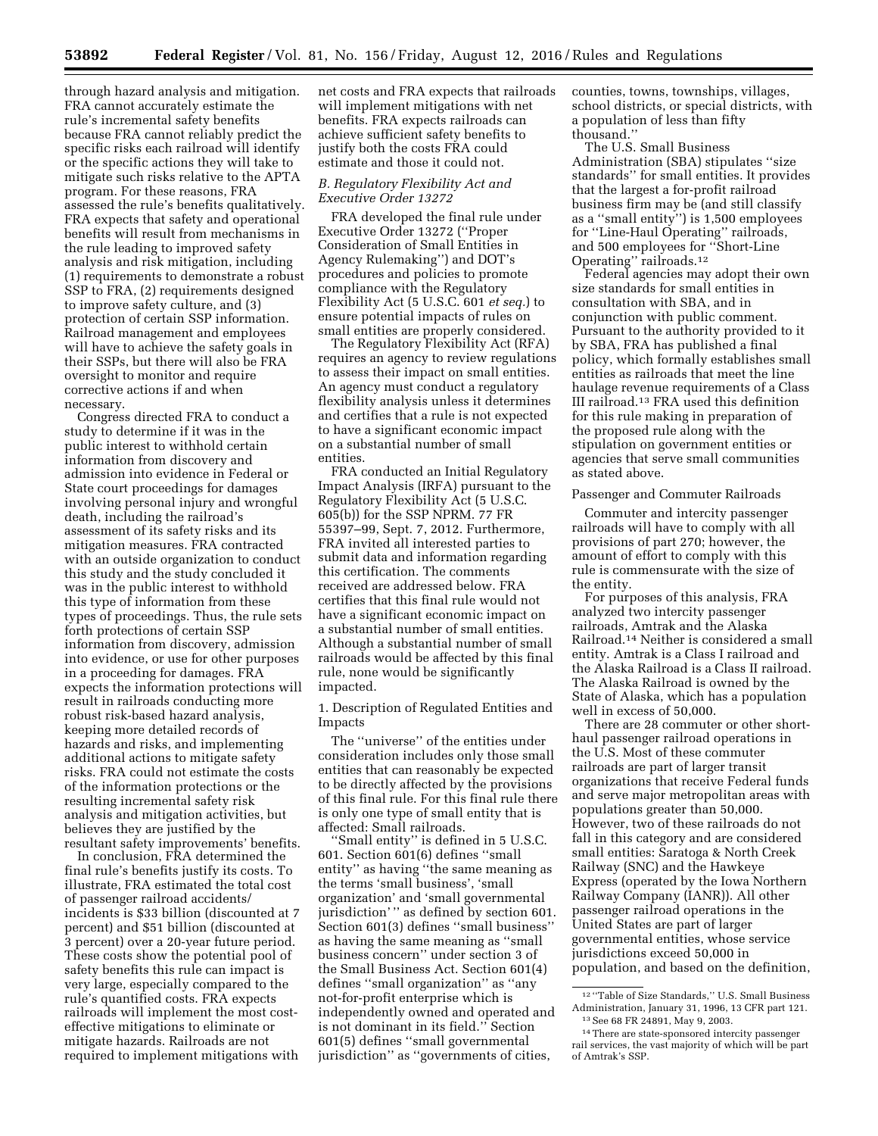**53892 Federal Register** / Vol. 81, No. 156 / Friday, August 12, 2016 / Rules and Regulations

through hazard analysis and mitigation. FRA cannot accurately estimate the rule's incremental safety benefits because FRA cannot reliably predict the specific risks each railroad will identify or the specific actions they will take to mitigate such risks relative to the APTA program. For these reasons, FRA assessed the rule's benefits qualitatively. FRA expects that safety and operational benefits will result from mechanisms in the rule leading to improved safety analysis and risk mitigation, including (1) requirements to demonstrate a robust SSP to FRA, (2) requirements designed to improve safety culture, and (3) protection of certain SSP information. Railroad management and employees will have to achieve the safety goals in their SSPs, but there will also be FRA oversight to monitor and require corrective actions if and when necessary.

Congress directed FRA to conduct a study to determine if it was in the public interest to withhold certain information from discovery and admission into evidence in Federal or State court proceedings for damages involving personal injury and wrongful death, including the railroad's assessment of its safety risks and its mitigation measures. FRA contracted with an outside organization to conduct this study and the study concluded it was in the public interest to withhold this type of information from these types of proceedings. Thus, the rule sets forth protections of certain SSP information from discovery, admission into evidence, or use for other purposes in a proceeding for damages. FRA expects the information protections will result in railroads conducting more robust risk-based hazard analysis, keeping more detailed records of hazards and risks, and implementing additional actions to mitigate safety risks. FRA could not estimate the costs of the information protections or the resulting incremental safety risk analysis and mitigation activities, but believes they are justified by the resultant safety improvements' benefits.

In conclusion, FRA determined the final rule's benefits justify its costs. To illustrate, FRA estimated the total cost of passenger railroad accidents/ incidents is \$33 billion (discounted at 7 percent) and \$51 billion (discounted at 3 percent) over a 20-year future period. These costs show the potential pool of safety benefits this rule can impact is very large, especially compared to the rule's quantified costs. FRA expects railroads will implement the most costeffective mitigations to eliminate or mitigate hazards. Railroads are not required to implement mitigations with net costs and FRA expects that railroads will implement mitigations with net benefits. FRA expects railroads can achieve sufficient safety benefits to justify both the costs FRA could estimate and those it could not.

## *B. Regulatory Flexibility Act and Executive Order 13272*

FRA developed the final rule under Executive Order 13272 (''Proper Consideration of Small Entities in Agency Rulemaking'') and DOT's procedures and policies to promote compliance with the Regulatory Flexibility Act (5 U.S.C. 601 *et seq.*) to ensure potential impacts of rules on small entities are properly considered.

The Regulatory Flexibility Act (RFA) requires an agency to review regulations to assess their impact on small entities. An agency must conduct a regulatory flexibility analysis unless it determines and certifies that a rule is not expected to have a significant economic impact on a substantial number of small entities.

FRA conducted an Initial Regulatory Impact Analysis (IRFA) pursuant to the Regulatory Flexibility Act (5 U.S.C. 605(b)) for the SSP NPRM. 77 FR 55397–99, Sept. 7, 2012. Furthermore, FRA invited all interested parties to submit data and information regarding this certification. The comments received are addressed below. FRA certifies that this final rule would not have a significant economic impact on a substantial number of small entities. Although a substantial number of small railroads would be affected by this final rule, none would be significantly impacted.

1. Description of Regulated Entities and Impacts

The ''universe'' of the entities under consideration includes only those small entities that can reasonably be expected to be directly affected by the provisions of this final rule. For this final rule there is only one type of small entity that is affected: Small railroads.

'Small entity'' is defined in 5 U.S.C. 601. Section 601(6) defines ''small entity'' as having ''the same meaning as the terms 'small business', 'small organization' and 'small governmental jurisdiction' '' as defined by section 601. Section 601(3) defines ''small business'' as having the same meaning as ''small business concern'' under section 3 of the Small Business Act. Section 601(4) defines ''small organization'' as ''any not-for-profit enterprise which is independently owned and operated and is not dominant in its field.'' Section 601(5) defines ''small governmental jurisdiction'' as ''governments of cities,

counties, towns, townships, villages, school districts, or special districts, with a population of less than fifty thousand.''

The U.S. Small Business Administration (SBA) stipulates ''size standards'' for small entities. It provides that the largest a for-profit railroad business firm may be (and still classify as a ''small entity'') is 1,500 employees for ''Line-Haul Operating'' railroads, and 500 employees for ''Short-Line Operating'' railroads.12

Federal agencies may adopt their own size standards for small entities in consultation with SBA, and in conjunction with public comment. Pursuant to the authority provided to it by SBA, FRA has published a final policy, which formally establishes small entities as railroads that meet the line haulage revenue requirements of a Class III railroad.13 FRA used this definition for this rule making in preparation of the proposed rule along with the stipulation on government entities or agencies that serve small communities as stated above.

## Passenger and Commuter Railroads

Commuter and intercity passenger railroads will have to comply with all provisions of part 270; however, the amount of effort to comply with this rule is commensurate with the size of the entity.

For purposes of this analysis, FRA analyzed two intercity passenger railroads, Amtrak and the Alaska Railroad.14 Neither is considered a small entity. Amtrak is a Class I railroad and the Alaska Railroad is a Class II railroad. The Alaska Railroad is owned by the State of Alaska, which has a population well in excess of 50,000.

There are 28 commuter or other shorthaul passenger railroad operations in the U.S. Most of these commuter railroads are part of larger transit organizations that receive Federal funds and serve major metropolitan areas with populations greater than 50,000. However, two of these railroads do not fall in this category and are considered small entities: Saratoga & North Creek Railway (SNC) and the Hawkeye Express (operated by the Iowa Northern Railway Company (IANR)). All other passenger railroad operations in the United States are part of larger governmental entities, whose service jurisdictions exceed 50,000 in population, and based on the definition,

<sup>12</sup> ''Table of Size Standards,'' U.S. Small Business Administration, January 31, 1996, 13 CFR part 121. 13See 68 FR 24891, May 9, 2003.

<sup>14</sup>There are state-sponsored intercity passenger rail services, the vast majority of which will be part of Amtrak's SSP.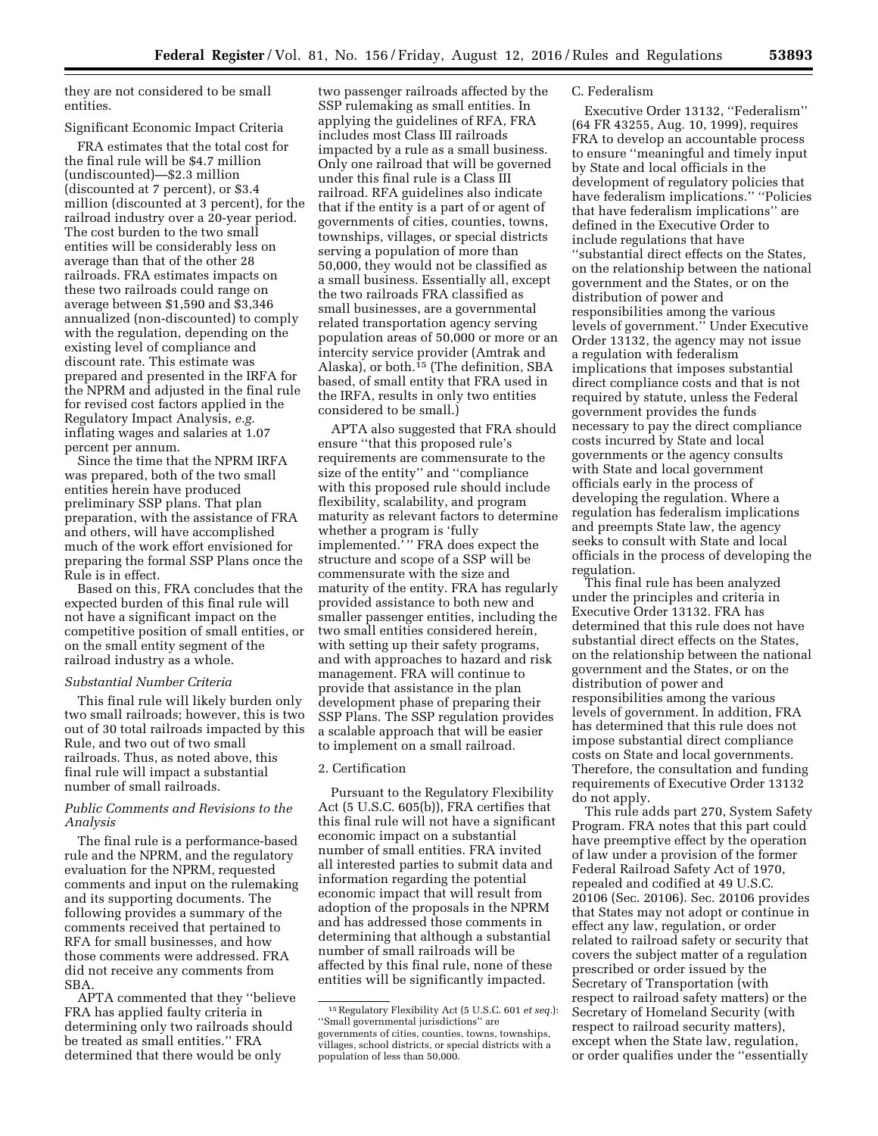they are not considered to be small entities.

# Significant Economic Impact Criteria

FRA estimates that the total cost for the final rule will be \$4.7 million (undiscounted)—\$2.3 million (discounted at 7 percent), or \$3.4 million (discounted at 3 percent), for the railroad industry over a 20-year period. The cost burden to the two small entities will be considerably less on average than that of the other 28 railroads. FRA estimates impacts on these two railroads could range on average between \$1,590 and \$3,346 annualized (non-discounted) to comply with the regulation, depending on the existing level of compliance and discount rate. This estimate was prepared and presented in the IRFA for the NPRM and adjusted in the final rule for revised cost factors applied in the Regulatory Impact Analysis, *e.g.*  inflating wages and salaries at 1.07 percent per annum.

Since the time that the NPRM IRFA was prepared, both of the two small entities herein have produced preliminary SSP plans. That plan preparation, with the assistance of FRA and others, will have accomplished much of the work effort envisioned for preparing the formal SSP Plans once the Rule is in effect.

Based on this, FRA concludes that the expected burden of this final rule will not have a significant impact on the competitive position of small entities, or on the small entity segment of the railroad industry as a whole.

#### *Substantial Number Criteria*

This final rule will likely burden only two small railroads; however, this is two out of 30 total railroads impacted by this Rule, and two out of two small railroads. Thus, as noted above, this final rule will impact a substantial number of small railroads.

# *Public Comments and Revisions to the Analysis*

The final rule is a performance-based rule and the NPRM, and the regulatory evaluation for the NPRM, requested comments and input on the rulemaking and its supporting documents. The following provides a summary of the comments received that pertained to RFA for small businesses, and how those comments were addressed. FRA did not receive any comments from SBA.

APTA commented that they ''believe FRA has applied faulty criteria in determining only two railroads should be treated as small entities.'' FRA determined that there would be only

two passenger railroads affected by the SSP rulemaking as small entities. In applying the guidelines of RFA, FRA includes most Class III railroads impacted by a rule as a small business. Only one railroad that will be governed under this final rule is a Class III railroad. RFA guidelines also indicate that if the entity is a part of or agent of governments of cities, counties, towns, townships, villages, or special districts serving a population of more than 50,000, they would not be classified as a small business. Essentially all, except the two railroads FRA classified as small businesses, are a governmental related transportation agency serving population areas of 50,000 or more or an intercity service provider (Amtrak and Alaska), or both.15 (The definition, SBA based, of small entity that FRA used in the IRFA, results in only two entities considered to be small.)

APTA also suggested that FRA should ensure ''that this proposed rule's requirements are commensurate to the size of the entity'' and ''compliance with this proposed rule should include flexibility, scalability, and program maturity as relevant factors to determine whether a program is 'fully implemented." " FRA does expect the structure and scope of a SSP will be commensurate with the size and maturity of the entity. FRA has regularly provided assistance to both new and smaller passenger entities, including the two small entities considered herein, with setting up their safety programs, and with approaches to hazard and risk management. FRA will continue to provide that assistance in the plan development phase of preparing their SSP Plans. The SSP regulation provides a scalable approach that will be easier to implement on a small railroad.

## 2. Certification

Pursuant to the Regulatory Flexibility Act (5 U.S.C. 605(b)), FRA certifies that this final rule will not have a significant economic impact on a substantial number of small entities. FRA invited all interested parties to submit data and information regarding the potential economic impact that will result from adoption of the proposals in the NPRM and has addressed those comments in determining that although a substantial number of small railroads will be affected by this final rule, none of these entities will be significantly impacted.

## C. Federalism

Executive Order 13132, ''Federalism'' (64 FR 43255, Aug. 10, 1999), requires FRA to develop an accountable process to ensure ''meaningful and timely input by State and local officials in the development of regulatory policies that have federalism implications.'' ''Policies that have federalism implications'' are defined in the Executive Order to include regulations that have ''substantial direct effects on the States, on the relationship between the national government and the States, or on the distribution of power and responsibilities among the various levels of government.'' Under Executive Order 13132, the agency may not issue a regulation with federalism implications that imposes substantial direct compliance costs and that is not required by statute, unless the Federal government provides the funds necessary to pay the direct compliance costs incurred by State and local governments or the agency consults with State and local government officials early in the process of developing the regulation. Where a regulation has federalism implications and preempts State law, the agency seeks to consult with State and local officials in the process of developing the regulation.

This final rule has been analyzed under the principles and criteria in Executive Order 13132. FRA has determined that this rule does not have substantial direct effects on the States, on the relationship between the national government and the States, or on the distribution of power and responsibilities among the various levels of government. In addition, FRA has determined that this rule does not impose substantial direct compliance costs on State and local governments. Therefore, the consultation and funding requirements of Executive Order 13132 do not apply.

This rule adds part 270, System Safety Program. FRA notes that this part could have preemptive effect by the operation of law under a provision of the former Federal Railroad Safety Act of 1970, repealed and codified at 49 U.S.C. 20106 (Sec. 20106). Sec. 20106 provides that States may not adopt or continue in effect any law, regulation, or order related to railroad safety or security that covers the subject matter of a regulation prescribed or order issued by the Secretary of Transportation (with respect to railroad safety matters) or the Secretary of Homeland Security (with respect to railroad security matters), except when the State law, regulation, or order qualifies under the ''essentially

<sup>15</sup>Regulatory Flexibility Act (5 U.S.C. 601 *et seq.*): ''Small governmental jurisdictions'' are governments of cities, counties, towns, townships, villages, school districts, or special districts with a population of less than 50,000.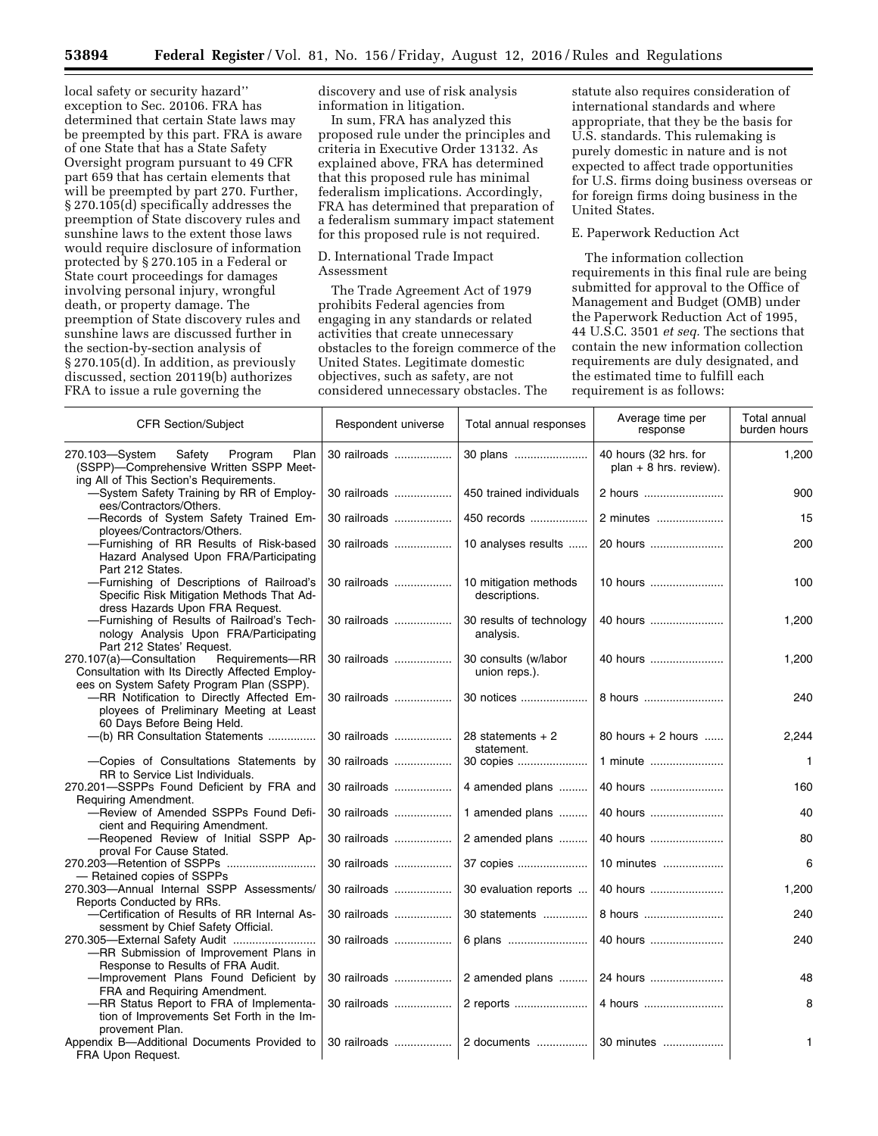local safety or security hazard'' exception to Sec. 20106. FRA has determined that certain State laws may be preempted by this part. FRA is aware of one State that has a State Safety Oversight program pursuant to 49 CFR part 659 that has certain elements that will be preempted by part 270. Further, § 270.105(d) specifically addresses the preemption of State discovery rules and sunshine laws to the extent those laws would require disclosure of information protected by § 270.105 in a Federal or State court proceedings for damages involving personal injury, wrongful death, or property damage. The preemption of State discovery rules and sunshine laws are discussed further in the section-by-section analysis of § 270.105(d). In addition, as previously discussed, section 20119(b) authorizes FRA to issue a rule governing the

discovery and use of risk analysis information in litigation.

In sum, FRA has analyzed this proposed rule under the principles and criteria in Executive Order 13132. As explained above, FRA has determined that this proposed rule has minimal federalism implications. Accordingly, FRA has determined that preparation of a federalism summary impact statement for this proposed rule is not required.

## D. International Trade Impact Assessment

The Trade Agreement Act of 1979 prohibits Federal agencies from engaging in any standards or related activities that create unnecessary obstacles to the foreign commerce of the United States. Legitimate domestic objectives, such as safety, are not considered unnecessary obstacles. The

statute also requires consideration of international standards and where appropriate, that they be the basis for U.S. standards. This rulemaking is purely domestic in nature and is not expected to affect trade opportunities for U.S. firms doing business overseas or for foreign firms doing business in the United States.

# E. Paperwork Reduction Act

The information collection requirements in this final rule are being submitted for approval to the Office of Management and Budget (OMB) under the Paperwork Reduction Act of 1995, 44 U.S.C. 3501 *et seq.* The sections that contain the new information collection requirements are duly designated, and the estimated time to fulfill each requirement is as follows:

| <b>CFR Section/Subject</b>                                                                                                                 | Respondent universe | Total annual responses                 | Average time per<br>response                      | Total annual<br>burden hours |
|--------------------------------------------------------------------------------------------------------------------------------------------|---------------------|----------------------------------------|---------------------------------------------------|------------------------------|
| Safety<br>270.103-System<br>Program<br>Plan<br>(SSPP)-Comprehensive Written SSPP Meet-                                                     | 30 railroads        | 30 plans                               | 40 hours (32 hrs. for<br>$plan + 8 hrs. review).$ | 1,200                        |
| ing All of This Section's Requirements.<br>-System Safety Training by RR of Employ-<br>ees/Contractors/Others.                             | 30 railroads        | 450 trained individuals                | 2 hours                                           | 900                          |
| -Records of System Safety Trained Em-<br>ployees/Contractors/Others.                                                                       | 30 railroads        | 450 records                            | 2 minutes                                         | 15                           |
| -Furnishing of RR Results of Risk-based<br>Hazard Analysed Upon FRA/Participating<br>Part 212 States.                                      | 30 railroads        | 10 analyses results                    | 20 hours                                          | 200                          |
| -Furnishing of Descriptions of Railroad's<br>Specific Risk Mitigation Methods That Ad-<br>dress Hazards Upon FRA Request.                  | 30 railroads        | 10 mitigation methods<br>descriptions. | 10 hours                                          | 100                          |
| -Furnishing of Results of Railroad's Tech-<br>nology Analysis Upon FRA/Participating<br>Part 212 States' Request.                          | 30 railroads        | 30 results of technology<br>analysis.  | 40 hours                                          | 1,200                        |
| Requirements-RR<br>270.107(a)-Consultation<br>Consultation with Its Directly Affected Employ-<br>ees on System Safety Program Plan (SSPP). | 30 railroads        | 30 consults (w/labor<br>union reps.).  | 40 hours                                          | 1,200                        |
| -RR Notification to Directly Affected Em-<br>ployees of Preliminary Meeting at Least<br>60 Days Before Being Held.                         | 30 railroads        | 30 notices                             | 8 hours                                           | 240                          |
| -(b) RR Consultation Statements                                                                                                            | 30 railroads        | 28 statements $+2$<br>statement.       | 80 hours $+2$ hours                               | 2,244                        |
| -Copies of Consultations Statements by<br>RR to Service List Individuals.                                                                  | 30 railroads        | 30 copies                              | 1 minute                                          | $\mathbf{1}$                 |
| 270.201-SSPPs Found Deficient by FRA and<br>Requiring Amendment.                                                                           | 30 railroads        | 4 amended plans                        | 40 hours                                          | 160                          |
| -Review of Amended SSPPs Found Defi-<br>cient and Requiring Amendment.                                                                     | 30 railroads        | 1 amended plans                        | 40 hours                                          | 40                           |
| -Reopened Review of Initial SSPP Ap-<br>proval For Cause Stated.                                                                           | 30 railroads        | 2 amended plans                        | 40 hours                                          | 80                           |
| - Retained copies of SSPPs                                                                                                                 | 30 railroads        | 37 copies                              | 10 minutes                                        | 6                            |
| 270.303-Annual Internal SSPP Assessments/<br>Reports Conducted by RRs.                                                                     | 30 railroads        | 30 evaluation reports                  | 40 hours                                          | 1,200                        |
| -Certification of Results of RR Internal As-<br>sessment by Chief Safety Official.                                                         | 30 railroads        | 30 statements                          | 8 hours                                           | 240                          |
| 270.305-External Safety Audit<br>-RR Submission of Improvement Plans in<br>Response to Results of FRA Audit.                               | 30 railroads        | 6 plans                                | 40 hours                                          | 240                          |
| -Improvement Plans Found Deficient by<br>FRA and Requiring Amendment.                                                                      | 30 railroads        | 2 amended plans                        | 24 hours                                          | 48                           |
| -RR Status Report to FRA of Implementa-<br>tion of Improvements Set Forth in the Im-<br>provement Plan.                                    | 30 railroads        | 2 reports                              | 4 hours                                           | 8                            |
| Appendix B-Additional Documents Provided to<br>FRA Upon Request.                                                                           | 30 railroads        | 2 documents                            | 30 minutes                                        | 1                            |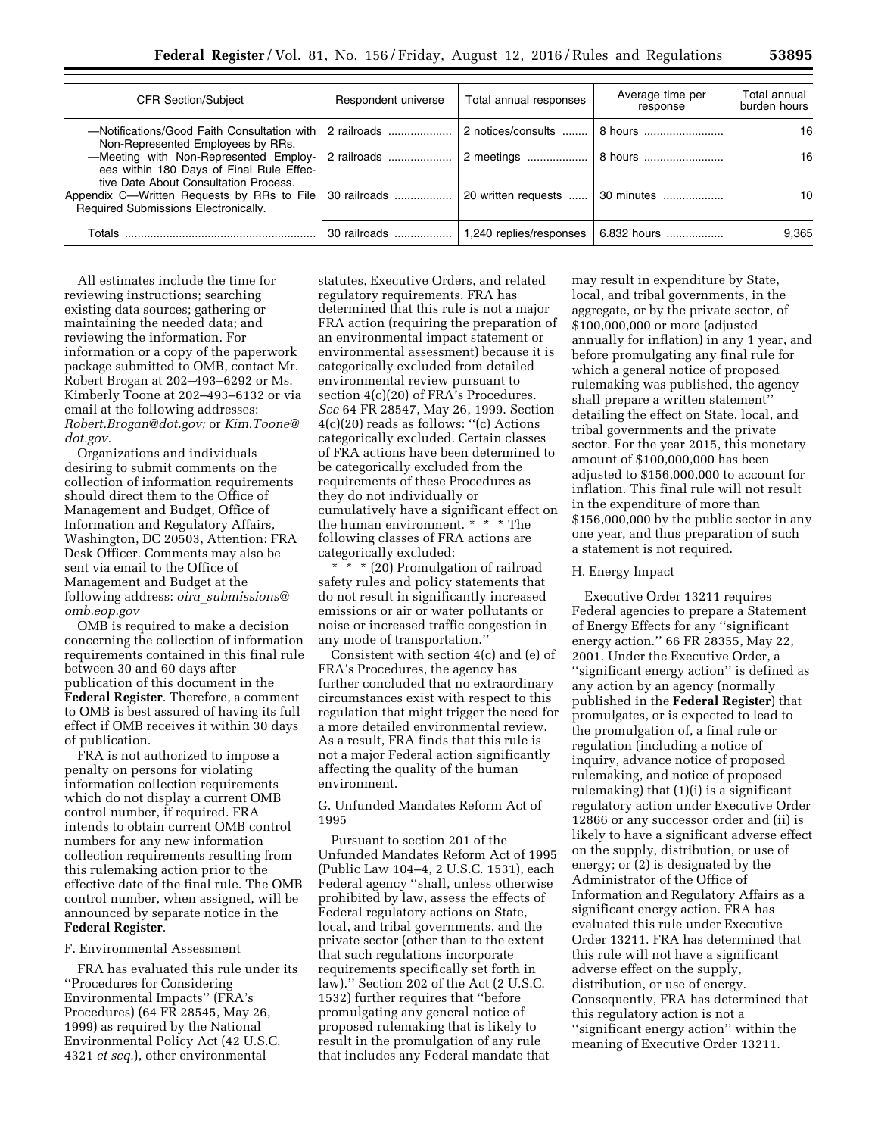| <b>CFR Section/Subject</b>                                                                                                 | Respondent universe | Total annual responses  | Average time per<br>response | Total annual<br>burden hours |
|----------------------------------------------------------------------------------------------------------------------------|---------------------|-------------------------|------------------------------|------------------------------|
| -Notifications/Good Faith Consultation with<br>Non-Represented Employees by RRs.                                           | 2 railroads         | 2 notices/consults      | 8 hours                      | 16                           |
| -Meeting with Non-Represented Employ-<br>ees within 180 Days of Final Rule Effec-<br>tive Date About Consultation Process. | 2 railroads         |                         |                              | 16                           |
| Appendix C—Written Requests by RRs to File<br>Required Submissions Electronically.                                         | 30 railroads        | 20 written requests     | $\vert$ 30 minutes           | 10                           |
| Totals                                                                                                                     | 30 railroads        | 1,240 replies/responses | 6.832 hours                  | 9,365                        |

All estimates include the time for reviewing instructions; searching existing data sources; gathering or maintaining the needed data; and reviewing the information. For information or a copy of the paperwork package submitted to OMB, contact Mr. Robert Brogan at 202–493–6292 or Ms. Kimberly Toone at 202–493–6132 or via email at the following addresses: *[Robert.Brogan@dot.gov;](mailto:Robert.Brogan@dot.gov)* or *[Kim.Toone@](mailto:Kim.Toone@dot.gov) [dot.gov.](mailto:Kim.Toone@dot.gov)* 

Organizations and individuals desiring to submit comments on the collection of information requirements should direct them to the Office of Management and Budget, Office of Information and Regulatory Affairs, Washington, DC 20503, Attention: FRA Desk Officer. Comments may also be sent via email to the Office of Management and Budget at the following address: *oira*\_*[submissions@](mailto:oira_submissions@omb.eop.gov) [omb.eop.gov](mailto:oira_submissions@omb.eop.gov)* 

OMB is required to make a decision concerning the collection of information requirements contained in this final rule between 30 and 60 days after publication of this document in the **Federal Register**. Therefore, a comment to OMB is best assured of having its full effect if OMB receives it within 30 days of publication.

FRA is not authorized to impose a penalty on persons for violating information collection requirements which do not display a current OMB control number, if required. FRA intends to obtain current OMB control numbers for any new information collection requirements resulting from this rulemaking action prior to the effective date of the final rule. The OMB control number, when assigned, will be announced by separate notice in the **Federal Register**.

#### F. Environmental Assessment

FRA has evaluated this rule under its ''Procedures for Considering Environmental Impacts'' (FRA's Procedures) (64 FR 28545, May 26, 1999) as required by the National Environmental Policy Act (42 U.S.C. 4321 *et seq.*), other environmental

statutes, Executive Orders, and related regulatory requirements. FRA has determined that this rule is not a major FRA action (requiring the preparation of an environmental impact statement or environmental assessment) because it is categorically excluded from detailed environmental review pursuant to section 4(c)(20) of FRA's Procedures. *See* 64 FR 28547, May 26, 1999. Section 4(c)(20) reads as follows: ''(c) Actions categorically excluded. Certain classes of FRA actions have been determined to be categorically excluded from the requirements of these Procedures as they do not individually or cumulatively have a significant effect on the human environment. \* \* \* The following classes of FRA actions are categorically excluded:

\* \* \* (20) Promulgation of railroad safety rules and policy statements that do not result in significantly increased emissions or air or water pollutants or noise or increased traffic congestion in any mode of transportation.''

Consistent with section 4(c) and (e) of FRA's Procedures, the agency has further concluded that no extraordinary circumstances exist with respect to this regulation that might trigger the need for a more detailed environmental review. As a result, FRA finds that this rule is not a major Federal action significantly affecting the quality of the human environment.

G. Unfunded Mandates Reform Act of 1995

Pursuant to section 201 of the Unfunded Mandates Reform Act of 1995 (Public Law 104–4, 2 U.S.C. 1531), each Federal agency ''shall, unless otherwise prohibited by law, assess the effects of Federal regulatory actions on State, local, and tribal governments, and the private sector (other than to the extent that such regulations incorporate requirements specifically set forth in law).'' Section 202 of the Act (2 U.S.C. 1532) further requires that ''before promulgating any general notice of proposed rulemaking that is likely to result in the promulgation of any rule that includes any Federal mandate that

may result in expenditure by State, local, and tribal governments, in the aggregate, or by the private sector, of \$100,000,000 or more (adjusted annually for inflation) in any 1 year, and before promulgating any final rule for which a general notice of proposed rulemaking was published, the agency shall prepare a written statement'' detailing the effect on State, local, and tribal governments and the private sector. For the year 2015, this monetary amount of \$100,000,000 has been adjusted to \$156,000,000 to account for inflation. This final rule will not result in the expenditure of more than \$156,000,000 by the public sector in any one year, and thus preparation of such a statement is not required.

#### H. Energy Impact

Executive Order 13211 requires Federal agencies to prepare a Statement of Energy Effects for any ''significant energy action.'' 66 FR 28355, May 22, 2001. Under the Executive Order, a "significant energy action" is defined as any action by an agency (normally published in the **Federal Register**) that promulgates, or is expected to lead to the promulgation of, a final rule or regulation (including a notice of inquiry, advance notice of proposed rulemaking, and notice of proposed rulemaking) that (1)(i) is a significant regulatory action under Executive Order 12866 or any successor order and (ii) is likely to have a significant adverse effect on the supply, distribution, or use of energy; or (2) is designated by the Administrator of the Office of Information and Regulatory Affairs as a significant energy action. FRA has evaluated this rule under Executive Order 13211. FRA has determined that this rule will not have a significant adverse effect on the supply, distribution, or use of energy. Consequently, FRA has determined that this regulatory action is not a ''significant energy action'' within the meaning of Executive Order 13211.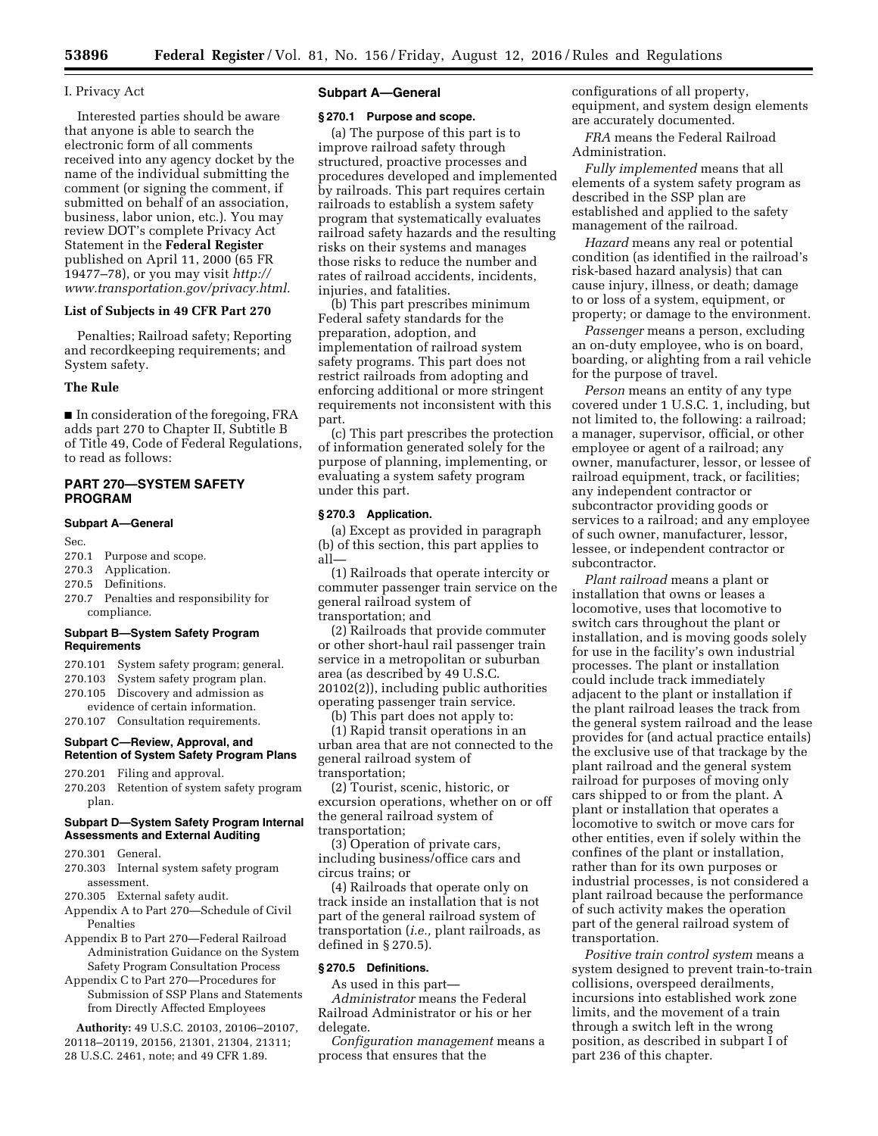## I. Privacy Act

Interested parties should be aware that anyone is able to search the electronic form of all comments received into any agency docket by the name of the individual submitting the comment (or signing the comment, if submitted on behalf of an association, business, labor union, etc.). You may review DOT's complete Privacy Act Statement in the **Federal Register**  published on April 11, 2000 (65 FR 19477–78), or you may visit *[http://](http://www.transportation.gov/privacy.html) [www.transportation.gov/privacy.html.](http://www.transportation.gov/privacy.html)* 

# **List of Subjects in 49 CFR Part 270**

Penalties; Railroad safety; Reporting and recordkeeping requirements; and System safety.

# **The Rule**

■ In consideration of the foregoing, FRA adds part 270 to Chapter II, Subtitle B of Title 49, Code of Federal Regulations, to read as follows:

# **PART 270—SYSTEM SAFETY PROGRAM**

#### **Subpart A—General**

Sec.

- 270.1 Purpose and scope.
- 270.3 Application.
- 270.5 Definitions.
- 270.7 Penalties and responsibility for compliance.

#### **Subpart B—System Safety Program Requirements**

- 270.101 System safety program; general.
- 270.103 System safety program plan. 270.105 Discovery and admission as
- evidence of certain information.
- 270.107 Consultation requirements.

# **Subpart C—Review, Approval, and Retention of System Safety Program Plans**

- 270.201 Filing and approval.
- 270.203 Retention of system safety program plan.

#### **Subpart D—System Safety Program Internal Assessments and External Auditing**

- 270.301 General.
- 270.303 Internal system safety program assessment.
- 270.305 External safety audit.
- Appendix A to Part 270—Schedule of Civil Penalties
- Appendix B to Part 270—Federal Railroad Administration Guidance on the System Safety Program Consultation Process
- Appendix C to Part 270—Procedures for Submission of SSP Plans and Statements from Directly Affected Employees

**Authority:** 49 U.S.C. 20103, 20106–20107, 20118–20119, 20156, 21301, 21304, 21311; 28 U.S.C. 2461, note; and 49 CFR 1.89.

## **Subpart A—General**

## **§ 270.1 Purpose and scope.**

(a) The purpose of this part is to improve railroad safety through structured, proactive processes and procedures developed and implemented by railroads. This part requires certain railroads to establish a system safety program that systematically evaluates railroad safety hazards and the resulting risks on their systems and manages those risks to reduce the number and rates of railroad accidents, incidents, injuries, and fatalities.

(b) This part prescribes minimum Federal safety standards for the preparation, adoption, and implementation of railroad system safety programs. This part does not restrict railroads from adopting and enforcing additional or more stringent requirements not inconsistent with this part.

(c) This part prescribes the protection of information generated solely for the purpose of planning, implementing, or evaluating a system safety program under this part.

#### **§ 270.3 Application.**

(a) Except as provided in paragraph (b) of this section, this part applies to all—

(1) Railroads that operate intercity or commuter passenger train service on the general railroad system of transportation; and

(2) Railroads that provide commuter or other short-haul rail passenger train service in a metropolitan or suburban area (as described by 49 U.S.C. 20102(2)), including public authorities operating passenger train service.

(b) This part does not apply to:

(1) Rapid transit operations in an urban area that are not connected to the general railroad system of transportation;

(2) Tourist, scenic, historic, or excursion operations, whether on or off the general railroad system of transportation;

(3) Operation of private cars, including business/office cars and circus trains; or

(4) Railroads that operate only on track inside an installation that is not part of the general railroad system of transportation (*i.e.,* plant railroads, as defined in § 270.5).

# **§ 270.5 Definitions.**

As used in this part—

*Administrator* means the Federal Railroad Administrator or his or her delegate.

*Configuration management* means a process that ensures that the

configurations of all property, equipment, and system design elements are accurately documented.

*FRA* means the Federal Railroad Administration.

*Fully implemented* means that all elements of a system safety program as described in the SSP plan are established and applied to the safety management of the railroad.

*Hazard* means any real or potential condition (as identified in the railroad's risk-based hazard analysis) that can cause injury, illness, or death; damage to or loss of a system, equipment, or property; or damage to the environment.

*Passenger* means a person, excluding an on-duty employee, who is on board, boarding, or alighting from a rail vehicle for the purpose of travel.

*Person* means an entity of any type covered under 1 U.S.C. 1, including, but not limited to, the following: a railroad; a manager, supervisor, official, or other employee or agent of a railroad; any owner, manufacturer, lessor, or lessee of railroad equipment, track, or facilities; any independent contractor or subcontractor providing goods or services to a railroad; and any employee of such owner, manufacturer, lessor, lessee, or independent contractor or subcontractor.

*Plant railroad* means a plant or installation that owns or leases a locomotive, uses that locomotive to switch cars throughout the plant or installation, and is moving goods solely for use in the facility's own industrial processes. The plant or installation could include track immediately adjacent to the plant or installation if the plant railroad leases the track from the general system railroad and the lease provides for (and actual practice entails) the exclusive use of that trackage by the plant railroad and the general system railroad for purposes of moving only cars shipped to or from the plant. A plant or installation that operates a locomotive to switch or move cars for other entities, even if solely within the confines of the plant or installation, rather than for its own purposes or industrial processes, is not considered a plant railroad because the performance of such activity makes the operation part of the general railroad system of transportation.

*Positive train control system* means a system designed to prevent train-to-train collisions, overspeed derailments, incursions into established work zone limits, and the movement of a train through a switch left in the wrong position, as described in subpart I of part 236 of this chapter.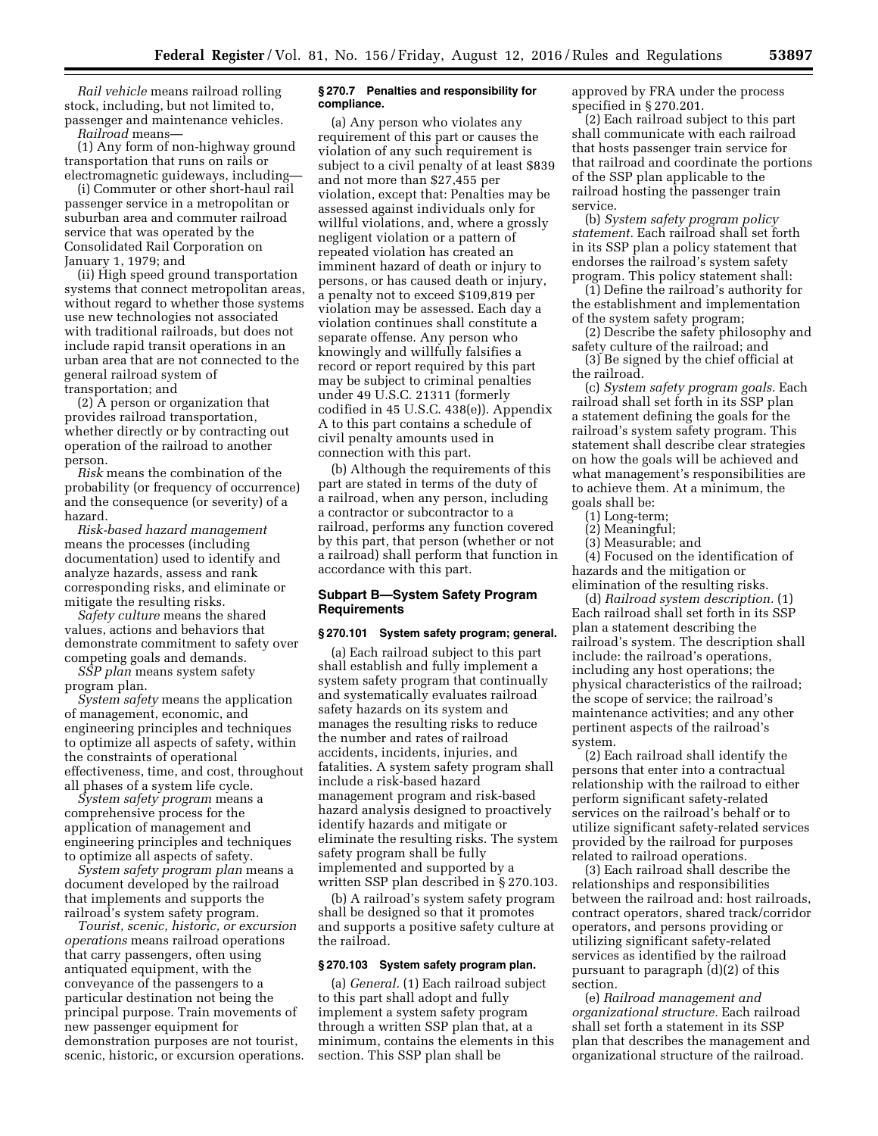*Rail vehicle* means railroad rolling stock, including, but not limited to, passenger and maintenance vehicles. *Railroad* means—

(1) Any form of non-highway ground transportation that runs on rails or electromagnetic guideways, including—

(i) Commuter or other short-haul rail passenger service in a metropolitan or suburban area and commuter railroad service that was operated by the Consolidated Rail Corporation on January 1, 1979; and

(ii) High speed ground transportation systems that connect metropolitan areas, without regard to whether those systems use new technologies not associated with traditional railroads, but does not include rapid transit operations in an urban area that are not connected to the general railroad system of transportation; and

(2) A person or organization that provides railroad transportation, whether directly or by contracting out operation of the railroad to another person.

*Risk* means the combination of the probability (or frequency of occurrence) and the consequence (or severity) of a hazard.

*Risk-based hazard management*  means the processes (including documentation) used to identify and analyze hazards, assess and rank corresponding risks, and eliminate or mitigate the resulting risks.

*Safety culture* means the shared values, actions and behaviors that demonstrate commitment to safety over competing goals and demands.

*SSP plan* means system safety program plan.

*System safety* means the application of management, economic, and engineering principles and techniques to optimize all aspects of safety, within the constraints of operational effectiveness, time, and cost, throughout

all phases of a system life cycle. *System safety program* means a comprehensive process for the application of management and engineering principles and techniques to optimize all aspects of safety.

*System safety program plan* means a document developed by the railroad that implements and supports the railroad's system safety program.

*Tourist, scenic, historic, or excursion operations* means railroad operations that carry passengers, often using antiquated equipment, with the conveyance of the passengers to a particular destination not being the principal purpose. Train movements of new passenger equipment for demonstration purposes are not tourist, scenic, historic, or excursion operations.

## **§ 270.7 Penalties and responsibility for compliance.**

(a) Any person who violates any requirement of this part or causes the violation of any such requirement is subject to a civil penalty of at least \$839 and not more than \$27,455 per violation, except that: Penalties may be assessed against individuals only for willful violations, and, where a grossly negligent violation or a pattern of repeated violation has created an imminent hazard of death or injury to persons, or has caused death or injury, a penalty not to exceed \$109,819 per violation may be assessed. Each day a violation continues shall constitute a separate offense. Any person who knowingly and willfully falsifies a record or report required by this part may be subject to criminal penalties under 49 U.S.C. 21311 (formerly codified in 45 U.S.C. 438(e)). Appendix A to this part contains a schedule of civil penalty amounts used in connection with this part.

(b) Although the requirements of this part are stated in terms of the duty of a railroad, when any person, including a contractor or subcontractor to a railroad, performs any function covered by this part, that person (whether or not a railroad) shall perform that function in accordance with this part.

## **Subpart B—System Safety Program Requirements**

#### **§ 270.101 System safety program; general.**

(a) Each railroad subject to this part shall establish and fully implement a system safety program that continually and systematically evaluates railroad safety hazards on its system and manages the resulting risks to reduce the number and rates of railroad accidents, incidents, injuries, and fatalities. A system safety program shall include a risk-based hazard management program and risk-based hazard analysis designed to proactively identify hazards and mitigate or eliminate the resulting risks. The system safety program shall be fully implemented and supported by a written SSP plan described in § 270.103.

(b) A railroad's system safety program shall be designed so that it promotes and supports a positive safety culture at the railroad.

#### **§ 270.103 System safety program plan.**

(a) *General.* (1) Each railroad subject to this part shall adopt and fully implement a system safety program through a written SSP plan that, at a minimum, contains the elements in this section. This SSP plan shall be

approved by FRA under the process specified in § 270.201.

(2) Each railroad subject to this part shall communicate with each railroad that hosts passenger train service for that railroad and coordinate the portions of the SSP plan applicable to the railroad hosting the passenger train service.

(b) *System safety program policy statement.* Each railroad shall set forth in its SSP plan a policy statement that endorses the railroad's system safety program. This policy statement shall:

(1) Define the railroad's authority for the establishment and implementation of the system safety program;

(2) Describe the safety philosophy and safety culture of the railroad; and

(3) Be signed by the chief official at the railroad.

(c) *System safety program goals.* Each railroad shall set forth in its SSP plan a statement defining the goals for the railroad's system safety program. This statement shall describe clear strategies on how the goals will be achieved and what management's responsibilities are to achieve them. At a minimum, the goals shall be:

- (1) Long-term;
- (2) Meaningful;
- (3) Measurable; and

(4) Focused on the identification of hazards and the mitigation or elimination of the resulting risks.

(d) *Railroad system description.* (1) Each railroad shall set forth in its SSP plan a statement describing the railroad's system. The description shall include: the railroad's operations, including any host operations; the physical characteristics of the railroad; the scope of service; the railroad's maintenance activities; and any other pertinent aspects of the railroad's system.

(2) Each railroad shall identify the persons that enter into a contractual relationship with the railroad to either perform significant safety-related services on the railroad's behalf or to utilize significant safety-related services provided by the railroad for purposes related to railroad operations.

(3) Each railroad shall describe the relationships and responsibilities between the railroad and: host railroads, contract operators, shared track/corridor operators, and persons providing or utilizing significant safety-related services as identified by the railroad pursuant to paragraph (d)(2) of this section.

(e) *Railroad management and organizational structure.* Each railroad shall set forth a statement in its SSP plan that describes the management and organizational structure of the railroad.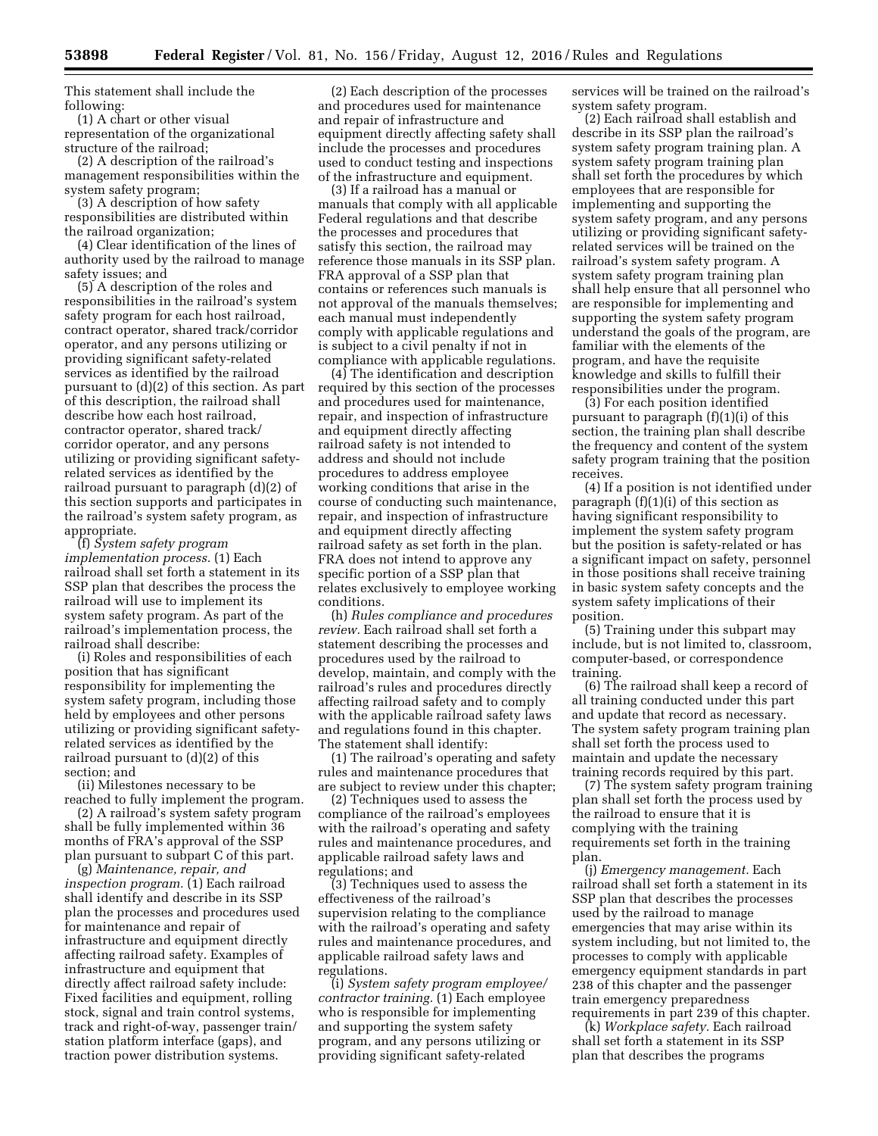This statement shall include the following:

(1) A chart or other visual representation of the organizational structure of the railroad;

(2) A description of the railroad's management responsibilities within the system safety program;

(3) A description of how safety responsibilities are distributed within the railroad organization;

(4) Clear identification of the lines of authority used by the railroad to manage safety issues; and

(5) A description of the roles and responsibilities in the railroad's system safety program for each host railroad, contract operator, shared track/corridor operator, and any persons utilizing or providing significant safety-related services as identified by the railroad pursuant to (d)(2) of this section. As part of this description, the railroad shall describe how each host railroad, contractor operator, shared track/ corridor operator, and any persons utilizing or providing significant safetyrelated services as identified by the railroad pursuant to paragraph (d)(2) of this section supports and participates in the railroad's system safety program, as appropriate.

(f) *System safety program implementation process.* (1) Each railroad shall set forth a statement in its SSP plan that describes the process the railroad will use to implement its system safety program. As part of the railroad's implementation process, the railroad shall describe:

(i) Roles and responsibilities of each position that has significant responsibility for implementing the system safety program, including those held by employees and other persons utilizing or providing significant safetyrelated services as identified by the railroad pursuant to (d)(2) of this section; and

(ii) Milestones necessary to be reached to fully implement the program.

(2) A railroad's system safety program shall be fully implemented within 36 months of FRA's approval of the SSP plan pursuant to subpart C of this part.

(g) *Maintenance, repair, and inspection program.* (1) Each railroad shall identify and describe in its SSP plan the processes and procedures used for maintenance and repair of infrastructure and equipment directly affecting railroad safety. Examples of infrastructure and equipment that directly affect railroad safety include: Fixed facilities and equipment, rolling stock, signal and train control systems, track and right-of-way, passenger train/ station platform interface (gaps), and traction power distribution systems.

(2) Each description of the processes and procedures used for maintenance and repair of infrastructure and equipment directly affecting safety shall include the processes and procedures used to conduct testing and inspections of the infrastructure and equipment.

(3) If a railroad has a manual or manuals that comply with all applicable Federal regulations and that describe the processes and procedures that satisfy this section, the railroad may reference those manuals in its SSP plan. FRA approval of a SSP plan that contains or references such manuals is not approval of the manuals themselves; each manual must independently comply with applicable regulations and is subject to a civil penalty if not in compliance with applicable regulations.

(4) The identification and description required by this section of the processes and procedures used for maintenance, repair, and inspection of infrastructure and equipment directly affecting railroad safety is not intended to address and should not include procedures to address employee working conditions that arise in the course of conducting such maintenance, repair, and inspection of infrastructure and equipment directly affecting railroad safety as set forth in the plan. FRA does not intend to approve any specific portion of a SSP plan that relates exclusively to employee working conditions.

(h) *Rules compliance and procedures review.* Each railroad shall set forth a statement describing the processes and procedures used by the railroad to develop, maintain, and comply with the railroad's rules and procedures directly affecting railroad safety and to comply with the applicable railroad safety laws and regulations found in this chapter. The statement shall identify:

(1) The railroad's operating and safety rules and maintenance procedures that are subject to review under this chapter;

(2) Techniques used to assess the compliance of the railroad's employees with the railroad's operating and safety rules and maintenance procedures, and applicable railroad safety laws and regulations; and

(3) Techniques used to assess the effectiveness of the railroad's supervision relating to the compliance with the railroad's operating and safety rules and maintenance procedures, and applicable railroad safety laws and regulations.

(i) *System safety program employee/ contractor training.* (1) Each employee who is responsible for implementing and supporting the system safety program, and any persons utilizing or providing significant safety-related

services will be trained on the railroad's system safety program.

(2) Each railroad shall establish and describe in its SSP plan the railroad's system safety program training plan. A system safety program training plan shall set forth the procedures by which employees that are responsible for implementing and supporting the system safety program, and any persons utilizing or providing significant safetyrelated services will be trained on the railroad's system safety program. A system safety program training plan shall help ensure that all personnel who are responsible for implementing and supporting the system safety program understand the goals of the program, are familiar with the elements of the program, and have the requisite knowledge and skills to fulfill their responsibilities under the program.

(3) For each position identified pursuant to paragraph (f)(1)(i) of this section, the training plan shall describe the frequency and content of the system safety program training that the position receives.

(4) If a position is not identified under paragraph  $(f)(1)(i)$  of this section as having significant responsibility to implement the system safety program but the position is safety-related or has a significant impact on safety, personnel in those positions shall receive training in basic system safety concepts and the system safety implications of their position.

(5) Training under this subpart may include, but is not limited to, classroom, computer-based, or correspondence training.

(6) The railroad shall keep a record of all training conducted under this part and update that record as necessary. The system safety program training plan shall set forth the process used to maintain and update the necessary training records required by this part.

(7) The system safety program training plan shall set forth the process used by the railroad to ensure that it is complying with the training requirements set forth in the training plan.

(j) *Emergency management.* Each railroad shall set forth a statement in its SSP plan that describes the processes used by the railroad to manage emergencies that may arise within its system including, but not limited to, the processes to comply with applicable emergency equipment standards in part 238 of this chapter and the passenger train emergency preparedness requirements in part 239 of this chapter.

(k) *Workplace safety.* Each railroad shall set forth a statement in its SSP plan that describes the programs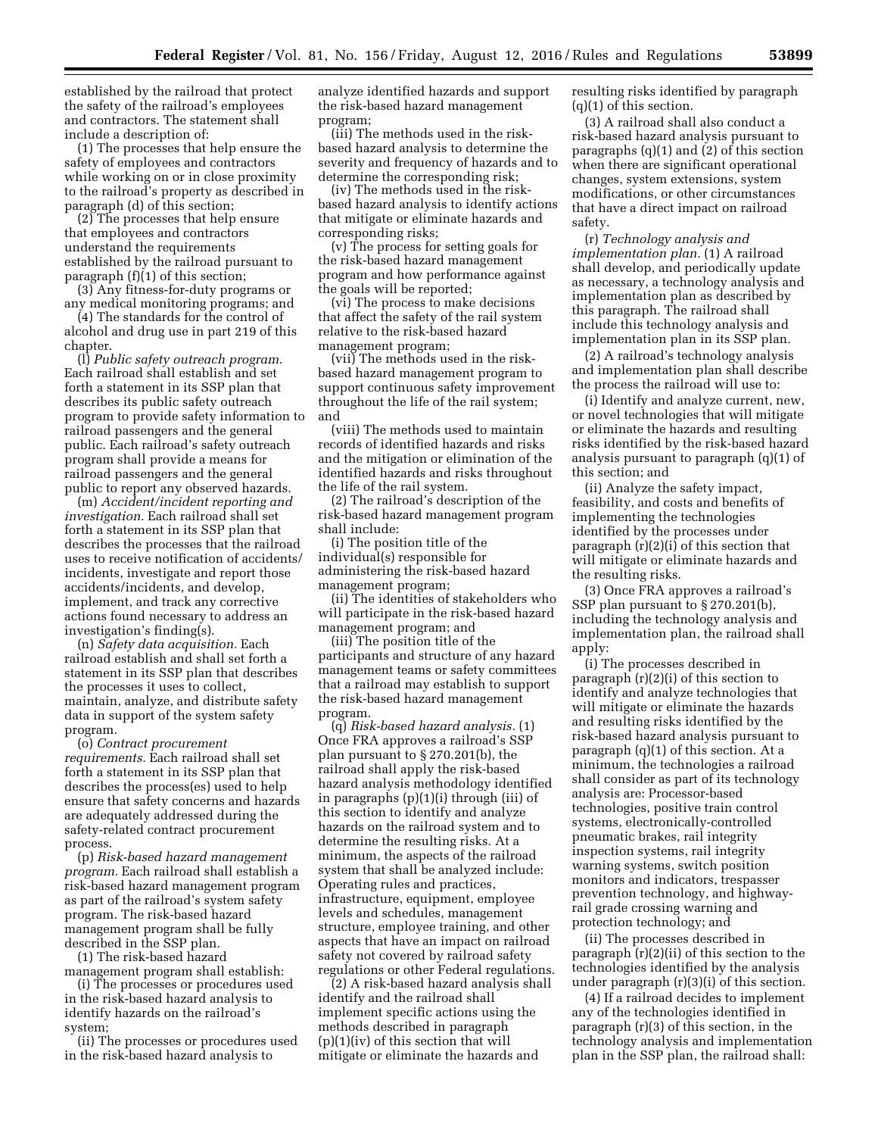established by the railroad that protect the safety of the railroad's employees and contractors. The statement shall include a description of:

(1) The processes that help ensure the safety of employees and contractors while working on or in close proximity to the railroad's property as described in paragraph (d) of this section;

(2) The processes that help ensure that employees and contractors understand the requirements established by the railroad pursuant to paragraph (f)(1) of this section;

(3) Any fitness-for-duty programs or any medical monitoring programs; and

(4) The standards for the control of alcohol and drug use in part 219 of this chapter.

(l) *Public safety outreach program.*  Each railroad shall establish and set forth a statement in its SSP plan that describes its public safety outreach program to provide safety information to railroad passengers and the general public. Each railroad's safety outreach program shall provide a means for railroad passengers and the general public to report any observed hazards.

(m) *Accident/incident reporting and investigation.* Each railroad shall set forth a statement in its SSP plan that describes the processes that the railroad uses to receive notification of accidents/ incidents, investigate and report those accidents/incidents, and develop, implement, and track any corrective actions found necessary to address an investigation's finding(s).

(n) *Safety data acquisition.* Each railroad establish and shall set forth a statement in its SSP plan that describes the processes it uses to collect, maintain, analyze, and distribute safety data in support of the system safety program.

(o) *Contract procurement requirements.* Each railroad shall set forth a statement in its SSP plan that describes the process(es) used to help ensure that safety concerns and hazards are adequately addressed during the safety-related contract procurement process.

(p) *Risk-based hazard management program.* Each railroad shall establish a risk-based hazard management program as part of the railroad's system safety program. The risk-based hazard management program shall be fully described in the SSP plan.

(1) The risk-based hazard

management program shall establish: (i) The processes or procedures used

in the risk-based hazard analysis to identify hazards on the railroad's system;

(ii) The processes or procedures used in the risk-based hazard analysis to

analyze identified hazards and support the risk-based hazard management program;

(iii) The methods used in the riskbased hazard analysis to determine the severity and frequency of hazards and to determine the corresponding risk;

(iv) The methods used in the riskbased hazard analysis to identify actions that mitigate or eliminate hazards and corresponding risks;

(v) The process for setting goals for the risk-based hazard management program and how performance against the goals will be reported;

(vi) The process to make decisions that affect the safety of the rail system relative to the risk-based hazard management program;

(vii) The methods used in the riskbased hazard management program to support continuous safety improvement throughout the life of the rail system; and

(viii) The methods used to maintain records of identified hazards and risks and the mitigation or elimination of the identified hazards and risks throughout the life of the rail system.

(2) The railroad's description of the risk-based hazard management program shall include:

(i) The position title of the individual(s) responsible for administering the risk-based hazard management program;

(ii) The identities of stakeholders who will participate in the risk-based hazard management program; and

(iii) The position title of the participants and structure of any hazard management teams or safety committees that a railroad may establish to support the risk-based hazard management program.

(q) *Risk-based hazard analysis.* (1) Once FRA approves a railroad's SSP plan pursuant to § 270.201(b), the railroad shall apply the risk-based hazard analysis methodology identified in paragraphs (p)(1)(i) through (iii) of this section to identify and analyze hazards on the railroad system and to determine the resulting risks. At a minimum, the aspects of the railroad system that shall be analyzed include: Operating rules and practices, infrastructure, equipment, employee levels and schedules, management structure, employee training, and other aspects that have an impact on railroad safety not covered by railroad safety regulations or other Federal regulations.

(2) A risk-based hazard analysis shall identify and the railroad shall implement specific actions using the methods described in paragraph (p)(1)(iv) of this section that will mitigate or eliminate the hazards and

resulting risks identified by paragraph (q)(1) of this section.

(3) A railroad shall also conduct a risk-based hazard analysis pursuant to paragraphs (q)(1) and (2) of this section when there are significant operational changes, system extensions, system modifications, or other circumstances that have a direct impact on railroad safety.

(r) *Technology analysis and implementation plan.* (1) A railroad shall develop, and periodically update as necessary, a technology analysis and implementation plan as described by this paragraph. The railroad shall include this technology analysis and implementation plan in its SSP plan.

(2) A railroad's technology analysis and implementation plan shall describe the process the railroad will use to:

(i) Identify and analyze current, new, or novel technologies that will mitigate or eliminate the hazards and resulting risks identified by the risk-based hazard analysis pursuant to paragraph (q)(1) of this section; and

(ii) Analyze the safety impact, feasibility, and costs and benefits of implementing the technologies identified by the processes under paragraph (r)(2)(i) of this section that will mitigate or eliminate hazards and the resulting risks.

(3) Once FRA approves a railroad's SSP plan pursuant to § 270.201(b), including the technology analysis and implementation plan, the railroad shall apply:

(i) The processes described in paragraph (r)(2)(i) of this section to identify and analyze technologies that will mitigate or eliminate the hazards and resulting risks identified by the risk-based hazard analysis pursuant to paragraph (q)(1) of this section. At a minimum, the technologies a railroad shall consider as part of its technology analysis are: Processor-based technologies, positive train control systems, electronically-controlled pneumatic brakes, rail integrity inspection systems, rail integrity warning systems, switch position monitors and indicators, trespasser prevention technology, and highwayrail grade crossing warning and protection technology; and

(ii) The processes described in paragraph (r)(2)(ii) of this section to the technologies identified by the analysis under paragraph (r)(3)(i) of this section.

(4) If a railroad decides to implement any of the technologies identified in paragraph (r)(3) of this section, in the technology analysis and implementation plan in the SSP plan, the railroad shall: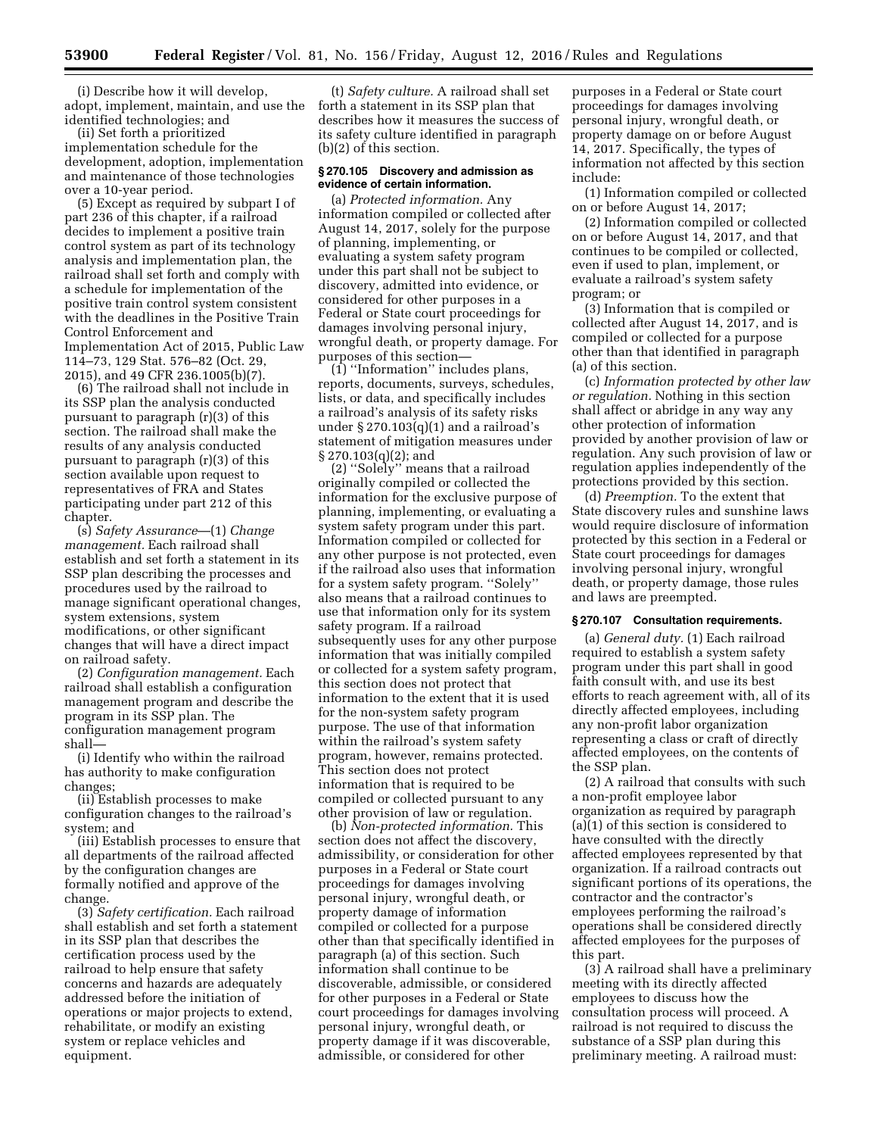(i) Describe how it will develop, adopt, implement, maintain, and use the identified technologies; and

(ii) Set forth a prioritized implementation schedule for the development, adoption, implementation and maintenance of those technologies over a 10-year period.

(5) Except as required by subpart I of part 236 of this chapter, if a railroad decides to implement a positive train control system as part of its technology analysis and implementation plan, the railroad shall set forth and comply with a schedule for implementation of the positive train control system consistent with the deadlines in the Positive Train Control Enforcement and Implementation Act of 2015, Public Law 114–73, 129 Stat. 576–82 (Oct. 29, 2015), and 49 CFR 236.1005(b)(7).

(6) The railroad shall not include in its SSP plan the analysis conducted pursuant to paragraph (r)(3) of this section. The railroad shall make the results of any analysis conducted pursuant to paragraph (r)(3) of this section available upon request to representatives of FRA and States participating under part 212 of this chapter.

(s) *Safety Assurance*—(1) *Change management.* Each railroad shall establish and set forth a statement in its SSP plan describing the processes and procedures used by the railroad to manage significant operational changes, system extensions, system modifications, or other significant changes that will have a direct impact on railroad safety.

(2) *Configuration management.* Each railroad shall establish a configuration management program and describe the program in its SSP plan. The configuration management program shall—

(i) Identify who within the railroad has authority to make configuration changes;

(ii) Establish processes to make configuration changes to the railroad's system; and

(iii) Establish processes to ensure that all departments of the railroad affected by the configuration changes are formally notified and approve of the change.

(3) *Safety certification.* Each railroad shall establish and set forth a statement in its SSP plan that describes the certification process used by the railroad to help ensure that safety concerns and hazards are adequately addressed before the initiation of operations or major projects to extend, rehabilitate, or modify an existing system or replace vehicles and equipment.

(t) *Safety culture.* A railroad shall set forth a statement in its SSP plan that describes how it measures the success of its safety culture identified in paragraph (b)(2) of this section.

## **§ 270.105 Discovery and admission as evidence of certain information.**

(a) *Protected information.* Any information compiled or collected after August 14, 2017, solely for the purpose of planning, implementing, or evaluating a system safety program under this part shall not be subject to discovery, admitted into evidence, or considered for other purposes in a Federal or State court proceedings for damages involving personal injury, wrongful death, or property damage. For purposes of this section—

(1) ''Information'' includes plans, reports, documents, surveys, schedules, lists, or data, and specifically includes a railroad's analysis of its safety risks under  $\S 270.103(q)(1)$  and a railroad's statement of mitigation measures under § 270.103(q)(2); and

(2) ''Solely'' means that a railroad originally compiled or collected the information for the exclusive purpose of planning, implementing, or evaluating a system safety program under this part. Information compiled or collected for any other purpose is not protected, even if the railroad also uses that information for a system safety program. ''Solely'' also means that a railroad continues to use that information only for its system safety program. If a railroad subsequently uses for any other purpose information that was initially compiled or collected for a system safety program, this section does not protect that information to the extent that it is used for the non-system safety program purpose. The use of that information within the railroad's system safety program, however, remains protected. This section does not protect information that is required to be compiled or collected pursuant to any other provision of law or regulation.

(b) *Non-protected information.* This section does not affect the discovery, admissibility, or consideration for other purposes in a Federal or State court proceedings for damages involving personal injury, wrongful death, or property damage of information compiled or collected for a purpose other than that specifically identified in paragraph (a) of this section. Such information shall continue to be discoverable, admissible, or considered for other purposes in a Federal or State court proceedings for damages involving personal injury, wrongful death, or property damage if it was discoverable, admissible, or considered for other

purposes in a Federal or State court proceedings for damages involving personal injury, wrongful death, or property damage on or before August 14, 2017. Specifically, the types of information not affected by this section include:

(1) Information compiled or collected on or before August 14, 2017;

(2) Information compiled or collected on or before August 14, 2017, and that continues to be compiled or collected, even if used to plan, implement, or evaluate a railroad's system safety program; or

(3) Information that is compiled or collected after August 14, 2017, and is compiled or collected for a purpose other than that identified in paragraph (a) of this section.

(c) *Information protected by other law or regulation.* Nothing in this section shall affect or abridge in any way any other protection of information provided by another provision of law or regulation. Any such provision of law or regulation applies independently of the protections provided by this section.

(d) *Preemption.* To the extent that State discovery rules and sunshine laws would require disclosure of information protected by this section in a Federal or State court proceedings for damages involving personal injury, wrongful death, or property damage, those rules and laws are preempted.

#### **§ 270.107 Consultation requirements.**

(a) *General duty.* (1) Each railroad required to establish a system safety program under this part shall in good faith consult with, and use its best efforts to reach agreement with, all of its directly affected employees, including any non-profit labor organization representing a class or craft of directly affected employees, on the contents of the SSP plan.

(2) A railroad that consults with such a non-profit employee labor organization as required by paragraph (a)(1) of this section is considered to have consulted with the directly affected employees represented by that organization. If a railroad contracts out significant portions of its operations, the contractor and the contractor's employees performing the railroad's operations shall be considered directly affected employees for the purposes of this part.

(3) A railroad shall have a preliminary meeting with its directly affected employees to discuss how the consultation process will proceed. A railroad is not required to discuss the substance of a SSP plan during this preliminary meeting. A railroad must: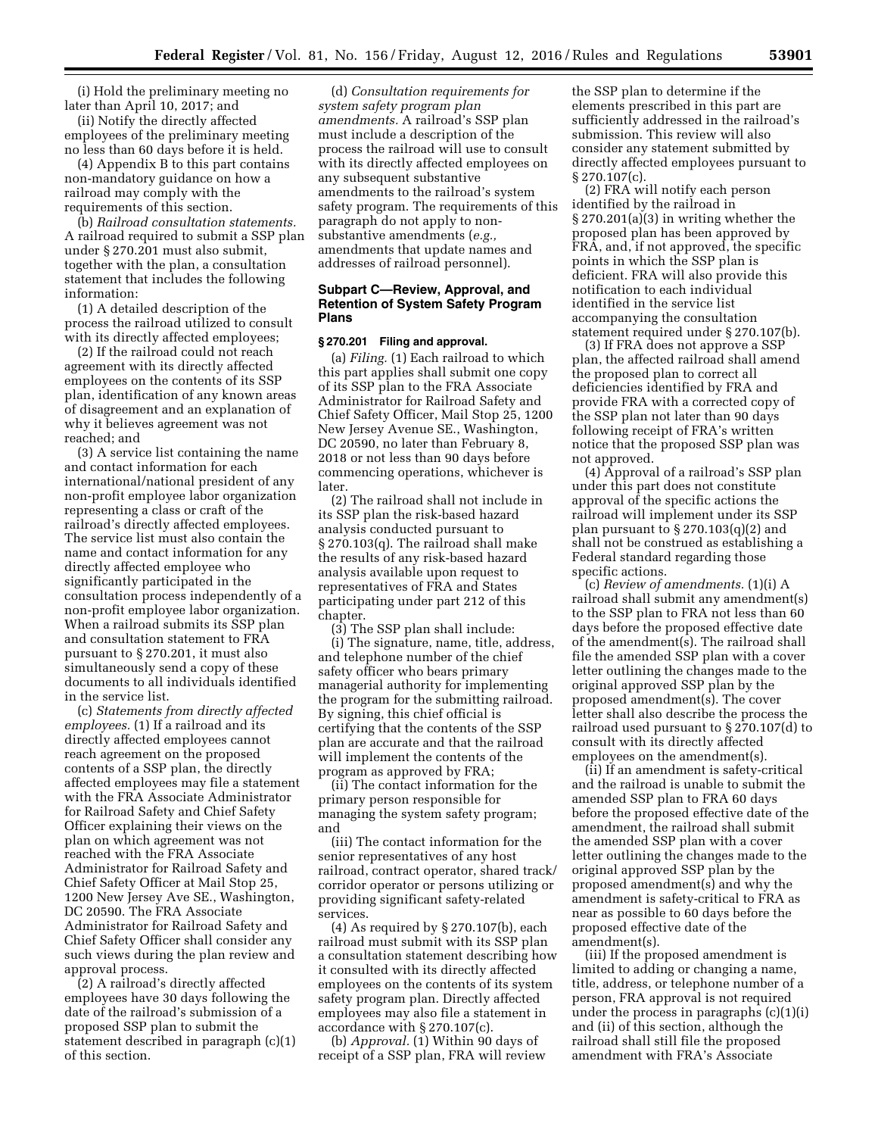(i) Hold the preliminary meeting no later than April 10, 2017; and

(ii) Notify the directly affected employees of the preliminary meeting no less than 60 days before it is held.

(4) Appendix B to this part contains non-mandatory guidance on how a railroad may comply with the requirements of this section.

(b) *Railroad consultation statements.*  A railroad required to submit a SSP plan under § 270.201 must also submit, together with the plan, a consultation statement that includes the following information:

(1) A detailed description of the process the railroad utilized to consult with its directly affected employees;

(2) If the railroad could not reach agreement with its directly affected employees on the contents of its SSP plan, identification of any known areas of disagreement and an explanation of why it believes agreement was not reached; and

(3) A service list containing the name and contact information for each international/national president of any non-profit employee labor organization representing a class or craft of the railroad's directly affected employees. The service list must also contain the name and contact information for any directly affected employee who significantly participated in the consultation process independently of a non-profit employee labor organization. When a railroad submits its SSP plan and consultation statement to FRA pursuant to § 270.201, it must also simultaneously send a copy of these documents to all individuals identified in the service list.

(c) *Statements from directly affected employees.* (1) If a railroad and its directly affected employees cannot reach agreement on the proposed contents of a SSP plan, the directly affected employees may file a statement with the FRA Associate Administrator for Railroad Safety and Chief Safety Officer explaining their views on the plan on which agreement was not reached with the FRA Associate Administrator for Railroad Safety and Chief Safety Officer at Mail Stop 25, 1200 New Jersey Ave SE., Washington, DC 20590. The FRA Associate Administrator for Railroad Safety and Chief Safety Officer shall consider any such views during the plan review and approval process.

(2) A railroad's directly affected employees have 30 days following the date of the railroad's submission of a proposed SSP plan to submit the statement described in paragraph (c)(1) of this section.

(d) *Consultation requirements for system safety program plan amendments.* A railroad's SSP plan must include a description of the process the railroad will use to consult with its directly affected employees on any subsequent substantive amendments to the railroad's system safety program. The requirements of this paragraph do not apply to nonsubstantive amendments (*e.g.,*  amendments that update names and addresses of railroad personnel).

# **Subpart C—Review, Approval, and Retention of System Safety Program Plans**

# **§ 270.201 Filing and approval.**

(a) *Filing.* (1) Each railroad to which this part applies shall submit one copy of its SSP plan to the FRA Associate Administrator for Railroad Safety and Chief Safety Officer, Mail Stop 25, 1200 New Jersey Avenue SE., Washington, DC 20590, no later than February 8, 2018 or not less than 90 days before commencing operations, whichever is later.

(2) The railroad shall not include in its SSP plan the risk-based hazard analysis conducted pursuant to § 270.103(q). The railroad shall make the results of any risk-based hazard analysis available upon request to representatives of FRA and States participating under part 212 of this chapter.

(3) The SSP plan shall include: (i) The signature, name, title, address, and telephone number of the chief safety officer who bears primary managerial authority for implementing the program for the submitting railroad. By signing, this chief official is certifying that the contents of the SSP plan are accurate and that the railroad will implement the contents of the program as approved by FRA;

(ii) The contact information for the primary person responsible for managing the system safety program; and

(iii) The contact information for the senior representatives of any host railroad, contract operator, shared track/ corridor operator or persons utilizing or providing significant safety-related services.

(4) As required by § 270.107(b), each railroad must submit with its SSP plan a consultation statement describing how it consulted with its directly affected employees on the contents of its system safety program plan. Directly affected employees may also file a statement in accordance with § 270.107(c).

(b) *Approval.* (1) Within 90 days of receipt of a SSP plan, FRA will review

the SSP plan to determine if the elements prescribed in this part are sufficiently addressed in the railroad's submission. This review will also consider any statement submitted by directly affected employees pursuant to § 270.107(c).

(2) FRA will notify each person identified by the railroad in § 270.201(a)(3) in writing whether the proposed plan has been approved by FRA, and, if not approved, the specific points in which the SSP plan is deficient. FRA will also provide this notification to each individual identified in the service list accompanying the consultation statement required under § 270.107(b).

(3) If FRA does not approve a SSP plan, the affected railroad shall amend the proposed plan to correct all deficiencies identified by FRA and provide FRA with a corrected copy of the SSP plan not later than 90 days following receipt of FRA's written notice that the proposed SSP plan was not approved.

(4) Approval of a railroad's SSP plan under this part does not constitute approval of the specific actions the railroad will implement under its SSP plan pursuant to  $\S 270.103(q)(2)$  and shall not be construed as establishing a Federal standard regarding those specific actions.

(c) *Review of amendments.* (1)(i) A railroad shall submit any amendment(s) to the SSP plan to FRA not less than 60 days before the proposed effective date of the amendment(s). The railroad shall file the amended SSP plan with a cover letter outlining the changes made to the original approved SSP plan by the proposed amendment(s). The cover letter shall also describe the process the railroad used pursuant to § 270.107(d) to consult with its directly affected employees on the amendment(s).

(ii) If an amendment is safety-critical and the railroad is unable to submit the amended SSP plan to FRA 60 days before the proposed effective date of the amendment, the railroad shall submit the amended SSP plan with a cover letter outlining the changes made to the original approved SSP plan by the proposed amendment(s) and why the amendment is safety-critical to FRA as near as possible to 60 days before the proposed effective date of the amendment(s).

(iii) If the proposed amendment is limited to adding or changing a name, title, address, or telephone number of a person, FRA approval is not required under the process in paragraphs (c)(1)(i) and (ii) of this section, although the railroad shall still file the proposed amendment with FRA's Associate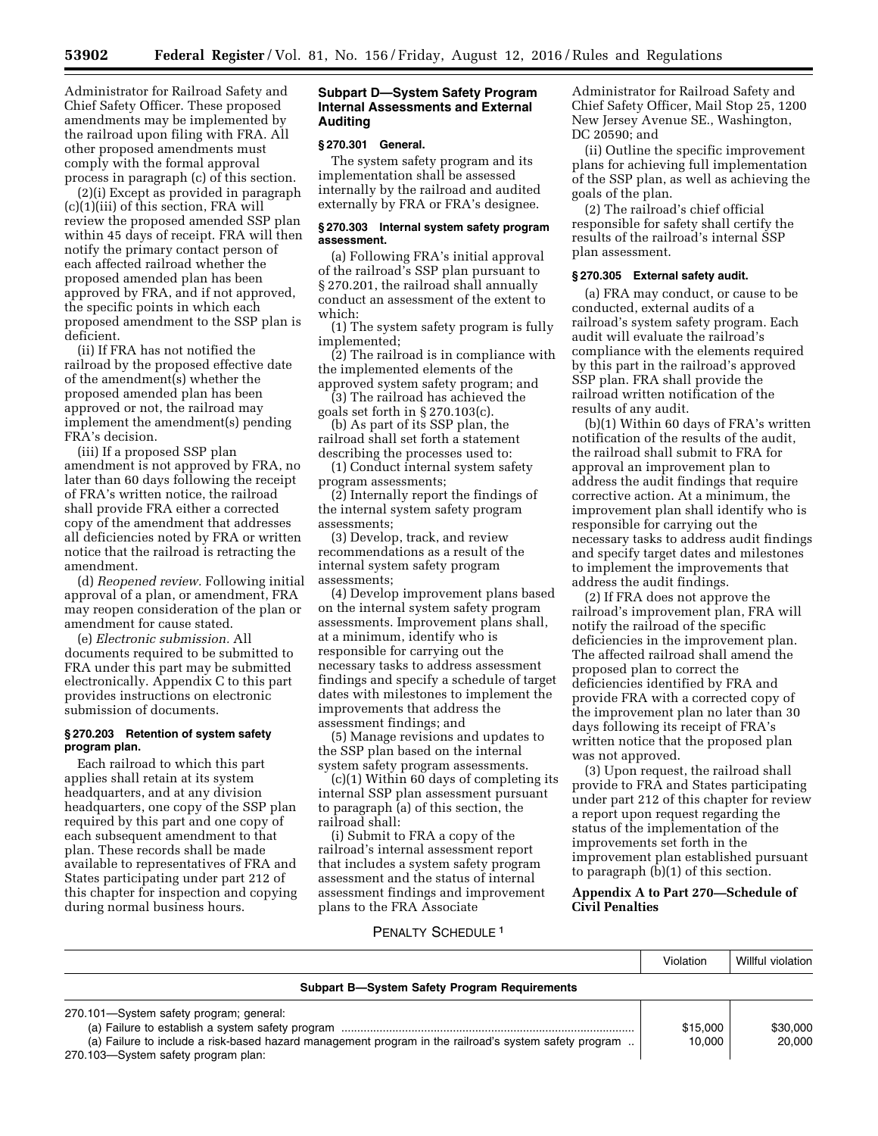Administrator for Railroad Safety and Chief Safety Officer. These proposed amendments may be implemented by the railroad upon filing with FRA. All other proposed amendments must comply with the formal approval process in paragraph (c) of this section.

(2)(i) Except as provided in paragraph (c)(1)(iii) of this section, FRA will review the proposed amended SSP plan within 45 days of receipt. FRA will then notify the primary contact person of each affected railroad whether the proposed amended plan has been approved by FRA, and if not approved, the specific points in which each proposed amendment to the SSP plan is deficient.

(ii) If FRA has not notified the railroad by the proposed effective date of the amendment(s) whether the proposed amended plan has been approved or not, the railroad may implement the amendment(s) pending FRA's decision.

(iii) If a proposed SSP plan amendment is not approved by FRA, no later than 60 days following the receipt of FRA's written notice, the railroad shall provide FRA either a corrected copy of the amendment that addresses all deficiencies noted by FRA or written notice that the railroad is retracting the amendment.

(d) *Reopened review.* Following initial approval of a plan, or amendment, FRA may reopen consideration of the plan or amendment for cause stated.

(e) *Electronic submission.* All documents required to be submitted to FRA under this part may be submitted electronically. Appendix C to this part provides instructions on electronic submission of documents.

#### **§ 270.203 Retention of system safety program plan.**

Each railroad to which this part applies shall retain at its system headquarters, and at any division headquarters, one copy of the SSP plan required by this part and one copy of each subsequent amendment to that plan. These records shall be made available to representatives of FRA and States participating under part 212 of this chapter for inspection and copying during normal business hours.

# **Subpart D—System Safety Program Internal Assessments and External Auditing**

# **§ 270.301 General.**

The system safety program and its implementation shall be assessed internally by the railroad and audited externally by FRA or FRA's designee.

## **§ 270.303 Internal system safety program assessment.**

(a) Following FRA's initial approval of the railroad's SSP plan pursuant to § 270.201, the railroad shall annually conduct an assessment of the extent to which:

(1) The system safety program is fully implemented;

(2) The railroad is in compliance with the implemented elements of the approved system safety program; and

(3) The railroad has achieved the goals set forth in § 270.103(c).

(b) As part of its SSP plan, the railroad shall set forth a statement describing the processes used to:

(1) Conduct internal system safety program assessments;

(2) Internally report the findings of the internal system safety program assessments;

(3) Develop, track, and review recommendations as a result of the internal system safety program assessments;

(4) Develop improvement plans based on the internal system safety program assessments. Improvement plans shall, at a minimum, identify who is responsible for carrying out the necessary tasks to address assessment findings and specify a schedule of target dates with milestones to implement the improvements that address the assessment findings; and

(5) Manage revisions and updates to the SSP plan based on the internal system safety program assessments.

(c)(1) Within 60 days of completing its internal SSP plan assessment pursuant to paragraph (a) of this section, the railroad shall:

(i) Submit to FRA a copy of the railroad's internal assessment report that includes a system safety program assessment and the status of internal assessment findings and improvement plans to the FRA Associate

Administrator for Railroad Safety and Chief Safety Officer, Mail Stop 25, 1200 New Jersey Avenue SE., Washington, DC 20590; and

(ii) Outline the specific improvement plans for achieving full implementation of the SSP plan, as well as achieving the goals of the plan.

(2) The railroad's chief official responsible for safety shall certify the results of the railroad's internal SSP plan assessment.

## **§ 270.305 External safety audit.**

(a) FRA may conduct, or cause to be conducted, external audits of a railroad's system safety program. Each audit will evaluate the railroad's compliance with the elements required by this part in the railroad's approved SSP plan. FRA shall provide the railroad written notification of the results of any audit.

(b)(1) Within 60 days of FRA's written notification of the results of the audit, the railroad shall submit to FRA for approval an improvement plan to address the audit findings that require corrective action. At a minimum, the improvement plan shall identify who is responsible for carrying out the necessary tasks to address audit findings and specify target dates and milestones to implement the improvements that address the audit findings.

(2) If FRA does not approve the railroad's improvement plan, FRA will notify the railroad of the specific deficiencies in the improvement plan. The affected railroad shall amend the proposed plan to correct the deficiencies identified by FRA and provide FRA with a corrected copy of the improvement plan no later than 30 days following its receipt of FRA's written notice that the proposed plan was not approved.

(3) Upon request, the railroad shall provide to FRA and States participating under part 212 of this chapter for review a report upon request regarding the status of the implementation of the improvements set forth in the improvement plan established pursuant to paragraph (b)(1) of this section.

# **Appendix A to Part 270—Schedule of Civil Penalties**

# PENALTY SCHEDULE 1

|                                                                                                       | Violation | Willful violation |
|-------------------------------------------------------------------------------------------------------|-----------|-------------------|
| <b>Subpart B-System Safety Program Requirements</b>                                                   |           |                   |
| 270.101-System safety program; general:                                                               |           |                   |
|                                                                                                       | \$15,000  | \$30,000          |
| (a) Failure to include a risk-based hazard management program in the railroad's system safety program | 10.000    | 20,000            |
| 270.103-System safety program plan:                                                                   |           |                   |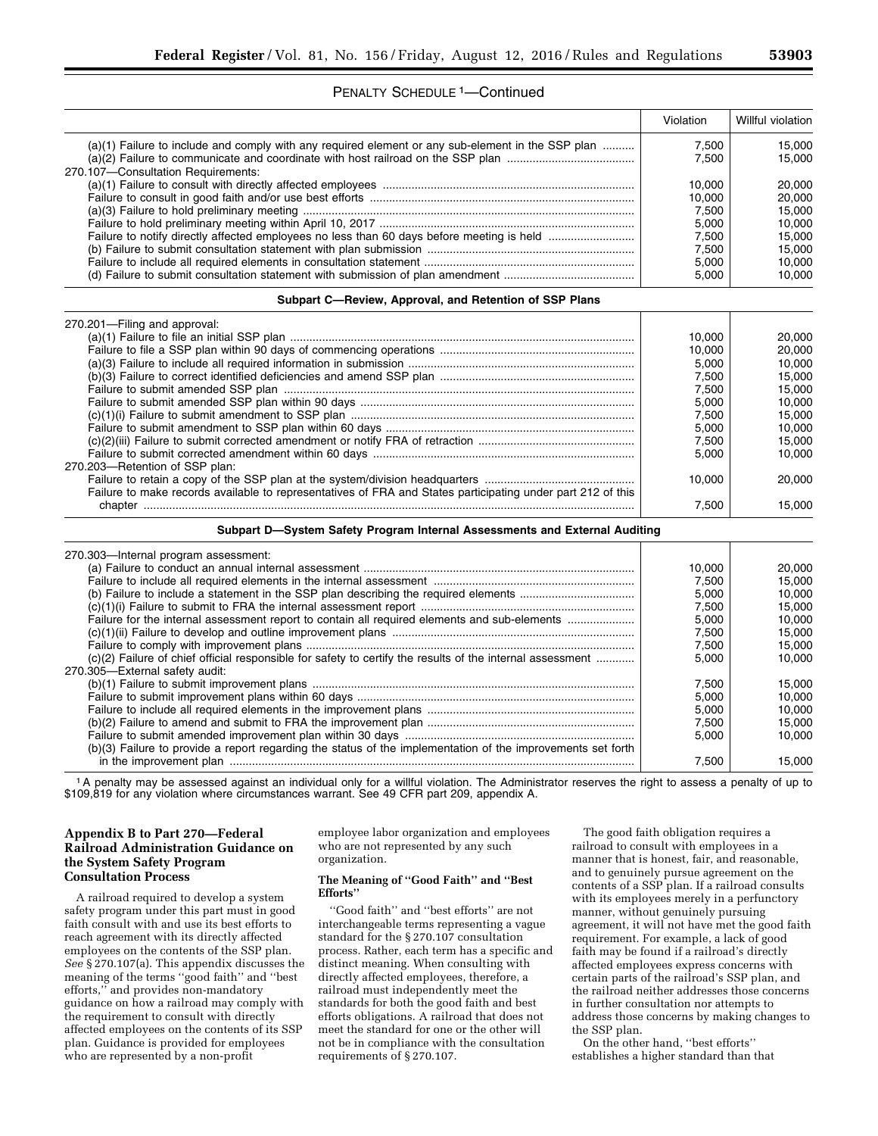# PENALTY SCHEDULE 1—Continued

|                                                                                                                                         | Violation      | Willful violation |
|-----------------------------------------------------------------------------------------------------------------------------------------|----------------|-------------------|
| (a)(1) Failure to include and comply with any required element or any sub-element in the SSP plan<br>270.107-Consultation Requirements: | 7,500<br>7.500 | 15,000<br>15.000  |
|                                                                                                                                         | 10.000         | 20,000            |
|                                                                                                                                         | 10,000         | 20,000            |
|                                                                                                                                         | 7,500          | 15,000            |
|                                                                                                                                         | 5,000          | 10.000            |
|                                                                                                                                         | 7,500          | 15,000            |
|                                                                                                                                         | 7,500          | 15,000            |
|                                                                                                                                         | 5,000          | 10,000            |
|                                                                                                                                         | 5,000          | 10,000            |
| Subpart C-Review, Approval, and Retention of SSP Plans                                                                                  |                |                   |
| 270.201-Filing and approval:                                                                                                            |                |                   |
|                                                                                                                                         | 10,000         | 20,000            |
|                                                                                                                                         | 10,000         | 20,000            |
|                                                                                                                                         | 5,000          | 10,000            |
|                                                                                                                                         | 7,500          | 15,000            |
|                                                                                                                                         | 7,500          | 15,000            |
|                                                                                                                                         | 5,000          | 10,000            |

|                                                                                                             | 7.500  | 15.000 |
|-------------------------------------------------------------------------------------------------------------|--------|--------|
|                                                                                                             | 5.000  | 10.000 |
|                                                                                                             | 7.500  | 15.000 |
|                                                                                                             | 5.000  | 10.000 |
| 270.203-Retention of SSP plan:                                                                              |        |        |
|                                                                                                             | 10.000 | 20.000 |
| Failure to make records available to representatives of FRA and States participating under part 212 of this |        |        |
| chanter                                                                                                     | 7.500  | 15.000 |

#### **Subpart D—System Safety Program Internal Assessments and External Auditing**

| 270.303-Internal program assessment:                                                                        |        |        |
|-------------------------------------------------------------------------------------------------------------|--------|--------|
|                                                                                                             | 10.000 | 20.000 |
|                                                                                                             | 7.500  | 15.000 |
|                                                                                                             | 5.000  | 10.000 |
|                                                                                                             | 7.500  | 15.000 |
| Failure for the internal assessment report to contain all required elements and sub-elements                | 5.000  | 10.000 |
|                                                                                                             | 7.500  | 15.000 |
|                                                                                                             | 7.500  | 15.000 |
| (c)(2) Failure of chief official responsible for safety to certify the results of the internal assessment   | 5.000  | 10.000 |
| 270.305-External safety audit:                                                                              |        |        |
|                                                                                                             | 7.500  | 15.000 |
|                                                                                                             | 5.000  | 10.000 |
|                                                                                                             | 5.000  | 10.000 |
|                                                                                                             | 7.500  | 15.000 |
|                                                                                                             | 5.000  | 10.000 |
| (b)(3) Failure to provide a report regarding the status of the implementation of the improvements set forth |        |        |
|                                                                                                             | 7.500  | 15.000 |

1A penalty may be assessed against an individual only for a willful violation. The Administrator reserves the right to assess a penalty of up to \$109,819 for any violation where circumstances warrant. See 49 CFR part 209, appendix A.

# **Appendix B to Part 270—Federal Railroad Administration Guidance on the System Safety Program Consultation Process**

A railroad required to develop a system safety program under this part must in good faith consult with and use its best efforts to reach agreement with its directly affected employees on the contents of the SSP plan. *See* § 270.107(a). This appendix discusses the meaning of the terms ''good faith'' and ''best efforts,'' and provides non-mandatory guidance on how a railroad may comply with the requirement to consult with directly affected employees on the contents of its SSP plan. Guidance is provided for employees who are represented by a non-profit

employee labor organization and employees who are not represented by any such organization.

#### **The Meaning of ''Good Faith'' and ''Best Efforts''**

''Good faith'' and ''best efforts'' are not interchangeable terms representing a vague standard for the § 270.107 consultation process. Rather, each term has a specific and distinct meaning. When consulting with directly affected employees, therefore, a railroad must independently meet the standards for both the good faith and best efforts obligations. A railroad that does not meet the standard for one or the other will not be in compliance with the consultation requirements of § 270.107.

The good faith obligation requires a railroad to consult with employees in a manner that is honest, fair, and reasonable, and to genuinely pursue agreement on the contents of a SSP plan. If a railroad consults with its employees merely in a perfunctory manner, without genuinely pursuing agreement, it will not have met the good faith requirement. For example, a lack of good faith may be found if a railroad's directly affected employees express concerns with certain parts of the railroad's SSP plan, and the railroad neither addresses those concerns in further consultation nor attempts to address those concerns by making changes to the SSP plan.

On the other hand, ''best efforts'' establishes a higher standard than that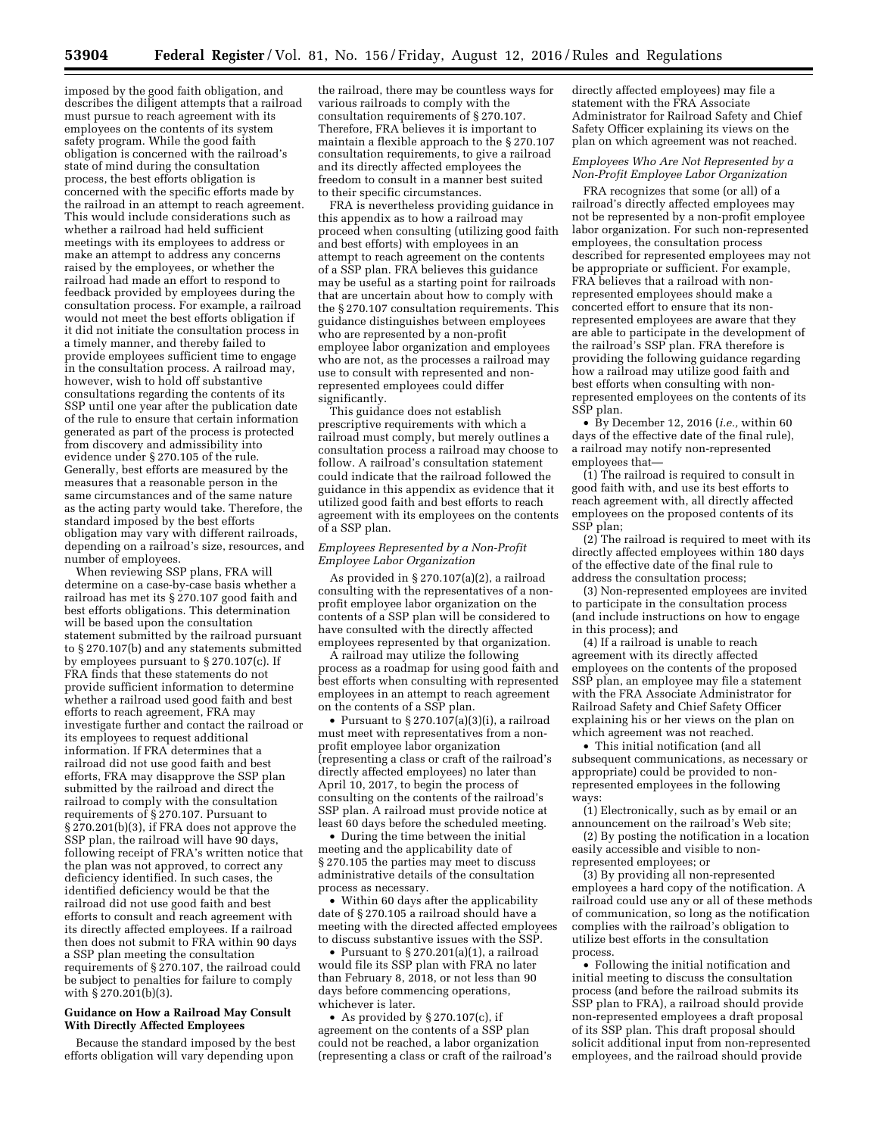imposed by the good faith obligation, and describes the diligent attempts that a railroad must pursue to reach agreement with its employees on the contents of its system safety program. While the good faith obligation is concerned with the railroad's state of mind during the consultation process, the best efforts obligation is concerned with the specific efforts made by the railroad in an attempt to reach agreement. This would include considerations such as whether a railroad had held sufficient meetings with its employees to address or make an attempt to address any concerns raised by the employees, or whether the railroad had made an effort to respond to feedback provided by employees during the consultation process. For example, a railroad would not meet the best efforts obligation if it did not initiate the consultation process in a timely manner, and thereby failed to provide employees sufficient time to engage in the consultation process. A railroad may, however, wish to hold off substantive consultations regarding the contents of its SSP until one year after the publication date of the rule to ensure that certain information generated as part of the process is protected from discovery and admissibility into evidence under § 270.105 of the rule. Generally, best efforts are measured by the measures that a reasonable person in the same circumstances and of the same nature as the acting party would take. Therefore, the standard imposed by the best efforts obligation may vary with different railroads, depending on a railroad's size, resources, and number of employees.

When reviewing SSP plans, FRA will determine on a case-by-case basis whether a railroad has met its §  $270.107$  good faith and best efforts obligations. This determination will be based upon the consultation statement submitted by the railroad pursuant to § 270.107(b) and any statements submitted by employees pursuant to § 270.107(c). If FRA finds that these statements do not provide sufficient information to determine whether a railroad used good faith and best efforts to reach agreement, FRA may investigate further and contact the railroad or its employees to request additional information. If FRA determines that a railroad did not use good faith and best efforts, FRA may disapprove the SSP plan submitted by the railroad and direct the railroad to comply with the consultation requirements of § 270.107. Pursuant to § 270.201(b)(3), if FRA does not approve the SSP plan, the railroad will have 90 days, following receipt of FRA's written notice that the plan was not approved, to correct any deficiency identified. In such cases, the identified deficiency would be that the railroad did not use good faith and best efforts to consult and reach agreement with its directly affected employees. If a railroad then does not submit to FRA within 90 days a SSP plan meeting the consultation requirements of § 270.107, the railroad could be subject to penalties for failure to comply with § 270.201(b)(3).

#### **Guidance on How a Railroad May Consult With Directly Affected Employees**

Because the standard imposed by the best efforts obligation will vary depending upon

the railroad, there may be countless ways for various railroads to comply with the consultation requirements of § 270.107. Therefore, FRA believes it is important to maintain a flexible approach to the § 270.107 consultation requirements, to give a railroad and its directly affected employees the freedom to consult in a manner best suited to their specific circumstances.

FRA is nevertheless providing guidance in this appendix as to how a railroad may proceed when consulting (utilizing good faith and best efforts) with employees in an attempt to reach agreement on the contents of a SSP plan. FRA believes this guidance may be useful as a starting point for railroads that are uncertain about how to comply with the § 270.107 consultation requirements. This guidance distinguishes between employees who are represented by a non-profit employee labor organization and employees who are not, as the processes a railroad may use to consult with represented and nonrepresented employees could differ significantly.

This guidance does not establish prescriptive requirements with which a railroad must comply, but merely outlines a consultation process a railroad may choose to follow. A railroad's consultation statement could indicate that the railroad followed the guidance in this appendix as evidence that it utilized good faith and best efforts to reach agreement with its employees on the contents of a SSP plan.

#### *Employees Represented by a Non-Profit Employee Labor Organization*

As provided in § 270.107(a)(2), a railroad consulting with the representatives of a nonprofit employee labor organization on the contents of a SSP plan will be considered to have consulted with the directly affected employees represented by that organization.

A railroad may utilize the following process as a roadmap for using good faith and best efforts when consulting with represented employees in an attempt to reach agreement on the contents of a SSP plan.

• Pursuant to  $\S 270.107(a)(3)(i)$ , a railroad must meet with representatives from a nonprofit employee labor organization (representing a class or craft of the railroad's directly affected employees) no later than April 10, 2017, to begin the process of consulting on the contents of the railroad's SSP plan. A railroad must provide notice at least 60 days before the scheduled meeting.

• During the time between the initial meeting and the applicability date of § 270.105 the parties may meet to discuss administrative details of the consultation process as necessary.

• Within 60 days after the applicability date of § 270.105 a railroad should have a meeting with the directed affected employees to discuss substantive issues with the SSP.

• Pursuant to § 270.201(a)(1), a railroad would file its SSP plan with FRA no later than February 8, 2018, or not less than 90 days before commencing operations, whichever is later.

• As provided by § 270.107(c), if agreement on the contents of a SSP plan could not be reached, a labor organization (representing a class or craft of the railroad's directly affected employees) may file a statement with the FRA Associate Administrator for Railroad Safety and Chief Safety Officer explaining its views on the plan on which agreement was not reached.

#### *Employees Who Are Not Represented by a Non-Profit Employee Labor Organization*

FRA recognizes that some (or all) of a railroad's directly affected employees may not be represented by a non-profit employee labor organization. For such non-represented employees, the consultation process described for represented employees may not be appropriate or sufficient. For example, FRA believes that a railroad with nonrepresented employees should make a concerted effort to ensure that its nonrepresented employees are aware that they are able to participate in the development of the railroad's SSP plan. FRA therefore is providing the following guidance regarding how a railroad may utilize good faith and best efforts when consulting with nonrepresented employees on the contents of its SSP plan.

• By December 12, 2016 (*i.e.,* within 60 days of the effective date of the final rule), a railroad may notify non-represented employees that—

(1) The railroad is required to consult in good faith with, and use its best efforts to reach agreement with, all directly affected employees on the proposed contents of its SSP plan;

(2) The railroad is required to meet with its directly affected employees within 180 days of the effective date of the final rule to address the consultation process;

(3) Non-represented employees are invited to participate in the consultation process (and include instructions on how to engage in this process); and

(4) If a railroad is unable to reach agreement with its directly affected employees on the contents of the proposed SSP plan, an employee may file a statement with the FRA Associate Administrator for Railroad Safety and Chief Safety Officer explaining his or her views on the plan on which agreement was not reached.

• This initial notification (and all subsequent communications, as necessary or appropriate) could be provided to nonrepresented employees in the following ways:

(1) Electronically, such as by email or an announcement on the railroad's Web site;

(2) By posting the notification in a location easily accessible and visible to non-

represented employees; or (3) By providing all non-represented

employees a hard copy of the notification. A railroad could use any or all of these methods of communication, so long as the notification complies with the railroad's obligation to utilize best efforts in the consultation process.

• Following the initial notification and initial meeting to discuss the consultation process (and before the railroad submits its SSP plan to FRA), a railroad should provide non-represented employees a draft proposal of its SSP plan. This draft proposal should solicit additional input from non-represented employees, and the railroad should provide